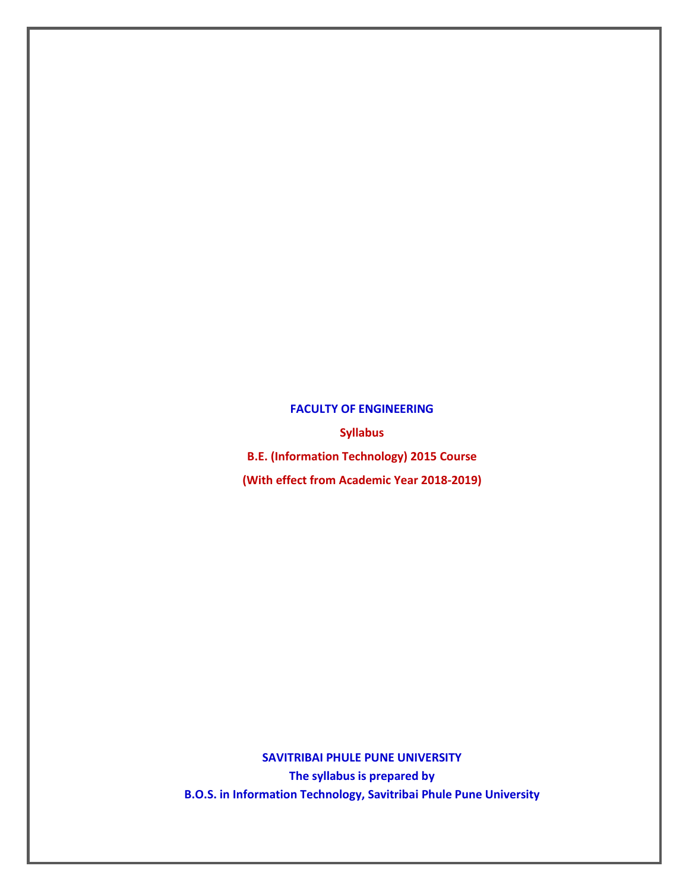**FACULTY OF ENGINEERING**

**Syllabus**

**B.E. (Information Technology) 2015 Course**

**(With effect from Academic Year 2018-2019)**

**SAVITRIBAI PHULE PUNE UNIVERSITY The syllabus is prepared by B.O.S. in Information Technology, Savitribai Phule Pune University**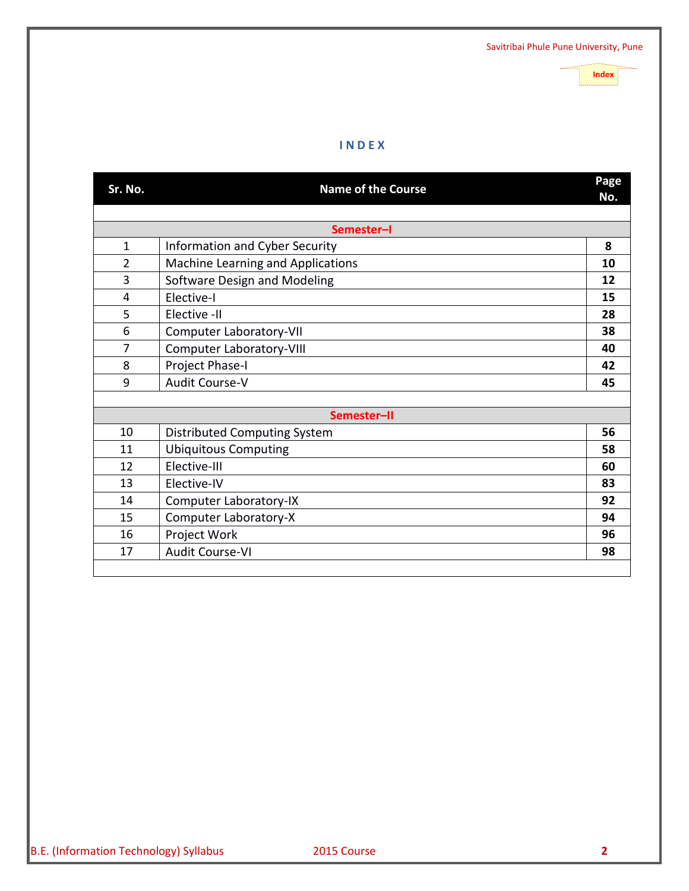#### **I N D E X**

<span id="page-1-0"></span>

| Sr. No.        | <b>Name of the Course</b>           | Page<br>No. |
|----------------|-------------------------------------|-------------|
|                |                                     |             |
|                | Semester-I                          |             |
| $\mathbf{1}$   | Information and Cyber Security      | 8           |
| $\overline{2}$ | Machine Learning and Applications   | 10          |
| 3              | Software Design and Modeling        | 12          |
| 4              | Elective-I                          | 15          |
| 5              | Elective -II                        | 28          |
| 6              | Computer Laboratory-VII             | 38          |
| $\overline{7}$ | <b>Computer Laboratory-VIII</b>     | 40          |
| 8              | Project Phase-I                     | 42          |
| 9              | Audit Course-V                      | 45          |
|                |                                     |             |
|                | Semester-II                         |             |
| 10             | <b>Distributed Computing System</b> | 56          |
| 11             | <b>Ubiquitous Computing</b>         | 58          |
| 12             | Elective-III                        | 60          |
| 13             | Elective-IV                         | 83          |
| 14             | <b>Computer Laboratory-IX</b>       | 92          |
| 15             | Computer Laboratory-X               | 94          |
| 16             | Project Work                        | 96          |
| 17             | <b>Audit Course-VI</b>              | 98          |
|                |                                     |             |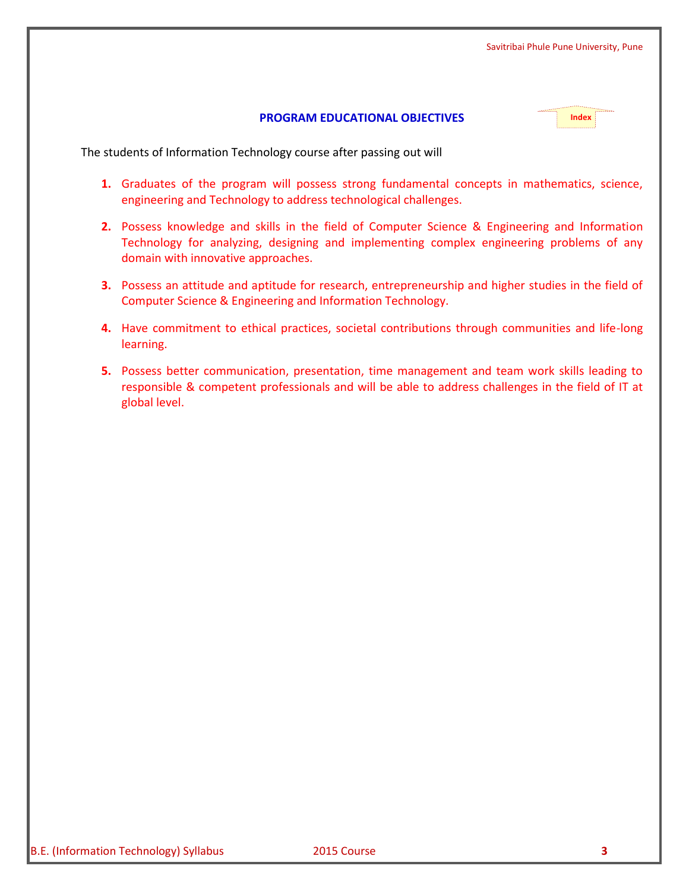|                                                                      | Savitribai Phule Pune University, Pune |
|----------------------------------------------------------------------|----------------------------------------|
|                                                                      |                                        |
| <b>PROGRAM EDUCATIONAL OBJECTIVES</b>                                | Index<br>********************          |
| The students of Information Technology course after passing out will |                                        |

- **1.** Graduates of the program will possess strong fundamental concepts in mathematics, science, engineering and Technology to address technological challenges.
- **2.** Possess knowledge and skills in the field of Computer Science & Engineering and Information Technology for analyzing, designing and implementing complex engineering problems of any domain with innovative approaches.
- **3.** Possess an attitude and aptitude for research, entrepreneurship and higher studies in the field of Computer Science & Engineering and Information Technology.
- **4.** Have commitment to ethical practices, societal contributions through communities and life-long learning.
- **5.** Possess better communication, presentation, time management and team work skills leading to responsible & competent professionals and will be able to address challenges in the field of IT at global level.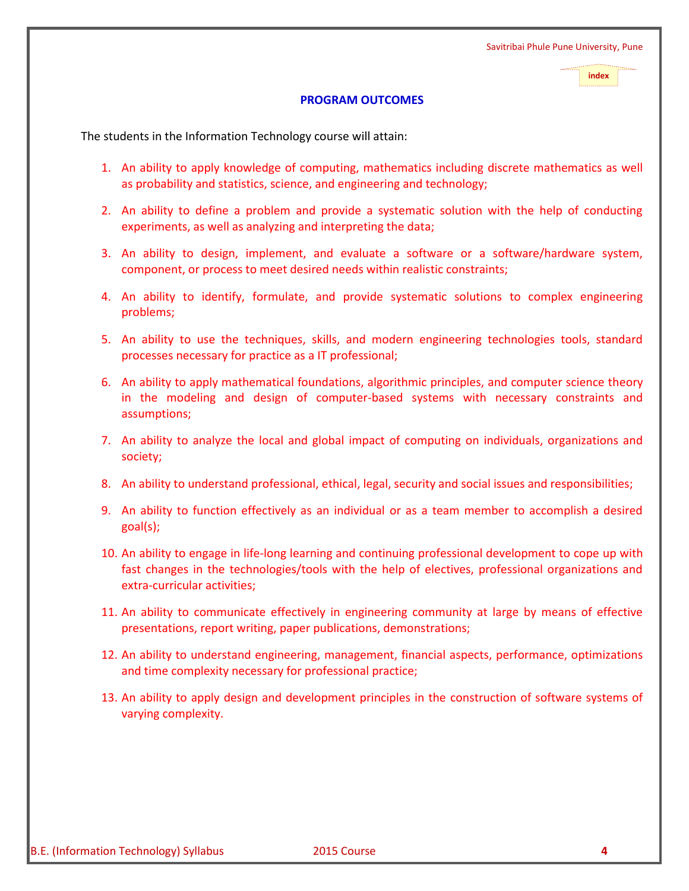**index**

#### **PROGRAM OUTCOMES**

The students in the Information Technology course will attain:

- 1. An ability to apply knowledge of computing, mathematics including discrete mathematics as well as probability and statistics, science, and engineering and technology;
- 2. An ability to define a problem and provide a systematic solution with the help of conducting experiments, as well as analyzing and interpreting the data;
- 3. An ability to design, implement, and evaluate a software or a software/hardware system, component, or process to meet desired needs within realistic constraints;
- 4. An ability to identify, formulate, and provide systematic solutions to complex engineering problems;
- 5. An ability to use the techniques, skills, and modern engineering technologies tools, standard processes necessary for practice as a IT professional;
- 6. An ability to apply mathematical foundations, algorithmic principles, and computer science theory in the modeling and design of computer-based systems with necessary constraints and assumptions;
- 7. An ability to analyze the local and global impact of computing on individuals, organizations and society;
- 8. An ability to understand professional, ethical, legal, security and social issues and responsibilities;
- 9. An ability to function effectively as an individual or as a team member to accomplish a desired goal(s);
- 10. An ability to engage in life-long learning and continuing professional development to cope up with fast changes in the technologies/tools with the help of electives, professional organizations and extra-curricular activities;
- 11. An ability to communicate effectively in engineering community at large by means of effective presentations, report writing, paper publications, demonstrations;
- 12. An ability to understand engineering, management, financial aspects, performance, optimizations and time complexity necessary for professional practice;
- 13. An ability to apply design and development principles in the construction of software systems of varying complexity.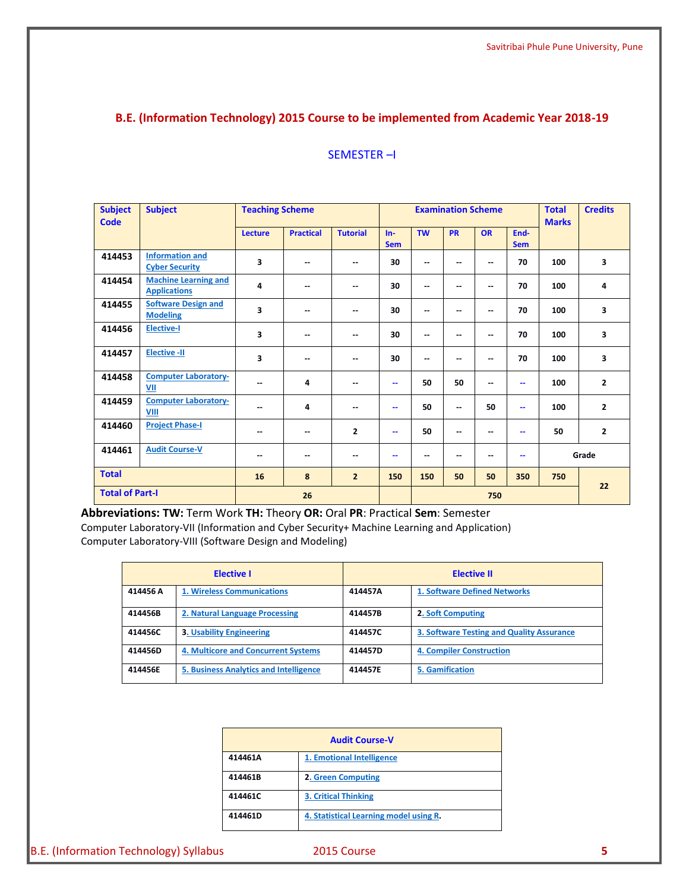### **B.E. (Information Technology) 2015 Course to be implemented from Academic Year 2018-19**

| <b>Subject</b><br><b>Code</b> | <b>Subject</b>                                     | <b>Teaching Scheme</b>   |                  |                          |                          |           | <b>Examination Scheme</b> |                          |                          | <b>Total</b><br><b>Marks</b> | <b>Credits</b> |
|-------------------------------|----------------------------------------------------|--------------------------|------------------|--------------------------|--------------------------|-----------|---------------------------|--------------------------|--------------------------|------------------------------|----------------|
|                               |                                                    | <b>Lecture</b>           | <b>Practical</b> | <b>Tutorial</b>          | $In-$<br><b>Sem</b>      | <b>TW</b> | <b>PR</b>                 | <b>OR</b>                | End-<br><b>Sem</b>       |                              |                |
| 414453                        | <b>Information and</b><br><b>Cyber Security</b>    | 3                        |                  | --                       | 30                       | --        |                           | $-$                      | 70                       | 100                          | 3              |
| 414454                        | <b>Machine Learning and</b><br><b>Applications</b> | 4                        |                  | $\sim$ $\sim$            | 30                       | --        | --                        | $\overline{\phantom{a}}$ | 70                       | 100                          | 4              |
| 414455                        | <b>Software Design and</b><br><b>Modeling</b>      | 3                        |                  | $\overline{\phantom{a}}$ | 30                       | --        | --                        | $\overline{\phantom{a}}$ | 70                       | 100                          | 3              |
| 414456                        | <b>Elective-I</b>                                  | 3                        |                  | --                       | 30                       | --        |                           | --                       | 70                       | 100                          | 3              |
| 414457                        | <b>Elective -II</b>                                | 3                        | --               | $-$                      | 30                       | --        |                           | --                       | 70                       | 100                          | 3              |
| 414458                        | <b>Computer Laboratory-</b><br>VII                 | --                       | 4                | $\overline{\phantom{a}}$ | $\overline{\phantom{a}}$ | 50        | 50                        | --                       | $\overline{\phantom{a}}$ | 100                          | $\overline{2}$ |
| 414459                        | <b>Computer Laboratory-</b><br>VIII                | $\overline{\phantom{a}}$ | 4                | $-$                      | $\overline{\phantom{a}}$ | 50        | --                        | 50                       | $\sim$                   | 100                          | $\overline{2}$ |
| 414460                        | <b>Project Phase-I</b>                             | $\overline{\phantom{a}}$ | --               | $\overline{2}$           | $\overline{\phantom{a}}$ | 50        | --                        | $\overline{\phantom{a}}$ | $\overline{\phantom{a}}$ | 50                           | $\overline{2}$ |
| 414461                        | <b>Audit Course-V</b>                              | --                       | --               | $\overline{\phantom{a}}$ | $-$                      | --        |                           | --                       | $\sim$                   |                              | Grade          |
| <b>Total</b>                  |                                                    | 16                       | 8                | $\overline{2}$           | 150                      | 150       | 50                        | 50                       | 350                      | 750                          |                |
| <b>Total of Part-I</b>        |                                                    |                          | 26               |                          |                          |           |                           | 750                      |                          |                              | 22             |

#### SEMESTER –I

#### **Abbreviations: TW:** Term Work **TH:** Theory **OR:** Oral **PR**: Practical **Sem**: Semester

Computer Laboratory-VII (Information and Cyber Security+ Machine Learning and Application) Computer Laboratory-VIII (Software Design and Modeling)

<span id="page-4-0"></span>

|          | <b>Elective I</b>                             |         | <b>Elective II</b>                        |
|----------|-----------------------------------------------|---------|-------------------------------------------|
| 414456 A | <b>1. Wireless Communications</b>             | 414457A | <b>1. Software Defined Networks</b>       |
| 414456B  | 2. Natural Language Processing                | 414457B | 2. Soft Computing                         |
| 414456C  | <b>3. Usability Engineering</b>               | 414457C | 3. Software Testing and Quality Assurance |
| 414456D  | <b>4. Multicore and Concurrent Systems</b>    | 414457D | <b>4. Compiler Construction</b>           |
| 414456E  | <b>5. Business Analytics and Intelligence</b> | 414457E | 5. Gamification                           |

<span id="page-4-1"></span>

| <b>Audit Course-V</b> |                                        |  |  |  |
|-----------------------|----------------------------------------|--|--|--|
| 414461A               | 1. Emotional Intelligence              |  |  |  |
| 414461B               | 2. Green Computing                     |  |  |  |
| 414461C               | <b>3. Critical Thinking</b>            |  |  |  |
| 414461D               | 4. Statistical Learning model using R. |  |  |  |

<span id="page-4-2"></span>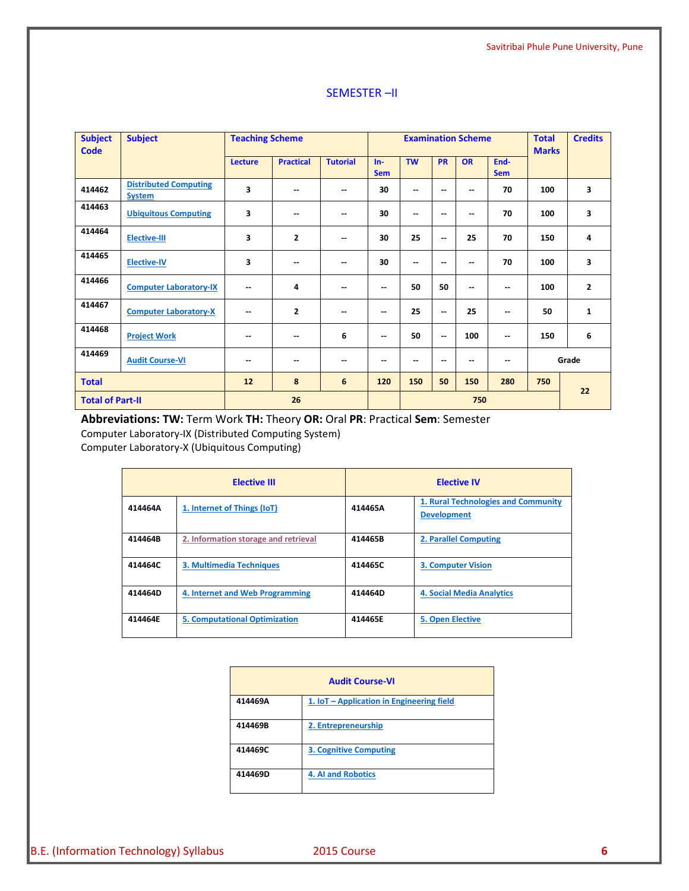| <b>Subject</b><br><b>Code</b> | <b>Subject</b>                                | <b>Teaching Scheme</b>   |                          | <b>Examination Scheme</b> |                     |                          | <b>Total</b><br><b>Marks</b> | <b>Credits</b>           |                    |     |                |
|-------------------------------|-----------------------------------------------|--------------------------|--------------------------|---------------------------|---------------------|--------------------------|------------------------------|--------------------------|--------------------|-----|----------------|
|                               |                                               | <b>Lecture</b>           | <b>Practical</b>         | <b>Tutorial</b>           | $In-$<br><b>Sem</b> | <b>TW</b>                | <b>PR</b>                    | <b>OR</b>                | End-<br><b>Sem</b> |     |                |
| 414462                        | <b>Distributed Computing</b><br><b>System</b> | 3                        | --                       | --                        | 30                  | $\overline{\phantom{a}}$ | $\overline{\phantom{a}}$     | $\sim$                   | 70                 | 100 | 3              |
| 414463                        | <b>Ubiquitous Computing</b>                   | 3                        | --                       | --                        | 30                  | --                       | --                           | $\overline{\phantom{a}}$ | 70                 | 100 | 3              |
| 414464                        | <b>Elective-III</b>                           | 3                        | $\overline{2}$           | $\overline{\phantom{a}}$  | 30                  | 25                       | $\sim$                       | 25                       | 70                 | 150 | 4              |
| 414465                        | <b>Elective-IV</b>                            | 3                        | --                       | --                        | 30                  | $\overline{\phantom{a}}$ | $\sim$ $\sim$                | $\sim$                   | 70                 | 100 | 3              |
| 414466                        | <b>Computer Laboratory-IX</b>                 | $\overline{\phantom{a}}$ | 4                        | --                        | --                  | 50                       | 50                           | $\sim$                   | $\sim$             | 100 | $\overline{2}$ |
| 414467                        | <b>Computer Laboratory-X</b>                  | $\overline{\phantom{a}}$ | $\overline{2}$           | --                        | --                  | 25                       | $\sim$ $\sim$                | 25                       | $\sim$             | 50  | $\mathbf{1}$   |
| 414468                        | <b>Project Work</b>                           | --                       | $\overline{\phantom{a}}$ | 6                         | $\sim$              | 50                       | --                           | 100                      | $\sim$             | 150 | 6              |
| 414469                        | <b>Audit Course-VI</b>                        | --                       | --                       |                           | --                  | --                       | --                           | --                       | --                 |     | Grade          |
| <b>Total</b>                  |                                               | 12                       | 8                        | 6                         | 120                 | 150                      | 50                           | 150                      | 280                | 750 | 22             |
| <b>Total of Part-II</b>       |                                               |                          | 26                       |                           |                     |                          |                              | 750                      |                    |     |                |

#### SEMESTER –II

**Abbreviations: TW:** Term Work **TH:** Theory **OR:** Oral **PR**: Practical **Sem**: Semester

Computer Laboratory-IX (Distributed Computing System)

Computer Laboratory-X (Ubiquitous Computing)

<span id="page-5-0"></span>

|         | <b>Elective III</b>                  |         | <b>Elective IV</b>                                        |
|---------|--------------------------------------|---------|-----------------------------------------------------------|
| 414464A | 1. Internet of Things (IoT)          | 414465A | 1. Rural Technologies and Community<br><b>Development</b> |
| 414464B | 2. Information storage and retrieval | 414465B | 2. Parallel Computing                                     |
| 414464C | 3. Multimedia Techniques             | 414465C | <b>3. Computer Vision</b>                                 |
| 414464D | 4. Internet and Web Programming      | 414464D | <b>4. Social Media Analytics</b>                          |
| 414464E | <b>5. Computational Optimization</b> | 414465E | <b>5. Open Elective</b>                                   |

<span id="page-5-2"></span><span id="page-5-1"></span>

|         | <b>Audit Course-VI</b>                    |  |  |  |  |
|---------|-------------------------------------------|--|--|--|--|
| 414469A | 1. IoT – Application in Engineering field |  |  |  |  |
| 414469B | 2. Entrepreneurship                       |  |  |  |  |
| 414469C | <b>3. Cognitive Computing</b>             |  |  |  |  |
| 414469D | <b>4. Al and Robotics</b>                 |  |  |  |  |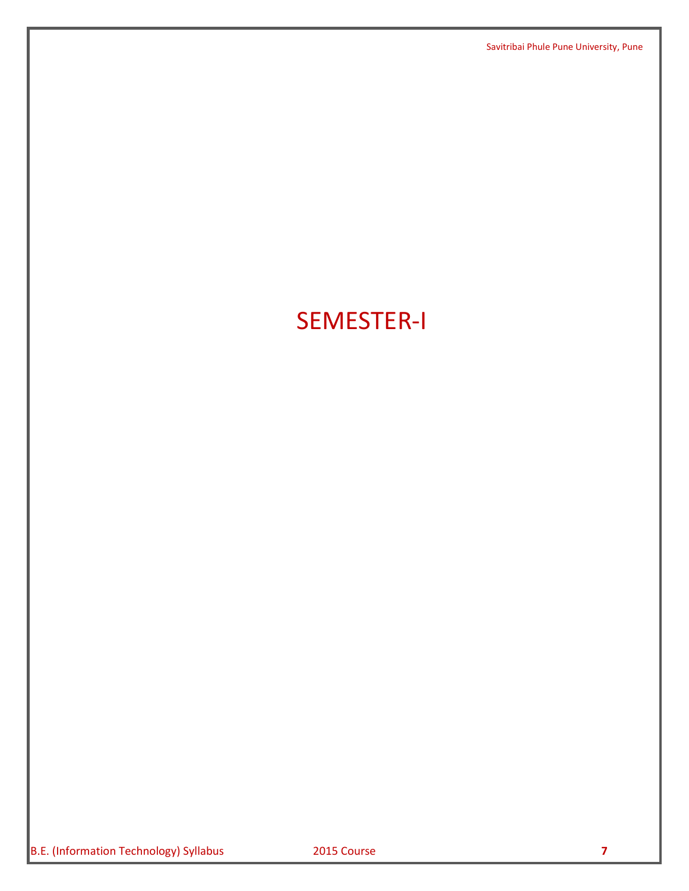# SEMESTER-I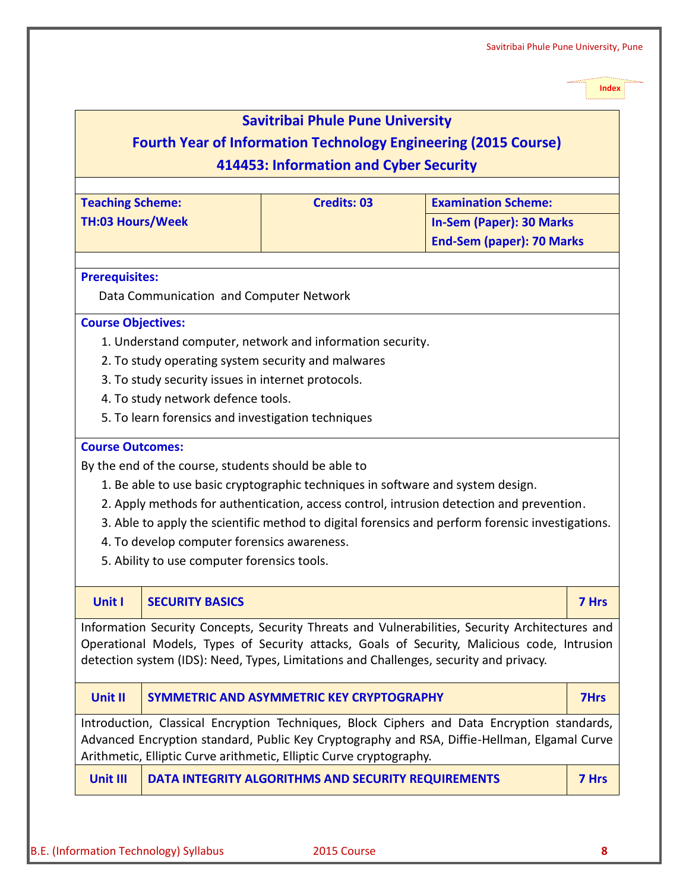<span id="page-7-0"></span>

|                           |                                                      | <b>Savitribai Phule Pune University</b>                                                                                                                                                        |                                  |             |  |  |
|---------------------------|------------------------------------------------------|------------------------------------------------------------------------------------------------------------------------------------------------------------------------------------------------|----------------------------------|-------------|--|--|
|                           |                                                      | <b>Fourth Year of Information Technology Engineering (2015 Course)</b>                                                                                                                         |                                  |             |  |  |
|                           |                                                      | 414453: Information and Cyber Security                                                                                                                                                         |                                  |             |  |  |
|                           |                                                      |                                                                                                                                                                                                |                                  |             |  |  |
| <b>Teaching Scheme:</b>   |                                                      | <b>Credits: 03</b>                                                                                                                                                                             | <b>Examination Scheme:</b>       |             |  |  |
| <b>TH:03 Hours/Week</b>   |                                                      |                                                                                                                                                                                                | <b>In-Sem (Paper): 30 Marks</b>  |             |  |  |
|                           |                                                      |                                                                                                                                                                                                | <b>End-Sem (paper): 70 Marks</b> |             |  |  |
| <b>Prerequisites:</b>     |                                                      |                                                                                                                                                                                                |                                  |             |  |  |
|                           | Data Communication and Computer Network              |                                                                                                                                                                                                |                                  |             |  |  |
| <b>Course Objectives:</b> |                                                      |                                                                                                                                                                                                |                                  |             |  |  |
|                           |                                                      | 1. Understand computer, network and information security.                                                                                                                                      |                                  |             |  |  |
|                           |                                                      | 2. To study operating system security and malwares                                                                                                                                             |                                  |             |  |  |
|                           | 3. To study security issues in internet protocols.   |                                                                                                                                                                                                |                                  |             |  |  |
|                           | 4. To study network defence tools.                   |                                                                                                                                                                                                |                                  |             |  |  |
|                           | 5. To learn forensics and investigation techniques   |                                                                                                                                                                                                |                                  |             |  |  |
| <b>Course Outcomes:</b>   |                                                      |                                                                                                                                                                                                |                                  |             |  |  |
|                           | By the end of the course, students should be able to |                                                                                                                                                                                                |                                  |             |  |  |
|                           |                                                      | 1. Be able to use basic cryptographic techniques in software and system design.                                                                                                                |                                  |             |  |  |
|                           |                                                      | 2. Apply methods for authentication, access control, intrusion detection and prevention.                                                                                                       |                                  |             |  |  |
|                           |                                                      | 3. Able to apply the scientific method to digital forensics and perform forensic investigations.                                                                                               |                                  |             |  |  |
|                           | 4. To develop computer forensics awareness.          |                                                                                                                                                                                                |                                  |             |  |  |
|                           | 5. Ability to use computer forensics tools.          |                                                                                                                                                                                                |                                  |             |  |  |
| Unit I                    | <b>SECURITY BASICS</b>                               |                                                                                                                                                                                                |                                  | 7 Hrs       |  |  |
|                           |                                                      |                                                                                                                                                                                                |                                  |             |  |  |
|                           |                                                      | Information Security Concepts, Security Threats and Vulnerabilities, Security Architectures and<br>Operational Models, Types of Security attacks, Goals of Security, Malicious code, Intrusion |                                  |             |  |  |
|                           |                                                      | detection system (IDS): Need, Types, Limitations and Challenges, security and privacy.                                                                                                         |                                  |             |  |  |
|                           |                                                      |                                                                                                                                                                                                |                                  |             |  |  |
| <b>Unit II</b>            |                                                      | SYMMETRIC AND ASYMMETRIC KEY CRYPTOGRAPHY                                                                                                                                                      |                                  | <b>7Hrs</b> |  |  |
|                           |                                                      | Introduction, Classical Encryption Techniques, Block Ciphers and Data Encryption standards,                                                                                                    |                                  |             |  |  |
|                           |                                                      | Advanced Encryption standard, Public Key Cryptography and RSA, Diffie-Hellman, Elgamal Curve                                                                                                   |                                  |             |  |  |
|                           |                                                      | Arithmetic, Elliptic Curve arithmetic, Elliptic Curve cryptography.                                                                                                                            |                                  |             |  |  |
| <b>Unit III</b>           |                                                      | DATA INTEGRITY ALGORITHMS AND SECURITY REQUIREMENTS                                                                                                                                            |                                  | 7 Hrs       |  |  |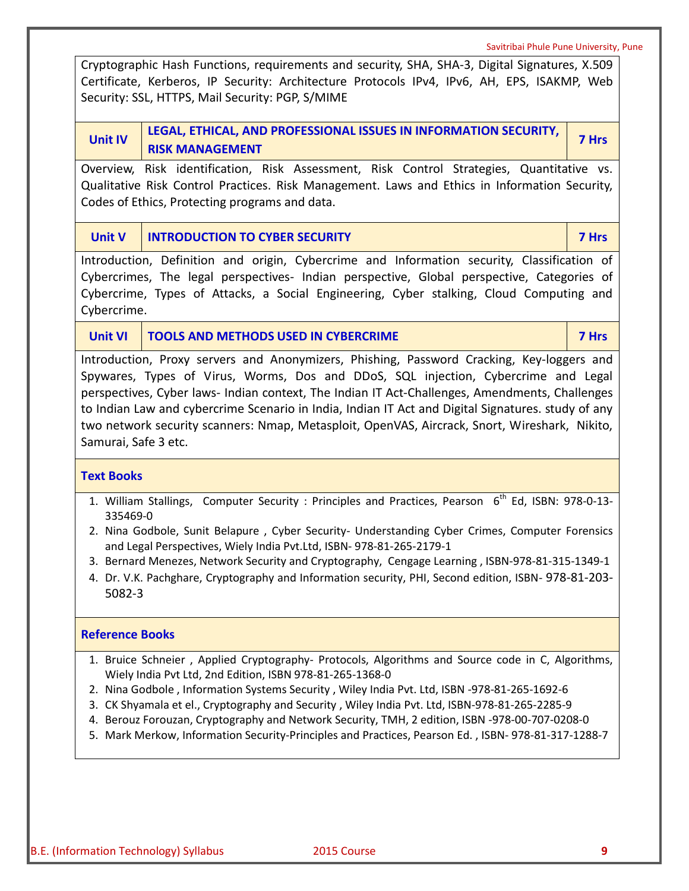Savitribai Phule Pune University, Pune

Cryptographic Hash Functions, requirements and security, SHA, SHA-3, Digital Signatures, X.509 Certificate, Kerberos, IP Security: Architecture Protocols IPv4, IPv6, AH, EPS, ISAKMP, Web Security: SSL, HTTPS, Mail Security: PGP, S/MIME

#### **Unit IV LEGAL, ETHICAL, AND PROFESSIONAL ISSUES IN INFORMATION SECURITY, RISK MANAGEMENT 7 Hrs**

Overview, Risk identification, Risk Assessment, Risk Control Strategies, Quantitative vs. Qualitative Risk Control Practices. Risk Management. Laws and Ethics in Information Security, Codes of Ethics, Protecting programs and data.

# **Unit V INTRODUCTION TO CYBER SECURITY** *Reserve the CONDUCTION TO CYBER SECURITY*

Introduction, Definition and origin, Cybercrime and Information security, Classification of Cybercrimes, The legal perspectives- Indian perspective, Global perspective, Categories of Cybercrime, Types of Attacks, a Social Engineering, Cyber stalking, Cloud Computing and Cybercrime.

**Unit VI TOOLS AND METHODS USED IN CYBERCRIME 7 Hrs**

Introduction, Proxy servers and Anonymizers, Phishing, Password Cracking, Key-loggers and Spywares, Types of Virus, Worms, Dos and DDoS, SQL injection, Cybercrime and Legal perspectives, Cyber laws- Indian context, The Indian IT Act-Challenges, Amendments, Challenges to Indian Law and cybercrime Scenario in India, Indian IT Act and Digital Signatures. study of any two network security scanners: Nmap, Metasploit, OpenVAS, Aircrack, Snort, Wireshark, Nikito, Samurai, Safe 3 etc.

### **Text Books**

- 1. William Stallings, Computer Security : Principles and Practices, Pearson  $6<sup>th</sup>$  Ed, ISBN: 978-0-13-335469-0
- 2. Nina Godbole, Sunit Belapure , Cyber Security- Understanding Cyber Crimes, Computer Forensics and Legal Perspectives, Wiely India Pvt.Ltd, ISBN- 978-81-265-2179-1
- 3. Bernard Menezes, Network Security and Cryptography, Cengage Learning , ISBN-978-81-315-1349-1
- 4. Dr. V.K. Pachghare, Cryptography and Information security, PHI, Second edition, ISBN- 978-81-203- 5082-3

- 1. Bruice Schneier , Applied Cryptography- Protocols, Algorithms and Source code in C, Algorithms, Wiely India Pvt Ltd, 2nd Edition, ISBN 978-81-265-1368-0
- 2. Nina Godbole , Information Systems Security , Wiley India Pvt. Ltd, ISBN -978-81-265-1692-6
- 3. CK Shyamala et el., Cryptography and Security , Wiley India Pvt. Ltd, ISBN-978-81-265-2285-9
- 4. Berouz Forouzan, Cryptography and Network Security, TMH, 2 edition, ISBN -978-00-707-0208-0
- 5. Mark Merkow, Information Security-Principles and Practices, Pearson Ed. , ISBN- 978-81-317-1288-7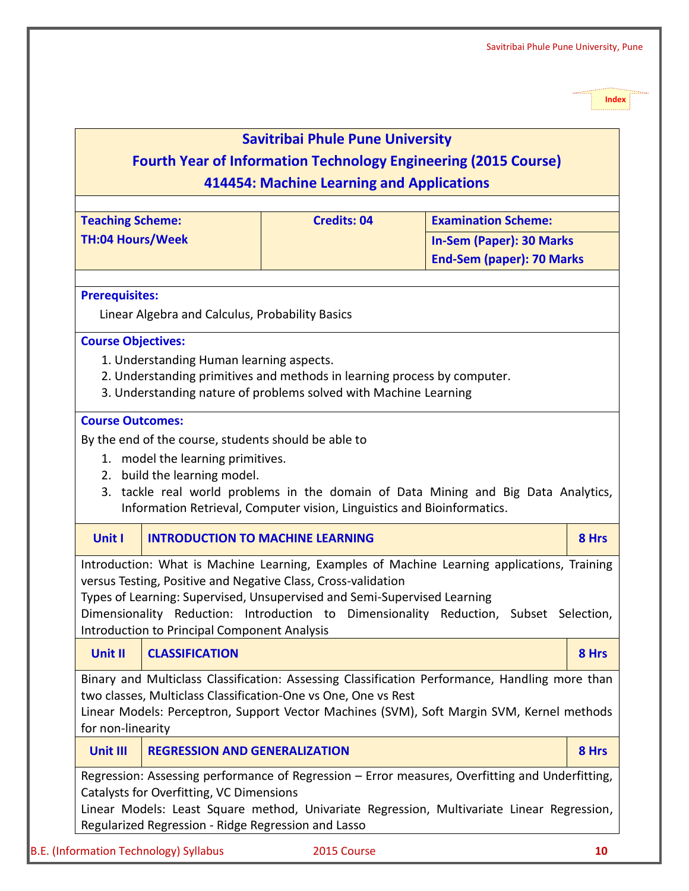# **Savitribai Phule Pune University**

# <span id="page-9-0"></span>**Fourth Year of Information Technology Engineering (2015 Course) 414454: Machine Learning and Applications**

|                                                                  |                                                                                            | <b>Credits: 04</b>                                                                                                                                                | <b>Examination Scheme:</b>       |       |  |  |  |  |
|------------------------------------------------------------------|--------------------------------------------------------------------------------------------|-------------------------------------------------------------------------------------------------------------------------------------------------------------------|----------------------------------|-------|--|--|--|--|
| <b>Teaching Scheme:</b><br><b>TH:04 Hours/Week</b>               |                                                                                            |                                                                                                                                                                   | <b>In-Sem (Paper): 30 Marks</b>  |       |  |  |  |  |
|                                                                  |                                                                                            |                                                                                                                                                                   | <b>End-Sem (paper): 70 Marks</b> |       |  |  |  |  |
|                                                                  |                                                                                            |                                                                                                                                                                   |                                  |       |  |  |  |  |
| <b>Prerequisites:</b>                                            |                                                                                            |                                                                                                                                                                   |                                  |       |  |  |  |  |
|                                                                  | Linear Algebra and Calculus, Probability Basics                                            |                                                                                                                                                                   |                                  |       |  |  |  |  |
| <b>Course Objectives:</b>                                        |                                                                                            |                                                                                                                                                                   |                                  |       |  |  |  |  |
|                                                                  | 1. Understanding Human learning aspects.                                                   |                                                                                                                                                                   |                                  |       |  |  |  |  |
|                                                                  |                                                                                            | 2. Understanding primitives and methods in learning process by computer.                                                                                          |                                  |       |  |  |  |  |
| 3. Understanding nature of problems solved with Machine Learning |                                                                                            |                                                                                                                                                                   |                                  |       |  |  |  |  |
| <b>Course Outcomes:</b>                                          |                                                                                            |                                                                                                                                                                   |                                  |       |  |  |  |  |
|                                                                  | By the end of the course, students should be able to                                       |                                                                                                                                                                   |                                  |       |  |  |  |  |
|                                                                  | 1. model the learning primitives.                                                          |                                                                                                                                                                   |                                  |       |  |  |  |  |
|                                                                  | 2. build the learning model.                                                               |                                                                                                                                                                   |                                  |       |  |  |  |  |
|                                                                  |                                                                                            | 3. tackle real world problems in the domain of Data Mining and Big Data Analytics,                                                                                |                                  |       |  |  |  |  |
|                                                                  |                                                                                            | Information Retrieval, Computer vision, Linguistics and Bioinformatics.                                                                                           |                                  |       |  |  |  |  |
| Unit I                                                           | <b>INTRODUCTION TO MACHINE LEARNING</b>                                                    |                                                                                                                                                                   |                                  | 8 Hrs |  |  |  |  |
|                                                                  |                                                                                            | Introduction: What is Machine Learning, Examples of Machine Learning applications, Training                                                                       |                                  |       |  |  |  |  |
|                                                                  |                                                                                            | versus Testing, Positive and Negative Class, Cross-validation                                                                                                     |                                  |       |  |  |  |  |
|                                                                  |                                                                                            | Types of Learning: Supervised, Unsupervised and Semi-Supervised Learning<br>Dimensionality Reduction: Introduction to Dimensionality Reduction, Subset Selection, |                                  |       |  |  |  |  |
|                                                                  | Introduction to Principal Component Analysis                                               |                                                                                                                                                                   |                                  |       |  |  |  |  |
| <b>Unit II</b>                                                   | <b>CLASSIFICATION</b>                                                                      |                                                                                                                                                                   |                                  | 8 Hrs |  |  |  |  |
|                                                                  |                                                                                            | Binary and Multiclass Classification: Assessing Classification Performance, Handling more than                                                                    |                                  |       |  |  |  |  |
|                                                                  |                                                                                            | two classes, Multiclass Classification-One vs One, One vs Rest                                                                                                    |                                  |       |  |  |  |  |
|                                                                  |                                                                                            | Linear Models: Perceptron, Support Vector Machines (SVM), Soft Margin SVM, Kernel methods                                                                         |                                  |       |  |  |  |  |
| for non-linearity                                                |                                                                                            |                                                                                                                                                                   |                                  |       |  |  |  |  |
| <b>Unit III</b>                                                  | <b>REGRESSION AND GENERALIZATION</b>                                                       |                                                                                                                                                                   |                                  | 8 Hrs |  |  |  |  |
|                                                                  |                                                                                            | Regression: Assessing performance of Regression – Error measures, Overfitting and Underfitting,                                                                   |                                  |       |  |  |  |  |
|                                                                  | Catalysts for Overfitting, VC Dimensions                                                   |                                                                                                                                                                   |                                  |       |  |  |  |  |
|                                                                  | Linear Models: Least Square method, Univariate Regression, Multivariate Linear Regression, |                                                                                                                                                                   |                                  |       |  |  |  |  |
|                                                                  | Regularized Regression - Ridge Regression and Lasso                                        |                                                                                                                                                                   |                                  |       |  |  |  |  |

B.E. (Information Technology) Syllabus 2015 Course **10**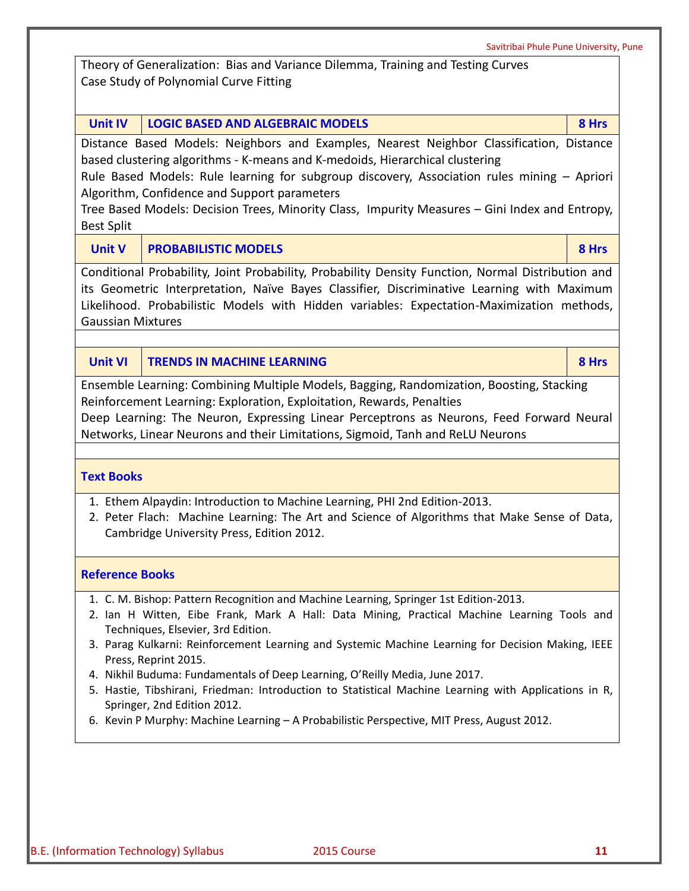Theory of Generalization: Bias and Variance Dilemma, Training and Testing Curves Case Study of Polynomial Curve Fitting

**Unit IV LOGIC BASED AND ALGEBRAIC MODELS 8 Hrs**

Distance Based Models: Neighbors and Examples, Nearest Neighbor Classification, Distance based clustering algorithms - K-means and K-medoids, Hierarchical clustering

Rule Based Models: Rule learning for subgroup discovery, Association rules mining – Apriori Algorithm, Confidence and Support parameters

Tree Based Models: Decision Trees, Minority Class, Impurity Measures – Gini Index and Entropy, Best Split

#### **Unit V PROBABILISTIC MODELS 8 Hrs**

Conditional Probability, Joint Probability, Probability Density Function, Normal Distribution and its Geometric Interpretation, Naïve Bayes Classifier, Discriminative Learning with Maximum Likelihood. Probabilistic Models with Hidden variables: Expectation-Maximization methods, Gaussian Mixtures

**Unit VI TRENDS IN MACHINE LEARNING 8 Hrs**

Ensemble Learning: Combining Multiple Models, Bagging, Randomization, Boosting, Stacking Reinforcement Learning: Exploration, Exploitation, Rewards, Penalties

Deep Learning: The Neuron, Expressing Linear Perceptrons as Neurons, Feed Forward Neural Networks, Linear Neurons and their Limitations, Sigmoid, Tanh and ReLU Neurons

#### **Text Books**

- 1. Ethem Alpaydin: Introduction to Machine Learning, PHI 2nd Edition-2013.
- 2. Peter Flach: Machine Learning: The Art and Science of Algorithms that Make Sense of Data, Cambridge University Press, Edition 2012.

- 1. C. M. Bishop: Pattern Recognition and Machine Learning, Springer 1st Edition-2013.
- 2. Ian H Witten, Eibe Frank, Mark A Hall: Data Mining, Practical Machine Learning Tools and Techniques, Elsevier, 3rd Edition.
- 3. Parag Kulkarni: Reinforcement Learning and Systemic Machine Learning for Decision Making, IEEE Press, Reprint 2015.
- 4. Nikhil Buduma: Fundamentals of Deep Learning, O'Reilly Media, June 2017.
- 5. Hastie, Tibshirani, Friedman: Introduction to Statistical Machine Learning with Applications in R, Springer, 2nd Edition 2012.
- 6. Kevin P Murphy: Machine Learning A Probabilistic Perspective, MIT Press, August 2012.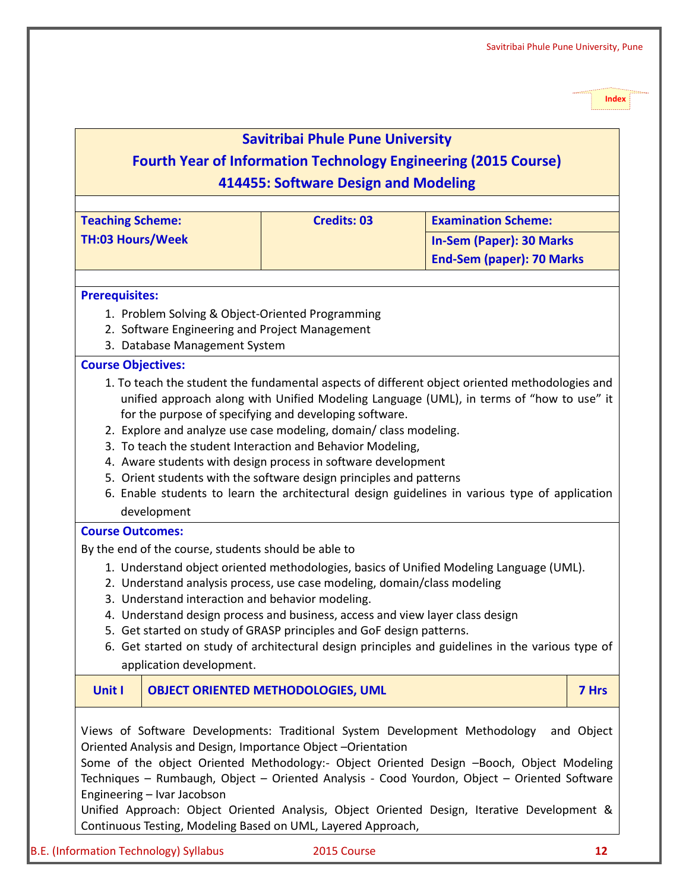# **Savitribai Phule Pune University**

# <span id="page-11-0"></span>**Fourth Year of Information Technology Engineering (2015 Course) 414455: Software Design and Modeling**

| <b>Teaching Scheme:</b>                                                                                                     | <b>Credits: 03</b>                                                                                                                                                                         | <b>Examination Scheme:</b>       |            |  |  |  |
|-----------------------------------------------------------------------------------------------------------------------------|--------------------------------------------------------------------------------------------------------------------------------------------------------------------------------------------|----------------------------------|------------|--|--|--|
| <b>TH:03 Hours/Week</b>                                                                                                     |                                                                                                                                                                                            | <b>In-Sem (Paper): 30 Marks</b>  |            |  |  |  |
|                                                                                                                             |                                                                                                                                                                                            | <b>End-Sem (paper): 70 Marks</b> |            |  |  |  |
|                                                                                                                             |                                                                                                                                                                                            |                                  |            |  |  |  |
| <b>Prerequisites:</b>                                                                                                       |                                                                                                                                                                                            |                                  |            |  |  |  |
| 1. Problem Solving & Object-Oriented Programming                                                                            |                                                                                                                                                                                            |                                  |            |  |  |  |
| 2. Software Engineering and Project Management                                                                              |                                                                                                                                                                                            |                                  |            |  |  |  |
| 3. Database Management System                                                                                               |                                                                                                                                                                                            |                                  |            |  |  |  |
| <b>Course Objectives:</b>                                                                                                   |                                                                                                                                                                                            |                                  |            |  |  |  |
|                                                                                                                             | 1. To teach the student the fundamental aspects of different object oriented methodologies and<br>unified approach along with Unified Modeling Language (UML), in terms of "how to use" it |                                  |            |  |  |  |
|                                                                                                                             | for the purpose of specifying and developing software.                                                                                                                                     |                                  |            |  |  |  |
|                                                                                                                             | 2. Explore and analyze use case modeling, domain/ class modeling.                                                                                                                          |                                  |            |  |  |  |
|                                                                                                                             | 3. To teach the student Interaction and Behavior Modeling,                                                                                                                                 |                                  |            |  |  |  |
|                                                                                                                             | 4. Aware students with design process in software development                                                                                                                              |                                  |            |  |  |  |
|                                                                                                                             | 5. Orient students with the software design principles and patterns                                                                                                                        |                                  |            |  |  |  |
|                                                                                                                             | 6. Enable students to learn the architectural design guidelines in various type of application                                                                                             |                                  |            |  |  |  |
| development                                                                                                                 |                                                                                                                                                                                            |                                  |            |  |  |  |
| <b>Course Outcomes:</b>                                                                                                     |                                                                                                                                                                                            |                                  |            |  |  |  |
| By the end of the course, students should be able to                                                                        |                                                                                                                                                                                            |                                  |            |  |  |  |
|                                                                                                                             | 1. Understand object oriented methodologies, basics of Unified Modeling Language (UML).<br>2. Understand analysis process, use case modeling, domain/class modeling                        |                                  |            |  |  |  |
| 3. Understand interaction and behavior modeling.                                                                            |                                                                                                                                                                                            |                                  |            |  |  |  |
|                                                                                                                             | 4. Understand design process and business, access and view layer class design                                                                                                              |                                  |            |  |  |  |
|                                                                                                                             | 5. Get started on study of GRASP principles and GoF design patterns.                                                                                                                       |                                  |            |  |  |  |
|                                                                                                                             | 6. Get started on study of architectural design principles and guidelines in the various type of                                                                                           |                                  |            |  |  |  |
| application development.                                                                                                    |                                                                                                                                                                                            |                                  |            |  |  |  |
| Unit I                                                                                                                      | <b>OBJECT ORIENTED METHODOLOGIES, UML</b>                                                                                                                                                  |                                  | 7 Hrs      |  |  |  |
|                                                                                                                             |                                                                                                                                                                                            |                                  |            |  |  |  |
|                                                                                                                             |                                                                                                                                                                                            |                                  |            |  |  |  |
| Views of Software Developments: Traditional System Development Methodology                                                  |                                                                                                                                                                                            |                                  | and Object |  |  |  |
| Oriented Analysis and Design, Importance Object -Orientation                                                                |                                                                                                                                                                                            |                                  |            |  |  |  |
| Some of the object Oriented Methodology:- Object Oriented Design -Booch, Object Modeling                                    |                                                                                                                                                                                            |                                  |            |  |  |  |
| Techniques - Rumbaugh, Object - Oriented Analysis - Cood Yourdon, Object - Oriented Software<br>Engineering - Ivar Jacobson |                                                                                                                                                                                            |                                  |            |  |  |  |
| Unified Approach: Object Oriented Analysis, Object Oriented Design, Iterative Development &                                 |                                                                                                                                                                                            |                                  |            |  |  |  |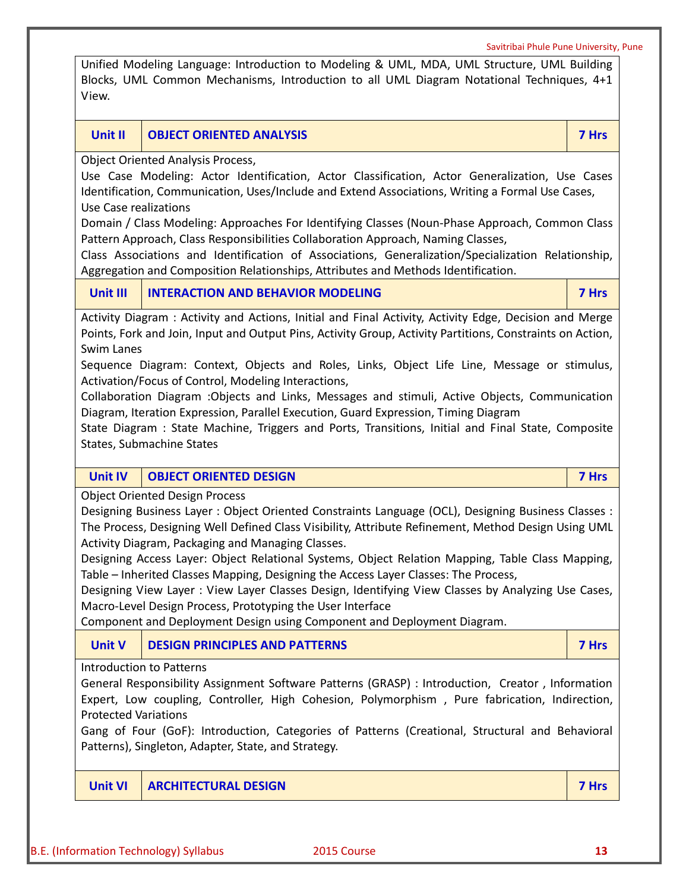#### Savitribai Phule Pune University, Pune

Unified Modeling Language: Introduction to Modeling & UML, MDA, UML Structure, UML Building Blocks, UML Common Mechanisms, Introduction to all UML Diagram Notational Techniques, 4+1 View.

#### **Unit II OBJECT ORIENTED ANALYSIS 7 Hrs**

Object Oriented Analysis Process,

Use Case Modeling: Actor Identification, Actor Classification, Actor Generalization, Use Cases Identification, Communication, Uses/Include and Extend Associations, Writing a Formal Use Cases, Use Case realizations

Domain / Class Modeling: Approaches For Identifying Classes (Noun-Phase Approach, Common Class Pattern Approach, Class Responsibilities Collaboration Approach, Naming Classes,

Class Associations and Identification of Associations, Generalization/Specialization Relationship, Aggregation and Composition Relationships, Attributes and Methods Identification.

| Unit III | INTERACTION AND BEHAVIOR MODELING | 7 Hrs |
|----------|-----------------------------------|-------|
|          |                                   |       |

Activity Diagram : Activity and Actions, Initial and Final Activity, Activity Edge, Decision and Merge Points, Fork and Join, Input and Output Pins, Activity Group, Activity Partitions, Constraints on Action, Swim Lanes

Sequence Diagram: Context, Objects and Roles, Links, Object Life Line, Message or stimulus, Activation/Focus of Control, Modeling Interactions,

Collaboration Diagram :Objects and Links, Messages and stimuli, Active Objects, Communication Diagram, Iteration Expression, Parallel Execution, Guard Expression, Timing Diagram

State Diagram : State Machine, Triggers and Ports, Transitions, Initial and Final State, Composite States, Submachine States

#### **Unit IV OBJECT ORIENTED DESIGN 7 Hrs**

Object Oriented Design Process

Designing Business Layer : Object Oriented Constraints Language (OCL), Designing Business Classes : The Process, Designing Well Defined Class Visibility, Attribute Refinement, Method Design Using UML Activity Diagram, Packaging and Managing Classes.

Designing Access Layer: Object Relational Systems, Object Relation Mapping, Table Class Mapping, Table – Inherited Classes Mapping, Designing the Access Layer Classes: The Process,

Designing View Layer : View Layer Classes Design, Identifying View Classes by Analyzing Use Cases, Macro-Level Design Process, Prototyping the User Interface

Component and Deployment Design using Component and Deployment Diagram.

#### **Unit V DESIGN PRINCIPLES AND PATTERNS 7 Hrs**

Introduction to Patterns

General Responsibility Assignment Software Patterns (GRASP) : Introduction, Creator , Information Expert, Low coupling, Controller, High Cohesion, Polymorphism , Pure fabrication, Indirection, Protected Variations

Gang of Four (GoF): Introduction, Categories of Patterns (Creational, Structural and Behavioral Patterns), Singleton, Adapter, State, and Strategy.

#### **Unit VI ARCHITECTURAL DESIGN 7 Hrs**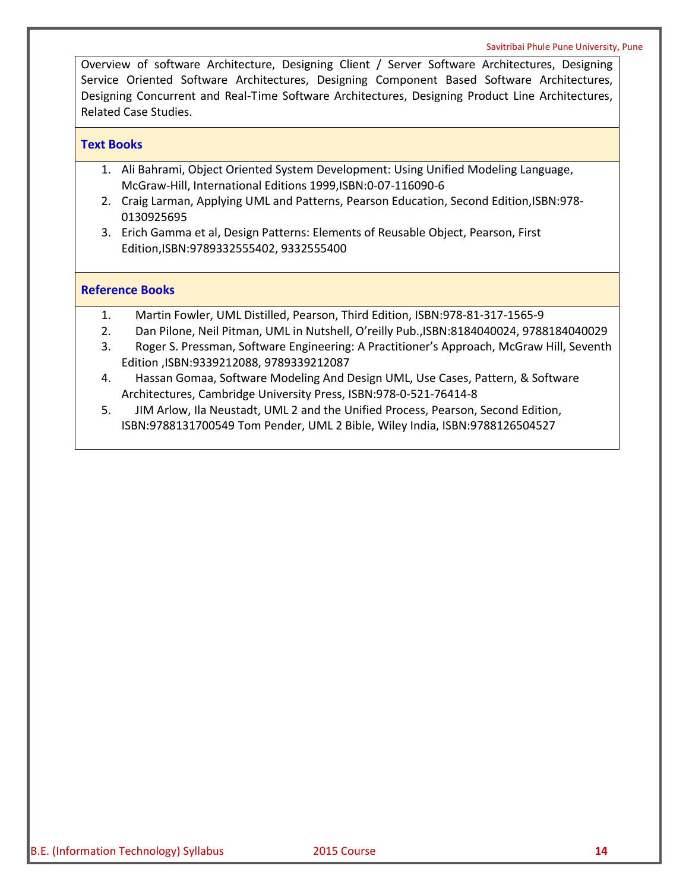Overview of software Architecture, Designing Client / Server Software Architectures, Designing Service Oriented Software Architectures, Designing Component Based Software Architectures, Designing Concurrent and Real-Time Software Architectures, Designing Product Line Architectures, Related Case Studies.

#### **Text Books**

- 1. Ali Bahrami, Object Oriented System Development: Using Unified Modeling Language, McGraw-Hill, International Editions 1999,ISBN:0-07-116090-6
- 2. Craig Larman, Applying UML and Patterns, Pearson Education, Second Edition,ISBN:978- 0130925695
- 3. Erich Gamma et al, Design Patterns: Elements of Reusable Object, Pearson, First Edition,ISBN:9789332555402, 9332555400

- 1. Martin Fowler, UML Distilled, Pearson, Third Edition, ISBN:978-81-317-1565-9
- 2. Dan Pilone, Neil Pitman, UML in Nutshell, O'reilly Pub.,ISBN:8184040024, 9788184040029
- 3. Roger S. Pressman, Software Engineering: A Practitioner's Approach, McGraw Hill, Seventh Edition ,ISBN:9339212088, 9789339212087
- 4. Hassan Gomaa, Software Modeling And Design UML, Use Cases, Pattern, & Software Architectures, Cambridge University Press, ISBN:978-0-521-76414-8
- 5. JIM Arlow, Ila Neustadt, UML 2 and the Unified Process, Pearson, Second Edition, ISBN:9788131700549 Tom Pender, UML 2 Bible, Wiley India, ISBN:9788126504527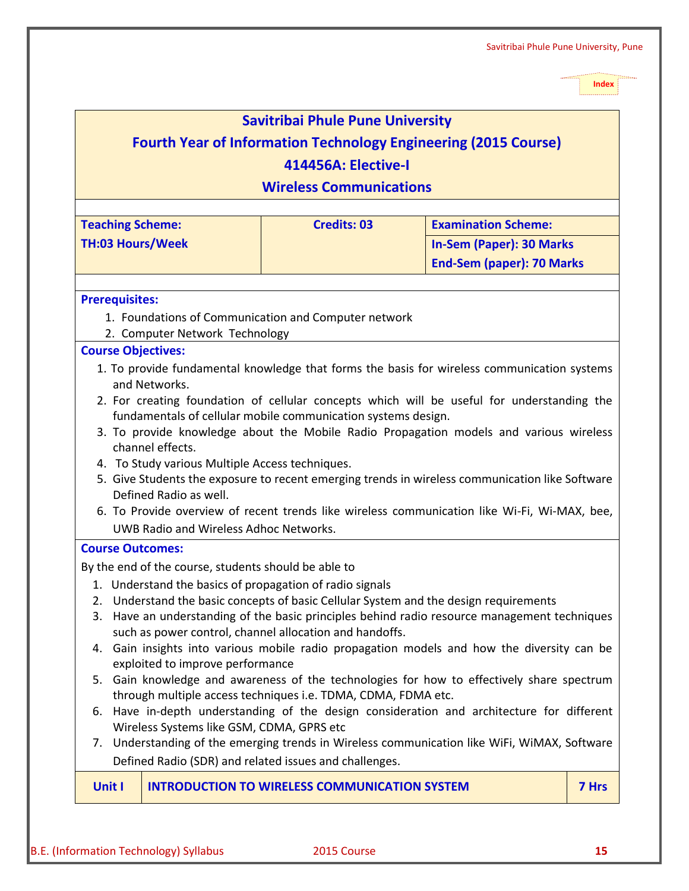# **Savitribai Phule Pune University**

# <span id="page-14-0"></span>**Fourth Year of Information Technology Engineering (2015 Course)**

# **414456A: Elective-I**

**Wireless Communications**

| <b>TH:03 Hours/Week</b><br><b>Prerequisites:</b><br>1. Foundations of Communication and Computer network<br>2. Computer Network Technology<br><b>Course Objectives:</b><br>1. To provide fundamental knowledge that forms the basis for wireless communication systems<br>and Networks.<br>2. For creating foundation of cellular concepts which will be useful for understanding the<br>fundamentals of cellular mobile communication systems design. | <b>In-Sem (Paper): 30 Marks</b><br><b>End-Sem (paper): 70 Marks</b>                             |
|--------------------------------------------------------------------------------------------------------------------------------------------------------------------------------------------------------------------------------------------------------------------------------------------------------------------------------------------------------------------------------------------------------------------------------------------------------|-------------------------------------------------------------------------------------------------|
|                                                                                                                                                                                                                                                                                                                                                                                                                                                        |                                                                                                 |
|                                                                                                                                                                                                                                                                                                                                                                                                                                                        |                                                                                                 |
|                                                                                                                                                                                                                                                                                                                                                                                                                                                        |                                                                                                 |
|                                                                                                                                                                                                                                                                                                                                                                                                                                                        |                                                                                                 |
|                                                                                                                                                                                                                                                                                                                                                                                                                                                        |                                                                                                 |
|                                                                                                                                                                                                                                                                                                                                                                                                                                                        |                                                                                                 |
|                                                                                                                                                                                                                                                                                                                                                                                                                                                        |                                                                                                 |
|                                                                                                                                                                                                                                                                                                                                                                                                                                                        |                                                                                                 |
|                                                                                                                                                                                                                                                                                                                                                                                                                                                        |                                                                                                 |
| 3. To provide knowledge about the Mobile Radio Propagation models and various wireless                                                                                                                                                                                                                                                                                                                                                                 |                                                                                                 |
| channel effects.                                                                                                                                                                                                                                                                                                                                                                                                                                       |                                                                                                 |
| 4. To Study various Multiple Access techniques.                                                                                                                                                                                                                                                                                                                                                                                                        |                                                                                                 |
| Defined Radio as well.                                                                                                                                                                                                                                                                                                                                                                                                                                 | 5. Give Students the exposure to recent emerging trends in wireless communication like Software |
|                                                                                                                                                                                                                                                                                                                                                                                                                                                        | 6. To Provide overview of recent trends like wireless communication like Wi-Fi, Wi-MAX, bee,    |
| <b>UWB Radio and Wireless Adhoc Networks.</b>                                                                                                                                                                                                                                                                                                                                                                                                          |                                                                                                 |
| <b>Course Outcomes:</b>                                                                                                                                                                                                                                                                                                                                                                                                                                |                                                                                                 |
| By the end of the course, students should be able to                                                                                                                                                                                                                                                                                                                                                                                                   |                                                                                                 |
| 1. Understand the basics of propagation of radio signals                                                                                                                                                                                                                                                                                                                                                                                               |                                                                                                 |
| 2. Understand the basic concepts of basic Cellular System and the design requirements                                                                                                                                                                                                                                                                                                                                                                  |                                                                                                 |
| 3. Have an understanding of the basic principles behind radio resource management techniques                                                                                                                                                                                                                                                                                                                                                           |                                                                                                 |
| such as power control, channel allocation and handoffs.                                                                                                                                                                                                                                                                                                                                                                                                |                                                                                                 |
| 4. Gain insights into various mobile radio propagation models and how the diversity can be                                                                                                                                                                                                                                                                                                                                                             |                                                                                                 |
| exploited to improve performance                                                                                                                                                                                                                                                                                                                                                                                                                       |                                                                                                 |
| 5. Gain knowledge and awareness of the technologies for how to effectively share spectrum                                                                                                                                                                                                                                                                                                                                                              |                                                                                                 |
| through multiple access techniques i.e. TDMA, CDMA, FDMA etc.                                                                                                                                                                                                                                                                                                                                                                                          |                                                                                                 |
| 6. Have in-depth understanding of the design consideration and architecture for different                                                                                                                                                                                                                                                                                                                                                              |                                                                                                 |
| Wireless Systems like GSM, CDMA, GPRS etc<br>7.                                                                                                                                                                                                                                                                                                                                                                                                        | Understanding of the emerging trends in Wireless communication like WiFi, WiMAX, Software       |
| Defined Radio (SDR) and related issues and challenges.                                                                                                                                                                                                                                                                                                                                                                                                 |                                                                                                 |

#### **Unit I INTRODUCTION TO WIRELESS COMMUNICATION SYSTEM 7 Hrs**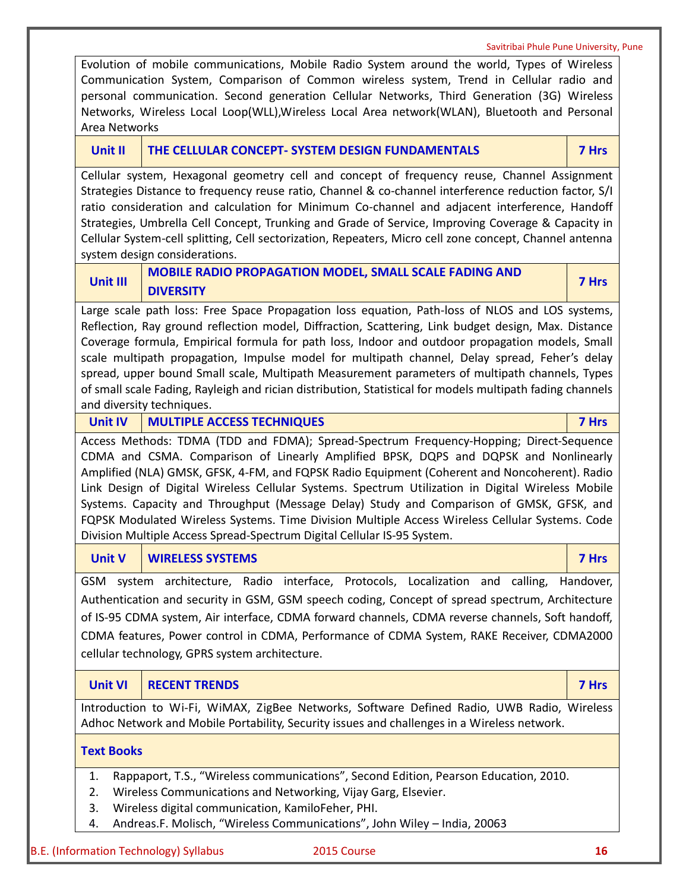Savitribai Phule Pune University, Pune

| Area Networks        | Evolution of mobile communications, Mobile Radio System around the world, Types of Wireless<br>Communication System, Comparison of Common wireless system, Trend in Cellular radio and<br>personal communication. Second generation Cellular Networks, Third Generation (3G) Wireless<br>Networks, Wireless Local Loop(WLL), Wireless Local Area network(WLAN), Bluetooth and Personal                                                                                                                                                                               |       |
|----------------------|----------------------------------------------------------------------------------------------------------------------------------------------------------------------------------------------------------------------------------------------------------------------------------------------------------------------------------------------------------------------------------------------------------------------------------------------------------------------------------------------------------------------------------------------------------------------|-------|
| <b>Unit II</b>       | THE CELLULAR CONCEPT- SYSTEM DESIGN FUNDAMENTALS                                                                                                                                                                                                                                                                                                                                                                                                                                                                                                                     | 7 Hrs |
|                      | Cellular system, Hexagonal geometry cell and concept of frequency reuse, Channel Assignment<br>Strategies Distance to frequency reuse ratio, Channel & co-channel interference reduction factor, S/I<br>ratio consideration and calculation for Minimum Co-channel and adjacent interference, Handoff<br>Strategies, Umbrella Cell Concept, Trunking and Grade of Service, Improving Coverage & Capacity in<br>Cellular System-cell splitting, Cell sectorization, Repeaters, Micro cell zone concept, Channel antenna<br>system design considerations.              |       |
| <b>Unit III</b>      | MOBILE RADIO PROPAGATION MODEL, SMALL SCALE FADING AND<br><b>DIVERSITY</b>                                                                                                                                                                                                                                                                                                                                                                                                                                                                                           | 7 Hrs |
|                      | Reflection, Ray ground reflection model, Diffraction, Scattering, Link budget design, Max. Distance<br>Coverage formula, Empirical formula for path loss, Indoor and outdoor propagation models, Small<br>scale multipath propagation, Impulse model for multipath channel, Delay spread, Feher's delay<br>spread, upper bound Small scale, Multipath Measurement parameters of multipath channels, Types<br>of small scale Fading, Rayleigh and rician distribution, Statistical for models multipath fading channels<br>and diversity techniques.                  |       |
| <b>Unit IV</b>       | <b>MULTIPLE ACCESS TECHNIQUES</b>                                                                                                                                                                                                                                                                                                                                                                                                                                                                                                                                    | 7 Hrs |
|                      | CDMA and CSMA. Comparison of Linearly Amplified BPSK, DQPS and DQPSK and Nonlinearly<br>Amplified (NLA) GMSK, GFSK, 4-FM, and FQPSK Radio Equipment (Coherent and Noncoherent). Radio<br>Link Design of Digital Wireless Cellular Systems. Spectrum Utilization in Digital Wireless Mobile<br>Systems. Capacity and Throughput (Message Delay) Study and Comparison of GMSK, GFSK, and<br>FQPSK Modulated Wireless Systems. Time Division Multiple Access Wireless Cellular Systems. Code<br>Division Multiple Access Spread-Spectrum Digital Cellular IS-95 System. |       |
| Unit V               | <b>WIRELESS SYSTEMS</b>                                                                                                                                                                                                                                                                                                                                                                                                                                                                                                                                              | 7 Hrs |
| GSM                  | system architecture, Radio interface, Protocols, Localization and calling, Handover,<br>Authentication and security in GSM, GSM speech coding, Concept of spread spectrum, Architecture<br>of IS-95 CDMA system, Air interface, CDMA forward channels, CDMA reverse channels, Soft handoff,<br>CDMA features, Power control in CDMA, Performance of CDMA System, RAKE Receiver, CDMA2000<br>cellular technology, GPRS system architecture.                                                                                                                           |       |
| <b>Unit VI</b>       | <b>RECENT TRENDS</b>                                                                                                                                                                                                                                                                                                                                                                                                                                                                                                                                                 | 7 Hrs |
|                      | Introduction to Wi-Fi, WiMAX, ZigBee Networks, Software Defined Radio, UWB Radio, Wireless                                                                                                                                                                                                                                                                                                                                                                                                                                                                           |       |
|                      | Adhoc Network and Mobile Portability, Security issues and challenges in a Wireless network.                                                                                                                                                                                                                                                                                                                                                                                                                                                                          |       |
| <b>Text Books</b>    |                                                                                                                                                                                                                                                                                                                                                                                                                                                                                                                                                                      |       |
| 1.<br>2.<br>3.<br>4. | Rappaport, T.S., "Wireless communications", Second Edition, Pearson Education, 2010.<br>Wireless Communications and Networking, Vijay Garg, Elsevier.<br>Wireless digital communication, KamiloFeher, PHI.<br>Andreas.F. Molisch, "Wireless Communications", John Wiley - India, 20063                                                                                                                                                                                                                                                                               |       |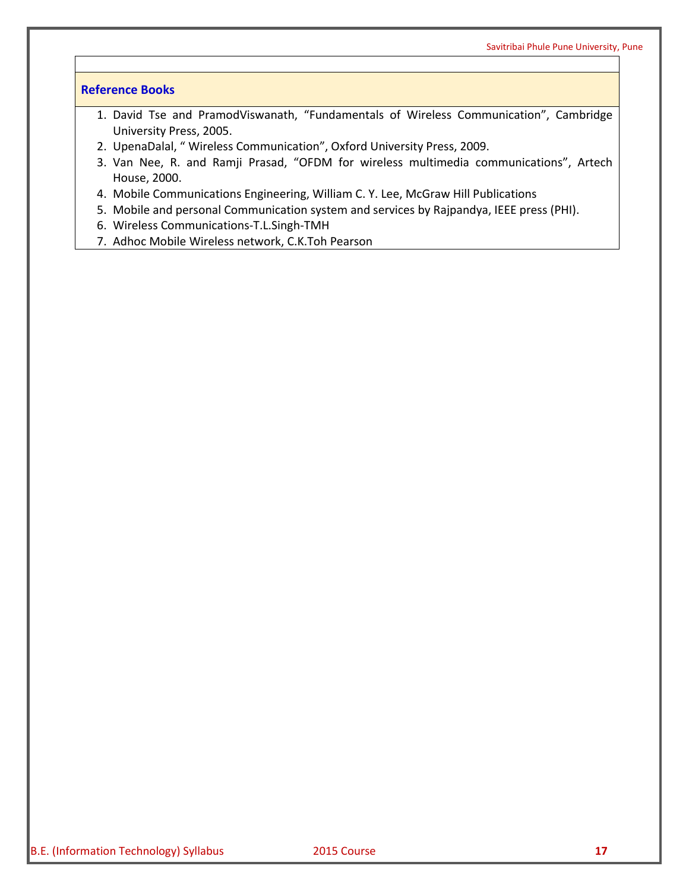- 1. David Tse and PramodViswanath, "Fundamentals of Wireless Communication", Cambridge University Press, 2005.
- 2. UpenaDalal, " Wireless Communication", Oxford University Press, 2009.
- 3. Van Nee, R. and Ramji Prasad, "OFDM for wireless multimedia communications", Artech House, 2000.
- 4. Mobile Communications Engineering, William C. Y. Lee, McGraw Hill Publications
- 5. Mobile and personal Communication system and services by Rajpandya, IEEE press (PHI).
- 6. Wireless Communications-T.L.Singh-TMH
- 7. Adhoc Mobile Wireless network, C.K.Toh Pearson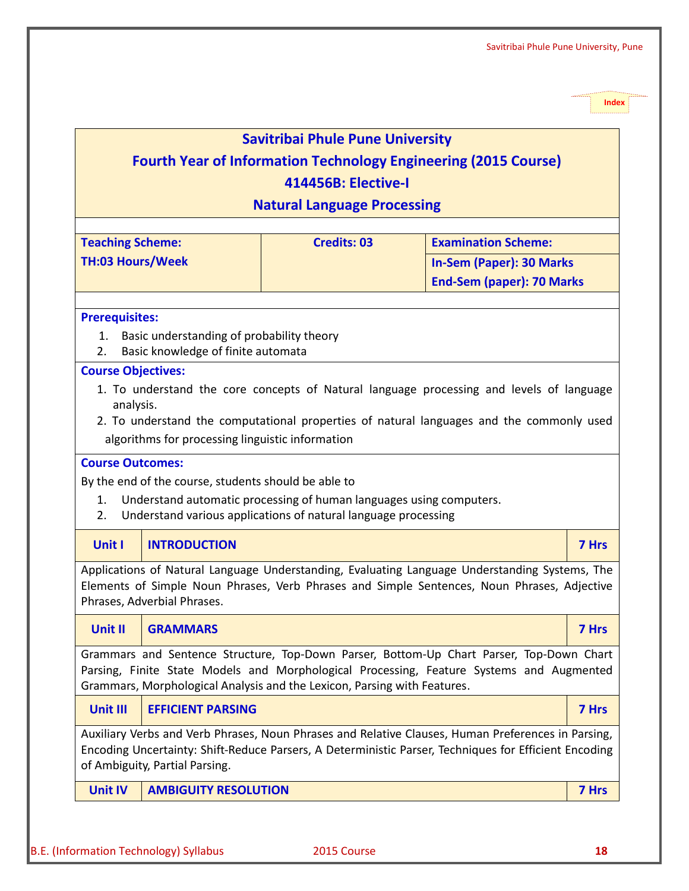# **Savitribai Phule Pune University**

# <span id="page-17-0"></span>**Fourth Year of Information Technology Engineering (2015 Course) 414456B: Elective-I**

**Natural Language Processing** 

|                           | <b>Teaching Scheme:</b>                              | <b>Credits: 03</b>                                                       | <b>Examination Scheme:</b>                                                                                                                                                                                  |       |  |
|---------------------------|------------------------------------------------------|--------------------------------------------------------------------------|-------------------------------------------------------------------------------------------------------------------------------------------------------------------------------------------------------------|-------|--|
| <b>TH:03 Hours/Week</b>   |                                                      |                                                                          | <b>In-Sem (Paper): 30 Marks</b>                                                                                                                                                                             |       |  |
|                           |                                                      |                                                                          | <b>End-Sem (paper): 70 Marks</b>                                                                                                                                                                            |       |  |
|                           |                                                      |                                                                          |                                                                                                                                                                                                             |       |  |
| <b>Prerequisites:</b>     |                                                      |                                                                          |                                                                                                                                                                                                             |       |  |
| 1.                        | Basic understanding of probability theory            |                                                                          |                                                                                                                                                                                                             |       |  |
| 2.                        | Basic knowledge of finite automata                   |                                                                          |                                                                                                                                                                                                             |       |  |
| <b>Course Objectives:</b> |                                                      |                                                                          |                                                                                                                                                                                                             |       |  |
|                           |                                                      |                                                                          | 1. To understand the core concepts of Natural language processing and levels of language                                                                                                                    |       |  |
| analysis.                 |                                                      |                                                                          |                                                                                                                                                                                                             |       |  |
|                           | algorithms for processing linguistic information     |                                                                          | 2. To understand the computational properties of natural languages and the commonly used                                                                                                                    |       |  |
|                           |                                                      |                                                                          |                                                                                                                                                                                                             |       |  |
| <b>Course Outcomes:</b>   |                                                      |                                                                          |                                                                                                                                                                                                             |       |  |
|                           | By the end of the course, students should be able to |                                                                          |                                                                                                                                                                                                             |       |  |
| 1.                        |                                                      | Understand automatic processing of human languages using computers.      |                                                                                                                                                                                                             |       |  |
|                           |                                                      |                                                                          |                                                                                                                                                                                                             |       |  |
| 2.                        |                                                      | Understand various applications of natural language processing           |                                                                                                                                                                                                             |       |  |
| Unit I                    | <b>INTRODUCTION</b>                                  |                                                                          |                                                                                                                                                                                                             | 7 Hrs |  |
|                           | Phrases, Adverbial Phrases.                          |                                                                          | Applications of Natural Language Understanding, Evaluating Language Understanding Systems, The<br>Elements of Simple Noun Phrases, Verb Phrases and Simple Sentences, Noun Phrases, Adjective               |       |  |
| <b>Unit II</b>            | <b>GRAMMARS</b>                                      |                                                                          |                                                                                                                                                                                                             | 7 Hrs |  |
|                           |                                                      | Grammars, Morphological Analysis and the Lexicon, Parsing with Features. | Grammars and Sentence Structure, Top-Down Parser, Bottom-Up Chart Parser, Top-Down Chart<br>Parsing, Finite State Models and Morphological Processing, Feature Systems and Augmented                        |       |  |
| Unit III                  | <b>EFFICIENT PARSING</b>                             |                                                                          |                                                                                                                                                                                                             | 7 Hrs |  |
|                           | of Ambiguity, Partial Parsing.                       |                                                                          | Auxiliary Verbs and Verb Phrases, Noun Phrases and Relative Clauses, Human Preferences in Parsing,<br>Encoding Uncertainty: Shift-Reduce Parsers, A Deterministic Parser, Techniques for Efficient Encoding |       |  |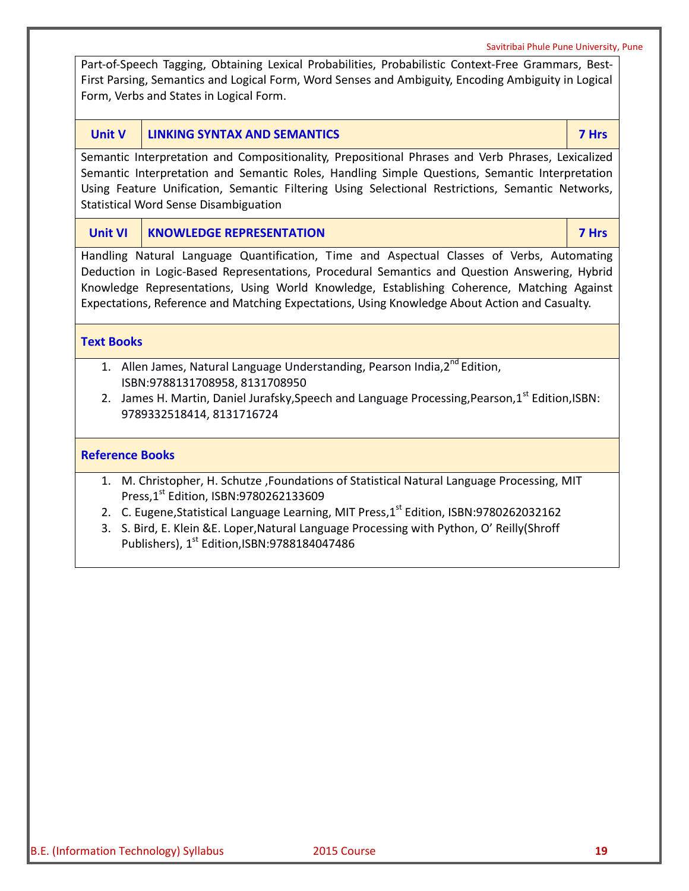B.E. (Information Technology) Syllabus 2015 Course **19**

Part-of-Speech Tagging, Obtaining Lexical Probabilities, Probabilistic Context-Free Grammars, Best-First Parsing, Semantics and Logical Form, Word Senses and Ambiguity, Encoding Ambiguity in Logical

Form, Verbs and States in Logical Form.

**Unit V LINKING SYNTAX AND SEMANTICS 7 Hrs**

Semantic Interpretation and Compositionality, Prepositional Phrases and Verb Phrases, Lexicalized Semantic Interpretation and Semantic Roles, Handling Simple Questions, Semantic Interpretation Using Feature Unification, Semantic Filtering Using Selectional Restrictions, Semantic Networks, Statistical Word Sense Disambiguation

# **Unit VI KNOWLEDGE REPRESENTATION 7 Hrs**

Handling Natural Language Quantification, Time and Aspectual Classes of Verbs, Automating Deduction in Logic-Based Representations, Procedural Semantics and Question Answering, Hybrid Knowledge Representations, Using World Knowledge, Establishing Coherence, Matching Against Expectations, Reference and Matching Expectations, Using Knowledge About Action and Casualty.

### **Text Books**

- 1. Allen James, Natural Language Understanding, Pearson India, 2<sup>nd</sup> Edition, ISBN:9788131708958, 8131708950
- 2. James H. Martin, Daniel Jurafsky, Speech and Language Processing, Pearson, 1st Edition, ISBN: 9789332518414, 8131716724

### **Reference Books**

- 1. M. Christopher, H. Schutze ,Foundations of Statistical Natural Language Processing, MIT Press, $1^{st}$  Edition, ISBN:9780262133609
- 2. C. Eugene, Statistical Language Learning, MIT Press,  $1^{st}$  Edition, ISBN: 9780262032162
- 3. S. Bird, E. Klein &E. Loper,Natural Language Processing with Python, O' Reilly(Shroff Publishers), 1<sup>st</sup> Edition, ISBN: 9788184047486

Savitribai Phule Pune University, Pune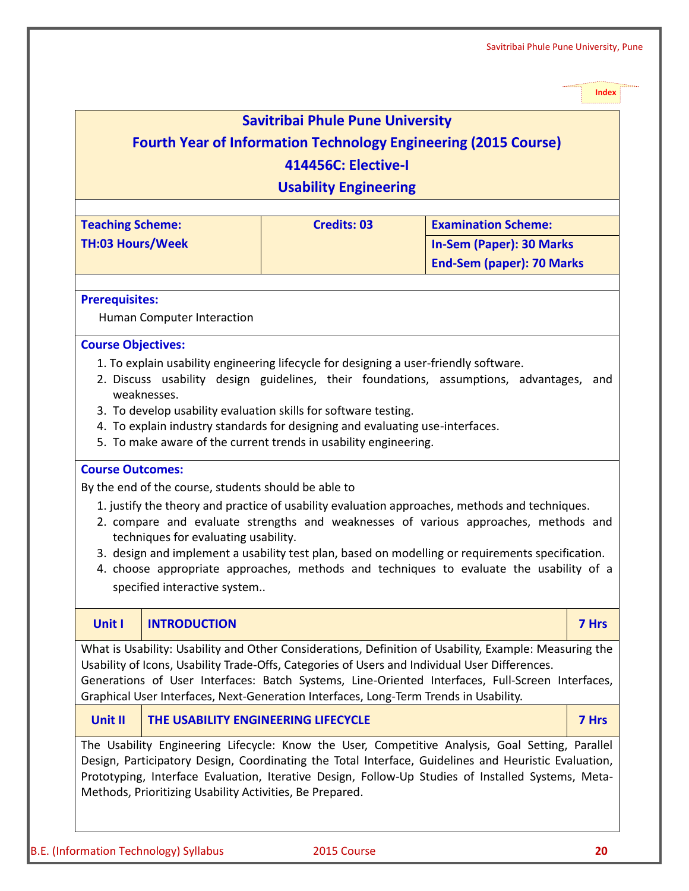#### **Savitribai Phule Pune University**

# <span id="page-19-0"></span>**Fourth Year of Information Technology Engineering (2015 Course)**

#### **414456C: Elective-I**

**Usability Engineering** 

| Teaching Scheme: | <b>Credits: 03</b> | <b>Examination Scheme:</b>                                   |
|------------------|--------------------|--------------------------------------------------------------|
| TH:03 Hours/Week |                    | In-Sem (Paper): 30 Marks<br><b>End-Sem (paper): 70 Marks</b> |
|                  |                    |                                                              |

#### **Prerequisites:**

Human Computer Interaction

#### **Course Objectives:**

- 1. To explain usability engineering lifecycle for designing a user-friendly software.
- 2. Discuss usability design guidelines, their foundations, assumptions, advantages, and weaknesses.
- 3. To develop usability evaluation skills for software testing.
- 4. To explain industry standards for designing and evaluating use-interfaces.
- 5. To make aware of the current trends in usability engineering.

#### **Course Outcomes:**

By the end of the course, students should be able to

- 1. justify the theory and practice of usability evaluation approaches, methods and techniques.
- 2. compare and evaluate strengths and weaknesses of various approaches, methods and techniques for evaluating usability.
- 3. design and implement a usability test plan, based on modelling or requirements specification.
- 4. choose appropriate approaches, methods and techniques to evaluate the usability of a specified interactive system..

#### **Unit I INTRODUCTION 7 Hrs**

What is Usability: Usability and Other Considerations, Definition of Usability, Example: Measuring the Usability of Icons, Usability Trade-Offs, Categories of Users and Individual User Differences. Generations of User Interfaces: Batch Systems, Line-Oriented Interfaces, Full-Screen Interfaces, Graphical User Interfaces, Next-Generation Interfaces, Long-Term Trends in Usability.

### **Unit II THE USABILITY ENGINEERING LIFECYCLE 7 Hrs**

The Usability Engineering Lifecycle: Know the User, Competitive Analysis, Goal Setting, Parallel Design, Participatory Design, Coordinating the Total Interface, Guidelines and Heuristic Evaluation, Prototyping, Interface Evaluation, Iterative Design, Follow-Up Studies of Installed Systems, Meta-Methods, Prioritizing Usability Activities, Be Prepared.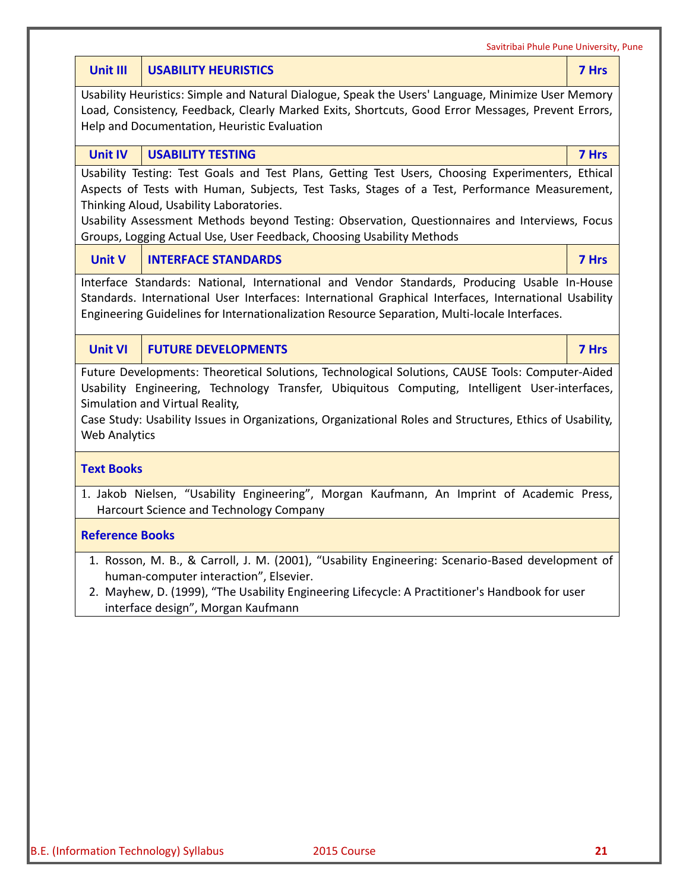|                        | Savitribai Phule Pune University, Pune                                                                                                                                                                                                                                                                                                                                                                                   |       |
|------------------------|--------------------------------------------------------------------------------------------------------------------------------------------------------------------------------------------------------------------------------------------------------------------------------------------------------------------------------------------------------------------------------------------------------------------------|-------|
| <b>Unit III</b>        | <b>USABILITY HEURISTICS</b>                                                                                                                                                                                                                                                                                                                                                                                              | 7 Hrs |
|                        | Usability Heuristics: Simple and Natural Dialogue, Speak the Users' Language, Minimize User Memory<br>Load, Consistency, Feedback, Clearly Marked Exits, Shortcuts, Good Error Messages, Prevent Errors,<br>Help and Documentation, Heuristic Evaluation                                                                                                                                                                 |       |
| <b>Unit IV</b>         | <b>USABILITY TESTING</b>                                                                                                                                                                                                                                                                                                                                                                                                 | 7 Hrs |
|                        | Usability Testing: Test Goals and Test Plans, Getting Test Users, Choosing Experimenters, Ethical<br>Aspects of Tests with Human, Subjects, Test Tasks, Stages of a Test, Performance Measurement,<br>Thinking Aloud, Usability Laboratories.<br>Usability Assessment Methods beyond Testing: Observation, Questionnaires and Interviews, Focus<br>Groups, Logging Actual Use, User Feedback, Choosing Usability Methods |       |
| <b>Unit V</b>          | <b>INTERFACE STANDARDS</b>                                                                                                                                                                                                                                                                                                                                                                                               | 7 Hrs |
|                        | Interface Standards: National, International and Vendor Standards, Producing Usable In-House<br>Standards. International User Interfaces: International Graphical Interfaces, International Usability<br>Engineering Guidelines for Internationalization Resource Separation, Multi-locale Interfaces.                                                                                                                   |       |
| <b>Unit VI</b>         | <b>FUTURE DEVELOPMENTS</b>                                                                                                                                                                                                                                                                                                                                                                                               | 7 Hrs |
| <b>Web Analytics</b>   | Future Developments: Theoretical Solutions, Technological Solutions, CAUSE Tools: Computer-Aided<br>Usability Engineering, Technology Transfer, Ubiquitous Computing, Intelligent User-interfaces,<br>Simulation and Virtual Reality,<br>Case Study: Usability Issues in Organizations, Organizational Roles and Structures, Ethics of Usability,                                                                        |       |
| <b>Text Books</b>      |                                                                                                                                                                                                                                                                                                                                                                                                                          |       |
|                        | 1. Jakob Nielsen, "Usability Engineering", Morgan Kaufmann, An Imprint of Academic Press,<br>Harcourt Science and Technology Company                                                                                                                                                                                                                                                                                     |       |
| <b>Reference Books</b> |                                                                                                                                                                                                                                                                                                                                                                                                                          |       |
|                        | 1. Rosson, M. B., & Carroll, J. M. (2001), "Usability Engineering: Scenario-Based development of<br>human-computer interaction", Elsevier.<br>2. Mayhew, D. (1999), "The Usability Engineering Lifecycle: A Practitioner's Handbook for user<br>interface design", Morgan Kaufmann                                                                                                                                       |       |
|                        |                                                                                                                                                                                                                                                                                                                                                                                                                          |       |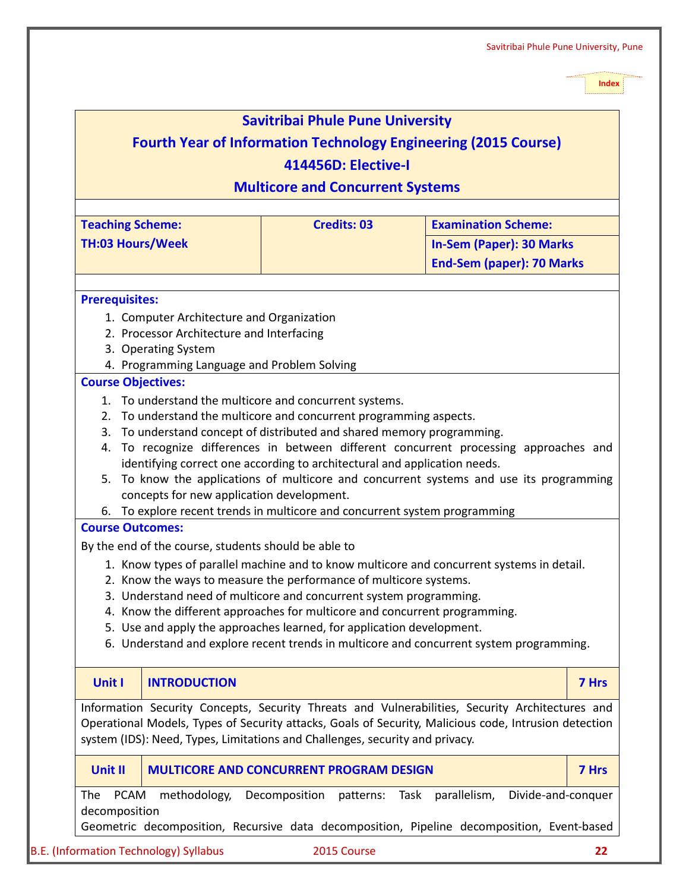<span id="page-21-0"></span>

|                                                                                                       |                                                                                           |                                  | Inde  |  |
|-------------------------------------------------------------------------------------------------------|-------------------------------------------------------------------------------------------|----------------------------------|-------|--|
|                                                                                                       | <b>Savitribai Phule Pune University</b>                                                   |                                  |       |  |
| <b>Fourth Year of Information Technology Engineering (2015 Course)</b>                                |                                                                                           |                                  |       |  |
| <b>414456D: Elective-I</b>                                                                            |                                                                                           |                                  |       |  |
|                                                                                                       |                                                                                           |                                  |       |  |
|                                                                                                       | <b>Multicore and Concurrent Systems</b>                                                   |                                  |       |  |
|                                                                                                       |                                                                                           |                                  |       |  |
| <b>Teaching Scheme:</b>                                                                               | <b>Credits: 03</b>                                                                        | <b>Examination Scheme:</b>       |       |  |
| <b>TH:03 Hours/Week</b>                                                                               |                                                                                           | <b>In-Sem (Paper): 30 Marks</b>  |       |  |
|                                                                                                       |                                                                                           | <b>End-Sem (paper): 70 Marks</b> |       |  |
|                                                                                                       |                                                                                           |                                  |       |  |
| <b>Prerequisites:</b>                                                                                 |                                                                                           |                                  |       |  |
| 1. Computer Architecture and Organization<br>2. Processor Architecture and Interfacing                |                                                                                           |                                  |       |  |
| 3. Operating System                                                                                   |                                                                                           |                                  |       |  |
| 4. Programming Language and Problem Solving                                                           |                                                                                           |                                  |       |  |
| <b>Course Objectives:</b>                                                                             |                                                                                           |                                  |       |  |
| 1. To understand the multicore and concurrent systems.                                                |                                                                                           |                                  |       |  |
| 2. To understand the multicore and concurrent programming aspects.                                    |                                                                                           |                                  |       |  |
| 3. To understand concept of distributed and shared memory programming.                                |                                                                                           |                                  |       |  |
| To recognize differences in between different concurrent processing approaches and<br>4.              |                                                                                           |                                  |       |  |
| identifying correct one according to architectural and application needs.                             |                                                                                           |                                  |       |  |
| To know the applications of multicore and concurrent systems and use its programming<br>5.            |                                                                                           |                                  |       |  |
| concepts for new application development.                                                             |                                                                                           |                                  |       |  |
|                                                                                                       | 6. To explore recent trends in multicore and concurrent system programming                |                                  |       |  |
| <b>Course Outcomes:</b>                                                                               |                                                                                           |                                  |       |  |
| By the end of the course, students should be able to                                                  |                                                                                           |                                  |       |  |
|                                                                                                       | 1. Know types of parallel machine and to know multicore and concurrent systems in detail. |                                  |       |  |
|                                                                                                       | 2. Know the ways to measure the performance of multicore systems.                         |                                  |       |  |
|                                                                                                       | 3. Understand need of multicore and concurrent system programming.                        |                                  |       |  |
|                                                                                                       | 4. Know the different approaches for multicore and concurrent programming.                |                                  |       |  |
|                                                                                                       | 5. Use and apply the approaches learned, for application development.                     |                                  |       |  |
|                                                                                                       | 6. Understand and explore recent trends in multicore and concurrent system programming.   |                                  |       |  |
| Unit I<br><b>INTRODUCTION</b>                                                                         |                                                                                           |                                  | 7 Hrs |  |
|                                                                                                       |                                                                                           |                                  |       |  |
| Information Security Concepts, Security Threats and Vulnerabilities, Security Architectures and       |                                                                                           |                                  |       |  |
| Operational Models, Types of Security attacks, Goals of Security, Malicious code, Intrusion detection |                                                                                           |                                  |       |  |
| system (IDS): Need, Types, Limitations and Challenges, security and privacy.                          |                                                                                           |                                  |       |  |
|                                                                                                       |                                                                                           |                                  |       |  |

### **Unit II MULTICORE AND CONCURRENT PROGRAM DESIGN 7 Hrs**

The PCAM methodology, Decomposition patterns: Task parallelism, Divide-and-conquer decomposition

Geometric decomposition, Recursive data decomposition, Pipeline decomposition, Event-based

B.E. (Information Technology) Syllabus 2015 Course **22**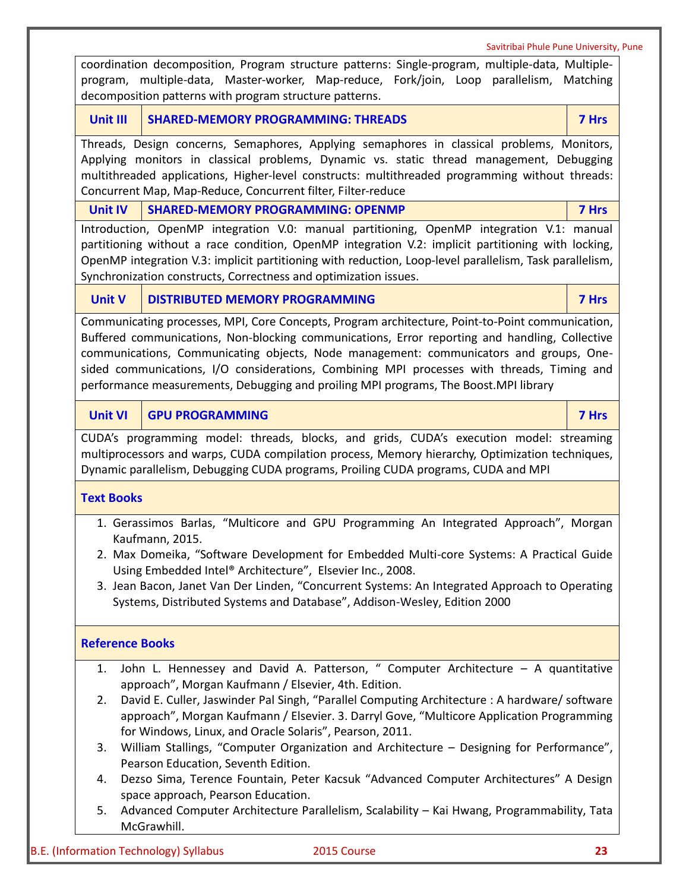Savitribai Phule Pune University, Pune coordination decomposition, Program structure patterns: Single-program, multiple-data, Multipleprogram, multiple-data, Master-worker, Map-reduce, Fork/join, Loop parallelism, Matching decomposition patterns with program structure patterns. **Unit III SHARED-MEMORY PROGRAMMING: THREADS 7 Hrs** Threads, Design concerns, Semaphores, Applying semaphores in classical problems, Monitors, Applying monitors in classical problems, Dynamic vs. static thread management, Debugging multithreaded applications, Higher-level constructs: multithreaded programming without threads: Concurrent Map, Map-Reduce, Concurrent filter, Filter-reduce **Unit IV SHARED-MEMORY PROGRAMMING: OPENMP 7 Hrs** Introduction, OpenMP integration V.0: manual partitioning, OpenMP integration V.1: manual partitioning without a race condition, OpenMP integration V.2: implicit partitioning with locking, OpenMP integration V.3: implicit partitioning with reduction, Loop-level parallelism, Task parallelism, Synchronization constructs, Correctness and optimization issues. **Unit V DISTRIBUTED MEMORY PROGRAMMING 7 Hrs** Communicating processes, MPI, Core Concepts, Program architecture, Point-to-Point communication, Buffered communications, Non-blocking communications, Error reporting and handling, Collective communications, Communicating objects, Node management: communicators and groups, Onesided communications, I/O considerations, Combining MPI processes with threads, Timing and performance measurements, Debugging and proiling MPI programs, The Boost.MPI library **Unit VI GPU PROGRAMMING 7 Hrs** CUDA's programming model: threads, blocks, and grids, CUDA's execution model: streaming multiprocessors and warps, CUDA compilation process, Memory hierarchy, Optimization techniques, Dynamic parallelism, Debugging CUDA programs, Proiling CUDA programs, CUDA and MPI **Text Books** 1. Gerassimos Barlas, "Multicore and GPU Programming An Integrated Approach", Morgan Kaufmann, 2015. 2. Max Domeika, "Software Development for Embedded Multi-core Systems: A Practical Guide Using Embedded Intel® Architecture", Elsevier Inc., 2008. 3. Jean Bacon, Janet Van Der Linden, "Concurrent Systems: An Integrated Approach to Operating Systems, Distributed Systems and Database", Addison-Wesley, Edition 2000 **Reference Books** 1. John L. Hennessey and David A. Patterson, " Computer Architecture – A quantitative approach", Morgan Kaufmann / Elsevier, 4th. Edition. 2. David E. Culler, Jaswinder Pal Singh, "Parallel Computing Architecture : A hardware/ software approach", Morgan Kaufmann / Elsevier. 3. Darryl Gove, "Multicore Application Programming for Windows, Linux, and Oracle Solaris", Pearson, 2011. 3. William Stallings, "Computer Organization and Architecture – Designing for Performance", Pearson Education, Seventh Edition. 4. Dezso Sima, Terence Fountain, Peter Kacsuk "Advanced Computer Architectures" A Design space approach, Pearson Education. 5. Advanced Computer Architecture Parallelism, Scalability – Kai Hwang, Programmability, Tata McGrawhill.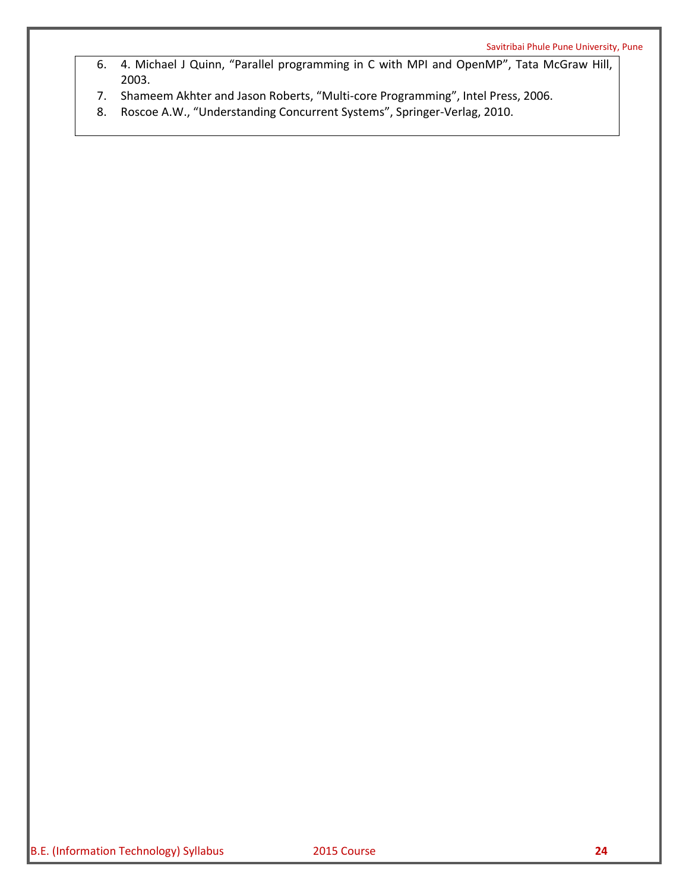- 6. 4. Michael J Quinn, "Parallel programming in C with MPI and OpenMP", Tata McGraw Hill, 2003.
- 7. Shameem Akhter and Jason Roberts, "Multi-core Programming", Intel Press, 2006.
- 8. Roscoe A.W., "Understanding Concurrent Systems", Springer-Verlag, 2010.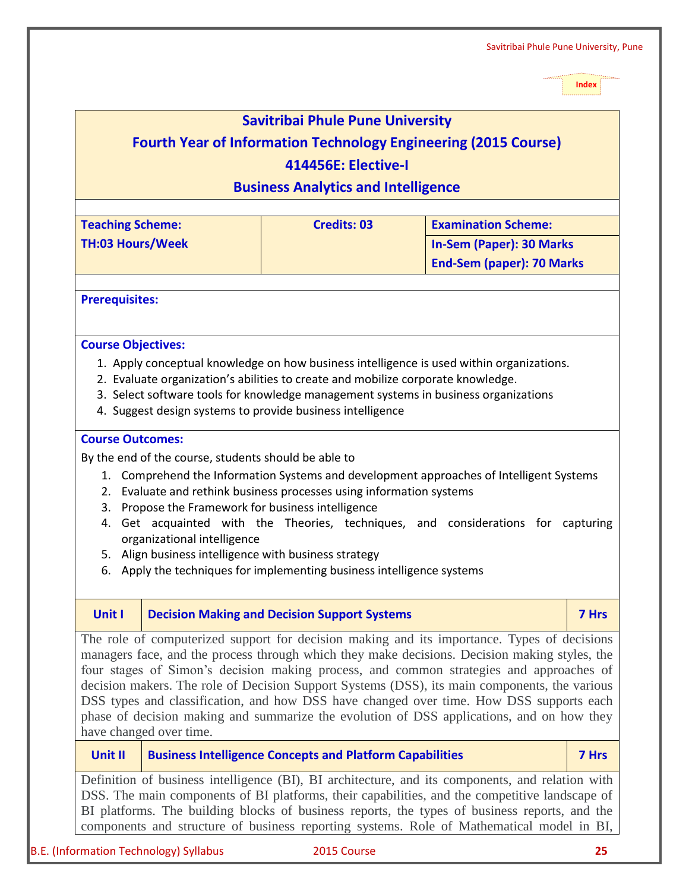### **Savitribai Phule Pune University**

# <span id="page-24-0"></span>**Fourth Year of Information Technology Engineering (2015 Course)**

# **414456E: Elective-I**

**Business Analytics and Intelligence** 

| <b>Teaching Scheme:</b> | <b>Credits: 03</b> | <b>Examination Scheme:</b>       |
|-------------------------|--------------------|----------------------------------|
| <b>TH:03 Hours/Week</b> |                    | <b>In-Sem (Paper): 30 Marks</b>  |
|                         |                    | <b>End-Sem (paper): 70 Marks</b> |
|                         |                    |                                  |

**Prerequisites:**

#### **Course Objectives:**

- 1. Apply conceptual knowledge on how business intelligence is used within organizations.
- 2. Evaluate organization's abilities to create and mobilize corporate knowledge.
- 3. Select software tools for knowledge management systems in business organizations
- 4. Suggest design systems to provide business intelligence

#### **Course Outcomes:**

By the end of the course, students should be able to

- 1. Comprehend the Information Systems and development approaches of Intelligent Systems
- 2. Evaluate and rethink business processes using information systems
- 3. Propose the Framework for business intelligence
- 4. Get acquainted with the Theories, techniques, and considerations for capturing organizational intelligence
- 5. Align business intelligence with business strategy
- 6. Apply the techniques for implementing business intelligence systems

#### **Unit I Decision Making and Decision Support Systems 7 Hrs**

The role of computerized support for decision making and its importance. Types of decisions managers face, and the process through which they make decisions. Decision making styles, the four stages of Simon's decision making process, and common strategies and approaches of decision makers. The role of Decision Support Systems (DSS), its main components, the various DSS types and classification, and how DSS have changed over time. How DSS supports each phase of decision making and summarize the evolution of DSS applications, and on how they have changed over time.

#### **Unit II Business Intelligence Concepts and Platform Capabilities 7 Hrs**

Definition of business intelligence (BI), BI architecture, and its components, and relation with DSS. The main components of BI platforms, their capabilities, and the competitive landscape of BI platforms. The building blocks of business reports, the types of business reports, and the components and structure of business reporting systems. Role of Mathematical model in BI,

B.E. (Information Technology) Syllabus 2015 Course **25**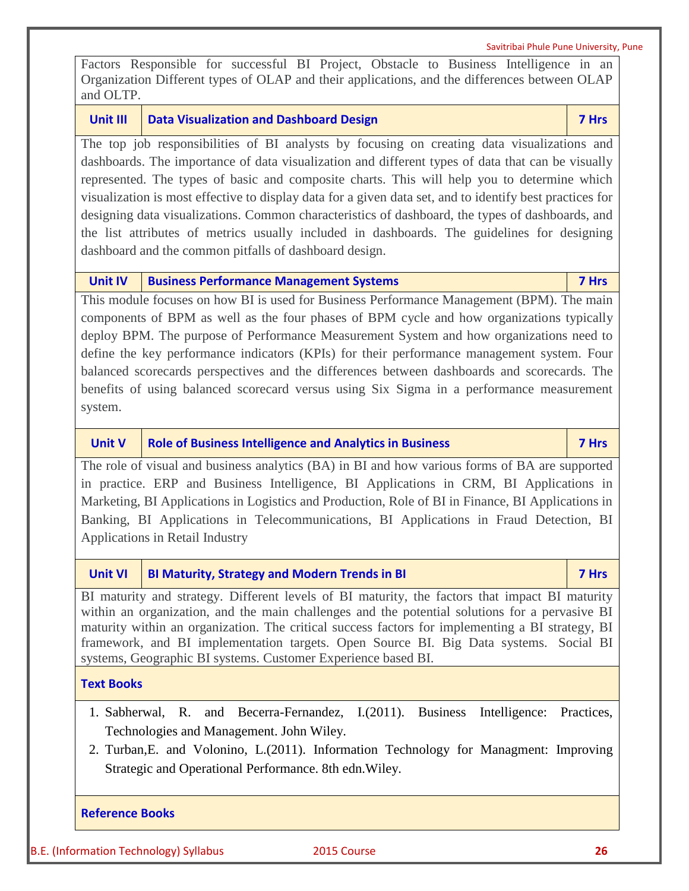Savitribai Phule Pune University, Pune

Factors Responsible for successful BI Project, Obstacle to Business Intelligence in an Organization Different types of OLAP and their applications, and the differences between OLAP and OLTP.

**Unit III Data Visualization and Dashboard Design 7 Hrs**

The top job responsibilities of BI analysts by focusing on creating data visualizations and dashboards. The importance of data visualization and different types of data that can be visually represented. The types of basic and composite charts. This will help you to determine which visualization is most effective to display data for a given data set, and to identify best practices for designing data visualizations. Common characteristics of dashboard, the types of dashboards, and the list attributes of metrics usually included in dashboards. The guidelines for designing dashboard and the common pitfalls of dashboard design.

**Unit IV Business Performance Management Systems 7 Hrs**

This module focuses on how BI is used for Business Performance Management (BPM). The main components of BPM as well as the four phases of BPM cycle and how organizations typically deploy BPM. The purpose of Performance Measurement System and how organizations need to define the key performance indicators (KPIs) for their performance management system. Four balanced scorecards perspectives and the differences between dashboards and scorecards. The benefits of using balanced scorecard versus using Six Sigma in a performance measurement system.

**Unit V Role of Business Intelligence and Analytics in Business <b>1998 1998 1998 1998 1998 1999 1999 1999** 

The role of visual and business analytics (BA) in BI and how various forms of BA are supported in practice. ERP and Business Intelligence, BI Applications in CRM, BI Applications in Marketing, BI Applications in Logistics and Production, Role of BI in Finance, BI Applications in Banking, BI Applications in Telecommunications, BI Applications in Fraud Detection, BI Applications in Retail Industry

# **Unit VI BI Maturity, Strategy and Modern Trends in BI 7 Hrs**

BI maturity and strategy. Different levels of BI maturity, the factors that impact BI maturity within an organization, and the main challenges and the potential solutions for a pervasive BI maturity within an organization. The critical success factors for implementing a BI strategy, BI framework, and BI implementation targets. Open Source BI. Big Data systems. Social BI systems, Geographic BI systems. Customer Experience based BI.

# **Text Books**

- 1. Sabherwal, R. and Becerra-Fernandez, I.(2011). Business Intelligence: Practices, Technologies and Management. John Wiley.
- 2. Turban,E. and Volonino, L.(2011). Information Technology for Managment: Improving Strategic and Operational Performance. 8th edn.Wiley.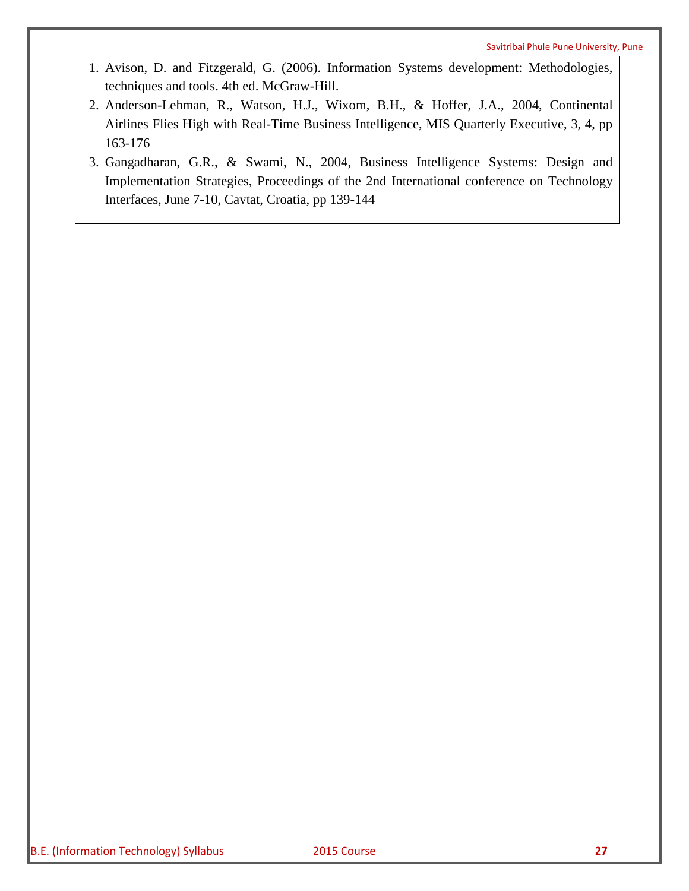- 1. Avison, D. and Fitzgerald, G. (2006). Information Systems development: Methodologies, techniques and tools. 4th ed. McGraw-Hill.
- 2. Anderson-Lehman, R., Watson, H.J., Wixom, B.H., & Hoffer, J.A., 2004, Continental Airlines Flies High with Real-Time Business Intelligence, MIS Quarterly Executive, 3, 4, pp 163-176
- 3. Gangadharan, G.R., & Swami, N., 2004, Business Intelligence Systems: Design and Implementation Strategies, Proceedings of the 2nd International conference on Technology Interfaces, June 7-10, Cavtat, Croatia, pp 139-144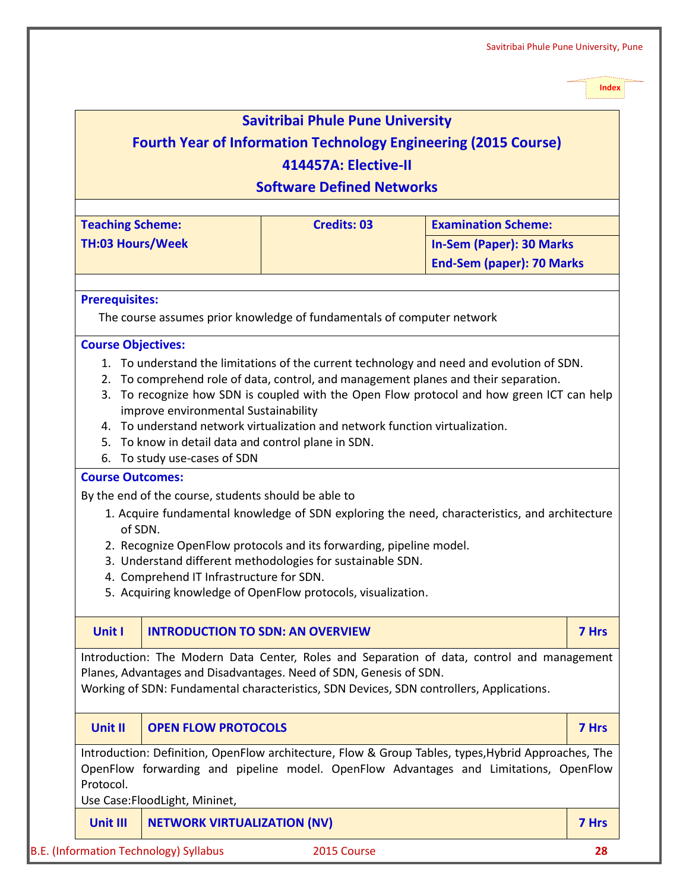<span id="page-27-0"></span>

| <b>Teaching Scheme:</b>                                                                                                                | <b>Credits: 03</b>                                                                                                                                                                                | <b>Examination Scheme:</b>                                                                    |
|----------------------------------------------------------------------------------------------------------------------------------------|---------------------------------------------------------------------------------------------------------------------------------------------------------------------------------------------------|-----------------------------------------------------------------------------------------------|
| <b>TH:03 Hours/Week</b>                                                                                                                |                                                                                                                                                                                                   | <b>In-Sem (Paper): 30 Marks</b><br><b>End-Sem (paper): 70 Marks</b>                           |
| <b>Prerequisites:</b>                                                                                                                  | The course assumes prior knowledge of fundamentals of computer network                                                                                                                            |                                                                                               |
| improve environmental Sustainability<br>5. To know in detail data and control plane in SDN.<br>6. To study use-cases of SDN            | 4. To understand network virtualization and network function virtualization.                                                                                                                      | 3. To recognize how SDN is coupled with the Open Flow protocol and how green ICT can help     |
| <b>Course Outcomes:</b><br>By the end of the course, students should be able to<br>of SDN.<br>4. Comprehend IT Infrastructure for SDN. | 2. Recognize OpenFlow protocols and its forwarding, pipeline model.<br>3. Understand different methodologies for sustainable SDN.<br>5. Acquiring knowledge of OpenFlow protocols, visualization. | 1. Acquire fundamental knowledge of SDN exploring the need, characteristics, and architecture |
| <b>Unit I</b>                                                                                                                          | <b>INTRODUCTION TO SDN: AN OVERVIEW</b>                                                                                                                                                           | 7 Hrs                                                                                         |
|                                                                                                                                        | Planes, Advantages and Disadvantages. Need of SDN, Genesis of SDN.<br>Working of SDN: Fundamental characteristics, SDN Devices, SDN controllers, Applications.                                    | Introduction: The Modern Data Center, Roles and Separation of data, control and management    |
|                                                                                                                                        |                                                                                                                                                                                                   |                                                                                               |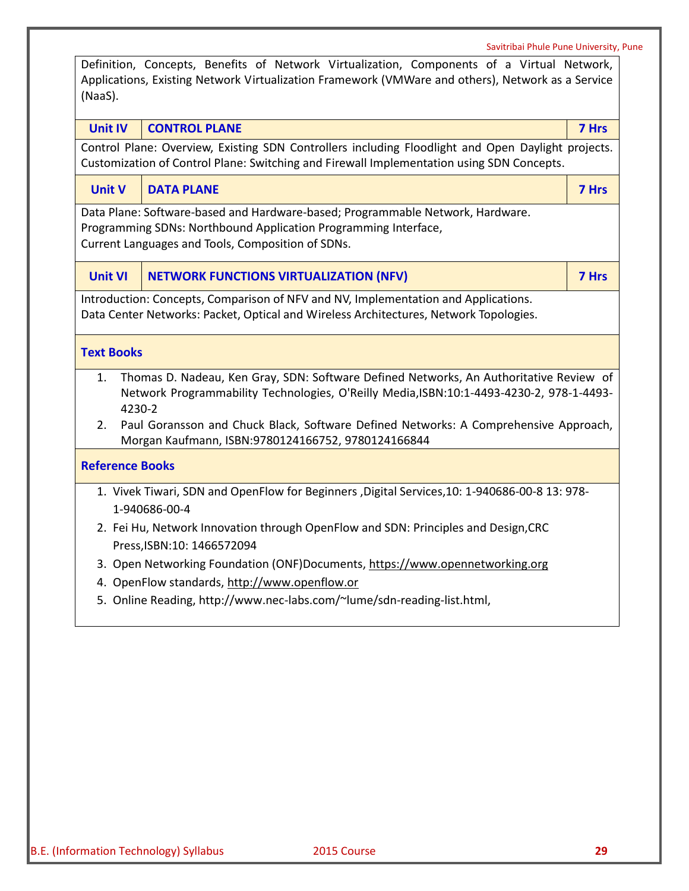|                        |                                                                                                                                                                                                                                                                            | Savitribai Phule Pune University, Pune |
|------------------------|----------------------------------------------------------------------------------------------------------------------------------------------------------------------------------------------------------------------------------------------------------------------------|----------------------------------------|
| (NaaS).                | Definition, Concepts, Benefits of Network Virtualization, Components of a Virtual Network,<br>Applications, Existing Network Virtualization Framework (VMWare and others), Network as a Service                                                                            |                                        |
| <b>Unit IV</b>         | <b>CONTROL PLANE</b>                                                                                                                                                                                                                                                       | 7 Hrs                                  |
|                        | Control Plane: Overview, Existing SDN Controllers including Floodlight and Open Daylight projects.<br>Customization of Control Plane: Switching and Firewall Implementation using SDN Concepts.                                                                            |                                        |
| <b>Unit V</b>          | <b>DATA PLANE</b>                                                                                                                                                                                                                                                          | 7 Hrs                                  |
|                        | Data Plane: Software-based and Hardware-based; Programmable Network, Hardware.<br>Programming SDNs: Northbound Application Programming Interface,<br>Current Languages and Tools, Composition of SDNs.                                                                     |                                        |
| <b>Unit VI</b>         | <b>NETWORK FUNCTIONS VIRTUALIZATION (NFV)</b>                                                                                                                                                                                                                              | 7 Hrs                                  |
| <b>Text Books</b>      |                                                                                                                                                                                                                                                                            |                                        |
| 1.<br>4230-2<br>2.     | Thomas D. Nadeau, Ken Gray, SDN: Software Defined Networks, An Authoritative Review of<br>Network Programmability Technologies, O'Reilly Media, ISBN:10:1-4493-4230-2, 978-1-4493-<br>Paul Goransson and Chuck Black, Software Defined Networks: A Comprehensive Approach, |                                        |
| <b>Reference Books</b> | Morgan Kaufmann, ISBN:9780124166752, 9780124166844                                                                                                                                                                                                                         |                                        |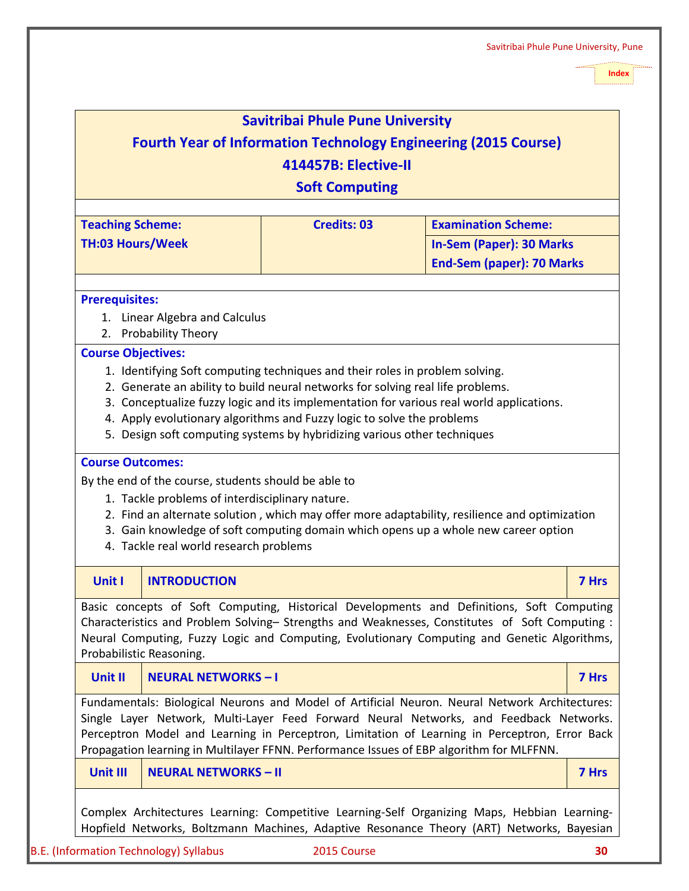<span id="page-29-0"></span>

| <b>Teaching Scheme:</b><br><b>TH:03 Hours/Week</b><br><b>Prerequisites:</b><br>1. Linear Algebra and Calculus<br>2. Probability Theory<br><b>Course Objectives:</b>                                                                                                                                                                                                                   | <b>Credits: 03</b>                                                                                                                                                                                                                                                                                                                                                                                                                                                                                                                                                                                        | <b>Examination Scheme:</b><br><b>In-Sem (Paper): 30 Marks</b><br><b>End-Sem (paper): 70 Marks</b> |       |
|---------------------------------------------------------------------------------------------------------------------------------------------------------------------------------------------------------------------------------------------------------------------------------------------------------------------------------------------------------------------------------------|-----------------------------------------------------------------------------------------------------------------------------------------------------------------------------------------------------------------------------------------------------------------------------------------------------------------------------------------------------------------------------------------------------------------------------------------------------------------------------------------------------------------------------------------------------------------------------------------------------------|---------------------------------------------------------------------------------------------------|-------|
|                                                                                                                                                                                                                                                                                                                                                                                       |                                                                                                                                                                                                                                                                                                                                                                                                                                                                                                                                                                                                           |                                                                                                   |       |
| <b>Course Outcomes:</b><br>By the end of the course, students should be able to<br>1. Tackle problems of interdisciplinary nature.<br>4. Tackle real world research problems                                                                                                                                                                                                          | 1. Identifying Soft computing techniques and their roles in problem solving.<br>2. Generate an ability to build neural networks for solving real life problems.<br>3. Conceptualize fuzzy logic and its implementation for various real world applications.<br>4. Apply evolutionary algorithms and Fuzzy logic to solve the problems<br>5. Design soft computing systems by hybridizing various other techniques<br>2. Find an alternate solution, which may offer more adaptability, resilience and optimization<br>3. Gain knowledge of soft computing domain which opens up a whole new career option |                                                                                                   |       |
| Unit I<br><b>INTRODUCTION</b>                                                                                                                                                                                                                                                                                                                                                         |                                                                                                                                                                                                                                                                                                                                                                                                                                                                                                                                                                                                           |                                                                                                   | 7 Hrs |
| Basic concepts of Soft Computing, Historical Developments and Definitions, Soft Computing<br>Characteristics and Problem Solving- Strengths and Weaknesses, Constitutes of Soft Computing :<br>Neural Computing, Fuzzy Logic and Computing, Evolutionary Computing and Genetic Algorithms,<br>Probabilistic Reasoning.                                                                |                                                                                                                                                                                                                                                                                                                                                                                                                                                                                                                                                                                                           |                                                                                                   |       |
| Unit II<br><b>NEURAL NETWORKS-I</b>                                                                                                                                                                                                                                                                                                                                                   |                                                                                                                                                                                                                                                                                                                                                                                                                                                                                                                                                                                                           |                                                                                                   | 7 Hrs |
| Fundamentals: Biological Neurons and Model of Artificial Neuron. Neural Network Architectures:<br>Single Layer Network, Multi-Layer Feed Forward Neural Networks, and Feedback Networks.<br>Perceptron Model and Learning in Perceptron, Limitation of Learning in Perceptron, Error Back<br>Propagation learning in Multilayer FFNN. Performance Issues of EBP algorithm for MLFFNN. |                                                                                                                                                                                                                                                                                                                                                                                                                                                                                                                                                                                                           |                                                                                                   |       |
| <b>Unit III</b><br><b>NEURAL NETWORKS - II</b>                                                                                                                                                                                                                                                                                                                                        |                                                                                                                                                                                                                                                                                                                                                                                                                                                                                                                                                                                                           |                                                                                                   | 7 Hrs |

# B.E. (Information Technology) Syllabus 2015 Course **30**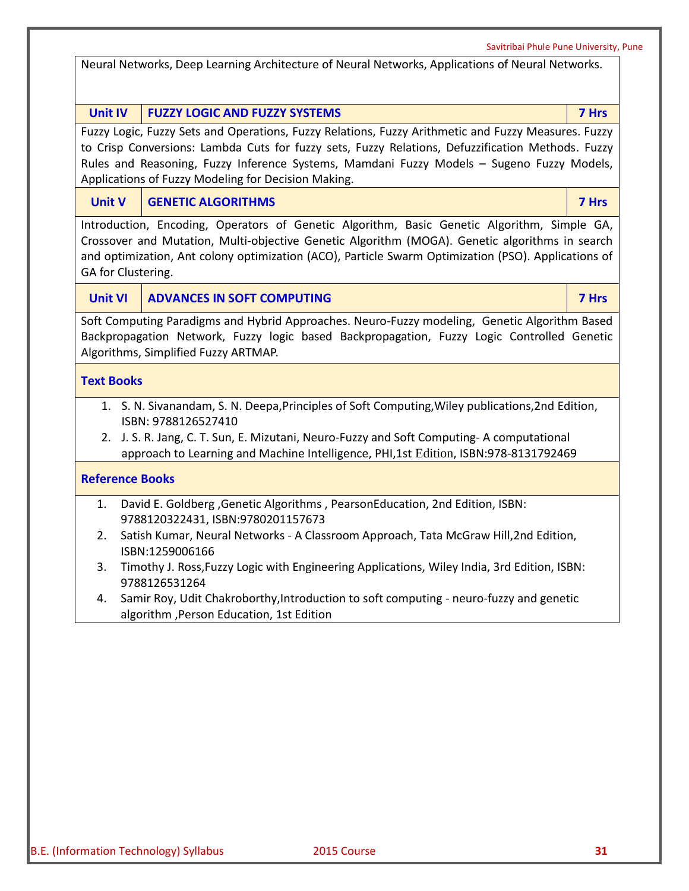|  | Savitribai Phule Pune University, Pune |  |
|--|----------------------------------------|--|
|  |                                        |  |

**Unit IV FUZZY LOGIC AND FUZZY SYSTEMS 7 Hrs**

Fuzzy Logic, Fuzzy Sets and Operations, Fuzzy Relations, Fuzzy Arithmetic and Fuzzy Measures. Fuzzy to Crisp Conversions: Lambda Cuts for fuzzy sets, Fuzzy Relations, Defuzzification Methods. Fuzzy Rules and Reasoning, Fuzzy Inference Systems, Mamdani Fuzzy Models – Sugeno Fuzzy Models, Applications of Fuzzy Modeling for Decision Making.

**Unit V GENETIC ALGORITHMS 7 Hrs**

Introduction, Encoding, Operators of Genetic Algorithm, Basic Genetic Algorithm, Simple GA, Crossover and Mutation, Multi-objective Genetic Algorithm (MOGA). Genetic algorithms in search and optimization, Ant colony optimization (ACO), Particle Swarm Optimization (PSO). Applications of GA for Clustering.

**Unit VI ADVANCES IN SOFT COMPUTING 7 Hrs**

Soft Computing Paradigms and Hybrid Approaches. Neuro-Fuzzy modeling, Genetic Algorithm Based Backpropagation Network, Fuzzy logic based Backpropagation, Fuzzy Logic Controlled Genetic Algorithms, Simplified Fuzzy ARTMAP.

#### **Text Books**

- 1. S. N. Sivanandam, S. N. Deepa,Principles of Soft Computing,Wiley publications,2nd Edition, ISBN: 9788126527410
- 2. J. S. R. Jang, C. T. Sun, E. Mizutani, Neuro-Fuzzy and Soft Computing- A computational approach to Learning and Machine Intelligence, PHI,1st Edition, ISBN:978-8131792469

- 1. David E. Goldberg ,Genetic Algorithms , PearsonEducation, 2nd Edition, ISBN: 9788120322431, ISBN:9780201157673
- 2. Satish Kumar, Neural Networks A Classroom Approach, Tata McGraw Hill,2nd Edition, ISBN:1259006166
- 3. Timothy J. Ross,Fuzzy Logic with Engineering Applications, Wiley India, 3rd Edition, ISBN: 9788126531264
- 4. Samir Roy, Udit Chakroborthy,Introduction to soft computing neuro-fuzzy and genetic algorithm ,Person Education, 1st Edition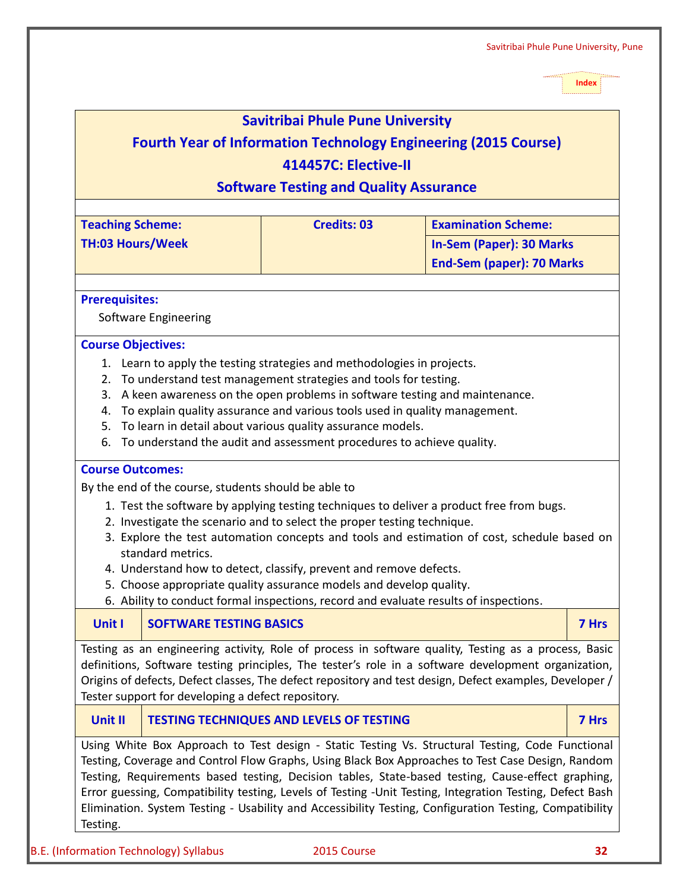<span id="page-31-0"></span>

| <b>Savitribai Phule Pune University</b><br><b>Fourth Year of Information Technology Engineering (2015 Course)</b><br>414457C: Elective-II<br><b>Software Testing and Quality Assurance</b> |                                                                           |                                                                                                                                                                                                                                                                                                                                                                                                                                                                                                                                   |                                                                                                   |       |  |  |
|--------------------------------------------------------------------------------------------------------------------------------------------------------------------------------------------|---------------------------------------------------------------------------|-----------------------------------------------------------------------------------------------------------------------------------------------------------------------------------------------------------------------------------------------------------------------------------------------------------------------------------------------------------------------------------------------------------------------------------------------------------------------------------------------------------------------------------|---------------------------------------------------------------------------------------------------|-------|--|--|
| <b>Teaching Scheme:</b><br><b>TH:03 Hours/Week</b>                                                                                                                                         |                                                                           | <b>Credits: 03</b>                                                                                                                                                                                                                                                                                                                                                                                                                                                                                                                | <b>Examination Scheme:</b><br><b>In-Sem (Paper): 30 Marks</b><br><b>End-Sem (paper): 70 Marks</b> |       |  |  |
| <b>Prerequisites:</b>                                                                                                                                                                      | Software Engineering                                                      |                                                                                                                                                                                                                                                                                                                                                                                                                                                                                                                                   |                                                                                                   |       |  |  |
| <b>Course Objectives:</b>                                                                                                                                                                  |                                                                           | 1. Learn to apply the testing strategies and methodologies in projects.<br>2. To understand test management strategies and tools for testing.<br>3. A keen awareness on the open problems in software testing and maintenance.<br>4. To explain quality assurance and various tools used in quality management.<br>5. To learn in detail about various quality assurance models.<br>6. To understand the audit and assessment procedures to achieve quality.                                                                      |                                                                                                   |       |  |  |
| <b>Course Outcomes:</b>                                                                                                                                                                    | By the end of the course, students should be able to<br>standard metrics. | 1. Test the software by applying testing techniques to deliver a product free from bugs.<br>2. Investigate the scenario and to select the proper testing technique.<br>3. Explore the test automation concepts and tools and estimation of cost, schedule based on<br>4. Understand how to detect, classify, prevent and remove defects.<br>5. Choose appropriate quality assurance models and develop quality.<br>6. Ability to conduct formal inspections, record and evaluate results of inspections.                          |                                                                                                   |       |  |  |
| Unit I                                                                                                                                                                                     | <b>SOFTWARE TESTING BASICS</b>                                            | Testing as an engineering activity, Role of process in software quality, Testing as a process, Basic<br>definitions, Software testing principles, The tester's role in a software development organization,                                                                                                                                                                                                                                                                                                                       |                                                                                                   | 7 Hrs |  |  |
|                                                                                                                                                                                            | Tester support for developing a defect repository.                        | Origins of defects, Defect classes, The defect repository and test design, Defect examples, Developer /                                                                                                                                                                                                                                                                                                                                                                                                                           |                                                                                                   |       |  |  |
| <b>Unit II</b>                                                                                                                                                                             |                                                                           | <b>TESTING TECHNIQUES AND LEVELS OF TESTING</b>                                                                                                                                                                                                                                                                                                                                                                                                                                                                                   |                                                                                                   | 7 Hrs |  |  |
| Testing.                                                                                                                                                                                   |                                                                           | Using White Box Approach to Test design - Static Testing Vs. Structural Testing, Code Functional<br>Testing, Coverage and Control Flow Graphs, Using Black Box Approaches to Test Case Design, Random<br>Testing, Requirements based testing, Decision tables, State-based testing, Cause-effect graphing,<br>Error guessing, Compatibility testing, Levels of Testing -Unit Testing, Integration Testing, Defect Bash<br>Elimination. System Testing - Usability and Accessibility Testing, Configuration Testing, Compatibility |                                                                                                   |       |  |  |
|                                                                                                                                                                                            | B.E. (Information Technology) Syllabus                                    | 2015 Course                                                                                                                                                                                                                                                                                                                                                                                                                                                                                                                       |                                                                                                   | 32    |  |  |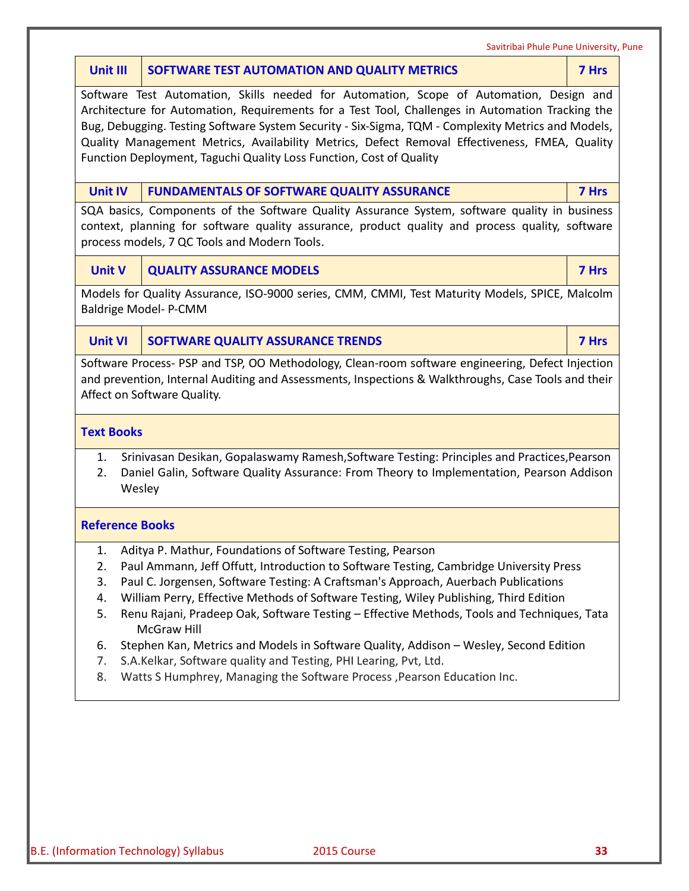**Unit III SOFTWARE TEST AUTOMATION AND QUALITY METRICS 7 Hrs** Software Test Automation, Skills needed for Automation, Scope of Automation, Design and Architecture for Automation, Requirements for a Test Tool, Challenges in Automation Tracking the Bug, Debugging. Testing Software System Security - Six-Sigma, TQM - Complexity Metrics and Models, Quality Management Metrics, Availability Metrics, Defect Removal Effectiveness, FMEA, Quality Function Deployment, Taguchi Quality Loss Function, Cost of Quality **Unit IV FUNDAMENTALS OF SOFTWARE QUALITY ASSURANCE 7 Hrs** SQA basics, Components of the Software Quality Assurance System, software quality in business context, planning for software quality assurance, product quality and process quality, software process models, 7 QC Tools and Modern Tools. **Unit V QUALITY ASSURANCE MODELS 7 Hrs** Models for Quality Assurance, ISO-9000 series, CMM, CMMI, Test Maturity Models, SPICE, Malcolm Baldrige Model- P-CMM **Unit VI SOFTWARE QUALITY ASSURANCE TRENDS 7 Hrs** Software Process- PSP and TSP, OO Methodology, Clean-room software engineering, Defect Injection and prevention, Internal Auditing and Assessments, Inspections & Walkthroughs, Case Tools and their Affect on Software Quality. **Text Books** 1. Srinivasan Desikan, Gopalaswamy Ramesh,Software Testing: Principles and Practices,Pearson 2. Daniel Galin, Software Quality Assurance: From Theory to Implementation, Pearson Addison Wesley **Reference Books** 1. Aditya P. Mathur, Foundations of Software Testing, Pearson 2. Paul Ammann, Jeff Offutt, Introduction to Software Testing, Cambridge University Press 3. Paul C. Jorgensen, Software Testing: A Craftsman's Approach, Auerbach Publications 4. William Perry, Effective Methods of Software Testing, Wiley Publishing, Third Edition 5. Renu Rajani, Pradeep Oak, Software Testing – Effective Methods, Tools and Techniques, Tata McGraw Hill 6. Stephen Kan, Metrics and Models in Software Quality, Addison – Wesley, Second Edition 7. S.A.Kelkar, Software quality and Testing, PHI Learing, Pvt, Ltd. 8. Watts S Humphrey, Managing the Software Process ,Pearson Education Inc.

Savitribai Phule Pune University, Pune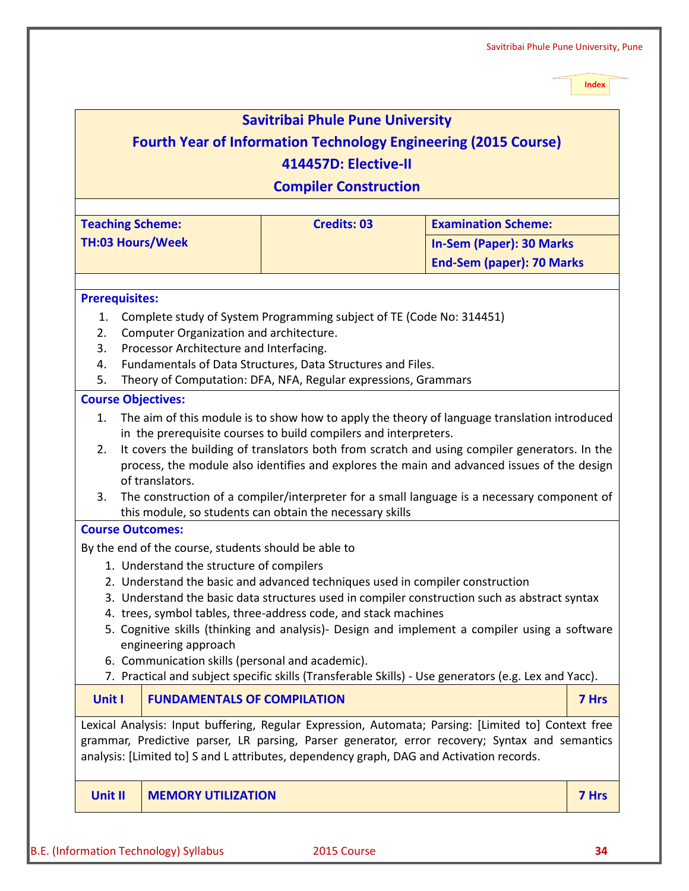# **Savitribai Phule Pune University**

# <span id="page-33-0"></span>**Fourth Year of Information Technology Engineering (2015 Course)**

# **414457D: Elective-II**

**Compiler Construction** 

| <b>Teaching Scheme:</b>                                                                              |                                                                                                                 |                                    | <b>Credits: 03</b>                                       | <b>Examination Scheme:</b>       |       |  |  |  |
|------------------------------------------------------------------------------------------------------|-----------------------------------------------------------------------------------------------------------------|------------------------------------|----------------------------------------------------------|----------------------------------|-------|--|--|--|
| <b>TH:03 Hours/Week</b>                                                                              |                                                                                                                 |                                    |                                                          | <b>In-Sem (Paper): 30 Marks</b>  |       |  |  |  |
|                                                                                                      |                                                                                                                 |                                    |                                                          | <b>End-Sem (paper): 70 Marks</b> |       |  |  |  |
|                                                                                                      |                                                                                                                 |                                    |                                                          |                                  |       |  |  |  |
|                                                                                                      | <b>Prerequisites:</b>                                                                                           |                                    |                                                          |                                  |       |  |  |  |
| 1.<br>2.                                                                                             | Complete study of System Programming subject of TE (Code No: 314451)<br>Computer Organization and architecture. |                                    |                                                          |                                  |       |  |  |  |
| 3.                                                                                                   | Processor Architecture and Interfacing.                                                                         |                                    |                                                          |                                  |       |  |  |  |
| 4.                                                                                                   | Fundamentals of Data Structures, Data Structures and Files.                                                     |                                    |                                                          |                                  |       |  |  |  |
| 5.                                                                                                   | Theory of Computation: DFA, NFA, Regular expressions, Grammars                                                  |                                    |                                                          |                                  |       |  |  |  |
| <b>Course Objectives:</b>                                                                            |                                                                                                                 |                                    |                                                          |                                  |       |  |  |  |
| 1.                                                                                                   | The aim of this module is to show how to apply the theory of language translation introduced                    |                                    |                                                          |                                  |       |  |  |  |
|                                                                                                      | in the prerequisite courses to build compilers and interpreters.                                                |                                    |                                                          |                                  |       |  |  |  |
| 2.                                                                                                   | It covers the building of translators both from scratch and using compiler generators. In the                   |                                    |                                                          |                                  |       |  |  |  |
|                                                                                                      | process, the module also identifies and explores the main and advanced issues of the design                     |                                    |                                                          |                                  |       |  |  |  |
|                                                                                                      | of translators.                                                                                                 |                                    |                                                          |                                  |       |  |  |  |
| 3.                                                                                                   | The construction of a compiler/interpreter for a small language is a necessary component of                     |                                    |                                                          |                                  |       |  |  |  |
|                                                                                                      |                                                                                                                 |                                    | this module, so students can obtain the necessary skills |                                  |       |  |  |  |
|                                                                                                      |                                                                                                                 | <b>Course Outcomes:</b>            |                                                          |                                  |       |  |  |  |
|                                                                                                      | By the end of the course, students should be able to                                                            |                                    |                                                          |                                  |       |  |  |  |
|                                                                                                      | 1. Understand the structure of compilers                                                                        |                                    |                                                          |                                  |       |  |  |  |
| 2. Understand the basic and advanced techniques used in compiler construction                        |                                                                                                                 |                                    |                                                          |                                  |       |  |  |  |
| 3. Understand the basic data structures used in compiler construction such as abstract syntax        |                                                                                                                 |                                    |                                                          |                                  |       |  |  |  |
| 4. trees, symbol tables, three-address code, and stack machines                                      |                                                                                                                 |                                    |                                                          |                                  |       |  |  |  |
| 5. Cognitive skills (thinking and analysis)- Design and implement a compiler using a software        |                                                                                                                 |                                    |                                                          |                                  |       |  |  |  |
| engineering approach<br>6. Communication skills (personal and academic).                             |                                                                                                                 |                                    |                                                          |                                  |       |  |  |  |
| 7. Practical and subject specific skills (Transferable Skills) - Use generators (e.g. Lex and Yacc). |                                                                                                                 |                                    |                                                          |                                  |       |  |  |  |
| <b>Unit I</b>                                                                                        |                                                                                                                 | <b>FUNDAMENTALS OF COMPILATION</b> |                                                          |                                  | 7 Hrs |  |  |  |
|                                                                                                      |                                                                                                                 |                                    |                                                          |                                  |       |  |  |  |
| Lexical Analysis: Input buffering, Regular Expression, Automata; Parsing: [Limited to] Context free  |                                                                                                                 |                                    |                                                          |                                  |       |  |  |  |
| grammar, Predictive parser, LR parsing, Parser generator, error recovery; Syntax and semantics       |                                                                                                                 |                                    |                                                          |                                  |       |  |  |  |
| analysis: [Limited to] S and L attributes, dependency graph, DAG and Activation records.             |                                                                                                                 |                                    |                                                          |                                  |       |  |  |  |
|                                                                                                      |                                                                                                                 |                                    |                                                          |                                  |       |  |  |  |
| <b>Unit II</b>                                                                                       |                                                                                                                 | <b>MEMORY UTILIZATION</b>          |                                                          |                                  | 7 Hrs |  |  |  |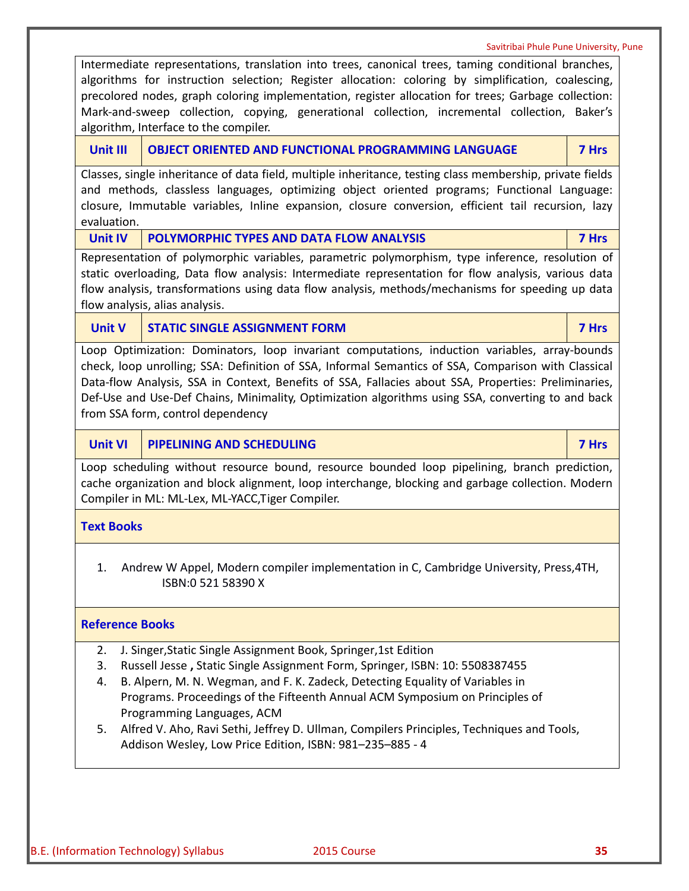B.E. (Information Technology) Syllabus 2015 Course **35**

1. Andrew W Appel, Modern compiler implementation in C, Cambridge University, Press,4TH,

- 2. J. Singer,Static Single Assignment Book, Springer,1st Edition
- 3. [Russell Jesse](https://www.amazon.in/s/ref=dp_byline_sr_book_1?ie=UTF8&field-author=Russell++Jesse&search-alias=stripbooks) **,** Static Single Assignment Form, Springer, ISBN: 10: 5508387455
- 4. B. Alpern, M. N. Wegman, and F. K. Zadeck, Detecting Equality of Variables in Programs. Proceedings of the Fifteenth Annual ACM Symposium on Principles of Programming Languages, ACM
- 5. Alfred V. Aho, Ravi Sethi, Jeffrey D. Ullman, Compilers Principles, Techniques and Tools, Addison Wesley, Low Price Edition, ISBN: 981–235–885 - 4

# **Reference Books**

**Text Books**

from SSA form, control dependency

# **Unit VI PIPELINING AND SCHEDULING 7 Hrs**

ISBN:0 521 58390 X

Loop scheduling without resource bound, resource bounded loop pipelining, branch prediction, cache organization and block alignment, loop interchange, blocking and garbage collection. Modern Compiler in ML: ML-Lex, ML-YACC,Tiger Compiler.

algorithm, Interface to the compiler.

static overloading, Data flow analysis: Intermediate representation for flow analysis, various data flow analysis, transformations using data flow analysis, methods/mechanisms for speeding up data flow analysis, alias analysis. **Unit V STATIC SINGLE ASSIGNMENT FORM** *CONSIGNATION* **<b>7 Hrs** 

Loop Optimization: Dominators, loop invariant computations, induction variables, array-bounds check, loop unrolling; SSA: Definition of SSA, Informal Semantics of SSA, Comparison with Classical

Classes, single inheritance of data field, multiple inheritance, testing class membership, private fields and methods, classless languages, optimizing object oriented programs; Functional Language: closure, Immutable variables, Inline expansion, closure conversion, efficient tail recursion, lazy evaluation.

Intermediate representations, translation into trees, canonical trees, taming conditional branches,

Mark-and-sweep collection, copying, generational collection, incremental collection, Baker's

**Unit IV POLYMORPHIC TYPES AND DATA FLOW ANALYSIS 7 Hrs**

Representation of polymorphic variables, parametric polymorphism, type inference, resolution of

#### algorithms for instruction selection; Register allocation: coloring by simplification, coalescing, precolored nodes, graph coloring implementation, register allocation for trees; Garbage collection:

**Unit III OBJECT ORIENTED AND FUNCTIONAL PROGRAMMING LANGUAGE 7 Hrs**

Savitribai Phule Pune University, Pune

Data-flow Analysis, SSA in Context, Benefits of SSA, Fallacies about SSA, Properties: Preliminaries, Def-Use and Use-Def Chains, Minimality, Optimization algorithms using SSA, converting to and back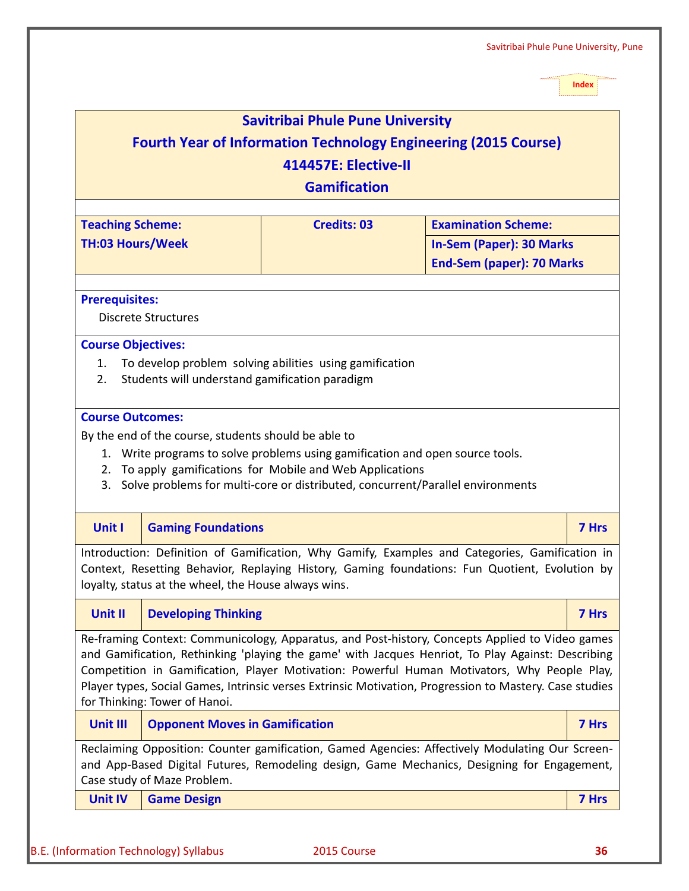<span id="page-35-0"></span>

| <b>Savitribai Phule Pune University</b><br><b>Fourth Year of Information Technology Engineering (2015 Course)</b><br>414457E: Elective-II<br><b>Gamification</b>                                                                                                                                                                                                                                                                                |                                                      |                                                                                                                                                                                                                                 |                                                                                                   |       |  |  |  |
|-------------------------------------------------------------------------------------------------------------------------------------------------------------------------------------------------------------------------------------------------------------------------------------------------------------------------------------------------------------------------------------------------------------------------------------------------|------------------------------------------------------|---------------------------------------------------------------------------------------------------------------------------------------------------------------------------------------------------------------------------------|---------------------------------------------------------------------------------------------------|-------|--|--|--|
| <b>Teaching Scheme:</b><br><b>TH:03 Hours/Week</b>                                                                                                                                                                                                                                                                                                                                                                                              |                                                      | <b>Credits: 03</b>                                                                                                                                                                                                              | <b>Examination Scheme:</b><br><b>In-Sem (Paper): 30 Marks</b><br><b>End-Sem (paper): 70 Marks</b> |       |  |  |  |
| <b>Prerequisites:</b><br><b>Course Objectives:</b>                                                                                                                                                                                                                                                                                                                                                                                              | <b>Discrete Structures</b>                           |                                                                                                                                                                                                                                 |                                                                                                   |       |  |  |  |
| 1.<br>2.<br><b>Course Outcomes:</b>                                                                                                                                                                                                                                                                                                                                                                                                             | Students will understand gamification paradigm       | To develop problem solving abilities using gamification                                                                                                                                                                         |                                                                                                   |       |  |  |  |
|                                                                                                                                                                                                                                                                                                                                                                                                                                                 | By the end of the course, students should be able to | 1. Write programs to solve problems using gamification and open source tools.<br>2. To apply gamifications for Mobile and Web Applications<br>3. Solve problems for multi-core or distributed, concurrent/Parallel environments |                                                                                                   |       |  |  |  |
| Unit I                                                                                                                                                                                                                                                                                                                                                                                                                                          | <b>Gaming Foundations</b>                            |                                                                                                                                                                                                                                 |                                                                                                   | 7 Hrs |  |  |  |
| Introduction: Definition of Gamification, Why Gamify, Examples and Categories, Gamification in<br>Context, Resetting Behavior, Replaying History, Gaming foundations: Fun Quotient, Evolution by<br>loyalty, status at the wheel, the House always wins.                                                                                                                                                                                        |                                                      |                                                                                                                                                                                                                                 |                                                                                                   |       |  |  |  |
| <b>Unit II</b>                                                                                                                                                                                                                                                                                                                                                                                                                                  | <b>Developing Thinking</b>                           |                                                                                                                                                                                                                                 |                                                                                                   | 7 Hrs |  |  |  |
| Re-framing Context: Communicology, Apparatus, and Post-history, Concepts Applied to Video games<br>and Gamification, Rethinking 'playing the game' with Jacques Henriot, To Play Against: Describing<br>Competition in Gamification, Player Motivation: Powerful Human Motivators, Why People Play,<br>Player types, Social Games, Intrinsic verses Extrinsic Motivation, Progression to Mastery. Case studies<br>for Thinking: Tower of Hanoi. |                                                      |                                                                                                                                                                                                                                 |                                                                                                   |       |  |  |  |
| <b>Unit III</b>                                                                                                                                                                                                                                                                                                                                                                                                                                 | <b>Opponent Moves in Gamification</b>                |                                                                                                                                                                                                                                 |                                                                                                   | 7 Hrs |  |  |  |
|                                                                                                                                                                                                                                                                                                                                                                                                                                                 | Case study of Maze Problem.                          | Reclaiming Opposition: Counter gamification, Gamed Agencies: Affectively Modulating Our Screen-<br>and App-Based Digital Futures, Remodeling design, Game Mechanics, Designing for Engagement,                                  |                                                                                                   |       |  |  |  |
| <b>Unit IV</b>                                                                                                                                                                                                                                                                                                                                                                                                                                  | <b>Game Design</b>                                   |                                                                                                                                                                                                                                 |                                                                                                   | 7 Hrs |  |  |  |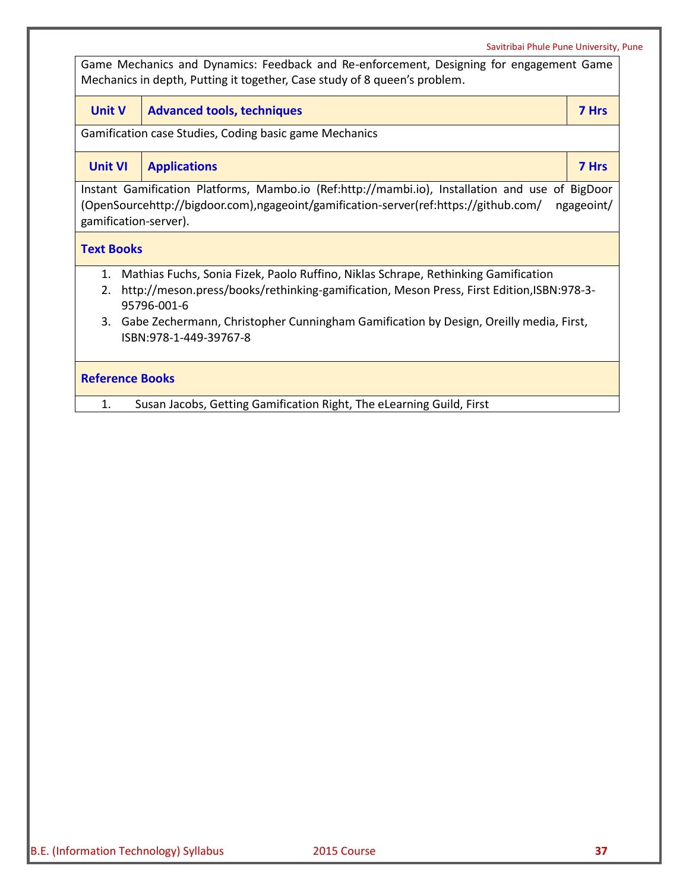|  | Savitribai Phule Pune University, Pune |  |
|--|----------------------------------------|--|
|  |                                        |  |

Game Mechanics and Dynamics: Feedback and Re-enforcement, Designing for engagement Game Mechanics in depth, Putting it together, Case study of 8 queen's problem.

| <b>Unit V</b>                                                                                                         | <b>Advanced tools, techniques</b>                                                                                                                                                               | 7 Hrs      |  |
|-----------------------------------------------------------------------------------------------------------------------|-------------------------------------------------------------------------------------------------------------------------------------------------------------------------------------------------|------------|--|
|                                                                                                                       | Gamification case Studies, Coding basic game Mechanics                                                                                                                                          |            |  |
| <b>Unit VI</b>                                                                                                        | <b>Applications</b>                                                                                                                                                                             | 7 Hrs      |  |
| gamification-server).                                                                                                 | Instant Gamification Platforms, Mambo.io (Ref:http://mambi.io), Installation and use of BigDoor<br>(OpenSourcehttp://bigdoor.com),ngageoint/gamification-server(ref:https://github.com/         | ngageoint/ |  |
| <b>Text Books</b>                                                                                                     |                                                                                                                                                                                                 |            |  |
| 1.<br>2.                                                                                                              | Mathias Fuchs, Sonia Fizek, Paolo Ruffino, Niklas Schrape, Rethinking Gamification<br>http://meson.press/books/rethinking-gamification, Meson Press, First Edition, ISBN: 978-3-<br>95796-001-6 |            |  |
| Gabe Zechermann, Christopher Cunningham Gamification by Design, Oreilly media, First,<br>3.<br>ISBN:978-1-449-39767-8 |                                                                                                                                                                                                 |            |  |
| <b>Reference Books</b>                                                                                                |                                                                                                                                                                                                 |            |  |
| 1.                                                                                                                    | Susan Jacobs, Getting Gamification Right, The eLearning Guild, First                                                                                                                            |            |  |
|                                                                                                                       |                                                                                                                                                                                                 |            |  |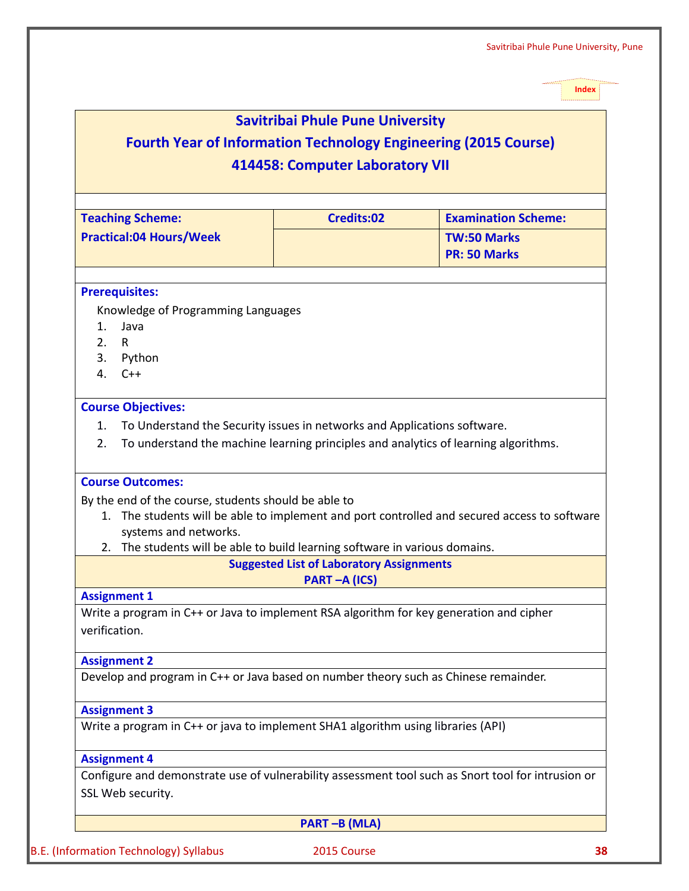| <b>Fourth Year of Information Technology Engineering (2015 Course)</b>                                                                                                                                                                                                                  | <b>Savitribai Phule Pune University</b><br>414458: Computer Laboratory VII |                                    |
|-----------------------------------------------------------------------------------------------------------------------------------------------------------------------------------------------------------------------------------------------------------------------------------------|----------------------------------------------------------------------------|------------------------------------|
| <b>Teaching Scheme:</b>                                                                                                                                                                                                                                                                 | Credits:02                                                                 | <b>Examination Scheme:</b>         |
| <b>Practical:04 Hours/Week</b>                                                                                                                                                                                                                                                          |                                                                            | <b>TW:50 Marks</b><br>PR: 50 Marks |
| <b>Prerequisites:</b><br>Knowledge of Programming Languages<br>Java<br>1.<br>2. R<br>3. Python<br>4. $C++$                                                                                                                                                                              |                                                                            |                                    |
| <b>Course Objectives:</b><br>To Understand the Security issues in networks and Applications software.<br>1.<br>To understand the machine learning principles and analytics of learning algorithms.<br>2.                                                                                |                                                                            |                                    |
| <b>Course Outcomes:</b><br>By the end of the course, students should be able to<br>1. The students will be able to implement and port controlled and secured access to software<br>systems and networks.<br>2. The students will be able to build learning software in various domains. | <b>Suggested List of Laboratory Assignments</b>                            |                                    |
|                                                                                                                                                                                                                                                                                         | <b>PART-A (ICS)</b>                                                        |                                    |
| <b>Assignment 1</b><br>Write a program in C++ or Java to implement RSA algorithm for key generation and cipher<br>verification.                                                                                                                                                         |                                                                            |                                    |
| <b>Assignment 2</b><br>Develop and program in C++ or Java based on number theory such as Chinese remainder.                                                                                                                                                                             |                                                                            |                                    |
| <b>Assignment 3</b><br>Write a program in C++ or java to implement SHA1 algorithm using libraries (API)                                                                                                                                                                                 |                                                                            |                                    |
| <b>Assignment 4</b><br>Configure and demonstrate use of vulnerability assessment tool such as Snort tool for intrusion or<br>SSL Web security.                                                                                                                                          |                                                                            |                                    |
|                                                                                                                                                                                                                                                                                         |                                                                            |                                    |
| B.E. (Information Technology) Syllabus                                                                                                                                                                                                                                                  | <b>PART-B (MLA)</b><br>2015 Course                                         |                                    |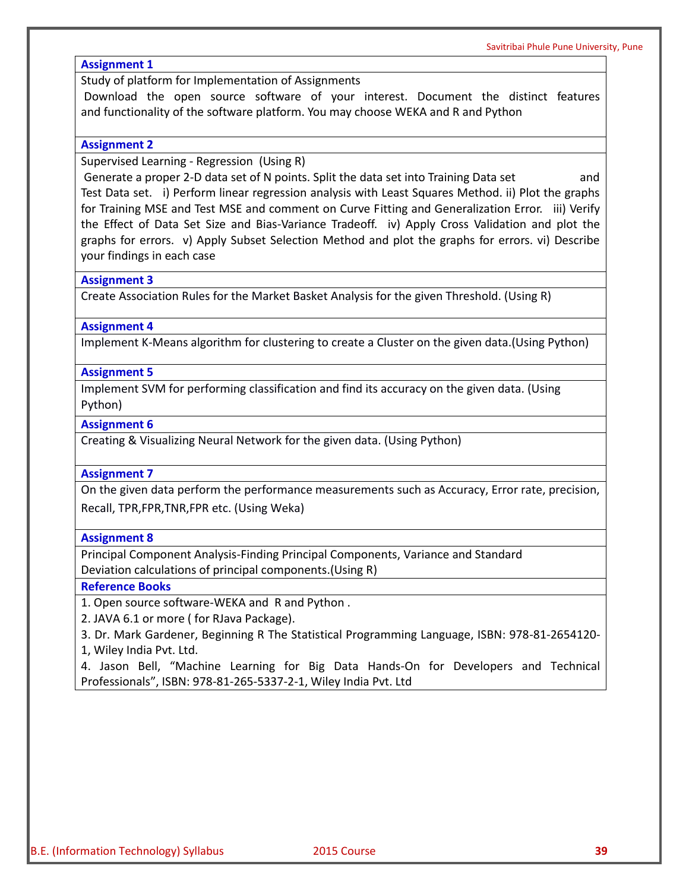#### **Assignment 1**

Study of platform for Implementation of Assignments

Download the open source software of your interest. Document the distinct features and functionality of the software platform. You may choose WEKA and R and Python

#### **Assignment 2**

Supervised Learning - Regression (Using R)

Generate a proper 2-D data set of N points. Split the data set into Training Data set and Test Data set. i) Perform linear regression analysis with Least Squares Method. ii) Plot the graphs for Training MSE and Test MSE and comment on Curve Fitting and Generalization Error. iii) Verify the Effect of Data Set Size and Bias-Variance Tradeoff. iv) Apply Cross Validation and plot the graphs for errors. v) Apply Subset Selection Method and plot the graphs for errors. vi) Describe your findings in each case

#### **Assignment 3**

Create Association Rules for the Market Basket Analysis for the given Threshold. (Using R)

#### **Assignment 4**

Implement K-Means algorithm for clustering to create a Cluster on the given data.(Using Python)

#### **Assignment 5**

Implement SVM for performing classification and find its accuracy on the given data. (Using Python)

#### **Assignment 6**

Creating & Visualizing Neural Network for the given data. (Using Python)

#### **Assignment 7**

On the given data perform the performance measurements such as Accuracy, Error rate, precision, Recall, TPR,FPR,TNR,FPR etc. (Using Weka)

#### **Assignment 8**

Principal Component Analysis-Finding Principal Components, Variance and Standard Deviation calculations of principal components.(Using R)

#### **Reference Books**

1. Open source software-WEKA and R and Python .

2. JAVA 6.1 or more ( for RJava Package).

3. Dr. Mark Gardener, Beginning R The Statistical Programming Language, ISBN: 978-81-2654120-

1, Wiley India Pvt. Ltd.

4. Jason Bell, "Machine Learning for Big Data Hands-On for Developers and Technical Professionals", ISBN: 978-81-265-5337-2-1, Wiley India Pvt. Ltd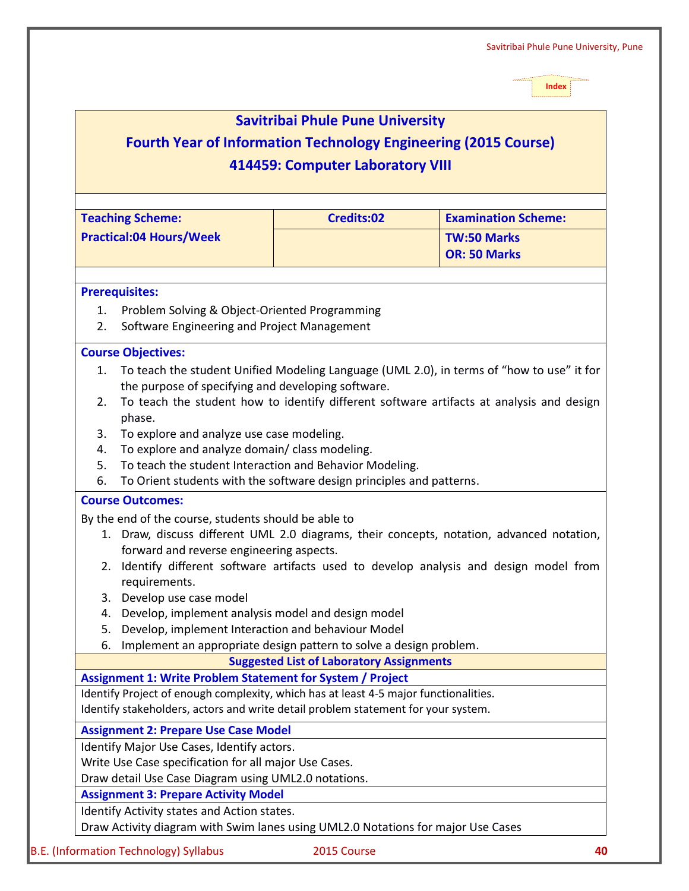|          | <b>Teaching Scheme:</b>                                                                                       | Credits:02                                      | <b>Examination Scheme:</b>                |
|----------|---------------------------------------------------------------------------------------------------------------|-------------------------------------------------|-------------------------------------------|
|          | <b>Practical:04 Hours/Week</b>                                                                                |                                                 | <b>TW:50 Marks</b><br><b>OR: 50 Marks</b> |
|          | <b>Prerequisites:</b>                                                                                         |                                                 |                                           |
| 1.       | Problem Solving & Object-Oriented Programming                                                                 |                                                 |                                           |
| 2.       | Software Engineering and Project Management                                                                   |                                                 |                                           |
|          | <b>Course Objectives:</b>                                                                                     |                                                 |                                           |
| 1.       | To teach the student Unified Modeling Language (UML 2.0), in terms of "how to use" it for                     |                                                 |                                           |
|          | the purpose of specifying and developing software.                                                            |                                                 |                                           |
| 2.       | To teach the student how to identify different software artifacts at analysis and design                      |                                                 |                                           |
|          | phase.                                                                                                        |                                                 |                                           |
| 3.<br>4. | To explore and analyze use case modeling.<br>To explore and analyze domain/ class modeling.                   |                                                 |                                           |
| 5.       | To teach the student Interaction and Behavior Modeling.                                                       |                                                 |                                           |
| 6.       | To Orient students with the software design principles and patterns.                                          |                                                 |                                           |
|          | <b>Course Outcomes:</b>                                                                                       |                                                 |                                           |
|          | By the end of the course, students should be able to                                                          |                                                 |                                           |
|          | 1. Draw, discuss different UML 2.0 diagrams, their concepts, notation, advanced notation,                     |                                                 |                                           |
|          | forward and reverse engineering aspects.                                                                      |                                                 |                                           |
|          | 2. Identify different software artifacts used to develop analysis and design model from<br>requirements.      |                                                 |                                           |
|          | 3. Develop use case model                                                                                     |                                                 |                                           |
|          | 4. Develop, implement analysis model and design model                                                         |                                                 |                                           |
| 5.       | Develop, implement Interaction and behaviour Model                                                            |                                                 |                                           |
| 6.       | Implement an appropriate design pattern to solve a design problem.                                            |                                                 |                                           |
|          |                                                                                                               | <b>Suggested List of Laboratory Assignments</b> |                                           |
|          | <b>Assignment 1: Write Problem Statement for System / Project</b>                                             |                                                 |                                           |
|          | Identify Project of enough complexity, which has at least 4-5 major functionalities.                          |                                                 |                                           |
|          | Identify stakeholders, actors and write detail problem statement for your system.                             |                                                 |                                           |
|          | <b>Assignment 2: Prepare Use Case Model</b>                                                                   |                                                 |                                           |
|          | Identify Major Use Cases, Identify actors.                                                                    |                                                 |                                           |
|          | Write Use Case specification for all major Use Cases.<br>Draw detail Use Case Diagram using UML2.0 notations. |                                                 |                                           |
|          |                                                                                                               |                                                 |                                           |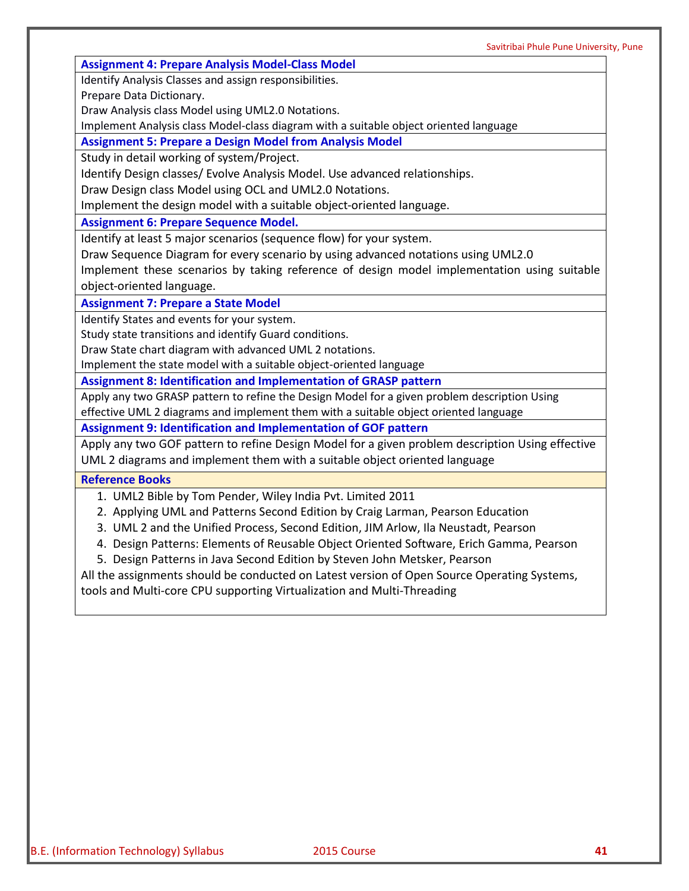#### **Assignment 4: Prepare Analysis Model-Class Model**

Identify Analysis Classes and assign responsibilities.

Prepare Data Dictionary.

Draw Analysis class Model using UML2.0 Notations.

Implement Analysis class Model-class diagram with a suitable object oriented language

**Assignment 5: Prepare a Design Model from Analysis Model**

Study in detail working of system/Project.

Identify Design classes/ Evolve Analysis Model. Use advanced relationships.

Draw Design class Model using OCL and UML2.0 Notations.

Implement the design model with a suitable object-oriented language.

**Assignment 6: Prepare Sequence Model.**

Identify at least 5 major scenarios (sequence flow) for your system.

Draw Sequence Diagram for every scenario by using advanced notations using UML2.0

Implement these scenarios by taking reference of design model implementation using suitable object-oriented language.

#### **Assignment 7: Prepare a State Model**

Identify States and events for your system.

Study state transitions and identify Guard conditions.

Draw State chart diagram with advanced UML 2 notations.

Implement the state model with a suitable object-oriented language

**Assignment 8: Identification and Implementation of GRASP pattern**

Apply any two GRASP pattern to refine the Design Model for a given problem description Using

effective UML 2 diagrams and implement them with a suitable object oriented language

**Assignment 9: Identification and Implementation of GOF pattern**

Apply any two GOF pattern to refine Design Model for a given problem description Using effective UML 2 diagrams and implement them with a suitable object oriented language

#### **Reference Books**

1. UML2 Bible by Tom Pender, Wiley India Pvt. Limited 2011

- 2. Applying UML and Patterns Second Edition by Craig Larman, Pearson Education
- 3. UML 2 and the Unified Process, Second Edition, JIM Arlow, Ila Neustadt, Pearson
- 4. Design Patterns: Elements of Reusable Object Oriented Software, Erich Gamma, Pearson
- 5. Design Patterns in Java Second Edition by Steven John Metsker, Pearson

All the assignments should be conducted on Latest version of Open Source Operating Systems, tools and Multi-core CPU supporting Virtualization and Multi-Threading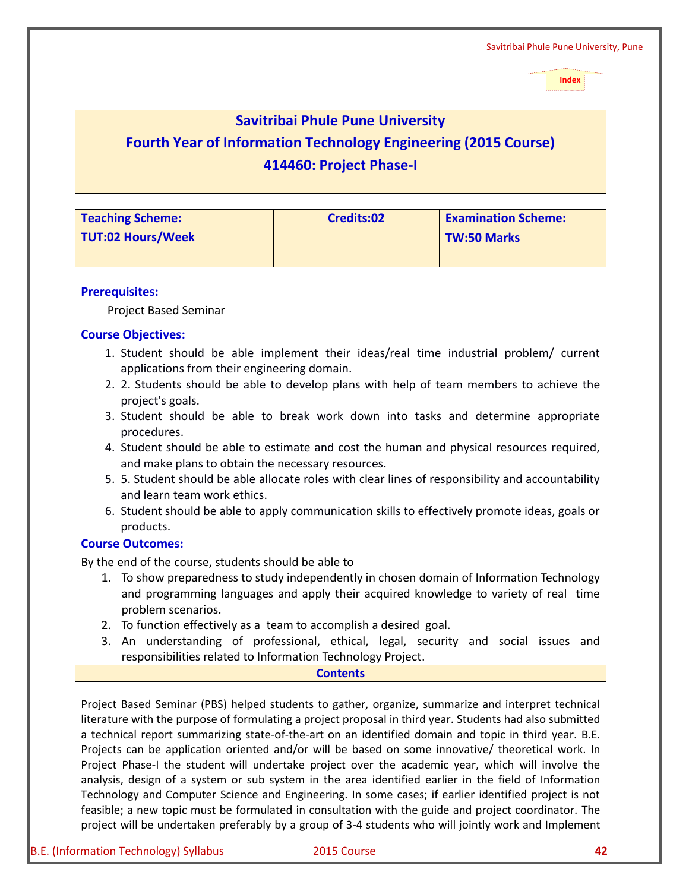| <b>Savitribai Phule Pune University</b><br><b>Fourth Year of Information Technology Engineering (2015 Course)</b><br>414460: Project Phase-I                                                                                                                                                                                                                                                                                                                                                                                                                                                                                                                                                                                                                                                                                                                                                                                                                        |                                                                                                                                                                                                                                               |                            |  |
|---------------------------------------------------------------------------------------------------------------------------------------------------------------------------------------------------------------------------------------------------------------------------------------------------------------------------------------------------------------------------------------------------------------------------------------------------------------------------------------------------------------------------------------------------------------------------------------------------------------------------------------------------------------------------------------------------------------------------------------------------------------------------------------------------------------------------------------------------------------------------------------------------------------------------------------------------------------------|-----------------------------------------------------------------------------------------------------------------------------------------------------------------------------------------------------------------------------------------------|----------------------------|--|
| <b>Teaching Scheme:</b>                                                                                                                                                                                                                                                                                                                                                                                                                                                                                                                                                                                                                                                                                                                                                                                                                                                                                                                                             | <b>Credits:02</b>                                                                                                                                                                                                                             | <b>Examination Scheme:</b> |  |
| <b>TUT:02 Hours/Week</b>                                                                                                                                                                                                                                                                                                                                                                                                                                                                                                                                                                                                                                                                                                                                                                                                                                                                                                                                            |                                                                                                                                                                                                                                               | <b>TW:50 Marks</b>         |  |
| <b>Prerequisites:</b><br><b>Project Based Seminar</b>                                                                                                                                                                                                                                                                                                                                                                                                                                                                                                                                                                                                                                                                                                                                                                                                                                                                                                               |                                                                                                                                                                                                                                               |                            |  |
| <b>Course Objectives:</b><br>1. Student should be able implement their ideas/real time industrial problem/ current<br>applications from their engineering domain.<br>2. 2. Students should be able to develop plans with help of team members to achieve the<br>project's goals.<br>3. Student should be able to break work down into tasks and determine appropriate<br>procedures.<br>4. Student should be able to estimate and cost the human and physical resources required,<br>and make plans to obtain the necessary resources.<br>5. 5. Student should be able allocate roles with clear lines of responsibility and accountability<br>and learn team work ethics.<br>6. Student should be able to apply communication skills to effectively promote ideas, goals or<br>products.                                                                                                                                                                           |                                                                                                                                                                                                                                               |                            |  |
| <b>Course Outcomes:</b><br>By the end of the course, students should be able to<br>1.<br>problem scenarios.<br>2. To function effectively as a team to accomplish a desired goal.<br>3. An understanding of professional, ethical, legal, security and social issues and                                                                                                                                                                                                                                                                                                                                                                                                                                                                                                                                                                                                                                                                                            | To show preparedness to study independently in chosen domain of Information Technology<br>and programming languages and apply their acquired knowledge to variety of real time<br>responsibilities related to Information Technology Project. |                            |  |
|                                                                                                                                                                                                                                                                                                                                                                                                                                                                                                                                                                                                                                                                                                                                                                                                                                                                                                                                                                     | <b>Contents</b>                                                                                                                                                                                                                               |                            |  |
| Project Based Seminar (PBS) helped students to gather, organize, summarize and interpret technical<br>literature with the purpose of formulating a project proposal in third year. Students had also submitted<br>a technical report summarizing state-of-the-art on an identified domain and topic in third year. B.E.<br>Projects can be application oriented and/or will be based on some innovative/ theoretical work. In<br>Project Phase-I the student will undertake project over the academic year, which will involve the<br>analysis, design of a system or sub system in the area identified earlier in the field of Information<br>Technology and Computer Science and Engineering. In some cases; if earlier identified project is not<br>feasible; a new topic must be formulated in consultation with the guide and project coordinator. The<br>project will be undertaken preferably by a group of 3-4 students who will jointly work and Implement |                                                                                                                                                                                                                                               |                            |  |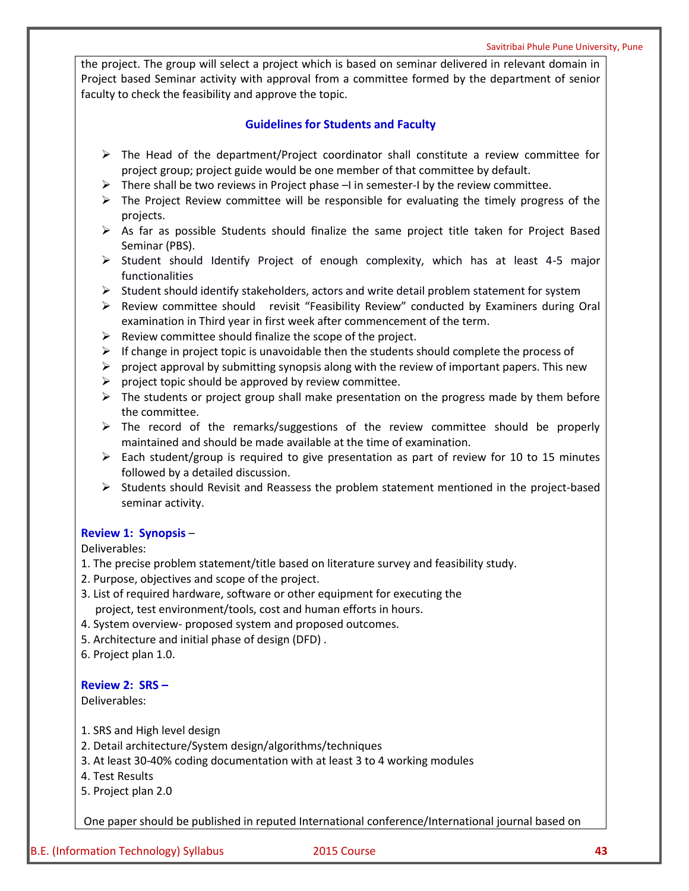the project. The group will select a project which is based on seminar delivered in relevant domain in Project based Seminar activity with approval from a committee formed by the department of senior faculty to check the feasibility and approve the topic.

## **Guidelines for Students and Faculty**

- $\triangleright$  The Head of the department/Project coordinator shall constitute a review committee for project group; project guide would be one member of that committee by default.
- $\triangleright$  There shall be two reviews in Project phase –I in semester-I by the review committee.
- $\triangleright$  The Project Review committee will be responsible for evaluating the timely progress of the projects.
- $\triangleright$  As far as possible Students should finalize the same project title taken for Project Based Seminar (PBS).
- $\triangleright$  Student should Identify Project of enough complexity, which has at least 4-5 major functionalities
- $\triangleright$  Student should identify stakeholders, actors and write detail problem statement for system
- $\triangleright$  Review committee should revisit "Feasibility Review" conducted by Examiners during Oral examination in Third year in first week after commencement of the term.
- $\triangleright$  Review committee should finalize the scope of the project.
- $\triangleright$  If change in project topic is unavoidable then the students should complete the process of
- $\triangleright$  project approval by submitting synopsis along with the review of important papers. This new
- $\triangleright$  project topic should be approved by review committee.
- $\triangleright$  The students or project group shall make presentation on the progress made by them before the committee.
- $\triangleright$  The record of the remarks/suggestions of the review committee should be properly maintained and should be made available at the time of examination.
- $\triangleright$  Each student/group is required to give presentation as part of review for 10 to 15 minutes followed by a detailed discussion.
- $\triangleright$  Students should Revisit and Reassess the problem statement mentioned in the project-based seminar activity.

## **Review 1: Synopsis** –

Deliverables:

- 1. The precise problem statement/title based on literature survey and feasibility study.
- 2. Purpose, objectives and scope of the project.
- 3. List of required hardware, software or other equipment for executing the project, test environment/tools, cost and human efforts in hours.
- 4. System overview- proposed system and proposed outcomes.
- 5. Architecture and initial phase of design (DFD) .
- 6. Project plan 1.0.

**Review 2: SRS –**

Deliverables:

- 1. SRS and High level design
- 2. Detail architecture/System design/algorithms/techniques
- 3. At least 30-40% coding documentation with at least 3 to 4 working modules
- 4. Test Results
- 5. Project plan 2.0

One paper should be published in reputed International conference/International journal based on

B.E. (Information Technology) Syllabus 2015 Course **43**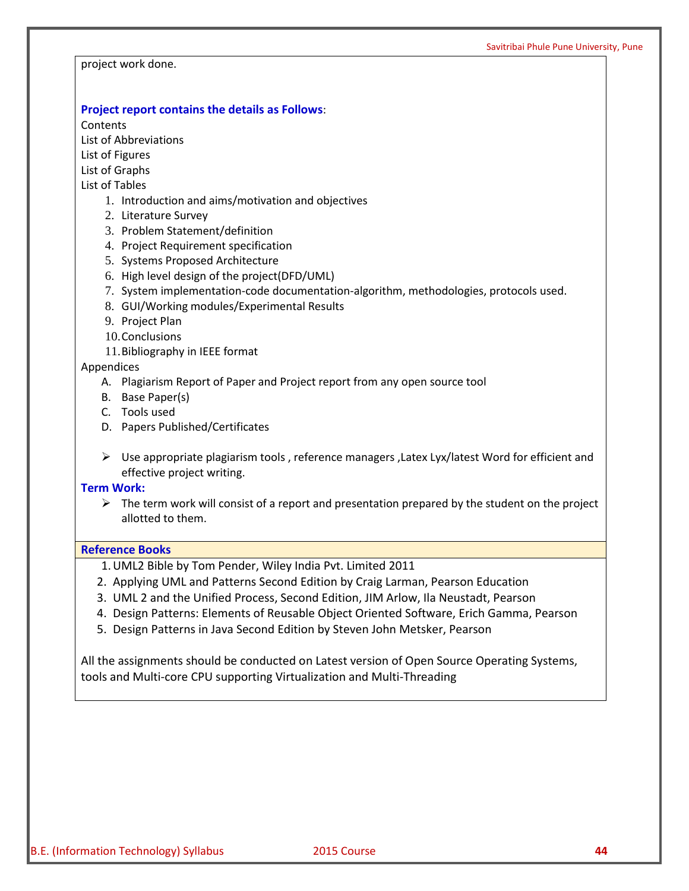project work done.

#### **Project report contains the details as Follows**:

**Contents** 

List of Abbreviations

List of Figures

List of Graphs

List of Tables

- 1. Introduction and aims/motivation and objectives
- 2. Literature Survey
- 3. Problem Statement/definition
- 4. Project Requirement specification
- 5. Systems Proposed Architecture
- 6. High level design of the project(DFD/UML)
- 7. System implementation-code documentation-algorithm, methodologies, protocols used.
- 8. GUI/Working modules/Experimental Results
- 9. Project Plan
- 10.Conclusions
- 11.Bibliography in IEEE format

Appendices

- A. Plagiarism Report of Paper and Project report from any open source tool
- B. Base Paper(s)
- C. Tools used
- D. Papers Published/Certificates
- $\triangleright$  Use appropriate plagiarism tools, reference managers, Latex Lyx/latest Word for efficient and effective project writing.

## **Term Work:**

 $\triangleright$  The term work will consist of a report and presentation prepared by the student on the project allotted to them.

## **Reference Books**

- 1.UML2 Bible by Tom Pender, Wiley India Pvt. Limited 2011
- 2. Applying UML and Patterns Second Edition by Craig Larman, Pearson Education
- 3. UML 2 and the Unified Process, Second Edition, JIM Arlow, Ila Neustadt, Pearson
- 4. Design Patterns: Elements of Reusable Object Oriented Software, Erich Gamma, Pearson
- 5. Design Patterns in Java Second Edition by Steven John Metsker, Pearson

All the assignments should be conducted on Latest version of Open Source Operating Systems, tools and Multi-core CPU supporting Virtualization and Multi-Threading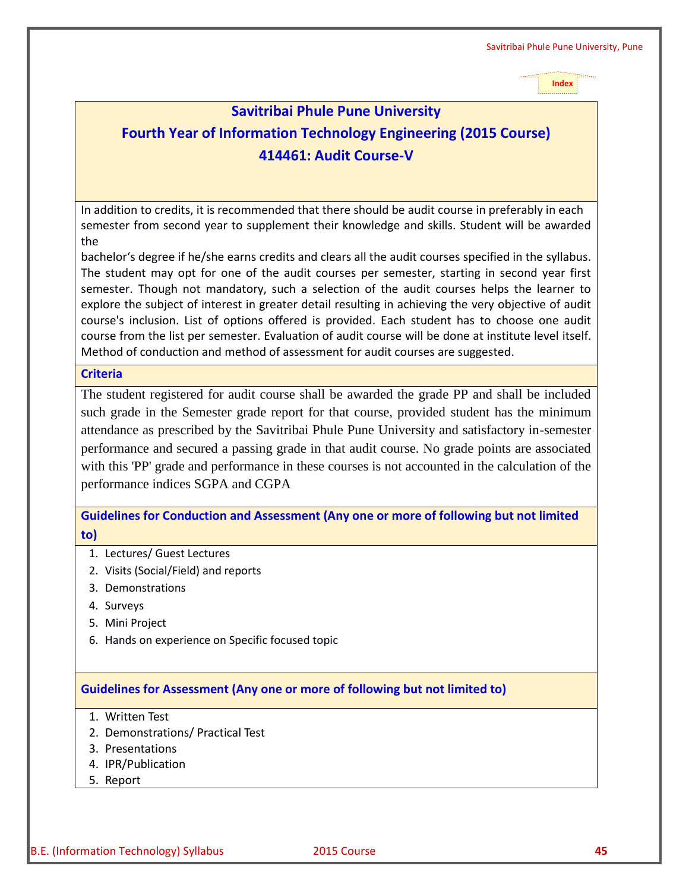## **Savitribai Phule Pune University**

## **Fourth Year of Information Technology Engineering (2015 Course) 414461: Audit Course-V**

In addition to credits, it is recommended that there should be audit course in preferably in each semester from second year to supplement their knowledge and skills. Student will be awarded the

bachelor's degree if he/she earns credits and clears all the audit courses specified in the syllabus. The student may opt for one of the audit courses per semester, starting in second year first semester. Though not mandatory, such a selection of the audit courses helps the learner to explore the subject of interest in greater detail resulting in achieving the very objective of audit course's inclusion. List of options offered is provided. Each student has to choose one audit course from the list per semester. Evaluation of audit course will be done at institute level itself. Method of conduction and method of assessment for audit courses are suggested.

## **Criteria**

The student registered for audit course shall be awarded the grade PP and shall be included such grade in the Semester grade report for that course, provided student has the minimum attendance as prescribed by the Savitribai Phule Pune University and satisfactory in-semester performance and secured a passing grade in that audit course. No grade points are associated with this 'PP' grade and performance in these courses is not accounted in the calculation of the performance indices SGPA and CGPA

**Guidelines for Conduction and Assessment (Any one or more of following but not limited to)**

- 1. Lectures/ Guest Lectures
- 2. Visits (Social/Field) and reports
- 3. Demonstrations
- 4. Surveys
- 5. Mini Project
- 6. Hands on experience on Specific focused topic

## **Guidelines for Assessment (Any one or more of following but not limited to)**

- 1. Written Test
- 2. Demonstrations/ Practical Test
- 3. Presentations
- 4. IPR/Publication
- 5. Report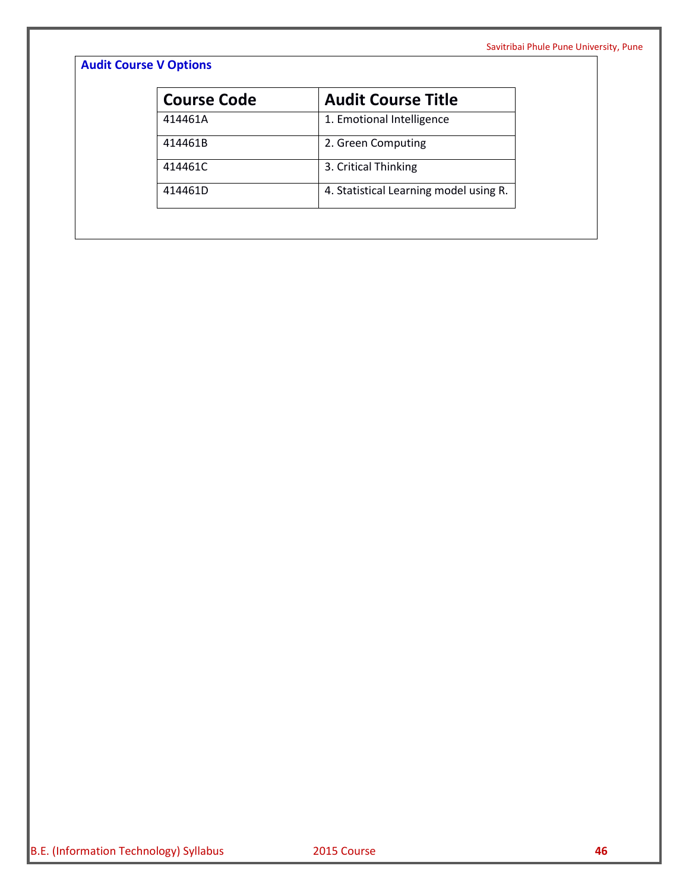## **Audit Course V Options**

| <b>Course Code</b> | <b>Audit Course Title</b>              |
|--------------------|----------------------------------------|
| 414461A            | 1. Emotional Intelligence              |
| 414461B            | 2. Green Computing                     |
| 414461C            | 3. Critical Thinking                   |
| 414461D            | 4. Statistical Learning model using R. |
|                    |                                        |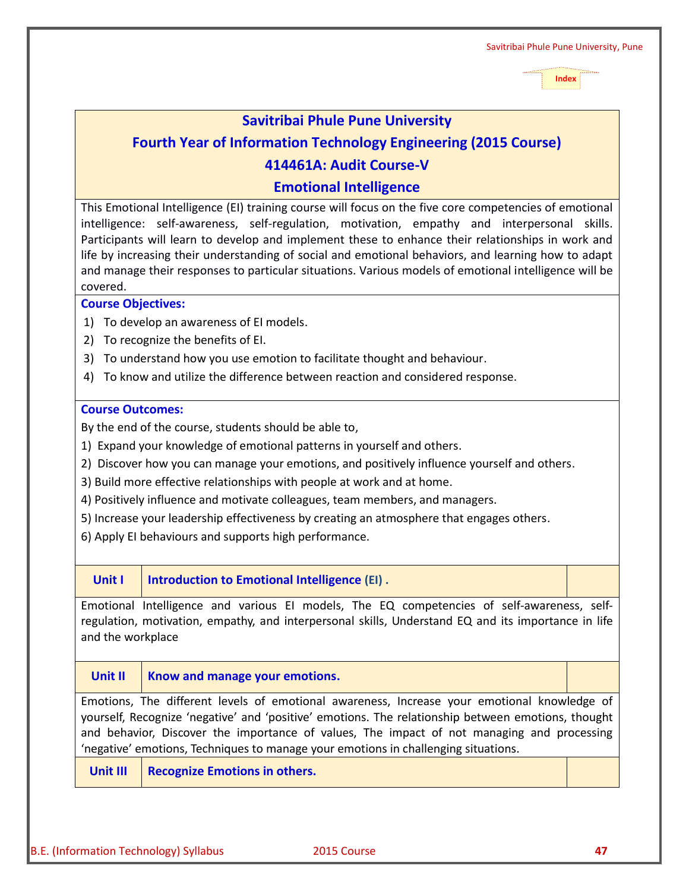## **Savitribai Phule Pune University**

## **Fourth Year of Information Technology Engineering (2015 Course)**

## **414461A: Audit Course-V**

**Emotional Intelligence**

This Emotional Intelligence (EI) training course will focus on the five core competencies of emotional intelligence: self-awareness, self-regulation, motivation, empathy and interpersonal skills. Participants will learn to develop and implement these to enhance their relationships in work and life by increasing their understanding of social and emotional behaviors, and learning how to adapt and manage their responses to particular situations. Various models of emotional intelligence will be covered.

#### **Course Objectives:**

- 1) To develop an awareness of EI models.
- 2) To recognize the benefits of EI.
- 3) To understand how you use emotion to facilitate thought and behaviour.
- 4) To know and utilize the difference between reaction and considered response.

## **Course Outcomes:**

By the end of the course, students should be able to,

- 1) Expand your knowledge of emotional patterns in yourself and others.
- 2) Discover how you can manage your emotions, and positively influence yourself and others.
- 3) Build more effective relationships with people at work and at home.
- 4) Positively influence and motivate colleagues, team members, and managers.
- 5) Increase your leadership effectiveness by creating an atmosphere that engages others.
- 6) Apply EI behaviours and supports high performance.

## **Unit I Introduction to Emotional Intelligence (EI) .**

Emotional Intelligence and various EI models, The EQ competencies of self-awareness, selfregulation, motivation, empathy, and interpersonal skills, Understand EQ and its importance in life and the workplace

## **Unit II Know and manage your emotions.**

Emotions, The different levels of emotional awareness, Increase your emotional knowledge of yourself, Recognize 'negative' and 'positive' emotions. The relationship between emotions, thought and behavior, Discover the importance of values, The impact of not managing and processing 'negative' emotions, Techniques to manage your emotions in challenging situations.

## **Unit III Recognize Emotions in others.**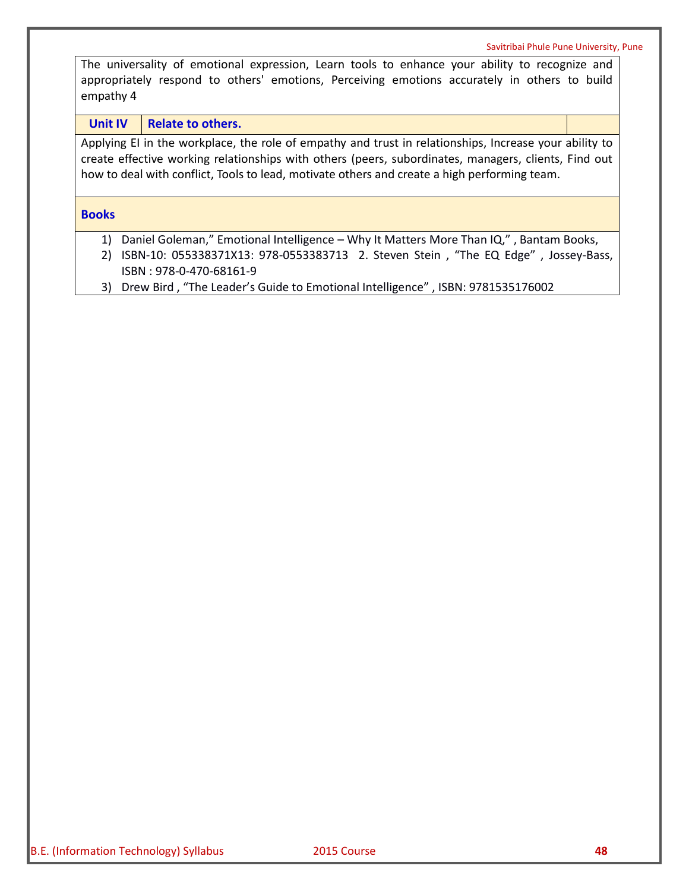Savitribai Phule Pune University, Pune

The universality of emotional expression, Learn tools to enhance your ability to recognize and appropriately respond to others' emotions, Perceiving emotions accurately in others to build empathy 4

Unit IV **Relate to others.** 

Applying EI in the workplace, the role of empathy and trust in relationships, Increase your ability to create effective working relationships with others (peers, subordinates, managers, clients, Find out how to deal with conflict, Tools to lead, motivate others and create a high performing team.

#### **Books**

- 1) Daniel Goleman," Emotional Intelligence Why It Matters More Than IQ," , Bantam Books,
- 2) ISBN-10: 055338371X13: 978-0553383713 2. Steven Stein , "The EQ Edge" , Jossey-Bass, ISBN : 978-0-470-68161-9
- 3) Drew Bird , "The Leader's Guide to Emotional Intelligence" , ISBN: 9781535176002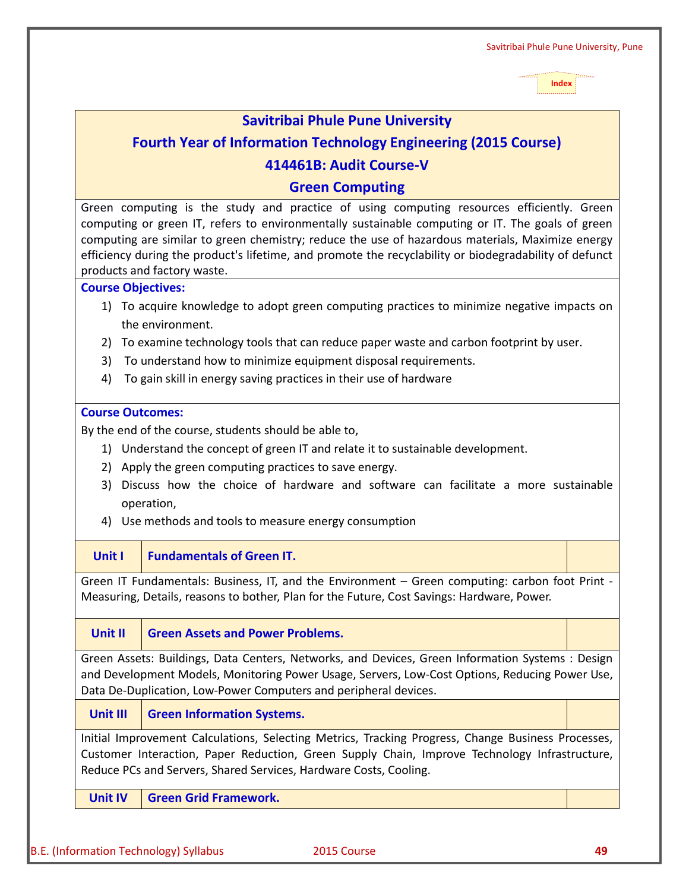## **Savitribai Phule Pune University**

## **Fourth Year of Information Technology Engineering (2015 Course)**

## **414461B: Audit Course-V**

## **Green Computing**

Green computing is the study and practice of using computing resources efficiently. Green computing or green IT, refers to environmentally sustainable computing or IT. The goals of green computing are similar to green chemistry; reduce the use of hazardous materials, Maximize energy efficiency during the product's lifetime, and promote the recyclability or biodegradability of defunct products and factory waste.

## **Course Objectives:**

- 1) To acquire knowledge to adopt green computing practices to minimize negative impacts on the environment.
- 2) To examine technology tools that can reduce paper waste and carbon footprint by user.
- 3) To understand how to minimize equipment disposal requirements.
- 4) To gain skill in energy saving practices in their use of hardware

## **Course Outcomes:**

By the end of the course, students should be able to,

- 1) Understand the concept of green IT and relate it to sustainable development.
- 2) Apply the green computing practices to save energy.
- 3) Discuss how the choice of hardware and software can facilitate a more sustainable operation,
- 4) Use methods and tools to measure energy consumption

## **Unit I Fundamentals of Green IT.**

Green IT Fundamentals: Business, IT, and the Environment – Green computing: carbon foot Print - Measuring, Details, reasons to bother, Plan for the Future, Cost Savings: Hardware, Power.

## **Unit II Green Assets and Power Problems.**

Green Assets: Buildings, Data Centers, Networks, and Devices, Green Information Systems : Design and Development Models, Monitoring Power Usage, Servers, Low-Cost Options, Reducing Power Use, Data De-Duplication, Low-Power Computers and peripheral devices.

## **Unit III Green Information Systems.**

Initial Improvement Calculations, Selecting Metrics, Tracking Progress, Change Business Processes, Customer Interaction, Paper Reduction, Green Supply Chain, Improve Technology Infrastructure, Reduce PCs and Servers, Shared Services, Hardware Costs, Cooling.

## **Unit IV Green Grid Framework.**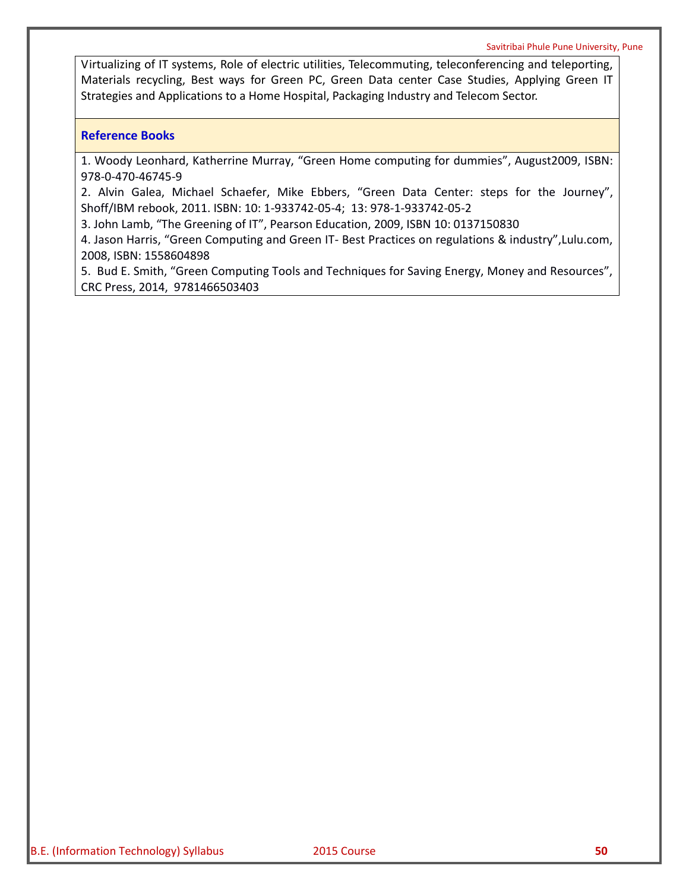Virtualizing of IT systems, Role of electric utilities, Telecommuting, teleconferencing and teleporting, Materials recycling, Best ways for Green PC, Green Data center Case Studies, Applying Green IT Strategies and Applications to a Home Hospital, Packaging Industry and Telecom Sector.

#### **Reference Books**

1. Woody Leonhard, Katherrine Murray, "Green Home computing for dummies", August2009, ISBN: 978-0-470-46745-9

2. Alvin Galea, Michael Schaefer, Mike Ebbers, "Green Data Center: steps for the Journey", Shoff/IBM rebook, 2011. ISBN: 10: 1-933742-05-4; 13: 978-1-933742-05-2

3. John Lamb, "The Greening of IT", Pearson Education, 2009, ISBN 10: 0137150830

4. Jason Harris, "Green Computing and Green IT- Best Practices on regulations & industry",Lulu.com, 2008, ISBN: 1558604898

5. Bud E. Smith, "Green Computing Tools and Techniques for Saving Energy, Money and Resources", CRC Press, 2014, 9781466503403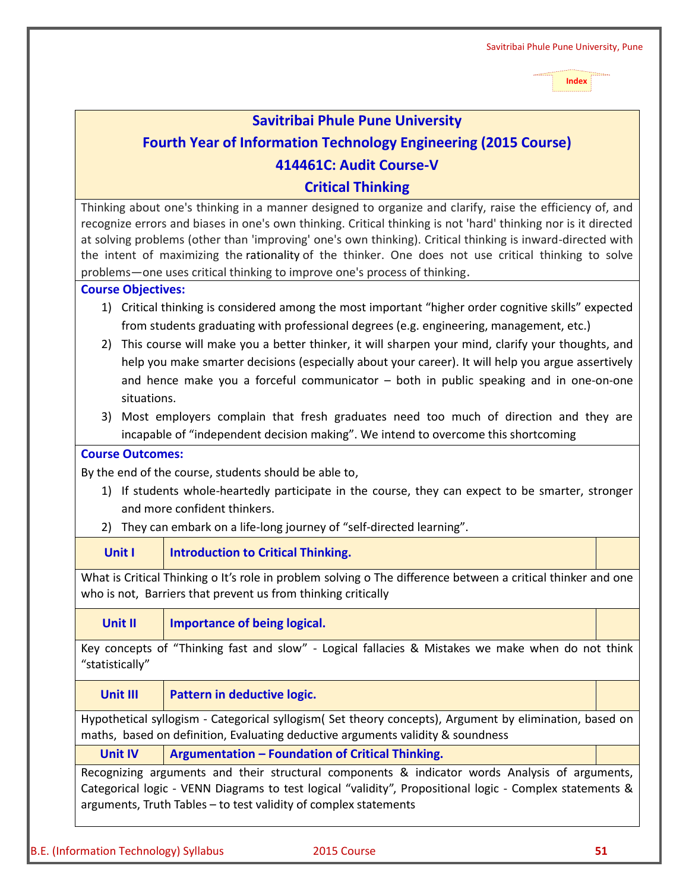## **Savitribai Phule Pune University**

## **Fourth Year of Information Technology Engineering (2015 Course)**

## **414461C: Audit Course-V**

## **Critical Thinking**

Thinking about one's thinking in a manner designed to organize and clarify, raise the efficiency of, and recognize errors and biases in one's own thinking. Critical thinking is not 'hard' thinking nor is it directed at solving problems (other than 'improving' one's own thinking). Critical thinking is inward-directed with the intent of maximizing the [rationality](https://en.wikipedia.org/wiki/Rationality) of the thinker. One does not use critical thinking to solve problems—one uses critical thinking to improve one's process of thinking.

## **Course Objectives:**

- 1) Critical thinking is considered among the most important "higher order cognitive skills" expected from students graduating with professional degrees (e.g. engineering, management, etc.)
- 2) This course will make you a better thinker, it will sharpen your mind, clarify your thoughts, and help you make smarter decisions (especially about your career). It will help you argue assertively and hence make you a forceful communicator – both in public speaking and in one-on-one situations.
- 3) Most employers complain that fresh graduates need too much of direction and they are incapable of "independent decision making". We intend to overcome this shortcoming

## **Course Outcomes:**

By the end of the course, students should be able to,

- 1) If students whole-heartedly participate in the course, they can expect to be smarter, stronger and more confident thinkers.
- 2) They can embark on a life-long journey of "self-directed learning".

| Unit I                                                                                                                                                                        | <b>Introduction to Critical Thinking.</b>                                                                                                                                                  |  |  |  |
|-------------------------------------------------------------------------------------------------------------------------------------------------------------------------------|--------------------------------------------------------------------------------------------------------------------------------------------------------------------------------------------|--|--|--|
| What is Critical Thinking o It's role in problem solving o The difference between a critical thinker and one<br>who is not, Barriers that prevent us from thinking critically |                                                                                                                                                                                            |  |  |  |
| <b>Unit II</b>                                                                                                                                                                | Importance of being logical.                                                                                                                                                               |  |  |  |
| "statistically"                                                                                                                                                               | Key concepts of "Thinking fast and slow" - Logical fallacies & Mistakes we make when do not think                                                                                          |  |  |  |
|                                                                                                                                                                               |                                                                                                                                                                                            |  |  |  |
| <b>Unit III</b>                                                                                                                                                               | Pattern in deductive logic.                                                                                                                                                                |  |  |  |
|                                                                                                                                                                               | Hypothetical syllogism - Categorical syllogism (Set theory concepts), Argument by elimination, based on<br>maths, based on definition, Evaluating deductive arguments validity & soundness |  |  |  |
| Unit IV                                                                                                                                                                       | Argumentation - Foundation of Critical Thinking.                                                                                                                                           |  |  |  |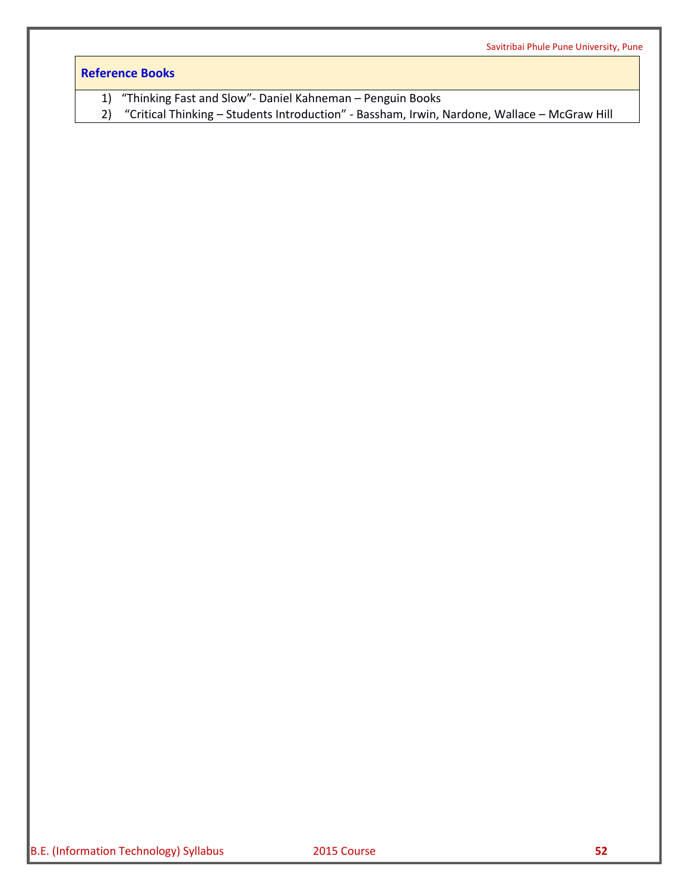# **Reference Books**

- 1) "Thinking Fast and Slow"- Daniel Kahneman Penguin Books
- 2) "Critical Thinking Students Introduction" Bassham, Irwin, Nardone, Wallace McGraw Hill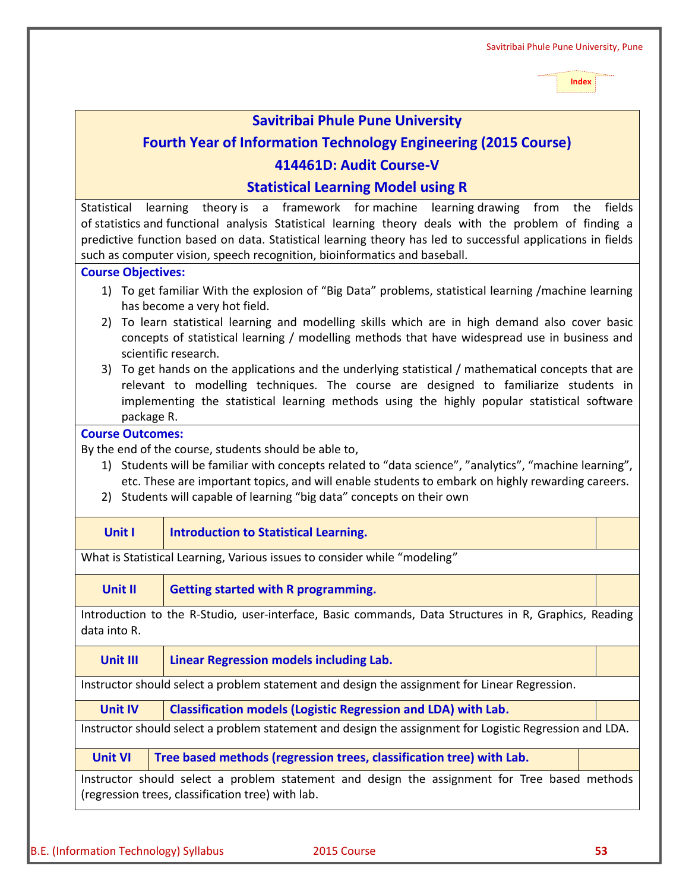## **Fourth Year of Information Technology Engineering (2015 Course)**

## **414461D: Audit Course-V**

## **Statistical Learning Model using R**

Statistical learning theory is a framework for [machine learning](https://en.wikipedia.org/wiki/Machine_learning) drawing from the fields of [statistics](https://en.wikipedia.org/wiki/Statistics) and [functional analysis](https://en.wikipedia.org/wiki/Functional_analysis) Statistical learning theory deals with the problem of finding a predictive function based on data. Statistical learning theory has led to successful applications in fields such as [computer vision,](https://en.wikipedia.org/wiki/Computer_vision) [speech recognition,](https://en.wikipedia.org/wiki/Speech_recognition) [bioinformatics](https://en.wikipedia.org/wiki/Bioinformatics) and [baseball.](https://en.wikipedia.org/wiki/Baseball)

## **Course Objectives:**

- 1) To get familiar With the explosion of "Big Data" problems, statistical learning /machine learning has become a very hot field.
- 2) To learn statistical learning and modelling skills which are in high demand also cover basic concepts of statistical learning / modelling methods that have widespread use in business and scientific research.
- 3) To get hands on the applications and the underlying statistical / mathematical concepts that are relevant to modelling techniques. The course are designed to familiarize students in implementing the statistical learning methods using the highly popular statistical software package R.

## **Course Outcomes:**

By the end of the course, students should be able to,

- 1) Students will be familiar with concepts related to "data science", "analytics", "machine learning", etc. These are important topics, and will enable students to embark on highly rewarding careers.
- 2) Students will capable of learning "big data" concepts on their own
- 

**Unit I Introduction to Statistical Learning.**

What is Statistical Learning, Various issues to consider while "modeling"

| <b>Unit II</b> | Getting started with R programming. |
|----------------|-------------------------------------|
|                |                                     |

Introduction to the R-Studio, user-interface, Basic commands, Data Structures in R, Graphics, Reading data into R.

**Unit III Linear Regression models including Lab.**

Instructor should select a problem statement and design the assignment for Linear Regression.

**Unit IV Classification models (Logistic Regression and LDA) with Lab.**

Instructor should select a problem statement and design the assignment for Logistic Regression and LDA.

**Unit VI Tree based methods (regression trees, classification tree) with Lab.**

Instructor should select a problem statement and design the assignment for Tree based methods (regression trees, classification tree) with lab.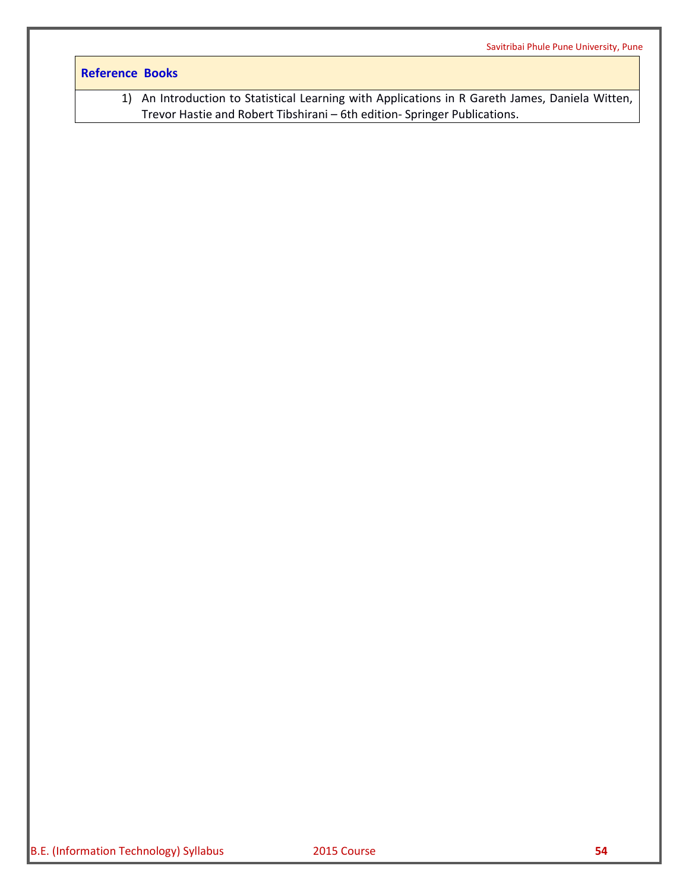# **Reference Books**

1) An Introduction to Statistical Learning with Applications in R Gareth James, Daniela Witten, Trevor Hastie and Robert Tibshirani – 6th edition- Springer Publications.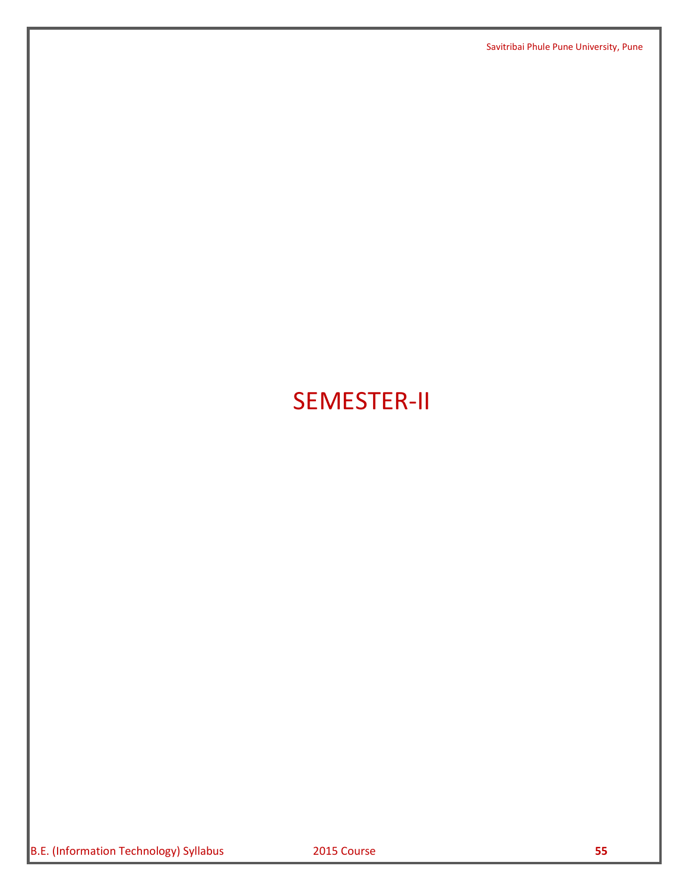# SEMESTER-II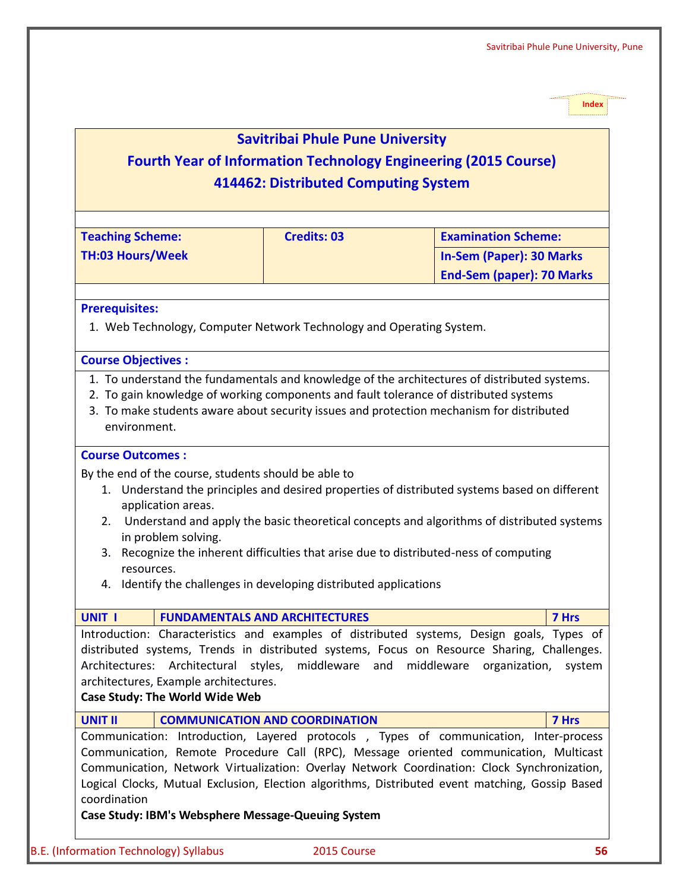## **Savitribai Phule Pune University Fourth Year of Information Technology Engineering (2015 Course) 414462: Distributed Computing System**

| <b>Teaching Scheme:</b>                                                                              | <b>Credits: 03</b>                                                                        | <b>Examination Scheme:</b>       |        |  |
|------------------------------------------------------------------------------------------------------|-------------------------------------------------------------------------------------------|----------------------------------|--------|--|
| <b>TH:03 Hours/Week</b>                                                                              |                                                                                           | In-Sem (Paper): 30 Marks         |        |  |
|                                                                                                      |                                                                                           | <b>End-Sem (paper): 70 Marks</b> |        |  |
|                                                                                                      |                                                                                           |                                  |        |  |
| <b>Prerequisites:</b>                                                                                |                                                                                           |                                  |        |  |
| 1. Web Technology, Computer Network Technology and Operating System.                                 |                                                                                           |                                  |        |  |
| <b>Course Objectives:</b>                                                                            |                                                                                           |                                  |        |  |
| 1. To understand the fundamentals and knowledge of the architectures of distributed systems.         |                                                                                           |                                  |        |  |
| 2. To gain knowledge of working components and fault tolerance of distributed systems                |                                                                                           |                                  |        |  |
| 3. To make students aware about security issues and protection mechanism for distributed             |                                                                                           |                                  |        |  |
| environment.                                                                                         |                                                                                           |                                  |        |  |
|                                                                                                      |                                                                                           |                                  |        |  |
| <b>Course Outcomes:</b>                                                                              |                                                                                           |                                  |        |  |
| By the end of the course, students should be able to                                                 |                                                                                           |                                  |        |  |
| 1. Understand the principles and desired properties of distributed systems based on different        |                                                                                           |                                  |        |  |
| application areas.                                                                                   |                                                                                           |                                  |        |  |
| 2.                                                                                                   | Understand and apply the basic theoretical concepts and algorithms of distributed systems |                                  |        |  |
| in problem solving.                                                                                  |                                                                                           |                                  |        |  |
| 3. Recognize the inherent difficulties that arise due to distributed-ness of computing<br>resources. |                                                                                           |                                  |        |  |
| 4. Identify the challenges in developing distributed applications                                    |                                                                                           |                                  |        |  |
|                                                                                                      |                                                                                           |                                  |        |  |
| <b>UNIT I</b>                                                                                        | <b>FUNDAMENTALS AND ARCHITECTURES</b>                                                     |                                  | 7 Hrs  |  |
| Introduction: Characteristics and examples of distributed systems, Design goals, Types of            |                                                                                           |                                  |        |  |
| distributed systems, Trends in distributed systems, Focus on Resource Sharing, Challenges.           |                                                                                           |                                  |        |  |
| Architectures: Architectural                                                                         | styles,<br>middleware<br>and                                                              | middleware<br>organization,      | system |  |
| architectures, Example architectures.                                                                |                                                                                           |                                  |        |  |
| <b>Case Study: The World Wide Web</b>                                                                |                                                                                           |                                  |        |  |
| <b>UNIT II</b>                                                                                       | <b>COMMUNICATION AND COORDINATION</b>                                                     |                                  | 7 Hrs  |  |
| Communication: Introduction, Layered protocols, Types of communication, Inter-process                |                                                                                           |                                  |        |  |
| Communication, Remote Procedure Call (RPC), Message oriented communication, Multicast                |                                                                                           |                                  |        |  |
| Communication, Network Virtualization: Overlay Network Coordination: Clock Synchronization,          |                                                                                           |                                  |        |  |
| Logical Clocks, Mutual Exclusion, Election algorithms, Distributed event matching, Gossip Based      |                                                                                           |                                  |        |  |
| coordination                                                                                         |                                                                                           |                                  |        |  |

**Case Study: IBM's Websphere Message-Queuing System**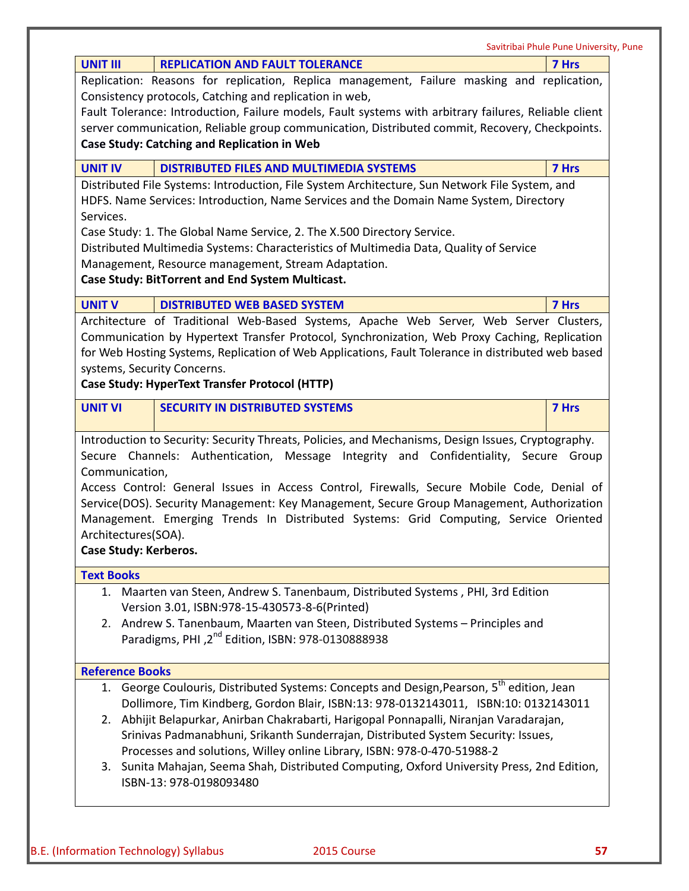| <b>UNIT III</b>                                                | <b>REPLICATION AND FAULT TOLERANCE</b>                                                                                                                                                                                                                                                                                                                                                                                                                                        | 7 Hrs |
|----------------------------------------------------------------|-------------------------------------------------------------------------------------------------------------------------------------------------------------------------------------------------------------------------------------------------------------------------------------------------------------------------------------------------------------------------------------------------------------------------------------------------------------------------------|-------|
|                                                                | Replication: Reasons for replication, Replica management, Failure masking and replication,<br>Consistency protocols, Catching and replication in web,<br>Fault Tolerance: Introduction, Failure models, Fault systems with arbitrary failures, Reliable client<br>server communication, Reliable group communication, Distributed commit, Recovery, Checkpoints.<br><b>Case Study: Catching and Replication in Web</b>                                                        |       |
| <b>UNIT IV</b>                                                 | DISTRIBUTED FILES AND MULTIMEDIA SYSTEMS                                                                                                                                                                                                                                                                                                                                                                                                                                      | 7 Hrs |
|                                                                | Distributed File Systems: Introduction, File System Architecture, Sun Network File System, and                                                                                                                                                                                                                                                                                                                                                                                |       |
|                                                                | HDFS. Name Services: Introduction, Name Services and the Domain Name System, Directory                                                                                                                                                                                                                                                                                                                                                                                        |       |
| Services.                                                      |                                                                                                                                                                                                                                                                                                                                                                                                                                                                               |       |
|                                                                | Case Study: 1. The Global Name Service, 2. The X.500 Directory Service.                                                                                                                                                                                                                                                                                                                                                                                                       |       |
|                                                                | Distributed Multimedia Systems: Characteristics of Multimedia Data, Quality of Service                                                                                                                                                                                                                                                                                                                                                                                        |       |
|                                                                | Management, Resource management, Stream Adaptation.                                                                                                                                                                                                                                                                                                                                                                                                                           |       |
|                                                                | Case Study: BitTorrent and End System Multicast.                                                                                                                                                                                                                                                                                                                                                                                                                              |       |
| <b>UNIT V</b>                                                  | <b>DISTRIBUTED WEB BASED SYSTEM</b>                                                                                                                                                                                                                                                                                                                                                                                                                                           | 7 Hrs |
|                                                                | Architecture of Traditional Web-Based Systems, Apache Web Server, Web Server Clusters,                                                                                                                                                                                                                                                                                                                                                                                        |       |
|                                                                | Communication by Hypertext Transfer Protocol, Synchronization, Web Proxy Caching, Replication                                                                                                                                                                                                                                                                                                                                                                                 |       |
|                                                                | for Web Hosting Systems, Replication of Web Applications, Fault Tolerance in distributed web based                                                                                                                                                                                                                                                                                                                                                                            |       |
|                                                                |                                                                                                                                                                                                                                                                                                                                                                                                                                                                               |       |
|                                                                | systems, Security Concerns.                                                                                                                                                                                                                                                                                                                                                                                                                                                   |       |
|                                                                | Case Study: HyperText Transfer Protocol (HTTP)                                                                                                                                                                                                                                                                                                                                                                                                                                |       |
| <b>UNIT VI</b>                                                 | <b>SECURITY IN DISTRIBUTED SYSTEMS</b>                                                                                                                                                                                                                                                                                                                                                                                                                                        | 7 Hrs |
|                                                                |                                                                                                                                                                                                                                                                                                                                                                                                                                                                               |       |
| Communication,<br>Architectures(SOA).<br>Case Study: Kerberos. | Introduction to Security: Security Threats, Policies, and Mechanisms, Design Issues, Cryptography.<br>Secure Channels: Authentication, Message Integrity and Confidentiality, Secure Group<br>Access Control: General Issues in Access Control, Firewalls, Secure Mobile Code, Denial of<br>Service(DOS). Security Management: Key Management, Secure Group Management, Authorization<br>Management. Emerging Trends In Distributed Systems: Grid Computing, Service Oriented |       |
| <b>Text Books</b>                                              |                                                                                                                                                                                                                                                                                                                                                                                                                                                                               |       |
|                                                                | 1. Maarten van Steen, Andrew S. Tanenbaum, Distributed Systems, PHI, 3rd Edition                                                                                                                                                                                                                                                                                                                                                                                              |       |
|                                                                | Version 3.01, ISBN:978-15-430573-8-6(Printed)                                                                                                                                                                                                                                                                                                                                                                                                                                 |       |
|                                                                | 2. Andrew S. Tanenbaum, Maarten van Steen, Distributed Systems - Principles and                                                                                                                                                                                                                                                                                                                                                                                               |       |
|                                                                | Paradigms, PHI, 2 <sup>nd</sup> Edition, ISBN: 978-0130888938                                                                                                                                                                                                                                                                                                                                                                                                                 |       |
|                                                                |                                                                                                                                                                                                                                                                                                                                                                                                                                                                               |       |
| <b>Reference Books</b>                                         |                                                                                                                                                                                                                                                                                                                                                                                                                                                                               |       |
|                                                                | 1. George Coulouris, Distributed Systems: Concepts and Design, Pearson, 5 <sup>th</sup> edition, Jean                                                                                                                                                                                                                                                                                                                                                                         |       |
|                                                                | Dollimore, Tim Kindberg, Gordon Blair, ISBN:13: 978-0132143011, ISBN:10: 0132143011<br>2. Abhijit Belapurkar, Anirban Chakrabarti, Harigopal Ponnapalli, Niranjan Varadarajan,                                                                                                                                                                                                                                                                                                |       |
|                                                                | Srinivas Padmanabhuni, Srikanth Sunderrajan, Distributed System Security: Issues,                                                                                                                                                                                                                                                                                                                                                                                             |       |
|                                                                | Processes and solutions, Willey online Library, ISBN: 978-0-470-51988-2                                                                                                                                                                                                                                                                                                                                                                                                       |       |
|                                                                | 3. Sunita Mahajan, Seema Shah, Distributed Computing, Oxford University Press, 2nd Edition,                                                                                                                                                                                                                                                                                                                                                                                   |       |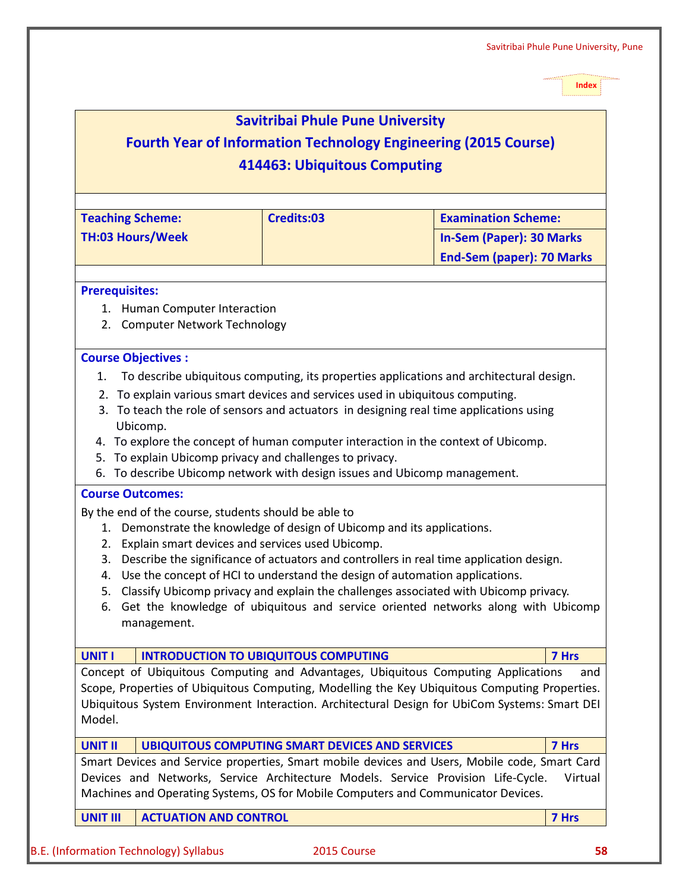| <b>Savitribai Phule Pune University</b><br><b>Fourth Year of Information Technology Engineering (2015 Course)</b><br><b>414463: Ubiquitous Computing</b>                                                                                                                                                                                                                                                                                                                                                                                                                                                       |                                                        |                                                                                                   |                  |  |
|----------------------------------------------------------------------------------------------------------------------------------------------------------------------------------------------------------------------------------------------------------------------------------------------------------------------------------------------------------------------------------------------------------------------------------------------------------------------------------------------------------------------------------------------------------------------------------------------------------------|--------------------------------------------------------|---------------------------------------------------------------------------------------------------|------------------|--|
| <b>Teaching Scheme:</b><br><b>TH:03 Hours/Week</b>                                                                                                                                                                                                                                                                                                                                                                                                                                                                                                                                                             | Credits:03                                             | <b>Examination Scheme:</b><br><b>In-Sem (Paper): 30 Marks</b><br><b>End-Sem (paper): 70 Marks</b> |                  |  |
| <b>Prerequisites:</b><br>1. Human Computer Interaction<br>2. Computer Network Technology                                                                                                                                                                                                                                                                                                                                                                                                                                                                                                                       |                                                        |                                                                                                   |                  |  |
| <b>Course Objectives:</b><br>To describe ubiquitous computing, its properties applications and architectural design.<br>1.<br>2. To explain various smart devices and services used in ubiquitous computing.<br>3. To teach the role of sensors and actuators in designing real time applications using<br>Ubicomp.<br>4. To explore the concept of human computer interaction in the context of Ubicomp.<br>To explain Ubicomp privacy and challenges to privacy.<br>5.<br>6. To describe Ubicomp network with design issues and Ubicomp management.                                                          |                                                        |                                                                                                   |                  |  |
| <b>Course Outcomes:</b><br>By the end of the course, students should be able to<br>1. Demonstrate the knowledge of design of Ubicomp and its applications.<br>Explain smart devices and services used Ubicomp.<br>2.<br>Describe the significance of actuators and controllers in real time application design.<br>3.<br>Use the concept of HCI to understand the design of automation applications.<br>4.<br>Classify Ubicomp privacy and explain the challenges associated with Ubicomp privacy.<br>5.<br>6. Get the knowledge of ubiquitous and service oriented networks along with Ubicomp<br>management. |                                                        |                                                                                                   |                  |  |
| <b>UNIT I</b><br><b>INTRODUCTION TO UBIQUITOUS COMPUTING</b><br>7 Hrs<br>Concept of Ubiquitous Computing and Advantages, Ubiquitous Computing Applications<br>and<br>Scope, Properties of Ubiquitous Computing, Modelling the Key Ubiquitous Computing Properties.<br>Ubiquitous System Environment Interaction. Architectural Design for UbiCom Systems: Smart DEI<br>Model.                                                                                                                                                                                                                                  |                                                        |                                                                                                   |                  |  |
| <b>UNIT II</b><br>Smart Devices and Service properties, Smart mobile devices and Users, Mobile code, Smart Card<br>Devices and Networks, Service Architecture Models. Service Provision Life-Cycle.<br>Machines and Operating Systems, OS for Mobile Computers and Communicator Devices.                                                                                                                                                                                                                                                                                                                       | <b>UBIQUITOUS COMPUTING SMART DEVICES AND SERVICES</b> |                                                                                                   | 7 Hrs<br>Virtual |  |
| <b>UNIT III</b><br><b>ACTUATION AND CONTROL</b>                                                                                                                                                                                                                                                                                                                                                                                                                                                                                                                                                                |                                                        |                                                                                                   | 7 Hrs            |  |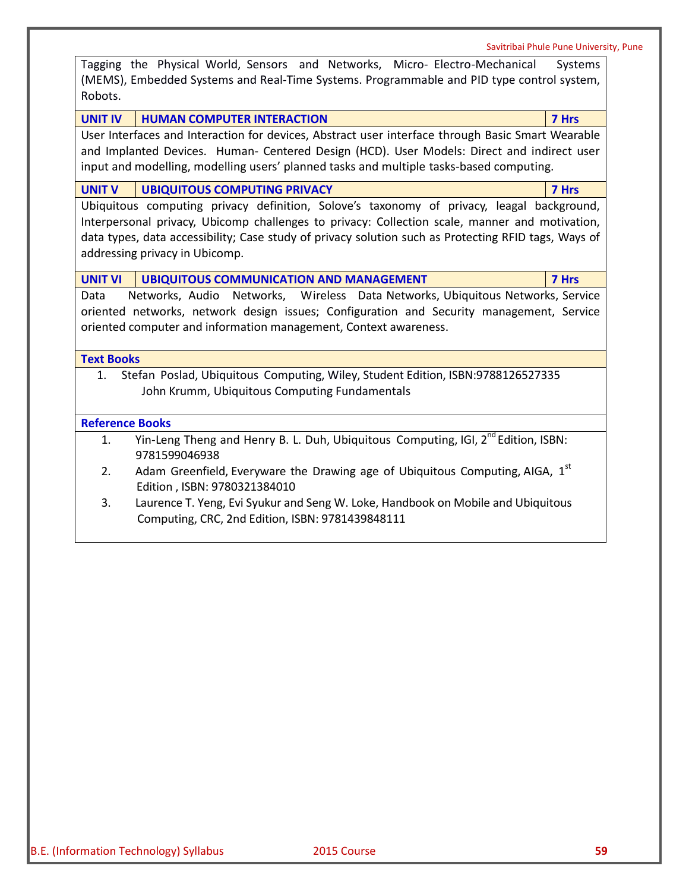|                        |                                                                                                                                                                                                                                                                                                                                       | Savitribai Phule Pune University, Pune |
|------------------------|---------------------------------------------------------------------------------------------------------------------------------------------------------------------------------------------------------------------------------------------------------------------------------------------------------------------------------------|----------------------------------------|
| Robots.                | Tagging the Physical World, Sensors and Networks, Micro- Electro-Mechanical<br>(MEMS), Embedded Systems and Real-Time Systems. Programmable and PID type control system,                                                                                                                                                              | Systems                                |
| <b>UNIT IV</b>         | <b>HUMAN COMPUTER INTERACTION</b>                                                                                                                                                                                                                                                                                                     | 7 Hrs                                  |
|                        | User Interfaces and Interaction for devices, Abstract user interface through Basic Smart Wearable<br>and Implanted Devices. Human- Centered Design (HCD). User Models: Direct and indirect user<br>input and modelling, modelling users' planned tasks and multiple tasks-based computing.                                            |                                        |
| <b>UNIT V</b>          | <b>UBIQUITOUS COMPUTING PRIVACY</b>                                                                                                                                                                                                                                                                                                   | 7 Hrs                                  |
|                        | Ubiquitous computing privacy definition, Solove's taxonomy of privacy, leagal background,<br>Interpersonal privacy, Ubicomp challenges to privacy: Collection scale, manner and motivation,<br>data types, data accessibility; Case study of privacy solution such as Protecting RFID tags, Ways of<br>addressing privacy in Ubicomp. |                                        |
| <b>UNIT VI</b>         | <b>UBIQUITOUS COMMUNICATION AND MANAGEMENT</b>                                                                                                                                                                                                                                                                                        | 7 Hrs                                  |
| Data                   | Networks, Audio Networks, Wireless Data Networks, Ubiquitous Networks, Service<br>oriented networks, network design issues; Configuration and Security management, Service<br>oriented computer and information management, Context awareness.                                                                                        |                                        |
| <b>Text Books</b>      |                                                                                                                                                                                                                                                                                                                                       |                                        |
| 1.                     | Stefan Poslad, Ubiquitous Computing, Wiley, Student Edition, ISBN:9788126527335<br>John Krumm, Ubiquitous Computing Fundamentals                                                                                                                                                                                                      |                                        |
| <b>Reference Books</b> |                                                                                                                                                                                                                                                                                                                                       |                                        |
| 1.                     | Yin-Leng Theng and Henry B. L. Duh, Ubiquitous Computing, IGI, 2 <sup>nd</sup> Edition, ISBN:<br>9781599046938                                                                                                                                                                                                                        |                                        |
| 2.                     | Adam Greenfield, Everyware the Drawing age of Ubiquitous Computing, AIGA, 1st<br>Edition, ISBN: 9780321384010                                                                                                                                                                                                                         |                                        |
| 3.                     | Laurence T. Yeng, Evi Syukur and Seng W. Loke, Handbook on Mobile and Ubiquitous                                                                                                                                                                                                                                                      |                                        |

Computing, CRC, 2nd Edition, ISBN: 9781439848111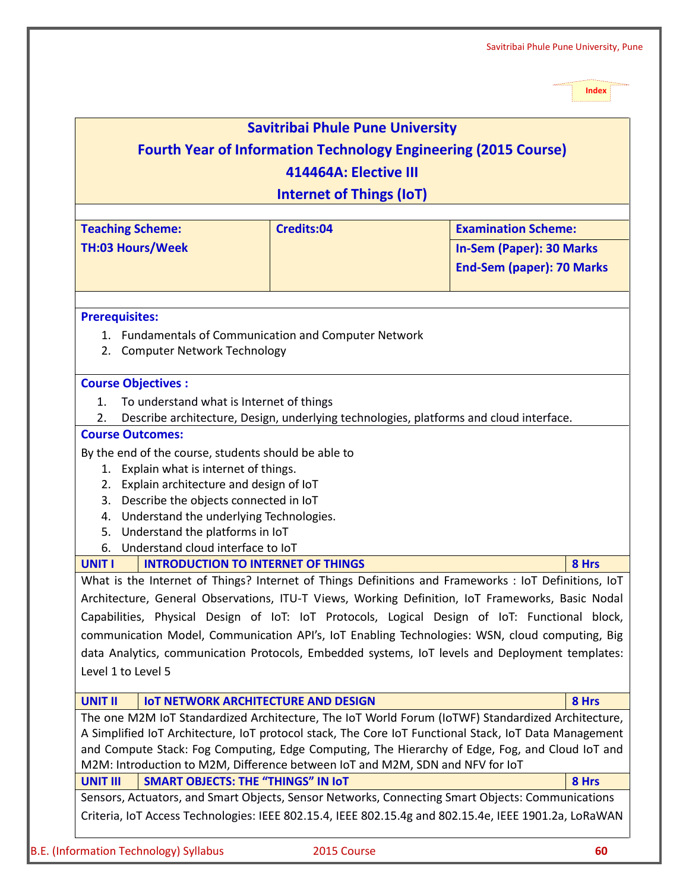## **Savitribai Phule Pune University**

## **Fourth Year of Information Technology Engineering (2015 Course) 414464A: Elective III**

## **Internet of Things (IoT)**

|                                                                                                       | ן דשון פאָוווווין דע זארוואזוו                                                         |                                                                                                      |
|-------------------------------------------------------------------------------------------------------|----------------------------------------------------------------------------------------|------------------------------------------------------------------------------------------------------|
| <b>Teaching Scheme:</b>                                                                               | Credits:04                                                                             | <b>Examination Scheme:</b>                                                                           |
| <b>TH:03 Hours/Week</b>                                                                               |                                                                                        | <b>In-Sem (Paper): 30 Marks</b>                                                                      |
|                                                                                                       |                                                                                        | <b>End-Sem (paper): 70 Marks</b>                                                                     |
|                                                                                                       |                                                                                        |                                                                                                      |
|                                                                                                       |                                                                                        |                                                                                                      |
| <b>Prerequisites:</b>                                                                                 |                                                                                        |                                                                                                      |
| 1. Fundamentals of Communication and Computer Network<br>2. Computer Network Technology               |                                                                                        |                                                                                                      |
|                                                                                                       |                                                                                        |                                                                                                      |
| <b>Course Objectives:</b>                                                                             |                                                                                        |                                                                                                      |
| To understand what is Internet of things<br>$\mathbf{1}$ .                                            |                                                                                        |                                                                                                      |
| 2.                                                                                                    | Describe architecture, Design, underlying technologies, platforms and cloud interface. |                                                                                                      |
| <b>Course Outcomes:</b>                                                                               |                                                                                        |                                                                                                      |
| By the end of the course, students should be able to                                                  |                                                                                        |                                                                                                      |
| 1. Explain what is internet of things.                                                                |                                                                                        |                                                                                                      |
| Explain architecture and design of IoT<br>2.                                                          |                                                                                        |                                                                                                      |
| Describe the objects connected in IoT<br>3.                                                           |                                                                                        |                                                                                                      |
| Understand the underlying Technologies.<br>4.<br>Understand the platforms in IoT<br>5.                |                                                                                        |                                                                                                      |
| Understand cloud interface to IoT<br>6.                                                               |                                                                                        |                                                                                                      |
| <b>INTRODUCTION TO INTERNET OF THINGS</b><br><b>UNIT I</b>                                            |                                                                                        | 8 Hrs                                                                                                |
|                                                                                                       |                                                                                        | What is the Internet of Things? Internet of Things Definitions and Frameworks : IoT Definitions, IoT |
|                                                                                                       |                                                                                        | Architecture, General Observations, ITU-T Views, Working Definition, IoT Frameworks, Basic Nodal     |
| Capabilities, Physical Design of IoT: IoT Protocols, Logical Design of IoT: Functional block,         |                                                                                        |                                                                                                      |
|                                                                                                       |                                                                                        | communication Model, Communication API's, IoT Enabling Technologies: WSN, cloud computing, Big       |
|                                                                                                       |                                                                                        | data Analytics, communication Protocols, Embedded systems, IoT levels and Deployment templates:      |
| Level 1 to Level 5                                                                                    |                                                                                        |                                                                                                      |
|                                                                                                       |                                                                                        |                                                                                                      |
| <b>UNIT II</b><br><b>IGT NETWORK ARCHITECTURE AND DESIGN</b>                                          |                                                                                        | 8 Hrs                                                                                                |
| The one M2M IoT Standardized Architecture, The IoT World Forum (IoTWF) Standardized Architecture,     |                                                                                        |                                                                                                      |
| A Simplified IoT Architecture, IoT protocol stack, The Core IoT Functional Stack, IoT Data Management |                                                                                        |                                                                                                      |
| and Compute Stack: Fog Computing, Edge Computing, The Hierarchy of Edge, Fog, and Cloud IoT and       |                                                                                        |                                                                                                      |
| M2M: Introduction to M2M, Difference between IoT and M2M, SDN and NFV for IoT                         |                                                                                        |                                                                                                      |
| <b>SMART OBJECTS: THE "THINGS" IN IOT</b><br><b>UNIT III</b>                                          |                                                                                        | 8 Hrs                                                                                                |
| Sensors, Actuators, and Smart Objects, Sensor Networks, Connecting Smart Objects: Communications      |                                                                                        |                                                                                                      |
| Criteria, IoT Access Technologies: IEEE 802.15.4, IEEE 802.15.4g and 802.15.4e, IEEE 1901.2a, LoRaWAN |                                                                                        |                                                                                                      |
|                                                                                                       |                                                                                        |                                                                                                      |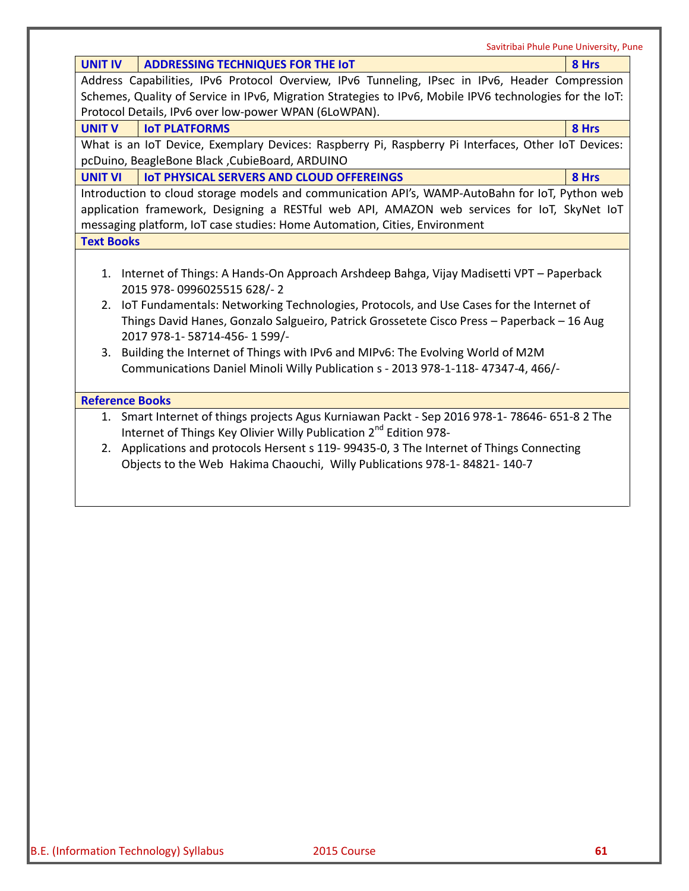|                        | Savitribai Phule Pune University, Pune                                                                                                                                                                                                                                                                                                                                                                                                                                                                                  |       |
|------------------------|-------------------------------------------------------------------------------------------------------------------------------------------------------------------------------------------------------------------------------------------------------------------------------------------------------------------------------------------------------------------------------------------------------------------------------------------------------------------------------------------------------------------------|-------|
| <b>UNIT IV</b>         | <b>ADDRESSING TECHNIQUES FOR THE IOT</b>                                                                                                                                                                                                                                                                                                                                                                                                                                                                                | 8 Hrs |
|                        | Address Capabilities, IPv6 Protocol Overview, IPv6 Tunneling, IPsec in IPv6, Header Compression                                                                                                                                                                                                                                                                                                                                                                                                                         |       |
|                        | Schemes, Quality of Service in IPv6, Migration Strategies to IPv6, Mobile IPV6 technologies for the IoT:                                                                                                                                                                                                                                                                                                                                                                                                                |       |
|                        | Protocol Details, IPv6 over low-power WPAN (6LoWPAN).                                                                                                                                                                                                                                                                                                                                                                                                                                                                   |       |
| <b>UNIT V</b>          | <b>IOT PLATFORMS</b>                                                                                                                                                                                                                                                                                                                                                                                                                                                                                                    | 8 Hrs |
|                        | What is an IoT Device, Exemplary Devices: Raspberry Pi, Raspberry Pi Interfaces, Other IoT Devices:                                                                                                                                                                                                                                                                                                                                                                                                                     |       |
|                        | pcDuino, BeagleBone Black, CubieBoard, ARDUINO                                                                                                                                                                                                                                                                                                                                                                                                                                                                          |       |
| <b>UNIT VI</b>         | <b>IOT PHYSICAL SERVERS AND CLOUD OFFEREINGS</b>                                                                                                                                                                                                                                                                                                                                                                                                                                                                        | 8 Hrs |
|                        | Introduction to cloud storage models and communication API's, WAMP-AutoBahn for IoT, Python web                                                                                                                                                                                                                                                                                                                                                                                                                         |       |
|                        | application framework, Designing a RESTful web API, AMAZON web services for IoT, SkyNet IoT                                                                                                                                                                                                                                                                                                                                                                                                                             |       |
|                        | messaging platform, IoT case studies: Home Automation, Cities, Environment                                                                                                                                                                                                                                                                                                                                                                                                                                              |       |
| <b>Text Books</b>      |                                                                                                                                                                                                                                                                                                                                                                                                                                                                                                                         |       |
| 2.<br>3.               | 1. Internet of Things: A Hands-On Approach Arshdeep Bahga, Vijay Madisetti VPT – Paperback<br>2015 978-0996025515 628/-2<br>IoT Fundamentals: Networking Technologies, Protocols, and Use Cases for the Internet of<br>Things David Hanes, Gonzalo Salgueiro, Patrick Grossetete Cisco Press - Paperback - 16 Aug<br>2017 978-1-58714-456-1599/-<br>Building the Internet of Things with IPv6 and MIPv6: The Evolving World of M2M<br>Communications Daniel Minoli Willy Publication s - 2013 978-1-118- 47347-4, 466/- |       |
| <b>Reference Books</b> |                                                                                                                                                                                                                                                                                                                                                                                                                                                                                                                         |       |
|                        | 1. Smart Internet of things projects Agus Kurniawan Packt - Sep 2016 978-1-78646-651-8 2 The<br>Internet of Things Key Olivier Willy Publication 2 <sup>nd</sup> Edition 978-                                                                                                                                                                                                                                                                                                                                           |       |
| 2.                     | Applications and protocols Hersent s 119-99435-0, 3 The Internet of Things Connecting<br>Objects to the Web Hakima Chaouchi, Willy Publications 978-1-84821-140-7                                                                                                                                                                                                                                                                                                                                                       |       |
|                        |                                                                                                                                                                                                                                                                                                                                                                                                                                                                                                                         |       |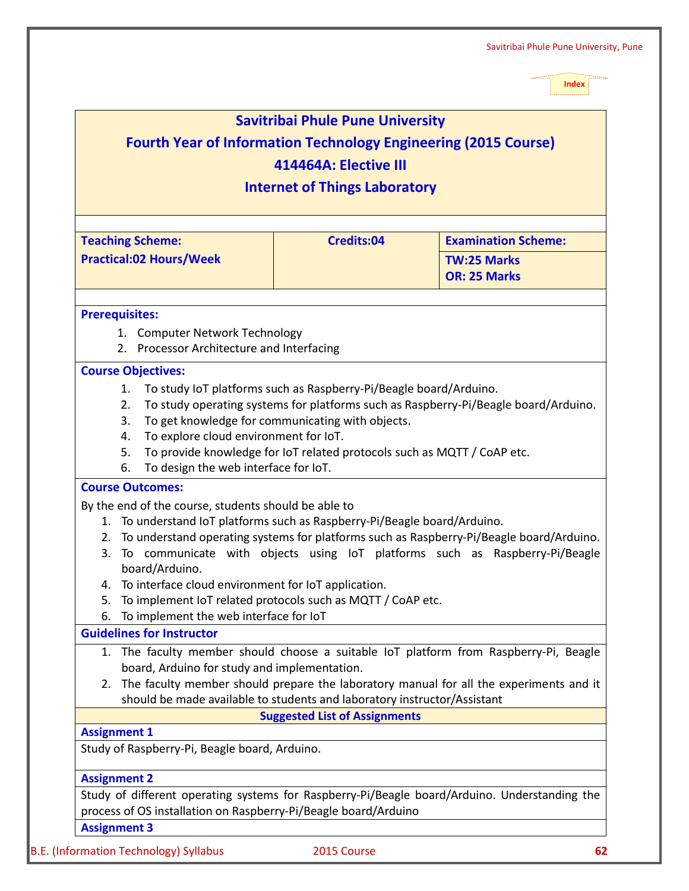## **Savitribai Phule Pune University Fourth Year of Information Technology Engineering (2015 Course) 414464A: Elective III**

## **Internet of Things Laboratory**

| <b>Credits:04</b> | <b>Examination Scheme:</b> |
|-------------------|----------------------------|
|                   | <b>TW:25 Marks</b>         |
|                   | <b>OR: 25 Marks</b>        |
|                   |                            |

## **Prerequisites:**

- 1. Computer Network Technology
- 2. Processor Architecture and Interfacing

## **Course Objectives:**

- 1. To study IoT platforms such as Raspberry-Pi/Beagle board/Arduino.
- 2. To study operating systems for platforms such as Raspberry-Pi/Beagle board/Arduino.
- 3. To get knowledge for communicating with objects.
- 4. To explore cloud environment for IoT.
- 5. To provide knowledge for IoT related protocols such as MQTT / CoAP etc.
- 6. To design the web interface for IoT.

## **Course Outcomes:**

By the end of the course, students should be able to

- 1. To understand IoT platforms such as Raspberry-Pi/Beagle board/Arduino.
- 2. To understand operating systems for platforms such as Raspberry-Pi/Beagle board/Arduino.
- 3. To communicate with objects using IoT platforms such as Raspberry-Pi/Beagle board/Arduino.
- 4. To interface cloud environment for IoT application.
- 5. To implement IoT related protocols such as MQTT / CoAP etc.
- 6. To implement the web interface for IoT

## **Guidelines for Instructor**

- 1. The faculty member should choose a suitable IoT platform from Raspberry-Pi, Beagle board, Arduino for study and implementation.
- 2. The faculty member should prepare the laboratory manual for all the experiments and it should be made available to students and laboratory instructor/Assistant

**Suggested List of Assignments**

## **Assignment 1**

Study of Raspberry-Pi, Beagle board, Arduino.

## **Assignment 2**

Study of different operating systems for Raspberry-Pi/Beagle board/Arduino. Understanding the process of OS installation on Raspberry-Pi/Beagle board/Arduino

**Assignment 3**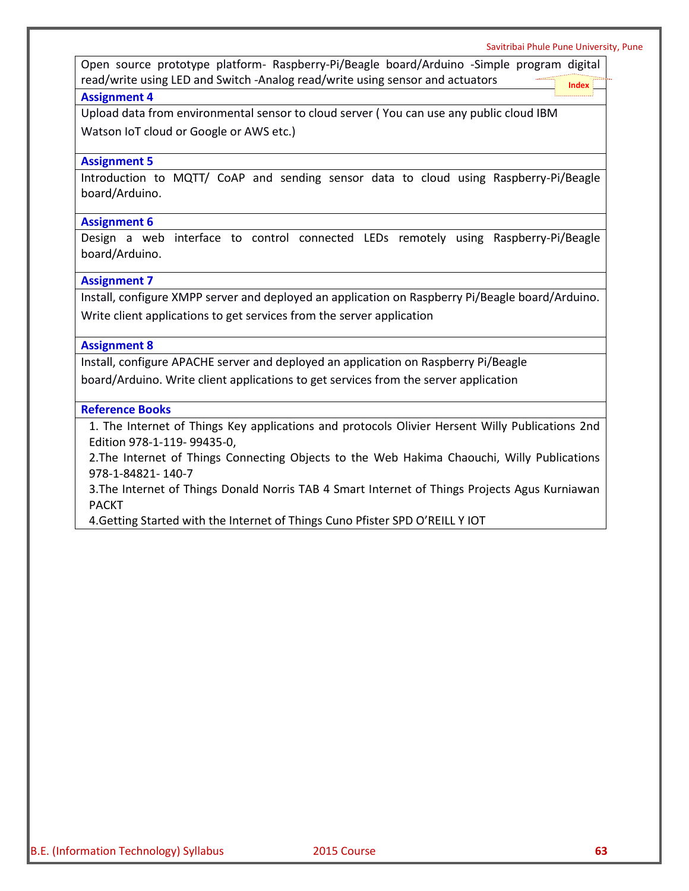|                     |  | Open source prototype platform- Raspberry-Pi/Beagle board/Arduino -Simple program digital                                                                                                                                                                                                                                                                      |  |       |
|---------------------|--|----------------------------------------------------------------------------------------------------------------------------------------------------------------------------------------------------------------------------------------------------------------------------------------------------------------------------------------------------------------|--|-------|
|                     |  | read/write using LED and Switch -Analog read/write using sensor and actuators                                                                                                                                                                                                                                                                                  |  | Index |
| <b>Assignment 4</b> |  |                                                                                                                                                                                                                                                                                                                                                                |  |       |
|                     |  | $\mathbf{u} = \mathbf{u} + \mathbf{v}$ , and $\mathbf{u} = \mathbf{u} + \mathbf{v}$ , and $\mathbf{u} = \mathbf{u} + \mathbf{v}$ , and $\mathbf{u} = \mathbf{u} + \mathbf{v}$ , and $\mathbf{u} = \mathbf{u} + \mathbf{v}$ , and $\mathbf{u} = \mathbf{u} + \mathbf{v}$ , and $\mathbf{u} = \mathbf{u} + \mathbf{v}$ , and $\mathbf{u} = \mathbf{u} + \mathbf$ |  |       |

Upload data from environmental sensor to cloud server ( You can use any public cloud IBM Watson IoT cloud or Google or AWS etc.)

## **Assignment 5**

Introduction to MQTT/ CoAP and sending sensor data to cloud using Raspberry-Pi/Beagle board/Arduino.

## **Assignment 6**

Design a web interface to control connected LEDs remotely using Raspberry-Pi/Beagle board/Arduino.

## **Assignment 7**

Install, configure XMPP server and deployed an application on Raspberry Pi/Beagle board/Arduino. Write client applications to get services from the server application

## **Assignment 8**

Install, configure APACHE server and deployed an application on Raspberry Pi/Beagle board/Arduino. Write client applications to get services from the server application

## **Reference Books**

1. The Internet of Things Key applications and protocols Olivier Hersent Willy Publications 2nd Edition 978-1-119- 99435-0,

2.The Internet of Things Connecting Objects to the Web Hakima Chaouchi, Willy Publications 978-1-84821- 140-7

3.The Internet of Things Donald Norris TAB 4 Smart Internet of Things Projects Agus Kurniawan PACKT

4.Getting Started with the Internet of Things Cuno Pfister SPD O'REILL Y IOT

Savitribai Phule Pune University, Pune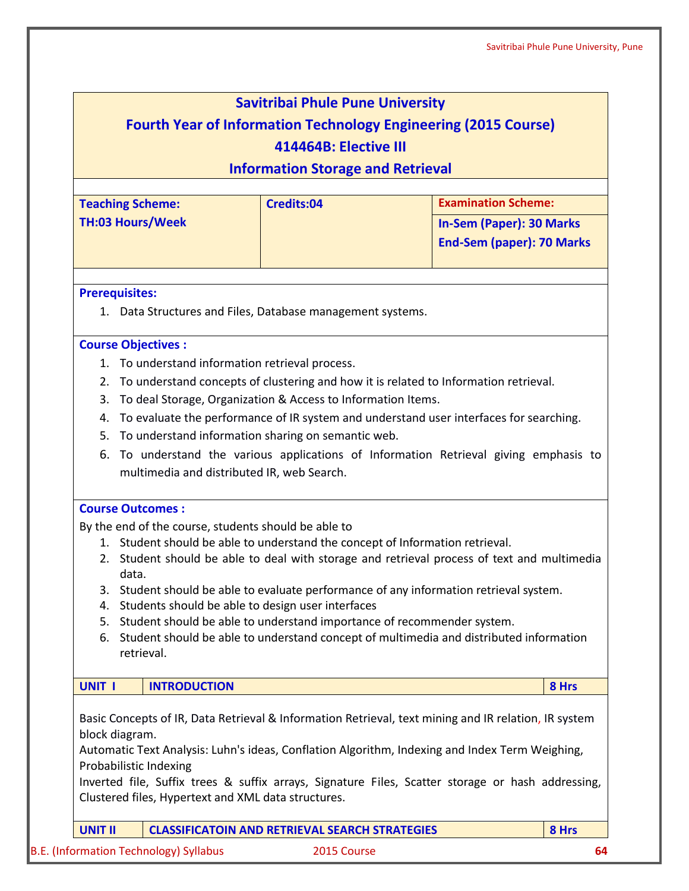| Savitribai Phule Pune University                                       |
|------------------------------------------------------------------------|
| <b>Fourth Year of Information Technology Engineering (2015 Course)</b> |
| 414464B: Elective III                                                  |
| <b>Information Storage and Retrieval</b>                               |

**Teaching Scheme: TH:03 Hours/Week Credits:04 Examination Scheme: In-Sem (Paper): 30 Marks End-Sem (paper): 70 Marks**

## **Prerequisites:**

1. Data Structures and Files, Database management systems.

#### **Course Objectives :**

- 1. To understand information retrieval process.
- 2. To understand concepts of clustering and how it is related to Information retrieval.
- 3. To deal Storage, Organization & Access to Information Items.
- 4. To evaluate the performance of IR system and understand user interfaces for searching.
- 5. To understand information sharing on semantic web.
- 6. To understand the various applications of Information Retrieval giving emphasis to multimedia and distributed IR, web Search.

## **Course Outcomes :**

By the end of the course, students should be able to

- 1. Student should be able to understand the concept of Information retrieval.
- 2. Student should be able to deal with storage and retrieval process of text and multimedia data.
- 3. Student should be able to evaluate performance of any information retrieval system.
- 4. Students should be able to design user interfaces
- 5. Student should be able to understand importance of recommender system.
- 6. Student should be able to understand concept of multimedia and distributed information retrieval.

| <b>UNIT</b> | <b>INTRODUCTION</b> | 8 Hrs |
|-------------|---------------------|-------|
|             |                     |       |

Basic Concepts of IR, Data Retrieval & Information Retrieval, text mining and IR relation, IR system block diagram.

Automatic Text Analysis: Luhn's ideas, Conflation Algorithm, Indexing and Index Term Weighing, Probabilistic Indexing

Inverted file, Suffix trees & suffix arrays, Signature Files, Scatter storage or hash addressing, Clustered files, Hypertext and XML data structures.

**UNIT II CLASSIFICATOIN AND RETRIEVAL SEARCH STRATEGIES 8 Hrs**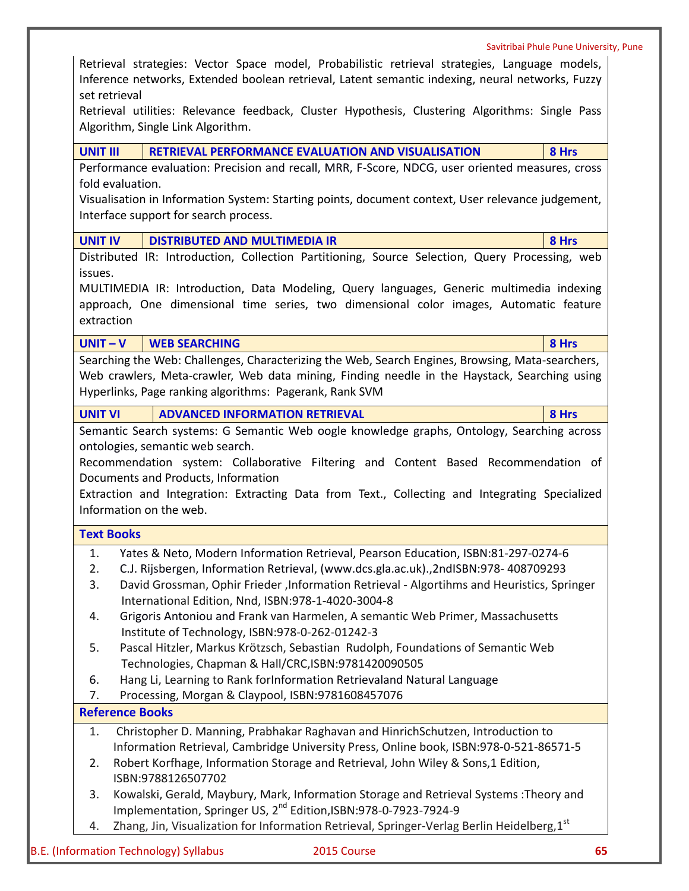| <b>UNIT III</b><br>RETRIEVAL PERFORMANCE EVALUATION AND VISUALISATION<br>8 Hrs<br>Performance evaluation: Precision and recall, MRR, F-Score, NDCG, user oriented measures, cross<br>fold evaluation.<br>Visualisation in Information System: Starting points, document context, User relevance judgement,<br>Interface support for search process.<br><b>UNIT IV</b><br><b>DISTRIBUTED AND MULTIMEDIA IR</b><br>8 Hrs<br>Distributed IR: Introduction, Collection Partitioning, Source Selection, Query Processing, web<br>issues.<br>MULTIMEDIA IR: Introduction, Data Modeling, Query languages, Generic multimedia indexing<br>approach, One dimensional time series, two dimensional color images, Automatic feature<br>extraction<br>$UNIT - V$<br><b>WEB SEARCHING</b><br>8 Hrs<br>Searching the Web: Challenges, Characterizing the Web, Search Engines, Browsing, Mata-searchers,<br>Web crawlers, Meta-crawler, Web data mining, Finding needle in the Haystack, Searching using<br>Hyperlinks, Page ranking algorithms: Pagerank, Rank SVM<br><b>UNIT VI</b><br>8 Hrs<br><b>ADVANCED INFORMATION RETRIEVAL</b><br>Semantic Search systems: G Semantic Web oogle knowledge graphs, Ontology, Searching across<br>ontologies, semantic web search.<br>Recommendation system: Collaborative Filtering and Content Based Recommendation of<br>Documents and Products, Information<br>Extraction and Integration: Extracting Data from Text., Collecting and Integrating Specialized<br>Information on the web.<br><b>Text Books</b><br>Yates & Neto, Modern Information Retrieval, Pearson Education, ISBN:81-297-0274-6<br>1.<br>2.<br>C.J. Rijsbergen, Information Retrieval, (www.dcs.gla.ac.uk).,2ndISBN:978-408709293<br>David Grossman, Ophir Frieder , Information Retrieval - Algortihms and Heuristics, Springer<br>3.<br>International Edition, Nnd, ISBN:978-1-4020-3004-8<br>Grigoris Antoniou and Frank van Harmelen, A semantic Web Primer, Massachusetts<br>4.<br>Institute of Technology, ISBN:978-0-262-01242-3<br>Pascal Hitzler, Markus Krötzsch, Sebastian Rudolph, Foundations of Semantic Web<br>5.<br>Technologies, Chapman & Hall/CRC, ISBN: 9781420090505<br>Hang Li, Learning to Rank forInformation Retrievaland Natural Language<br>6.<br>Processing, Morgan & Claypool, ISBN:9781608457076<br>7.<br><b>Reference Books</b><br>Christopher D. Manning, Prabhakar Raghavan and HinrichSchutzen, Introduction to<br>1.<br>Information Retrieval, Cambridge University Press, Online book, ISBN:978-0-521-86571-5<br>Robert Korfhage, Information Storage and Retrieval, John Wiley & Sons, 1 Edition,<br>2.<br>ISBN:9788126507702<br>Kowalski, Gerald, Maybury, Mark, Information Storage and Retrieval Systems : Theory and<br>3.<br>Implementation, Springer US, 2 <sup>nd</sup> Edition, ISBN: 978-0-7923-7924-9<br>Zhang, Jin, Visualization for Information Retrieval, Springer-Verlag Berlin Heidelberg,1st<br>4. | Retrieval strategies: Vector Space model, Probabilistic retrieval strategies, Language models,<br>Inference networks, Extended boolean retrieval, Latent semantic indexing, neural networks, Fuzzy<br>set retrieval<br>Retrieval utilities: Relevance feedback, Cluster Hypothesis, Clustering Algorithms: Single Pass<br>Algorithm, Single Link Algorithm. |    |
|----------------------------------------------------------------------------------------------------------------------------------------------------------------------------------------------------------------------------------------------------------------------------------------------------------------------------------------------------------------------------------------------------------------------------------------------------------------------------------------------------------------------------------------------------------------------------------------------------------------------------------------------------------------------------------------------------------------------------------------------------------------------------------------------------------------------------------------------------------------------------------------------------------------------------------------------------------------------------------------------------------------------------------------------------------------------------------------------------------------------------------------------------------------------------------------------------------------------------------------------------------------------------------------------------------------------------------------------------------------------------------------------------------------------------------------------------------------------------------------------------------------------------------------------------------------------------------------------------------------------------------------------------------------------------------------------------------------------------------------------------------------------------------------------------------------------------------------------------------------------------------------------------------------------------------------------------------------------------------------------------------------------------------------------------------------------------------------------------------------------------------------------------------------------------------------------------------------------------------------------------------------------------------------------------------------------------------------------------------------------------------------------------------------------------------------------------------------------------------------------------------------------------------------------------------------------------------------------------------------------------------------------------------------------------------------------------------------------------------------------------------------------------------------------------------------------------------------------------------------------------------------------------------------------------------------------------------|-------------------------------------------------------------------------------------------------------------------------------------------------------------------------------------------------------------------------------------------------------------------------------------------------------------------------------------------------------------|----|
|                                                                                                                                                                                                                                                                                                                                                                                                                                                                                                                                                                                                                                                                                                                                                                                                                                                                                                                                                                                                                                                                                                                                                                                                                                                                                                                                                                                                                                                                                                                                                                                                                                                                                                                                                                                                                                                                                                                                                                                                                                                                                                                                                                                                                                                                                                                                                                                                                                                                                                                                                                                                                                                                                                                                                                                                                                                                                                                                                          |                                                                                                                                                                                                                                                                                                                                                             |    |
|                                                                                                                                                                                                                                                                                                                                                                                                                                                                                                                                                                                                                                                                                                                                                                                                                                                                                                                                                                                                                                                                                                                                                                                                                                                                                                                                                                                                                                                                                                                                                                                                                                                                                                                                                                                                                                                                                                                                                                                                                                                                                                                                                                                                                                                                                                                                                                                                                                                                                                                                                                                                                                                                                                                                                                                                                                                                                                                                                          |                                                                                                                                                                                                                                                                                                                                                             |    |
|                                                                                                                                                                                                                                                                                                                                                                                                                                                                                                                                                                                                                                                                                                                                                                                                                                                                                                                                                                                                                                                                                                                                                                                                                                                                                                                                                                                                                                                                                                                                                                                                                                                                                                                                                                                                                                                                                                                                                                                                                                                                                                                                                                                                                                                                                                                                                                                                                                                                                                                                                                                                                                                                                                                                                                                                                                                                                                                                                          |                                                                                                                                                                                                                                                                                                                                                             |    |
|                                                                                                                                                                                                                                                                                                                                                                                                                                                                                                                                                                                                                                                                                                                                                                                                                                                                                                                                                                                                                                                                                                                                                                                                                                                                                                                                                                                                                                                                                                                                                                                                                                                                                                                                                                                                                                                                                                                                                                                                                                                                                                                                                                                                                                                                                                                                                                                                                                                                                                                                                                                                                                                                                                                                                                                                                                                                                                                                                          |                                                                                                                                                                                                                                                                                                                                                             |    |
|                                                                                                                                                                                                                                                                                                                                                                                                                                                                                                                                                                                                                                                                                                                                                                                                                                                                                                                                                                                                                                                                                                                                                                                                                                                                                                                                                                                                                                                                                                                                                                                                                                                                                                                                                                                                                                                                                                                                                                                                                                                                                                                                                                                                                                                                                                                                                                                                                                                                                                                                                                                                                                                                                                                                                                                                                                                                                                                                                          |                                                                                                                                                                                                                                                                                                                                                             |    |
|                                                                                                                                                                                                                                                                                                                                                                                                                                                                                                                                                                                                                                                                                                                                                                                                                                                                                                                                                                                                                                                                                                                                                                                                                                                                                                                                                                                                                                                                                                                                                                                                                                                                                                                                                                                                                                                                                                                                                                                                                                                                                                                                                                                                                                                                                                                                                                                                                                                                                                                                                                                                                                                                                                                                                                                                                                                                                                                                                          |                                                                                                                                                                                                                                                                                                                                                             |    |
|                                                                                                                                                                                                                                                                                                                                                                                                                                                                                                                                                                                                                                                                                                                                                                                                                                                                                                                                                                                                                                                                                                                                                                                                                                                                                                                                                                                                                                                                                                                                                                                                                                                                                                                                                                                                                                                                                                                                                                                                                                                                                                                                                                                                                                                                                                                                                                                                                                                                                                                                                                                                                                                                                                                                                                                                                                                                                                                                                          |                                                                                                                                                                                                                                                                                                                                                             |    |
|                                                                                                                                                                                                                                                                                                                                                                                                                                                                                                                                                                                                                                                                                                                                                                                                                                                                                                                                                                                                                                                                                                                                                                                                                                                                                                                                                                                                                                                                                                                                                                                                                                                                                                                                                                                                                                                                                                                                                                                                                                                                                                                                                                                                                                                                                                                                                                                                                                                                                                                                                                                                                                                                                                                                                                                                                                                                                                                                                          |                                                                                                                                                                                                                                                                                                                                                             |    |
|                                                                                                                                                                                                                                                                                                                                                                                                                                                                                                                                                                                                                                                                                                                                                                                                                                                                                                                                                                                                                                                                                                                                                                                                                                                                                                                                                                                                                                                                                                                                                                                                                                                                                                                                                                                                                                                                                                                                                                                                                                                                                                                                                                                                                                                                                                                                                                                                                                                                                                                                                                                                                                                                                                                                                                                                                                                                                                                                                          |                                                                                                                                                                                                                                                                                                                                                             |    |
|                                                                                                                                                                                                                                                                                                                                                                                                                                                                                                                                                                                                                                                                                                                                                                                                                                                                                                                                                                                                                                                                                                                                                                                                                                                                                                                                                                                                                                                                                                                                                                                                                                                                                                                                                                                                                                                                                                                                                                                                                                                                                                                                                                                                                                                                                                                                                                                                                                                                                                                                                                                                                                                                                                                                                                                                                                                                                                                                                          |                                                                                                                                                                                                                                                                                                                                                             |    |
|                                                                                                                                                                                                                                                                                                                                                                                                                                                                                                                                                                                                                                                                                                                                                                                                                                                                                                                                                                                                                                                                                                                                                                                                                                                                                                                                                                                                                                                                                                                                                                                                                                                                                                                                                                                                                                                                                                                                                                                                                                                                                                                                                                                                                                                                                                                                                                                                                                                                                                                                                                                                                                                                                                                                                                                                                                                                                                                                                          |                                                                                                                                                                                                                                                                                                                                                             |    |
|                                                                                                                                                                                                                                                                                                                                                                                                                                                                                                                                                                                                                                                                                                                                                                                                                                                                                                                                                                                                                                                                                                                                                                                                                                                                                                                                                                                                                                                                                                                                                                                                                                                                                                                                                                                                                                                                                                                                                                                                                                                                                                                                                                                                                                                                                                                                                                                                                                                                                                                                                                                                                                                                                                                                                                                                                                                                                                                                                          |                                                                                                                                                                                                                                                                                                                                                             |    |
|                                                                                                                                                                                                                                                                                                                                                                                                                                                                                                                                                                                                                                                                                                                                                                                                                                                                                                                                                                                                                                                                                                                                                                                                                                                                                                                                                                                                                                                                                                                                                                                                                                                                                                                                                                                                                                                                                                                                                                                                                                                                                                                                                                                                                                                                                                                                                                                                                                                                                                                                                                                                                                                                                                                                                                                                                                                                                                                                                          |                                                                                                                                                                                                                                                                                                                                                             |    |
|                                                                                                                                                                                                                                                                                                                                                                                                                                                                                                                                                                                                                                                                                                                                                                                                                                                                                                                                                                                                                                                                                                                                                                                                                                                                                                                                                                                                                                                                                                                                                                                                                                                                                                                                                                                                                                                                                                                                                                                                                                                                                                                                                                                                                                                                                                                                                                                                                                                                                                                                                                                                                                                                                                                                                                                                                                                                                                                                                          |                                                                                                                                                                                                                                                                                                                                                             |    |
|                                                                                                                                                                                                                                                                                                                                                                                                                                                                                                                                                                                                                                                                                                                                                                                                                                                                                                                                                                                                                                                                                                                                                                                                                                                                                                                                                                                                                                                                                                                                                                                                                                                                                                                                                                                                                                                                                                                                                                                                                                                                                                                                                                                                                                                                                                                                                                                                                                                                                                                                                                                                                                                                                                                                                                                                                                                                                                                                                          |                                                                                                                                                                                                                                                                                                                                                             |    |
|                                                                                                                                                                                                                                                                                                                                                                                                                                                                                                                                                                                                                                                                                                                                                                                                                                                                                                                                                                                                                                                                                                                                                                                                                                                                                                                                                                                                                                                                                                                                                                                                                                                                                                                                                                                                                                                                                                                                                                                                                                                                                                                                                                                                                                                                                                                                                                                                                                                                                                                                                                                                                                                                                                                                                                                                                                                                                                                                                          |                                                                                                                                                                                                                                                                                                                                                             |    |
|                                                                                                                                                                                                                                                                                                                                                                                                                                                                                                                                                                                                                                                                                                                                                                                                                                                                                                                                                                                                                                                                                                                                                                                                                                                                                                                                                                                                                                                                                                                                                                                                                                                                                                                                                                                                                                                                                                                                                                                                                                                                                                                                                                                                                                                                                                                                                                                                                                                                                                                                                                                                                                                                                                                                                                                                                                                                                                                                                          |                                                                                                                                                                                                                                                                                                                                                             |    |
|                                                                                                                                                                                                                                                                                                                                                                                                                                                                                                                                                                                                                                                                                                                                                                                                                                                                                                                                                                                                                                                                                                                                                                                                                                                                                                                                                                                                                                                                                                                                                                                                                                                                                                                                                                                                                                                                                                                                                                                                                                                                                                                                                                                                                                                                                                                                                                                                                                                                                                                                                                                                                                                                                                                                                                                                                                                                                                                                                          |                                                                                                                                                                                                                                                                                                                                                             |    |
|                                                                                                                                                                                                                                                                                                                                                                                                                                                                                                                                                                                                                                                                                                                                                                                                                                                                                                                                                                                                                                                                                                                                                                                                                                                                                                                                                                                                                                                                                                                                                                                                                                                                                                                                                                                                                                                                                                                                                                                                                                                                                                                                                                                                                                                                                                                                                                                                                                                                                                                                                                                                                                                                                                                                                                                                                                                                                                                                                          |                                                                                                                                                                                                                                                                                                                                                             |    |
|                                                                                                                                                                                                                                                                                                                                                                                                                                                                                                                                                                                                                                                                                                                                                                                                                                                                                                                                                                                                                                                                                                                                                                                                                                                                                                                                                                                                                                                                                                                                                                                                                                                                                                                                                                                                                                                                                                                                                                                                                                                                                                                                                                                                                                                                                                                                                                                                                                                                                                                                                                                                                                                                                                                                                                                                                                                                                                                                                          |                                                                                                                                                                                                                                                                                                                                                             |    |
|                                                                                                                                                                                                                                                                                                                                                                                                                                                                                                                                                                                                                                                                                                                                                                                                                                                                                                                                                                                                                                                                                                                                                                                                                                                                                                                                                                                                                                                                                                                                                                                                                                                                                                                                                                                                                                                                                                                                                                                                                                                                                                                                                                                                                                                                                                                                                                                                                                                                                                                                                                                                                                                                                                                                                                                                                                                                                                                                                          |                                                                                                                                                                                                                                                                                                                                                             |    |
|                                                                                                                                                                                                                                                                                                                                                                                                                                                                                                                                                                                                                                                                                                                                                                                                                                                                                                                                                                                                                                                                                                                                                                                                                                                                                                                                                                                                                                                                                                                                                                                                                                                                                                                                                                                                                                                                                                                                                                                                                                                                                                                                                                                                                                                                                                                                                                                                                                                                                                                                                                                                                                                                                                                                                                                                                                                                                                                                                          |                                                                                                                                                                                                                                                                                                                                                             |    |
|                                                                                                                                                                                                                                                                                                                                                                                                                                                                                                                                                                                                                                                                                                                                                                                                                                                                                                                                                                                                                                                                                                                                                                                                                                                                                                                                                                                                                                                                                                                                                                                                                                                                                                                                                                                                                                                                                                                                                                                                                                                                                                                                                                                                                                                                                                                                                                                                                                                                                                                                                                                                                                                                                                                                                                                                                                                                                                                                                          |                                                                                                                                                                                                                                                                                                                                                             |    |
|                                                                                                                                                                                                                                                                                                                                                                                                                                                                                                                                                                                                                                                                                                                                                                                                                                                                                                                                                                                                                                                                                                                                                                                                                                                                                                                                                                                                                                                                                                                                                                                                                                                                                                                                                                                                                                                                                                                                                                                                                                                                                                                                                                                                                                                                                                                                                                                                                                                                                                                                                                                                                                                                                                                                                                                                                                                                                                                                                          |                                                                                                                                                                                                                                                                                                                                                             |    |
|                                                                                                                                                                                                                                                                                                                                                                                                                                                                                                                                                                                                                                                                                                                                                                                                                                                                                                                                                                                                                                                                                                                                                                                                                                                                                                                                                                                                                                                                                                                                                                                                                                                                                                                                                                                                                                                                                                                                                                                                                                                                                                                                                                                                                                                                                                                                                                                                                                                                                                                                                                                                                                                                                                                                                                                                                                                                                                                                                          |                                                                                                                                                                                                                                                                                                                                                             |    |
|                                                                                                                                                                                                                                                                                                                                                                                                                                                                                                                                                                                                                                                                                                                                                                                                                                                                                                                                                                                                                                                                                                                                                                                                                                                                                                                                                                                                                                                                                                                                                                                                                                                                                                                                                                                                                                                                                                                                                                                                                                                                                                                                                                                                                                                                                                                                                                                                                                                                                                                                                                                                                                                                                                                                                                                                                                                                                                                                                          |                                                                                                                                                                                                                                                                                                                                                             |    |
|                                                                                                                                                                                                                                                                                                                                                                                                                                                                                                                                                                                                                                                                                                                                                                                                                                                                                                                                                                                                                                                                                                                                                                                                                                                                                                                                                                                                                                                                                                                                                                                                                                                                                                                                                                                                                                                                                                                                                                                                                                                                                                                                                                                                                                                                                                                                                                                                                                                                                                                                                                                                                                                                                                                                                                                                                                                                                                                                                          | B.E. (Information Technology) Syllabus<br>2015 Course                                                                                                                                                                                                                                                                                                       | 65 |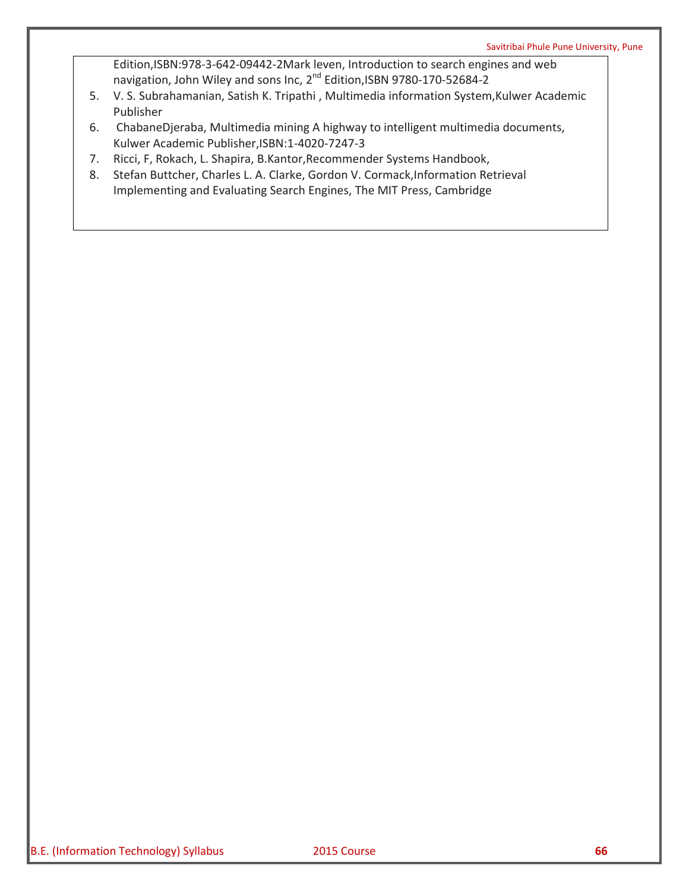Edition,ISBN:978-3-642-09442-2Mark leven, Introduction to search engines and web navigation, John Wiley and sons Inc, 2<sup>nd</sup> Edition,ISBN 9780-170-52684-2

- 5. V. S. Subrahamanian, Satish K. Tripathi , Multimedia information System,Kulwer Academic Publisher
- 6. ChabaneDjeraba, Multimedia mining A highway to intelligent multimedia documents, Kulwer Academic Publisher,ISBN:1-4020-7247-3
- 7. Ricci, F, Rokach, L. Shapira, B.Kantor,Recommender Systems Handbook,
- 8. Stefan Buttcher, Charles L. A. Clarke, Gordon V. Cormack,Information Retrieval Implementing and Evaluating Search Engines, The MIT Press, Cambridge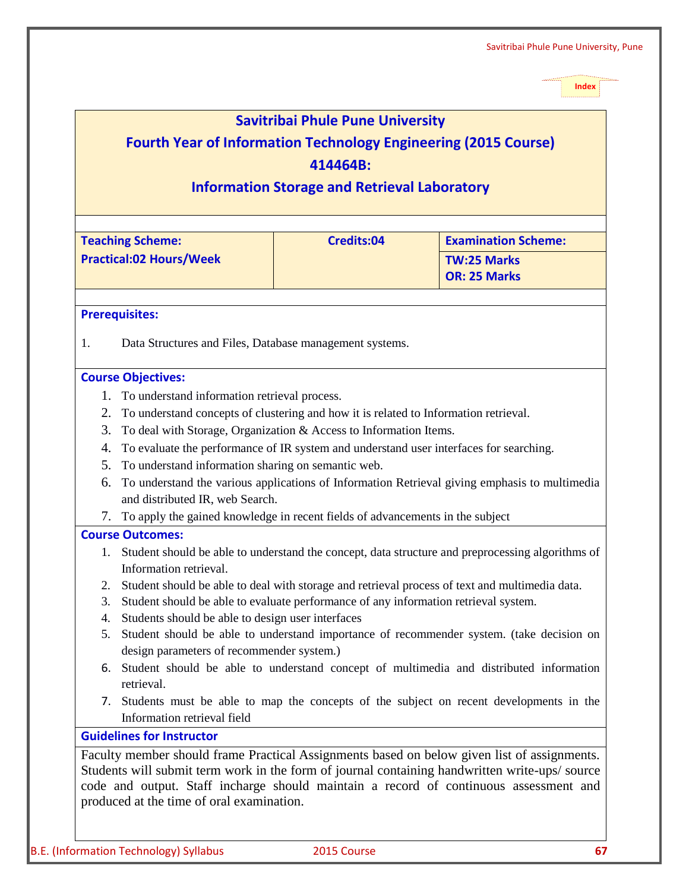|    |                                                         | <b>Savitribai Phule Pune University</b><br><b>Fourth Year of Information Technology Engineering (2015 Course)</b><br>414464B:<br><b>Information Storage and Retrieval Laboratory</b> |                                                                                                                                                                                                                                                                                        |
|----|---------------------------------------------------------|--------------------------------------------------------------------------------------------------------------------------------------------------------------------------------------|----------------------------------------------------------------------------------------------------------------------------------------------------------------------------------------------------------------------------------------------------------------------------------------|
|    | <b>Teaching Scheme:</b>                                 | <b>Credits:04</b>                                                                                                                                                                    | <b>Examination Scheme:</b>                                                                                                                                                                                                                                                             |
|    | <b>Practical:02 Hours/Week</b>                          |                                                                                                                                                                                      | <b>TW:25 Marks</b><br>OR: 25 Marks                                                                                                                                                                                                                                                     |
|    | <b>Prerequisites:</b>                                   |                                                                                                                                                                                      |                                                                                                                                                                                                                                                                                        |
| 1. | Data Structures and Files, Database management systems. |                                                                                                                                                                                      |                                                                                                                                                                                                                                                                                        |
|    | <b>Course Objectives:</b>                               |                                                                                                                                                                                      |                                                                                                                                                                                                                                                                                        |
| 1. | To understand information retrieval process.            |                                                                                                                                                                                      |                                                                                                                                                                                                                                                                                        |
| 2. |                                                         | To understand concepts of clustering and how it is related to Information retrieval.                                                                                                 |                                                                                                                                                                                                                                                                                        |
| 3. |                                                         | To deal with Storage, Organization & Access to Information Items.                                                                                                                    |                                                                                                                                                                                                                                                                                        |
| 4. |                                                         | To evaluate the performance of IR system and understand user interfaces for searching.                                                                                               |                                                                                                                                                                                                                                                                                        |
| 5. | To understand information sharing on semantic web.      |                                                                                                                                                                                      |                                                                                                                                                                                                                                                                                        |
| 6. | and distributed IR, web Search.                         |                                                                                                                                                                                      | To understand the various applications of Information Retrieval giving emphasis to multimedia                                                                                                                                                                                          |
|    |                                                         | 7. To apply the gained knowledge in recent fields of advancements in the subject                                                                                                     |                                                                                                                                                                                                                                                                                        |
|    | <b>Course Outcomes:</b>                                 |                                                                                                                                                                                      |                                                                                                                                                                                                                                                                                        |
| 1. |                                                         |                                                                                                                                                                                      | Student should be able to understand the concept, data structure and preprocessing algorithms of                                                                                                                                                                                       |
| 2. | Information retrieval.                                  | Student should be able to deal with storage and retrieval process of text and multimedia data.                                                                                       |                                                                                                                                                                                                                                                                                        |
| 3. |                                                         | Student should be able to evaluate performance of any information retrieval system.                                                                                                  |                                                                                                                                                                                                                                                                                        |
| 4. | Students should be able to design user interfaces       |                                                                                                                                                                                      |                                                                                                                                                                                                                                                                                        |
| 5. | design parameters of recommender system.)               |                                                                                                                                                                                      | Student should be able to understand importance of recommender system. (take decision on                                                                                                                                                                                               |
| 6. | retrieval.                                              |                                                                                                                                                                                      | Student should be able to understand concept of multimedia and distributed information                                                                                                                                                                                                 |
| 7. | Information retrieval field                             |                                                                                                                                                                                      | Students must be able to map the concepts of the subject on recent developments in the                                                                                                                                                                                                 |
|    | <b>Guidelines for Instructor</b>                        |                                                                                                                                                                                      |                                                                                                                                                                                                                                                                                        |
|    | produced at the time of oral examination.               |                                                                                                                                                                                      | Faculty member should frame Practical Assignments based on below given list of assignments.<br>Students will submit term work in the form of journal containing handwritten write-ups/ source<br>code and output. Staff incharge should maintain a record of continuous assessment and |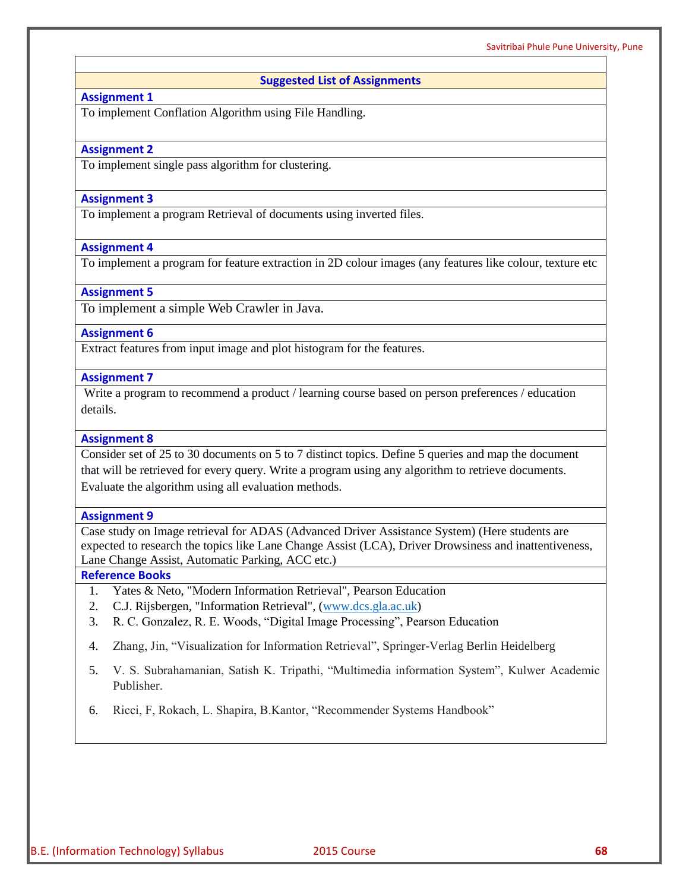## **Suggested List of Assignments**

#### **Assignment 1**

To implement Conflation Algorithm using File Handling.

#### **Assignment 2**

To implement single pass algorithm for clustering.

#### **Assignment 3**

To implement a program Retrieval of documents using inverted files.

#### **Assignment 4**

To implement a program for feature extraction in 2D colour images (any features like colour, texture etc

#### **Assignment 5**

To implement a simple Web Crawler in Java.

#### **Assignment 6**

Extract features from input image and plot histogram for the features.

#### **Assignment 7**

Write a program to recommend a product / learning course based on person preferences / education details.

#### **Assignment 8**

Consider set of 25 to 30 documents on 5 to 7 distinct topics. Define 5 queries and map the document that will be retrieved for every query. Write a program using any algorithm to retrieve documents. Evaluate the algorithm using all evaluation methods.

#### **Assignment 9**

Case study on Image retrieval for ADAS (Advanced Driver Assistance System) (Here students are expected to research the topics like Lane Change Assist (LCA), Driver Drowsiness and inattentiveness, Lane Change Assist, Automatic Parking, ACC etc.)

#### **Reference Books**

- 1. Yates & Neto, "Modern Information Retrieval", Pearson Education
- 2. C.J. Rijsbergen, "Information Retrieval", [\(www.dcs.gla.ac.uk\)](http://www.dcs.gla.ac.uk/)
- 3. R. C. Gonzalez, R. E. Woods, "Digital Image Processing", Pearson Education
- 4. Zhang, Jin, "Visualization for Information Retrieval", Springer-Verlag Berlin Heidelberg
- 5. V. S. Subrahamanian, Satish K. Tripathi, "Multimedia information System", Kulwer Academic Publisher.
- 6. Ricci, F, Rokach, L. Shapira, B.Kantor, "Recommender Systems Handbook"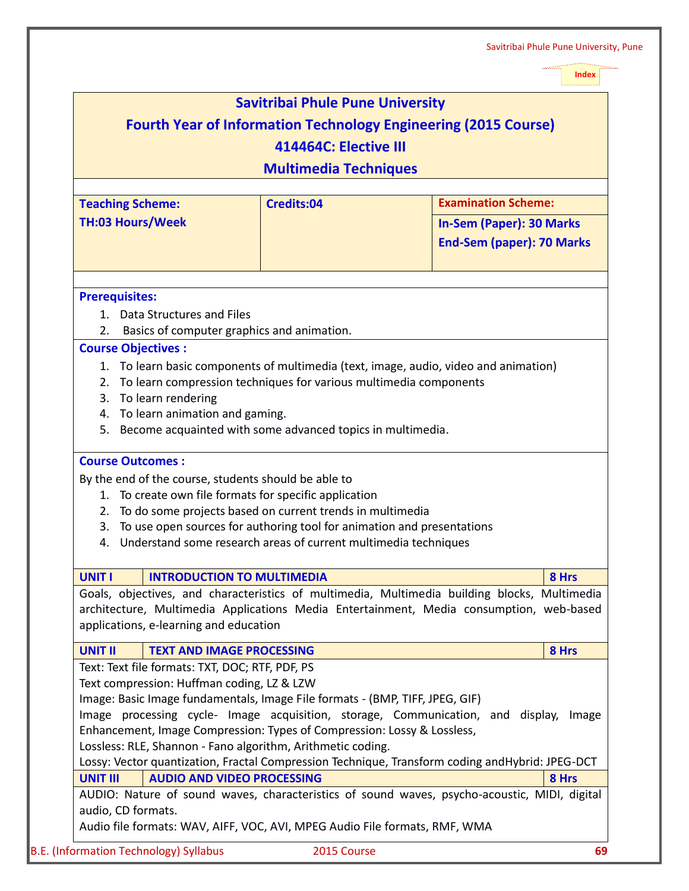|                                                                                                                                                                                                                                                                                                                                                                                                                                                                                                                                                 | <b>Savitribai Phule Pune University</b> |                                                                                                                                                                                         |
|-------------------------------------------------------------------------------------------------------------------------------------------------------------------------------------------------------------------------------------------------------------------------------------------------------------------------------------------------------------------------------------------------------------------------------------------------------------------------------------------------------------------------------------------------|-----------------------------------------|-----------------------------------------------------------------------------------------------------------------------------------------------------------------------------------------|
|                                                                                                                                                                                                                                                                                                                                                                                                                                                                                                                                                 |                                         |                                                                                                                                                                                         |
|                                                                                                                                                                                                                                                                                                                                                                                                                                                                                                                                                 | 414464C: Elective III                   | <b>Fourth Year of Information Technology Engineering (2015 Course)</b>                                                                                                                  |
|                                                                                                                                                                                                                                                                                                                                                                                                                                                                                                                                                 | <b>Multimedia Techniques</b>            |                                                                                                                                                                                         |
|                                                                                                                                                                                                                                                                                                                                                                                                                                                                                                                                                 |                                         |                                                                                                                                                                                         |
| <b>Teaching Scheme:</b>                                                                                                                                                                                                                                                                                                                                                                                                                                                                                                                         | <b>Credits:04</b>                       | <b>Examination Scheme:</b>                                                                                                                                                              |
| <b>TH:03 Hours/Week</b>                                                                                                                                                                                                                                                                                                                                                                                                                                                                                                                         |                                         | <b>In-Sem (Paper): 30 Marks</b><br><b>End-Sem (paper): 70 Marks</b>                                                                                                                     |
| <b>Prerequisites:</b>                                                                                                                                                                                                                                                                                                                                                                                                                                                                                                                           |                                         |                                                                                                                                                                                         |
| 1. Data Structures and Files<br>Basics of computer graphics and animation.<br>2.                                                                                                                                                                                                                                                                                                                                                                                                                                                                |                                         |                                                                                                                                                                                         |
| <b>Course Objectives:</b>                                                                                                                                                                                                                                                                                                                                                                                                                                                                                                                       |                                         |                                                                                                                                                                                         |
| 2. To learn compression techniques for various multimedia components<br>3. To learn rendering<br>4. To learn animation and gaming.<br>5. Become acquainted with some advanced topics in multimedia.<br><b>Course Outcomes:</b><br>By the end of the course, students should be able to                                                                                                                                                                                                                                                          |                                         |                                                                                                                                                                                         |
| 1. To create own file formats for specific application                                                                                                                                                                                                                                                                                                                                                                                                                                                                                          |                                         |                                                                                                                                                                                         |
| 2. To do some projects based on current trends in multimedia<br>3. To use open sources for authoring tool for animation and presentations                                                                                                                                                                                                                                                                                                                                                                                                       |                                         |                                                                                                                                                                                         |
| 4. Understand some research areas of current multimedia techniques                                                                                                                                                                                                                                                                                                                                                                                                                                                                              |                                         |                                                                                                                                                                                         |
| <b>INTRODUCTION TO MULTIMEDIA</b>                                                                                                                                                                                                                                                                                                                                                                                                                                                                                                               |                                         | 8 Hrs                                                                                                                                                                                   |
|                                                                                                                                                                                                                                                                                                                                                                                                                                                                                                                                                 |                                         | Goals, objectives, and characteristics of multimedia, Multimedia building blocks, Multimedia<br>architecture, Multimedia Applications Media Entertainment, Media consumption, web-based |
| <b>TEXT AND IMAGE PROCESSING</b>                                                                                                                                                                                                                                                                                                                                                                                                                                                                                                                |                                         | 8 Hrs                                                                                                                                                                                   |
|                                                                                                                                                                                                                                                                                                                                                                                                                                                                                                                                                 |                                         |                                                                                                                                                                                         |
|                                                                                                                                                                                                                                                                                                                                                                                                                                                                                                                                                 |                                         | Image                                                                                                                                                                                   |
|                                                                                                                                                                                                                                                                                                                                                                                                                                                                                                                                                 |                                         | Lossy: Vector quantization, Fractal Compression Technique, Transform coding andHybrid: JPEG-DCT                                                                                         |
| <b>UNIT I</b><br>applications, e-learning and education<br><b>UNIT II</b><br>Text: Text file formats: TXT, DOC; RTF, PDF, PS<br>Text compression: Huffman coding, LZ & LZW<br>Image: Basic Image fundamentals, Image File formats - (BMP, TIFF, JPEG, GIF)<br>Image processing cycle- Image acquisition, storage, Communication, and display,<br>Enhancement, Image Compression: Types of Compression: Lossy & Lossless,<br>Lossless: RLE, Shannon - Fano algorithm, Arithmetic coding.<br><b>AUDIO AND VIDEO PROCESSING</b><br><b>UNIT III</b> |                                         | 8 Hrs<br>AUDIO: Nature of sound waves, characteristics of sound waves, psycho-acoustic, MIDI, digital                                                                                   |

B.E. (Information Technology) Syllabus 2015 Course **69**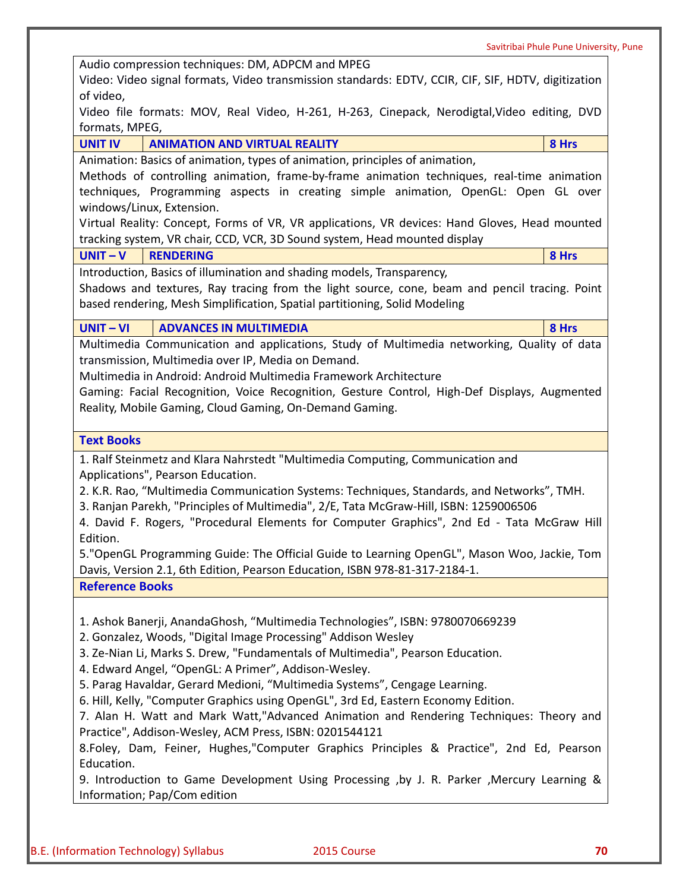Audio compression techniques: DM, ADPCM and MPEG Video: Video signal formats, Video transmission standards: EDTV, CCIR, CIF, SIF, HDTV, digitization of video, Video file formats: MOV, Real Video, H-261, H-263, Cinepack, Nerodigtal,Video editing, DVD formats, MPEG, **UNIT IV ANIMATION AND VIRTUAL REALITY 8 Hrs** Animation: Basics of animation, types of animation, principles of animation, Methods of controlling animation, frame-by-frame animation techniques, real-time animation techniques, Programming aspects in creating simple animation, OpenGL: Open GL over windows/Linux, Extension. Virtual Reality: Concept, Forms of VR, VR applications, VR devices: Hand Gloves, Head mounted tracking system, VR chair, CCD, VCR, 3D Sound system, Head mounted display **UNIT – V RENDERING 8 Hrs** Introduction, Basics of illumination and shading models, Transparency, Shadows and textures, Ray tracing from the light source, cone, beam and pencil tracing. Point based rendering, Mesh Simplification, Spatial partitioning, Solid Modeling **UNIT – VI ADVANCES IN MULTIMEDIA 8 Hrs** Multimedia Communication and applications, Study of Multimedia networking, Quality of data transmission, Multimedia over IP, Media on Demand. Multimedia in Android: Android Multimedia Framework Architecture Gaming: Facial Recognition, Voice Recognition, Gesture Control, High-Def Displays, Augmented Reality, Mobile Gaming, Cloud Gaming, On-Demand Gaming. **Text Books** 1. Ralf Steinmetz and Klara Nahrstedt "Multimedia Computing, Communication and Applications", Pearson Education. 2. K.R. Rao, "Multimedia Communication Systems: Techniques, Standards, and Networks", TMH. 3. Ranjan Parekh, "Principles of Multimedia", 2/E, Tata McGraw-Hill, ISBN: 1259006506 4. David F. Rogers, "Procedural Elements for Computer Graphics", 2nd Ed - Tata McGraw Hill Edition. 5."OpenGL Programming Guide: The Official Guide to Learning OpenGL", Mason Woo, Jackie, Tom Davis, Version 2.1, 6th Edition, Pearson Education, ISBN 978-81-317-2184-1. **Reference Books** 1. Ashok Banerji, AnandaGhosh, "Multimedia Technologies", ISBN: 9780070669239 2. Gonzalez, Woods, "Digital Image Processing" Addison Wesley 3. Ze-Nian Li, Marks S. Drew, "Fundamentals of Multimedia", Pearson Education. 4. Edward Angel, "OpenGL: A Primer", Addison-Wesley. 5. Parag Havaldar, Gerard Medioni, "Multimedia Systems", Cengage Learning. 6. Hill, Kelly, "Computer Graphics using OpenGL", 3rd Ed, Eastern Economy Edition. 7. Alan H. Watt and Mark Watt,"Advanced Animation and Rendering Techniques: Theory and Practice", Addison-Wesley, ACM Press, ISBN: 0201544121 8.Foley, Dam, Feiner, Hughes,"Computer Graphics Principles & Practice", 2nd Ed, Pearson Education. 9. Introduction to Game Development Using Processing ,by J. R. Parker ,Mercury Learning & Information; Pap/Com edition

Savitribai Phule Pune University, Pune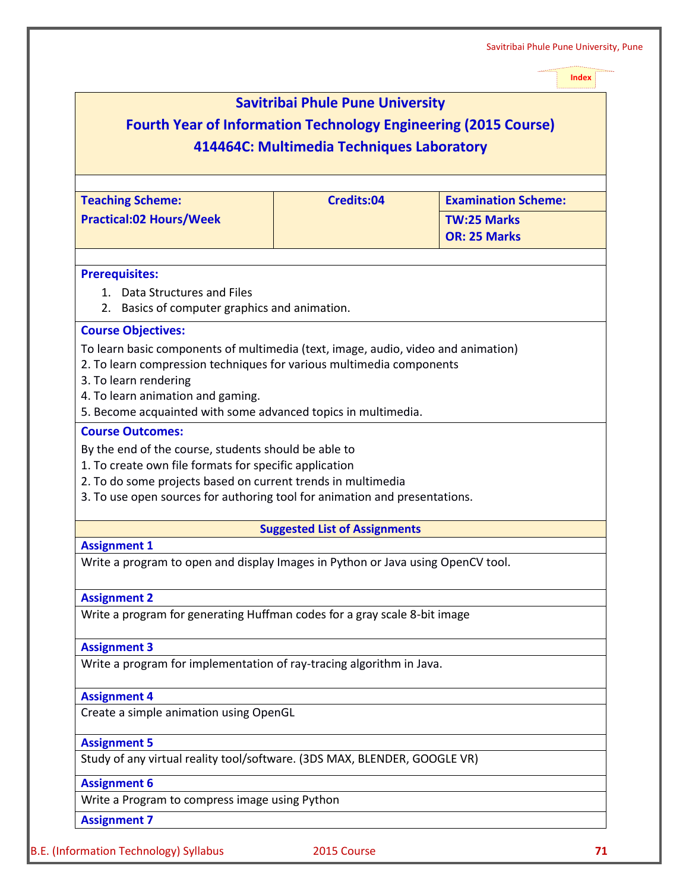|                                                                                                                                                                                                                                                                                                                                                                            |                                                               | <b>Index</b>               |
|----------------------------------------------------------------------------------------------------------------------------------------------------------------------------------------------------------------------------------------------------------------------------------------------------------------------------------------------------------------------------|---------------------------------------------------------------|----------------------------|
|                                                                                                                                                                                                                                                                                                                                                                            | <b>Savitribai Phule Pune University</b>                       |                            |
| <b>Fourth Year of Information Technology Engineering (2015 Course)</b>                                                                                                                                                                                                                                                                                                     |                                                               |                            |
|                                                                                                                                                                                                                                                                                                                                                                            | 414464C: Multimedia Techniques Laboratory                     |                            |
|                                                                                                                                                                                                                                                                                                                                                                            |                                                               |                            |
|                                                                                                                                                                                                                                                                                                                                                                            |                                                               |                            |
| <b>Teaching Scheme:</b>                                                                                                                                                                                                                                                                                                                                                    | <b>Credits:04</b>                                             | <b>Examination Scheme:</b> |
| <b>Practical:02 Hours/Week</b>                                                                                                                                                                                                                                                                                                                                             |                                                               | <b>TW:25 Marks</b>         |
|                                                                                                                                                                                                                                                                                                                                                                            |                                                               | <b>OR: 25 Marks</b>        |
| <b>Prerequisites:</b>                                                                                                                                                                                                                                                                                                                                                      |                                                               |                            |
| 1. Data Structures and Files                                                                                                                                                                                                                                                                                                                                               |                                                               |                            |
| 2. Basics of computer graphics and animation.                                                                                                                                                                                                                                                                                                                              |                                                               |                            |
| <b>Course Objectives:</b>                                                                                                                                                                                                                                                                                                                                                  |                                                               |                            |
| To learn basic components of multimedia (text, image, audio, video and animation)                                                                                                                                                                                                                                                                                          |                                                               |                            |
| 2. To learn compression techniques for various multimedia components                                                                                                                                                                                                                                                                                                       |                                                               |                            |
| 3. To learn rendering                                                                                                                                                                                                                                                                                                                                                      |                                                               |                            |
| 4. To learn animation and gaming.                                                                                                                                                                                                                                                                                                                                          |                                                               |                            |
|                                                                                                                                                                                                                                                                                                                                                                            |                                                               |                            |
|                                                                                                                                                                                                                                                                                                                                                                            | 5. Become acquainted with some advanced topics in multimedia. |                            |
|                                                                                                                                                                                                                                                                                                                                                                            |                                                               |                            |
|                                                                                                                                                                                                                                                                                                                                                                            |                                                               |                            |
|                                                                                                                                                                                                                                                                                                                                                                            |                                                               |                            |
|                                                                                                                                                                                                                                                                                                                                                                            |                                                               |                            |
|                                                                                                                                                                                                                                                                                                                                                                            |                                                               |                            |
|                                                                                                                                                                                                                                                                                                                                                                            | <b>Suggested List of Assignments</b>                          |                            |
| <b>Assignment 1</b>                                                                                                                                                                                                                                                                                                                                                        |                                                               |                            |
| <b>Course Outcomes:</b><br>By the end of the course, students should be able to<br>1. To create own file formats for specific application<br>2. To do some projects based on current trends in multimedia<br>3. To use open sources for authoring tool for animation and presentations.<br>Write a program to open and display Images in Python or Java using OpenCV tool. |                                                               |                            |
|                                                                                                                                                                                                                                                                                                                                                                            |                                                               |                            |
|                                                                                                                                                                                                                                                                                                                                                                            |                                                               |                            |
| <b>Assignment 2</b><br>Write a program for generating Huffman codes for a gray scale 8-bit image                                                                                                                                                                                                                                                                           |                                                               |                            |
| <b>Assignment 3</b>                                                                                                                                                                                                                                                                                                                                                        |                                                               |                            |
| Write a program for implementation of ray-tracing algorithm in Java.                                                                                                                                                                                                                                                                                                       |                                                               |                            |
| <b>Assignment 4</b>                                                                                                                                                                                                                                                                                                                                                        |                                                               |                            |
| Create a simple animation using OpenGL                                                                                                                                                                                                                                                                                                                                     |                                                               |                            |
|                                                                                                                                                                                                                                                                                                                                                                            |                                                               |                            |
|                                                                                                                                                                                                                                                                                                                                                                            |                                                               |                            |
| <b>Assignment 5</b><br>Study of any virtual reality tool/software. (3DS MAX, BLENDER, GOOGLE VR)<br><b>Assignment 6</b>                                                                                                                                                                                                                                                    |                                                               |                            |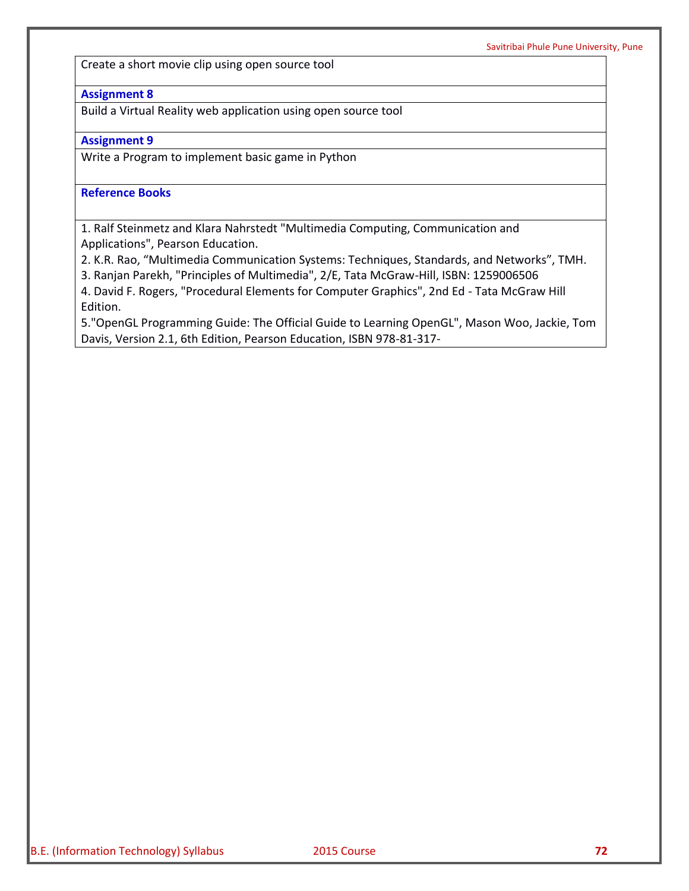Create a short movie clip using open source tool

#### **Assignment 8**

Build a Virtual Reality web application using open source tool

#### **Assignment 9**

Write a Program to implement basic game in Python

## **Reference Books**

1. Ralf Steinmetz and Klara Nahrstedt "Multimedia Computing, Communication and Applications", Pearson Education.

2. K.R. Rao, "Multimedia Communication Systems: Techniques, Standards, and Networks", TMH. 3. Ranjan Parekh, "Principles of Multimedia", 2/E, Tata McGraw-Hill, ISBN: 1259006506

4. David F. Rogers, "Procedural Elements for Computer Graphics", 2nd Ed - Tata McGraw Hill Edition.

5."OpenGL Programming Guide: The Official Guide to Learning OpenGL", Mason Woo, Jackie, Tom Davis, Version 2.1, 6th Edition, Pearson Education, ISBN 978-81-317-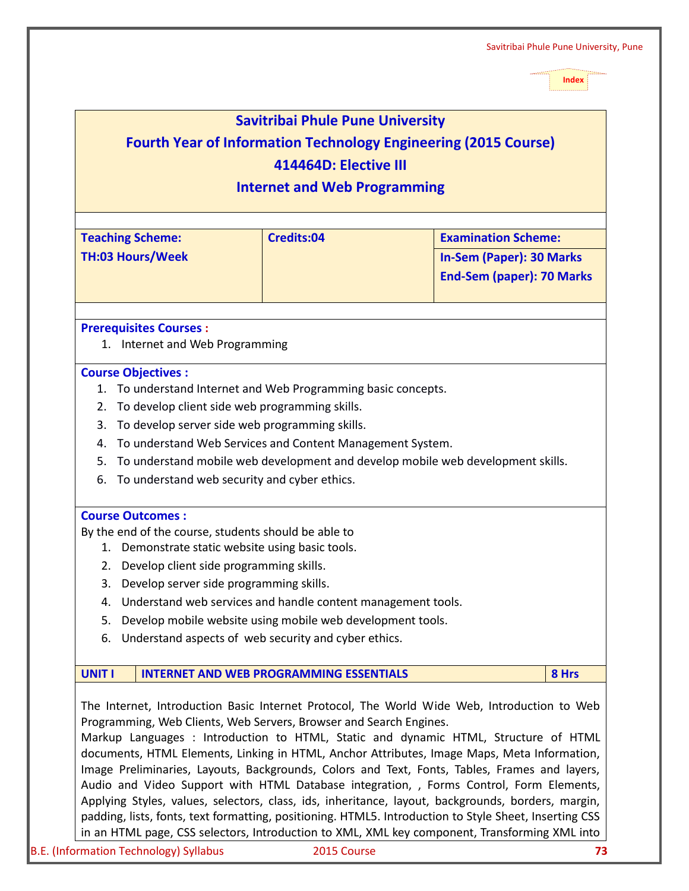| <b>Savitribai Phule Pune University</b><br><b>Fourth Year of Information Technology Engineering (2015 Course)</b><br>414464D: Elective III<br><b>Internet and Web Programming</b>                                                                    |                                                                                                                                                                                                                                                                                                                                                                                                                                                                                                                                                                                                                                                                                                                                                                                                                                                                      |                                                               |  |
|------------------------------------------------------------------------------------------------------------------------------------------------------------------------------------------------------------------------------------------------------|----------------------------------------------------------------------------------------------------------------------------------------------------------------------------------------------------------------------------------------------------------------------------------------------------------------------------------------------------------------------------------------------------------------------------------------------------------------------------------------------------------------------------------------------------------------------------------------------------------------------------------------------------------------------------------------------------------------------------------------------------------------------------------------------------------------------------------------------------------------------|---------------------------------------------------------------|--|
| <b>Teaching Scheme:</b><br><b>TH:03 Hours/Week</b>                                                                                                                                                                                                   | <b>Credits:04</b>                                                                                                                                                                                                                                                                                                                                                                                                                                                                                                                                                                                                                                                                                                                                                                                                                                                    | <b>Examination Scheme:</b><br><b>In-Sem (Paper): 30 Marks</b> |  |
|                                                                                                                                                                                                                                                      |                                                                                                                                                                                                                                                                                                                                                                                                                                                                                                                                                                                                                                                                                                                                                                                                                                                                      | <b>End-Sem (paper): 70 Marks</b>                              |  |
| <b>Prerequisites Courses:</b><br>1. Internet and Web Programming                                                                                                                                                                                     |                                                                                                                                                                                                                                                                                                                                                                                                                                                                                                                                                                                                                                                                                                                                                                                                                                                                      |                                                               |  |
| To develop client side web programming skills.<br>2.<br>To develop server side web programming skills.<br>3.<br>4.<br>5.<br>To understand web security and cyber ethics.<br>6.                                                                       | To understand Internet and Web Programming basic concepts.<br>To understand Web Services and Content Management System.<br>To understand mobile web development and develop mobile web development skills.                                                                                                                                                                                                                                                                                                                                                                                                                                                                                                                                                                                                                                                           |                                                               |  |
| <b>Course Outcomes:</b><br>By the end of the course, students should be able to<br>1. Demonstrate static website using basic tools.<br>Develop client side programming skills.<br>2.<br>3. Develop server side programming skills.<br>4.<br>5.<br>6. | Understand web services and handle content management tools.<br>Develop mobile website using mobile web development tools.<br>Understand aspects of web security and cyber ethics.                                                                                                                                                                                                                                                                                                                                                                                                                                                                                                                                                                                                                                                                                   |                                                               |  |
| <b>UNIT I</b>                                                                                                                                                                                                                                        | <b>INTERNET AND WEB PROGRAMMING ESSENTIALS</b>                                                                                                                                                                                                                                                                                                                                                                                                                                                                                                                                                                                                                                                                                                                                                                                                                       | 8 Hrs                                                         |  |
|                                                                                                                                                                                                                                                      | The Internet, Introduction Basic Internet Protocol, The World Wide Web, Introduction to Web<br>Programming, Web Clients, Web Servers, Browser and Search Engines.<br>Markup Languages : Introduction to HTML, Static and dynamic HTML, Structure of HTML<br>documents, HTML Elements, Linking in HTML, Anchor Attributes, Image Maps, Meta Information,<br>Image Preliminaries, Layouts, Backgrounds, Colors and Text, Fonts, Tables, Frames and layers,<br>Audio and Video Support with HTML Database integration, , Forms Control, Form Elements,<br>Applying Styles, values, selectors, class, ids, inheritance, layout, backgrounds, borders, margin,<br>padding, lists, fonts, text formatting, positioning. HTML5. Introduction to Style Sheet, Inserting CSS<br>in an HTML page, CSS selectors, Introduction to XML, XML key component, Transforming XML into |                                                               |  |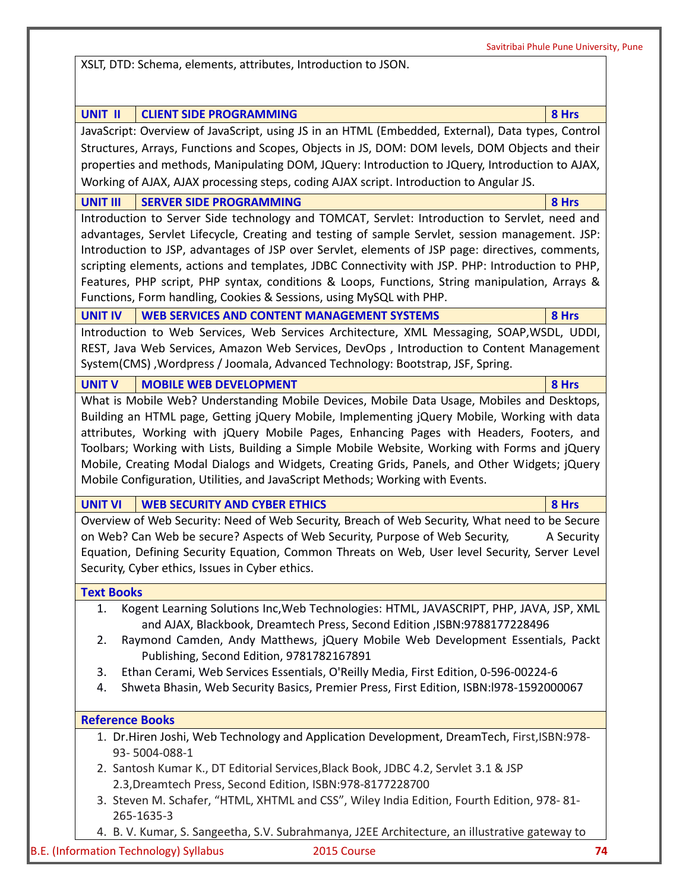XSLT, DTD: Schema, elements, attributes, Introduction to JSON.

| UNIT II   CLIENT SIDE PROGRAMMING | 8 Hrs |
|-----------------------------------|-------|
|                                   |       |

JavaScript: Overview of JavaScript, using JS in an HTML (Embedded, External), Data types, Control Structures, Arrays, Functions and Scopes, Objects in JS, DOM: DOM levels, DOM Objects and their properties and methods, Manipulating DOM, JQuery: Introduction to JQuery, Introduction to AJAX, Working of AJAX, AJAX processing steps, coding AJAX script. Introduction to Angular JS.

**UNIT III SERVER SIDE PROGRAMMING 8 Hrs** Introduction to Server Side technology and TOMCAT, Servlet: Introduction to Servlet, need and

advantages, Servlet Lifecycle, Creating and testing of sample Servlet, session management. JSP: Introduction to JSP, advantages of JSP over Servlet, elements of JSP page: directives, comments, scripting elements, actions and templates, JDBC Connectivity with JSP. PHP: Introduction to PHP, Features, PHP script, PHP syntax, conditions & Loops, Functions, String manipulation, Arrays & Functions, Form handling, Cookies & Sessions, using MySQL with PHP.

**UNIT IV WEB SERVICES AND CONTENT MANAGEMENT SYSTEMS 8 Hrs**

Introduction to Web Services, Web Services Architecture, XML Messaging, SOAP,WSDL, UDDI, REST, Java Web Services, Amazon Web Services, DevOps , Introduction to Content Management System(CMS) ,Wordpress / Joomala, Advanced Technology: Bootstrap, JSF, Spring.

**UNIT V MOBILE WEB DEVELOPMENT 10.000 CONTROL 8 Hrs** 

What is Mobile Web? Understanding Mobile Devices, Mobile Data Usage, Mobiles and Desktops, Building an HTML page, Getting jQuery Mobile, Implementing jQuery Mobile, Working with data attributes, Working with jQuery Mobile Pages, Enhancing Pages with Headers, Footers, and Toolbars; Working with Lists, Building a Simple Mobile Website, Working with Forms and jQuery Mobile, Creating Modal Dialogs and Widgets, Creating Grids, Panels, and Other Widgets; jQuery Mobile Configuration, Utilities, and JavaScript Methods; Working with Events.

**UNIT VI WEB SECURITY AND CYBER ETHICS 8 Hrs** 

Overview of Web Security: Need of Web Security, Breach of Web Security, What need to be Secure on Web? Can Web be secure? Aspects of Web Security, Purpose of Web Security, A Security Equation, Defining Security Equation, Common Threats on Web, User level Security, Server Level Security, Cyber ethics, Issues in Cyber ethics.

### **Text Books**

- 1. Kogent Learning Solutions Inc,Web Technologies: HTML, JAVASCRIPT, PHP, JAVA, JSP, XML and AJAX, Blackbook, Dreamtech Press, Second Edition ,ISBN:9788177228496
- 2. Raymond Camden, Andy Matthews, jQuery Mobile Web Development Essentials, Packt Publishing, Second Edition, 9781782167891
- 3. Ethan Cerami, Web Services Essentials, O'Reilly Media, First Edition, 0-596-00224-6
- 4. Shweta Bhasin, Web Security Basics, Premier Press, First Edition, ISBN:l978-1592000067

### **Reference Books**

- 1. Dr.Hiren Joshi, Web Technology and Application Development, DreamTech, First,ISBN:978- 93- 5004-088-1
- 2. Santosh Kumar K., DT Editorial Services,Black Book, JDBC 4.2, Servlet 3.1 & JSP 2.3,Dreamtech Press, Second Edition, ISBN:978-8177228700
- 3. Steven M. Schafer, "HTML, XHTML and CSS", Wiley India Edition, Fourth Edition, 978- 81- 265-1635-3
- 4. B. V. Kumar, S. Sangeetha, S.V. Subrahmanya, J2EE Architecture, an illustrative gateway to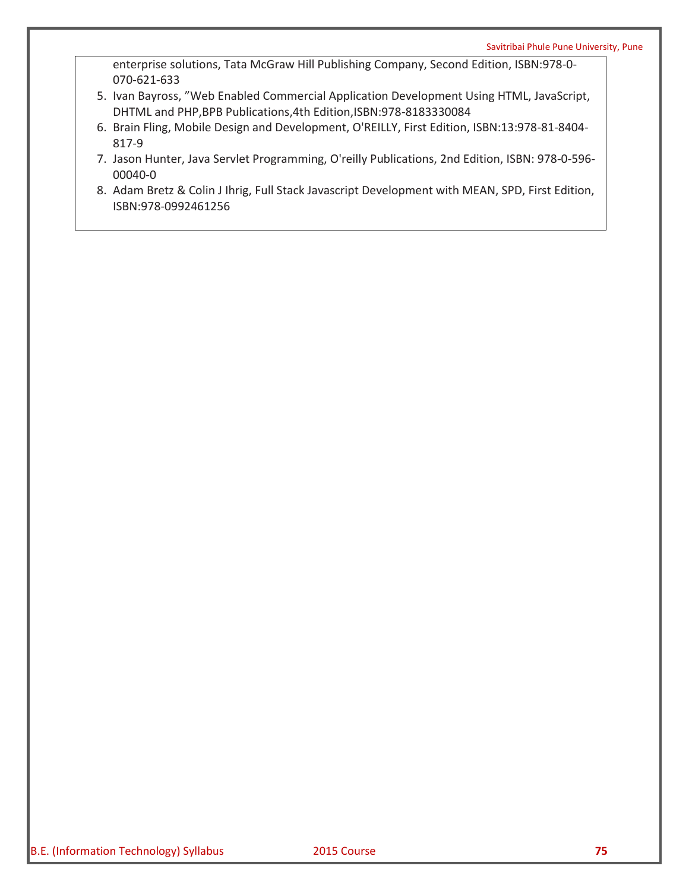enterprise solutions, Tata McGraw Hill Publishing Company, Second Edition, ISBN:978-0- 070-621-633

- 5. Ivan Bayross, "Web Enabled Commercial Application Development Using HTML, JavaScript, DHTML and PHP,BPB Publications,4th Edition,ISBN:978-8183330084
- 6. Brain Fling, Mobile Design and Development, O'REILLY, First Edition, ISBN:13:978-81-8404- 817-9
- 7. Jason Hunter, Java Servlet Programming, O'reilly Publications, 2nd Edition, ISBN: 978-0-596- 00040-0
- 8. Adam Bretz & Colin J Ihrig, Full Stack Javascript Development with MEAN, SPD, First Edition, ISBN:978-0992461256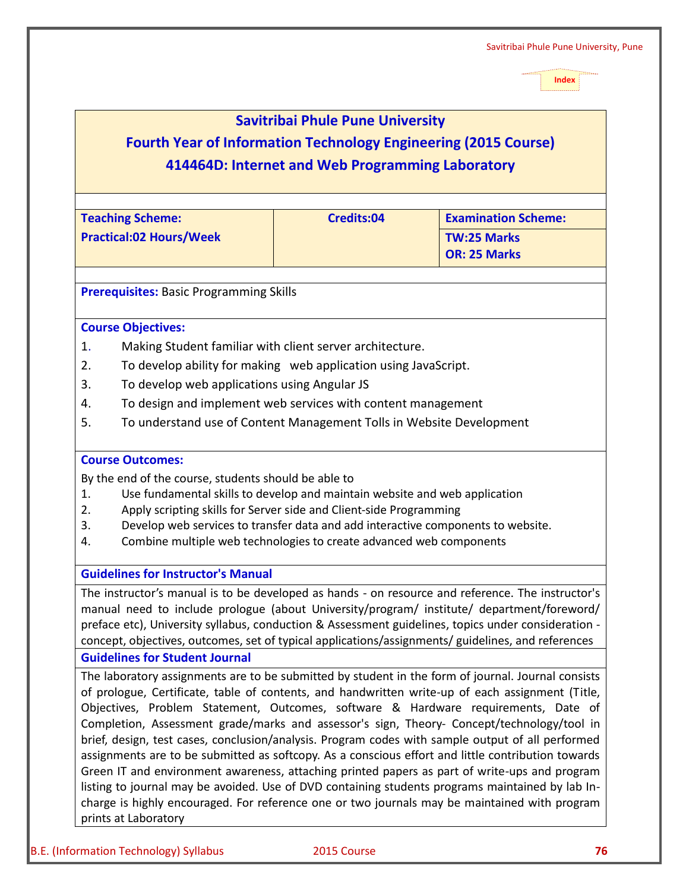# **Savitribai Phule Pune University Fourth Year of Information Technology Engineering (2015 Course) 414464D: Internet and Web Programming Laboratory**

| <b>Teaching Scheme:</b>        | Credits:04 | <b>Examination Scheme:</b> |
|--------------------------------|------------|----------------------------|
| <b>Practical:02 Hours/Week</b> |            | <b>TW:25 Marks</b>         |
|                                |            | <b>OR: 25 Marks</b>        |

**Prerequisites:** Basic Programming Skills

#### **Course Objectives:**

- 1. Making Student familiar with client server architecture.
- 2. To develop ability for making web application using JavaScript.
- 3. To develop web applications using Angular JS
- 4. To design and implement web services with content management
- 5. To understand use of Content Management Tolls in Website Development

#### **Course Outcomes:**

By the end of the course, students should be able to

- 1. Use fundamental skills to develop and maintain website and web application
- 2. Apply scripting skills for Server side and Client-side Programming
- 3. Develop web services to transfer data and add interactive components to website.
- 4. Combine multiple web technologies to create advanced web components

#### **Guidelines for Instructor's Manual**

The instructor's manual is to be developed as hands - on resource and reference. The instructor's manual need to include prologue (about University/program/ institute/ department/foreword/ preface etc), University syllabus, conduction & Assessment guidelines, topics under consideration concept, objectives, outcomes, set of typical applications/assignments/ guidelines, and references

#### **Guidelines for Student Journal**

The laboratory assignments are to be submitted by student in the form of journal. Journal consists of prologue, Certificate, table of contents, and handwritten write-up of each assignment (Title, Objectives, Problem Statement, Outcomes, software & Hardware requirements, Date of Completion, Assessment grade/marks and assessor's sign, Theory- Concept/technology/tool in brief, design, test cases, conclusion/analysis. Program codes with sample output of all performed assignments are to be submitted as softcopy. As a conscious effort and little contribution towards Green IT and environment awareness, attaching printed papers as part of write-ups and program listing to journal may be avoided. Use of DVD containing students programs maintained by lab Incharge is highly encouraged. For reference one or two journals may be maintained with program prints at Laboratory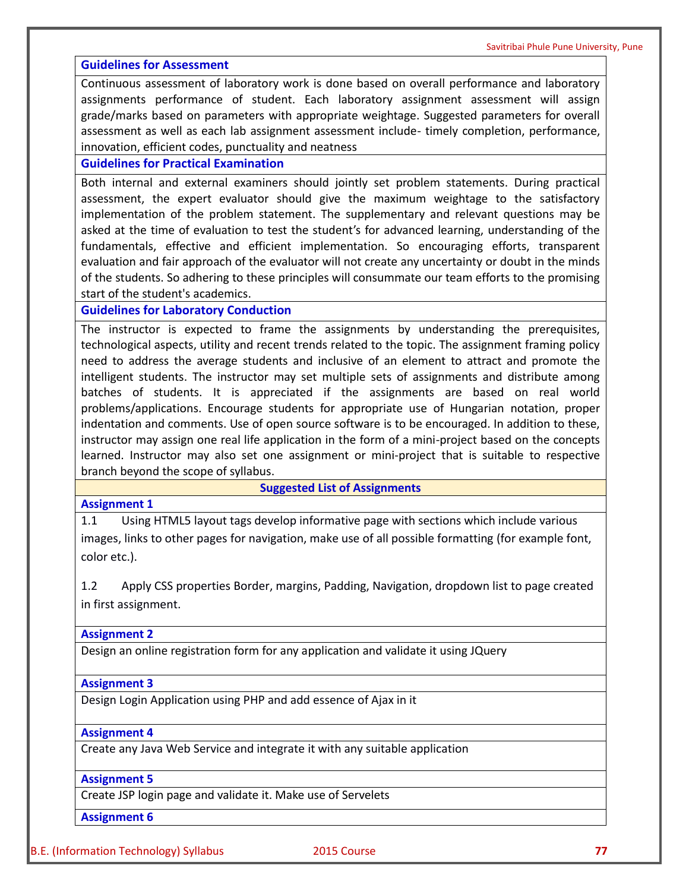#### **Guidelines for Assessment**

Continuous assessment of laboratory work is done based on overall performance and laboratory assignments performance of student. Each laboratory assignment assessment will assign grade/marks based on parameters with appropriate weightage. Suggested parameters for overall assessment as well as each lab assignment assessment include- timely completion, performance, innovation, efficient codes, punctuality and neatness

#### **Guidelines for Practical Examination**

Both internal and external examiners should jointly set problem statements. During practical assessment, the expert evaluator should give the maximum weightage to the satisfactory implementation of the problem statement. The supplementary and relevant questions may be asked at the time of evaluation to test the student's for advanced learning, understanding of the fundamentals, effective and efficient implementation. So encouraging efforts, transparent evaluation and fair approach of the evaluator will not create any uncertainty or doubt in the minds of the students. So adhering to these principles will consummate our team efforts to the promising start of the student's academics.

#### **Guidelines for Laboratory Conduction**

The instructor is expected to frame the assignments by understanding the prerequisites, technological aspects, utility and recent trends related to the topic. The assignment framing policy need to address the average students and inclusive of an element to attract and promote the intelligent students. The instructor may set multiple sets of assignments and distribute among batches of students. It is appreciated if the assignments are based on real world problems/applications. Encourage students for appropriate use of Hungarian notation, proper indentation and comments. Use of open source software is to be encouraged. In addition to these, instructor may assign one real life application in the form of a mini-project based on the concepts learned. Instructor may also set one assignment or mini-project that is suitable to respective branch beyond the scope of syllabus.

#### **Suggested List of Assignments**

#### **Assignment 1**

1.1 Using HTML5 layout tags develop informative page with sections which include various images, links to other pages for navigation, make use of all possible formatting (for example font, color etc.).

1.2 Apply CSS properties Border, margins, Padding, Navigation, dropdown list to page created in first assignment.

#### **Assignment 2**

Design an online registration form for any application and validate it using JQuery

#### **Assignment 3**

Design Login Application using PHP and add essence of Ajax in it

#### **Assignment 4**

Create any Java Web Service and integrate it with any suitable application

#### **Assignment 5**

Create JSP login page and validate it. Make use of Servelets

#### **Assignment 6**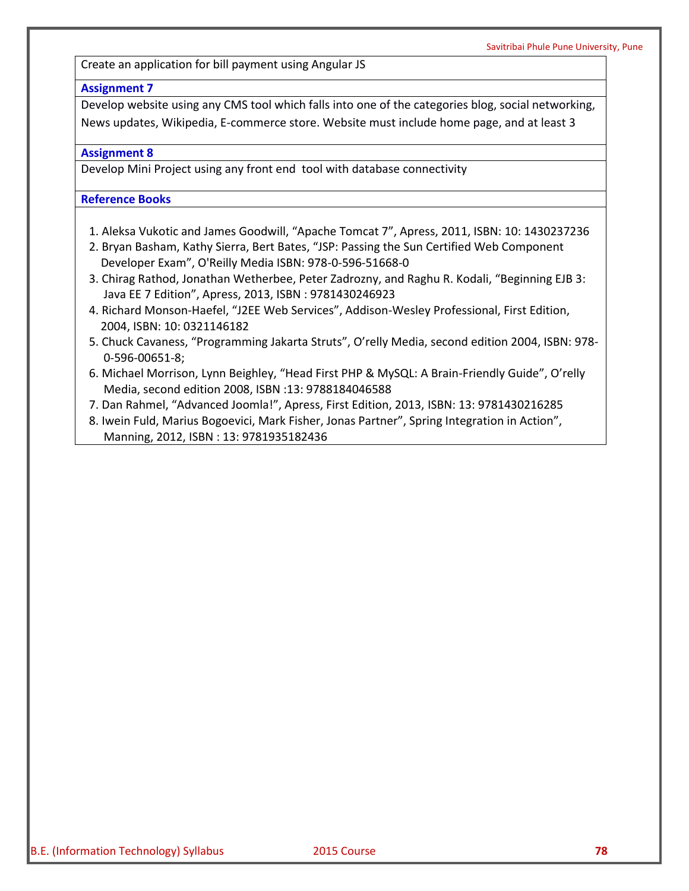Create an application for bill payment using Angular JS

#### **Assignment 7**

Develop website using any CMS tool which falls into one of the categories blog, social networking, News updates, Wikipedia, E-commerce store. Website must include home page, and at least 3

#### **Assignment 8**

Develop Mini Project using any front end tool with database connectivity

#### **Reference Books**

- 1. Aleksa Vukotic and James Goodwill, "Apache Tomcat 7", Apress, 2011, ISBN: 10: 1430237236
- 2. Bryan Basham, Kathy Sierra, Bert Bates, "JSP: Passing the Sun Certified Web Component Developer Exam", O'Reilly Media ISBN: 978-0-596-51668-0
- 3. Chirag Rathod, Jonathan Wetherbee, Peter Zadrozny, and Raghu R. Kodali, "Beginning EJB 3: Java EE 7 Edition", Apress, 2013, ISBN : 9781430246923
- 4. Richard Monson-Haefel, "J2EE Web Services", Addison-Wesley Professional, First Edition, 2004, ISBN: 10: 0321146182
- 5. Chuck Cavaness, "Programming Jakarta Struts", O'relly Media, second edition 2004, ISBN: 978- 0-596-00651-8;
- 6. Michael Morrison, Lynn Beighley, "Head First PHP & MySQL: A Brain-Friendly Guide", O'relly Media, second edition 2008, ISBN :13: 9788184046588
- 7. Dan Rahmel, "Advanced Joomla!", Apress, First Edition, 2013, ISBN: 13: 9781430216285
- 8. Iwein Fuld, Marius Bogoevici, Mark Fisher, Jonas Partner", Spring Integration in Action", Manning, 2012, ISBN : 13: 9781935182436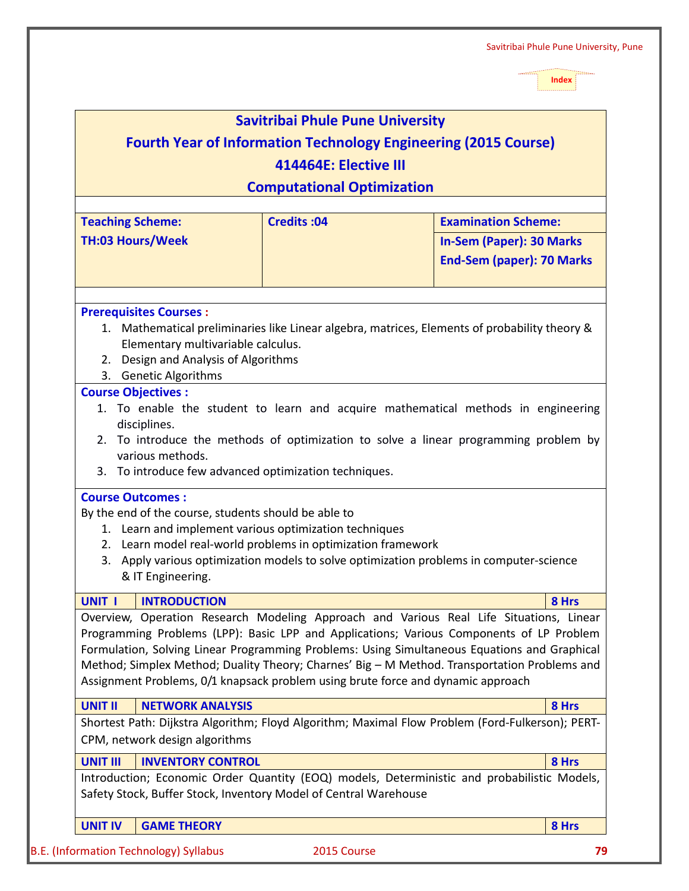| <b>Savitribai Phule Pune University</b>                                                                                                                         |                                                                                          |                                                                                                                                                         |                                  |  |  |
|-----------------------------------------------------------------------------------------------------------------------------------------------------------------|------------------------------------------------------------------------------------------|---------------------------------------------------------------------------------------------------------------------------------------------------------|----------------------------------|--|--|
| <b>Fourth Year of Information Technology Engineering (2015 Course)</b>                                                                                          |                                                                                          |                                                                                                                                                         |                                  |  |  |
|                                                                                                                                                                 | 414464E: Elective III                                                                    |                                                                                                                                                         |                                  |  |  |
|                                                                                                                                                                 |                                                                                          | <b>Computational Optimization</b>                                                                                                                       |                                  |  |  |
|                                                                                                                                                                 | <b>Credits:04</b><br><b>Examination Scheme:</b><br><b>Teaching Scheme:</b>               |                                                                                                                                                         |                                  |  |  |
|                                                                                                                                                                 | <b>TH:03 Hours/Week</b>                                                                  |                                                                                                                                                         |                                  |  |  |
|                                                                                                                                                                 |                                                                                          |                                                                                                                                                         | <b>In-Sem (Paper): 30 Marks</b>  |  |  |
|                                                                                                                                                                 |                                                                                          |                                                                                                                                                         | <b>End-Sem (paper): 70 Marks</b> |  |  |
|                                                                                                                                                                 |                                                                                          |                                                                                                                                                         |                                  |  |  |
|                                                                                                                                                                 | <b>Prerequisites Courses:</b>                                                            |                                                                                                                                                         |                                  |  |  |
|                                                                                                                                                                 |                                                                                          | 1. Mathematical preliminaries like Linear algebra, matrices, Elements of probability theory &                                                           |                                  |  |  |
|                                                                                                                                                                 | Elementary multivariable calculus.<br>2. Design and Analysis of Algorithms               |                                                                                                                                                         |                                  |  |  |
|                                                                                                                                                                 | 3. Genetic Algorithms                                                                    |                                                                                                                                                         |                                  |  |  |
|                                                                                                                                                                 | <b>Course Objectives:</b>                                                                |                                                                                                                                                         |                                  |  |  |
|                                                                                                                                                                 |                                                                                          | 1. To enable the student to learn and acquire mathematical methods in engineering                                                                       |                                  |  |  |
|                                                                                                                                                                 | disciplines.                                                                             | 2. To introduce the methods of optimization to solve a linear programming problem by                                                                    |                                  |  |  |
|                                                                                                                                                                 | various methods.                                                                         |                                                                                                                                                         |                                  |  |  |
|                                                                                                                                                                 |                                                                                          | 3. To introduce few advanced optimization techniques.                                                                                                   |                                  |  |  |
|                                                                                                                                                                 | <b>Course Outcomes:</b>                                                                  |                                                                                                                                                         |                                  |  |  |
|                                                                                                                                                                 | By the end of the course, students should be able to                                     |                                                                                                                                                         |                                  |  |  |
|                                                                                                                                                                 |                                                                                          | 1. Learn and implement various optimization techniques                                                                                                  |                                  |  |  |
|                                                                                                                                                                 |                                                                                          | 2. Learn model real-world problems in optimization framework<br>3. Apply various optimization models to solve optimization problems in computer-science |                                  |  |  |
|                                                                                                                                                                 | & IT Engineering.                                                                        |                                                                                                                                                         |                                  |  |  |
| <b>UNIT I</b><br><b>INTRODUCTION</b><br>8 Hrs                                                                                                                   |                                                                                          |                                                                                                                                                         |                                  |  |  |
| Overview, Operation Research Modeling Approach and Various Real Life Situations, Linear                                                                         |                                                                                          |                                                                                                                                                         |                                  |  |  |
|                                                                                                                                                                 | Programming Problems (LPP): Basic LPP and Applications; Various Components of LP Problem |                                                                                                                                                         |                                  |  |  |
| Formulation, Solving Linear Programming Problems: Using Simultaneous Equations and Graphical                                                                    |                                                                                          |                                                                                                                                                         |                                  |  |  |
| Method; Simplex Method; Duality Theory; Charnes' Big - M Method. Transportation Problems and                                                                    |                                                                                          |                                                                                                                                                         |                                  |  |  |
| Assignment Problems, 0/1 knapsack problem using brute force and dynamic approach                                                                                |                                                                                          |                                                                                                                                                         |                                  |  |  |
| <b>UNIT II</b>                                                                                                                                                  | <b>NETWORK ANALYSIS</b>                                                                  |                                                                                                                                                         | 8 Hrs                            |  |  |
| Shortest Path: Dijkstra Algorithm; Floyd Algorithm; Maximal Flow Problem (Ford-Fulkerson); PERT-                                                                |                                                                                          |                                                                                                                                                         |                                  |  |  |
| CPM, network design algorithms                                                                                                                                  |                                                                                          |                                                                                                                                                         |                                  |  |  |
| <b>UNIT III</b>                                                                                                                                                 | <b>INVENTORY CONTROL</b>                                                                 |                                                                                                                                                         | 8 Hrs                            |  |  |
| Introduction; Economic Order Quantity (EOQ) models, Deterministic and probabilistic Models,<br>Safety Stock, Buffer Stock, Inventory Model of Central Warehouse |                                                                                          |                                                                                                                                                         |                                  |  |  |
| <b>UNIT IV</b>                                                                                                                                                  | <b>GAME THEORY</b>                                                                       |                                                                                                                                                         | 8 Hrs                            |  |  |
|                                                                                                                                                                 |                                                                                          |                                                                                                                                                         |                                  |  |  |

B.E. (Information Technology) Syllabus 2015 Course **79**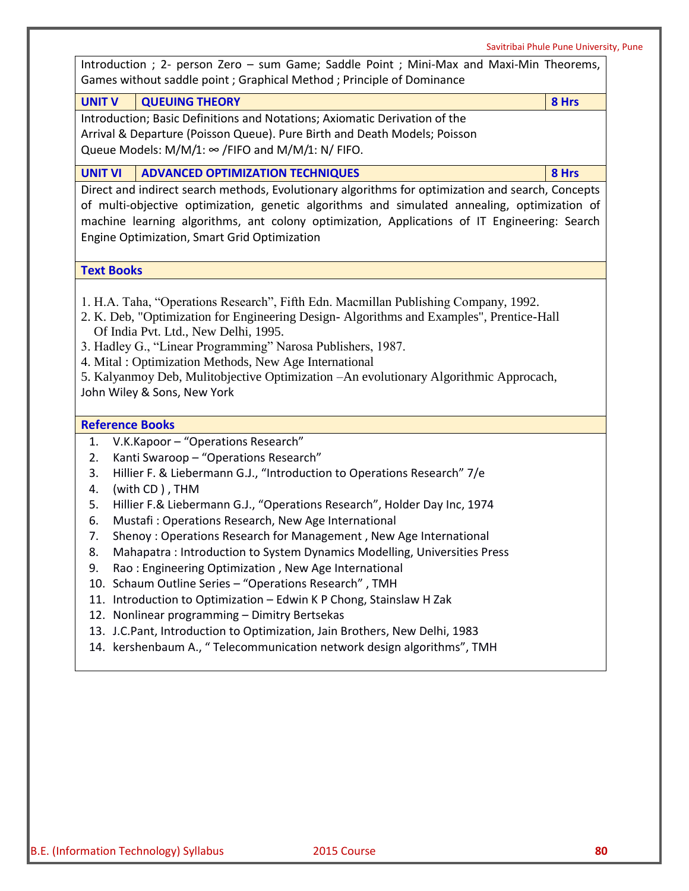Introduction ; 2- person Zero – sum Game; Saddle Point ; Mini-Max and Maxi-Min Theorems, Games without saddle point ; Graphical Method ; Principle of Dominance

#### **UNIT V QUEUING THEORY 8 Hrs**

Introduction; Basic Definitions and Notations; Axiomatic Derivation of the Arrival & Departure (Poisson Queue). Pure Birth and Death Models; Poisson Queue Models:  $M/M/1$ :  $\infty$  /FIFO and M/M/1: N/ FIFO.

#### **UNIT VI ADVANCED OPTIMIZATION TECHNIQUES 8 Hrs**

Direct and indirect search methods, Evolutionary algorithms for optimization and search, Concepts of multi-objective optimization, genetic algorithms and simulated annealing, optimization of machine learning algorithms, ant colony optimization, Applications of IT Engineering: Search Engine Optimization, Smart Grid Optimization

#### **Text Books**

- 1. H.A. Taha, "Operations Research", Fifth Edn. Macmillan Publishing Company, 1992.
- 2. K. Deb, "Optimization for Engineering Design- Algorithms and Examples", Prentice-Hall Of India Pvt. Ltd., New Delhi, 1995.
- 3. Hadley G., "Linear Programming" Narosa Publishers, 1987.
- 4. Mital : Optimization Methods, New Age International
- 5. Kalyanmoy Deb, Mulitobjective Optimization –An evolutionary Algorithmic Approcach, John Wiley & Sons, New York

#### **Reference Books**

- 1. V.K.Kapoor "Operations Research"
- 2. Kanti Swaroop "Operations Research"
- 3. Hillier F. & Liebermann G.J., "Introduction to Operations Research" 7/e
- 4. (with CD ) , THM
- 5. Hillier F.& Liebermann G.J., "Operations Research", Holder Day Inc, 1974
- 6. Mustafi : Operations Research, New Age International
- 7. Shenoy : Operations Research for Management , New Age International
- 8. Mahapatra : Introduction to System Dynamics Modelling, Universities Press
- 9. Rao : Engineering Optimization , New Age International
- 10. Schaum Outline Series "Operations Research" , TMH
- 11. Introduction to Optimization Edwin K P Chong, Stainslaw H Zak
- 12. Nonlinear programming Dimitry Bertsekas
- 13. J.C.Pant, Introduction to Optimization, Jain Brothers, New Delhi, 1983
- 14. kershenbaum A., " Telecommunication network design algorithms", TMH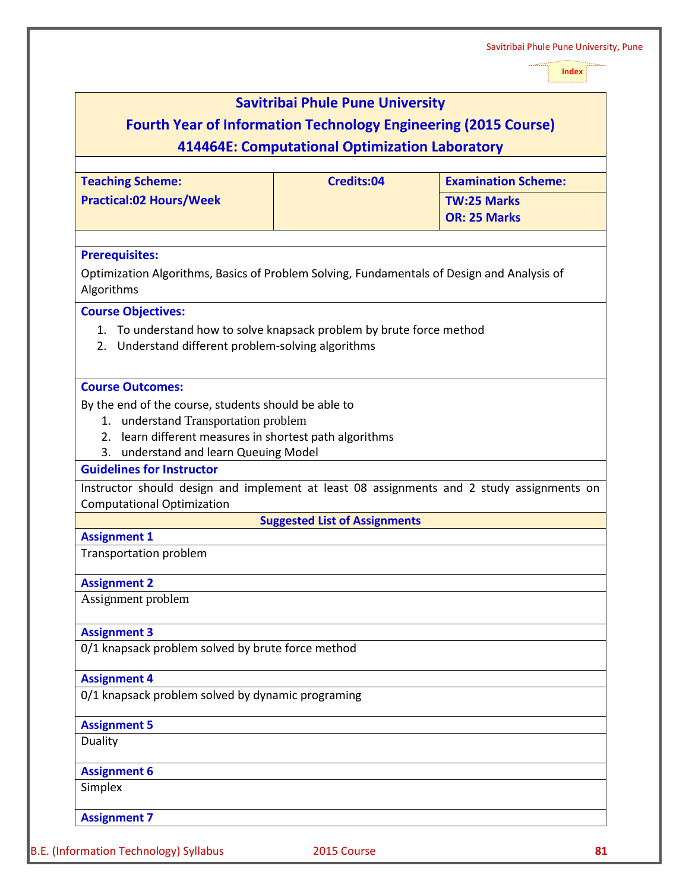|                                                                                                                            |                                                | Index               |
|----------------------------------------------------------------------------------------------------------------------------|------------------------------------------------|---------------------|
|                                                                                                                            | <b>Savitribai Phule Pune University</b>        |                     |
| <b>Fourth Year of Information Technology Engineering (2015 Course)</b>                                                     |                                                |                     |
|                                                                                                                            | 414464E: Computational Optimization Laboratory |                     |
|                                                                                                                            |                                                |                     |
| <b>Credits:04</b><br><b>Examination Scheme:</b><br><b>Teaching Scheme:</b>                                                 |                                                |                     |
| <b>Practical:02 Hours/Week</b>                                                                                             |                                                | <b>TW:25 Marks</b>  |
|                                                                                                                            |                                                | <b>OR: 25 Marks</b> |
|                                                                                                                            |                                                |                     |
| <b>Prerequisites:</b>                                                                                                      |                                                |                     |
| Optimization Algorithms, Basics of Problem Solving, Fundamentals of Design and Analysis of<br>Algorithms                   |                                                |                     |
|                                                                                                                            |                                                |                     |
| <b>Course Objectives:</b>                                                                                                  |                                                |                     |
| 1. To understand how to solve knapsack problem by brute force method<br>2. Understand different problem-solving algorithms |                                                |                     |
|                                                                                                                            |                                                |                     |
| <b>Course Outcomes:</b>                                                                                                    |                                                |                     |
| By the end of the course, students should be able to                                                                       |                                                |                     |
| 1. understand Transportation problem                                                                                       |                                                |                     |
| 2. learn different measures in shortest path algorithms                                                                    |                                                |                     |
| 3. understand and learn Queuing Model                                                                                      |                                                |                     |
| <b>Guidelines for Instructor</b>                                                                                           |                                                |                     |
| Instructor should design and implement at least 08 assignments and 2 study assignments on                                  |                                                |                     |
| <b>Computational Optimization</b>                                                                                          |                                                |                     |
|                                                                                                                            | <b>Suggested List of Assignments</b>           |                     |
| <b>Assignment 1</b>                                                                                                        |                                                |                     |
| Transportation problem                                                                                                     |                                                |                     |
| <b>Assignment 2</b>                                                                                                        |                                                |                     |
| Assignment problem                                                                                                         |                                                |                     |
|                                                                                                                            |                                                |                     |
| <b>Assignment 3</b>                                                                                                        |                                                |                     |
| 0/1 knapsack problem solved by brute force method                                                                          |                                                |                     |
| <b>Assignment 4</b>                                                                                                        |                                                |                     |
| 0/1 knapsack problem solved by dynamic programing                                                                          |                                                |                     |
|                                                                                                                            |                                                |                     |
|                                                                                                                            |                                                |                     |
| <b>Assignment 5</b>                                                                                                        |                                                |                     |
|                                                                                                                            |                                                |                     |
| Duality                                                                                                                    |                                                |                     |
| <b>Assignment 6</b><br>Simplex                                                                                             |                                                |                     |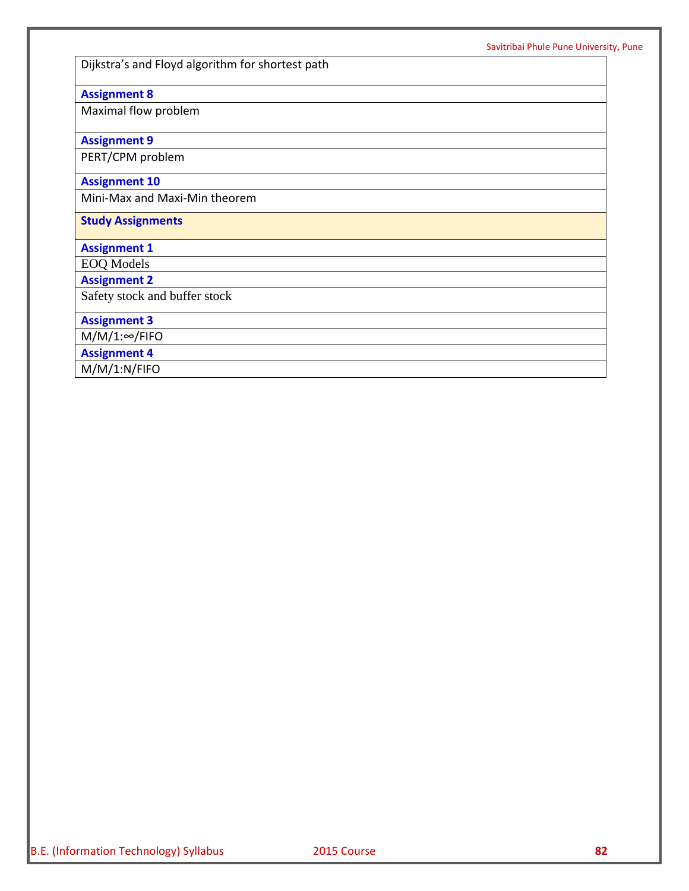Dijkstra's and Floyd algorithm for shortest path

**Assignment 8**

Maximal flow problem

**Assignment 9**

PERT/CPM problem

#### **Assignment 10**

Mini-Max and Maxi-Min theorem

**Study Assignments**

#### **Assignment 1**

EOQ Models

**Assignment 2**

Safety stock and buffer stock

#### **Assignment 3**

M/M/1:∞/FIFO

**Assignment 4**

M/M/1:N/FIFO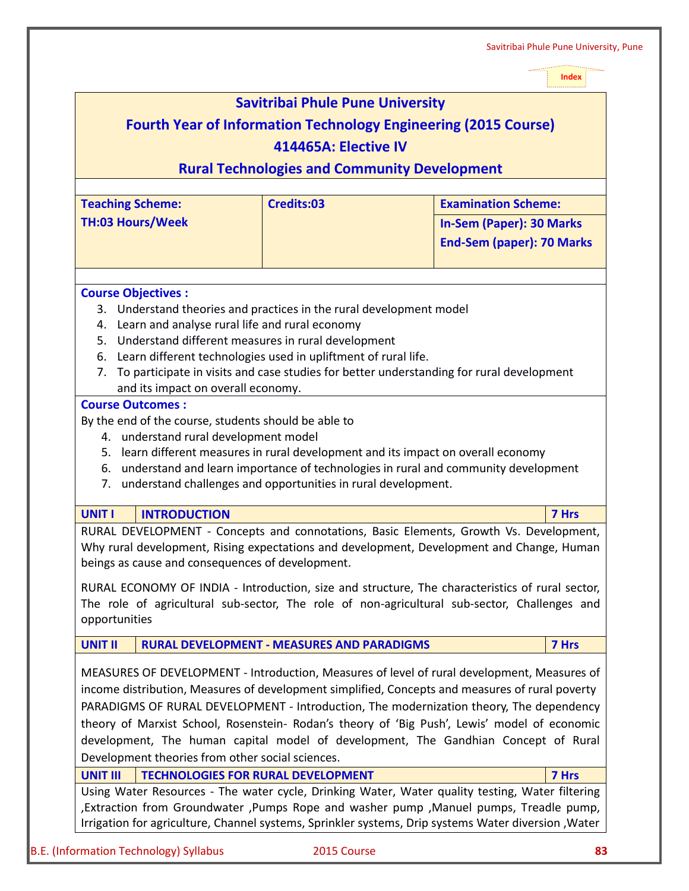| <b>Savitribai Phule Pune University</b><br><b>Fourth Year of Information Technology Engineering (2015 Course)</b><br>414465A: Elective IV<br><b>Rural Technologies and Community Development</b><br><b>Examination Scheme:</b><br><b>Teaching Scheme:</b><br>Credits:03<br><b>TH:03 Hours/Week</b><br><b>In-Sem (Paper): 30 Marks</b><br><b>End-Sem (paper): 70 Marks</b><br><b>Course Objectives:</b><br>3. Understand theories and practices in the rural development model<br>4. Learn and analyse rural life and rural economy<br>Understand different measures in rural development<br>5.<br>Learn different technologies used in upliftment of rural life.<br>6.<br>7. To participate in visits and case studies for better understanding for rural development<br>and its impact on overall economy.<br><b>Course Outcomes:</b><br>By the end of the course, students should be able to<br>4. understand rural development model<br>5. learn different measures in rural development and its impact on overall economy | Index |
|-------------------------------------------------------------------------------------------------------------------------------------------------------------------------------------------------------------------------------------------------------------------------------------------------------------------------------------------------------------------------------------------------------------------------------------------------------------------------------------------------------------------------------------------------------------------------------------------------------------------------------------------------------------------------------------------------------------------------------------------------------------------------------------------------------------------------------------------------------------------------------------------------------------------------------------------------------------------------------------------------------------------------------|-------|
|                                                                                                                                                                                                                                                                                                                                                                                                                                                                                                                                                                                                                                                                                                                                                                                                                                                                                                                                                                                                                               |       |
|                                                                                                                                                                                                                                                                                                                                                                                                                                                                                                                                                                                                                                                                                                                                                                                                                                                                                                                                                                                                                               |       |
|                                                                                                                                                                                                                                                                                                                                                                                                                                                                                                                                                                                                                                                                                                                                                                                                                                                                                                                                                                                                                               |       |
|                                                                                                                                                                                                                                                                                                                                                                                                                                                                                                                                                                                                                                                                                                                                                                                                                                                                                                                                                                                                                               |       |
|                                                                                                                                                                                                                                                                                                                                                                                                                                                                                                                                                                                                                                                                                                                                                                                                                                                                                                                                                                                                                               |       |
|                                                                                                                                                                                                                                                                                                                                                                                                                                                                                                                                                                                                                                                                                                                                                                                                                                                                                                                                                                                                                               |       |
|                                                                                                                                                                                                                                                                                                                                                                                                                                                                                                                                                                                                                                                                                                                                                                                                                                                                                                                                                                                                                               |       |
|                                                                                                                                                                                                                                                                                                                                                                                                                                                                                                                                                                                                                                                                                                                                                                                                                                                                                                                                                                                                                               |       |
|                                                                                                                                                                                                                                                                                                                                                                                                                                                                                                                                                                                                                                                                                                                                                                                                                                                                                                                                                                                                                               |       |
|                                                                                                                                                                                                                                                                                                                                                                                                                                                                                                                                                                                                                                                                                                                                                                                                                                                                                                                                                                                                                               |       |
|                                                                                                                                                                                                                                                                                                                                                                                                                                                                                                                                                                                                                                                                                                                                                                                                                                                                                                                                                                                                                               |       |
|                                                                                                                                                                                                                                                                                                                                                                                                                                                                                                                                                                                                                                                                                                                                                                                                                                                                                                                                                                                                                               |       |
|                                                                                                                                                                                                                                                                                                                                                                                                                                                                                                                                                                                                                                                                                                                                                                                                                                                                                                                                                                                                                               |       |
|                                                                                                                                                                                                                                                                                                                                                                                                                                                                                                                                                                                                                                                                                                                                                                                                                                                                                                                                                                                                                               |       |
|                                                                                                                                                                                                                                                                                                                                                                                                                                                                                                                                                                                                                                                                                                                                                                                                                                                                                                                                                                                                                               |       |
|                                                                                                                                                                                                                                                                                                                                                                                                                                                                                                                                                                                                                                                                                                                                                                                                                                                                                                                                                                                                                               |       |
|                                                                                                                                                                                                                                                                                                                                                                                                                                                                                                                                                                                                                                                                                                                                                                                                                                                                                                                                                                                                                               |       |
|                                                                                                                                                                                                                                                                                                                                                                                                                                                                                                                                                                                                                                                                                                                                                                                                                                                                                                                                                                                                                               |       |
|                                                                                                                                                                                                                                                                                                                                                                                                                                                                                                                                                                                                                                                                                                                                                                                                                                                                                                                                                                                                                               |       |
| 6. understand and learn importance of technologies in rural and community development                                                                                                                                                                                                                                                                                                                                                                                                                                                                                                                                                                                                                                                                                                                                                                                                                                                                                                                                         |       |
| 7. understand challenges and opportunities in rural development.                                                                                                                                                                                                                                                                                                                                                                                                                                                                                                                                                                                                                                                                                                                                                                                                                                                                                                                                                              |       |
|                                                                                                                                                                                                                                                                                                                                                                                                                                                                                                                                                                                                                                                                                                                                                                                                                                                                                                                                                                                                                               |       |
| <b>UNIT I</b><br>7 Hrs<br><b>INTRODUCTION</b>                                                                                                                                                                                                                                                                                                                                                                                                                                                                                                                                                                                                                                                                                                                                                                                                                                                                                                                                                                                 |       |
| RURAL DEVELOPMENT - Concepts and connotations, Basic Elements, Growth Vs. Development,                                                                                                                                                                                                                                                                                                                                                                                                                                                                                                                                                                                                                                                                                                                                                                                                                                                                                                                                        |       |
| Why rural development, Rising expectations and development, Development and Change, Human                                                                                                                                                                                                                                                                                                                                                                                                                                                                                                                                                                                                                                                                                                                                                                                                                                                                                                                                     |       |
| beings as cause and consequences of development.                                                                                                                                                                                                                                                                                                                                                                                                                                                                                                                                                                                                                                                                                                                                                                                                                                                                                                                                                                              |       |
| RURAL ECONOMY OF INDIA - Introduction, size and structure, The characteristics of rural sector,                                                                                                                                                                                                                                                                                                                                                                                                                                                                                                                                                                                                                                                                                                                                                                                                                                                                                                                               |       |
| The role of agricultural sub-sector, The role of non-agricultural sub-sector, Challenges and                                                                                                                                                                                                                                                                                                                                                                                                                                                                                                                                                                                                                                                                                                                                                                                                                                                                                                                                  |       |
| opportunities                                                                                                                                                                                                                                                                                                                                                                                                                                                                                                                                                                                                                                                                                                                                                                                                                                                                                                                                                                                                                 |       |
| <b>UNIT II</b><br><b>RURAL DEVELOPMENT - MEASURES AND PARADIGMS</b><br>7 Hrs                                                                                                                                                                                                                                                                                                                                                                                                                                                                                                                                                                                                                                                                                                                                                                                                                                                                                                                                                  |       |
|                                                                                                                                                                                                                                                                                                                                                                                                                                                                                                                                                                                                                                                                                                                                                                                                                                                                                                                                                                                                                               |       |
| MEASURES OF DEVELOPMENT - Introduction, Measures of level of rural development, Measures of                                                                                                                                                                                                                                                                                                                                                                                                                                                                                                                                                                                                                                                                                                                                                                                                                                                                                                                                   |       |
| income distribution, Measures of development simplified, Concepts and measures of rural poverty                                                                                                                                                                                                                                                                                                                                                                                                                                                                                                                                                                                                                                                                                                                                                                                                                                                                                                                               |       |
| PARADIGMS OF RURAL DEVELOPMENT - Introduction, The modernization theory, The dependency                                                                                                                                                                                                                                                                                                                                                                                                                                                                                                                                                                                                                                                                                                                                                                                                                                                                                                                                       |       |
| theory of Marxist School, Rosenstein- Rodan's theory of 'Big Push', Lewis' model of economic                                                                                                                                                                                                                                                                                                                                                                                                                                                                                                                                                                                                                                                                                                                                                                                                                                                                                                                                  |       |
| development, The human capital model of development, The Gandhian Concept of Rural                                                                                                                                                                                                                                                                                                                                                                                                                                                                                                                                                                                                                                                                                                                                                                                                                                                                                                                                            |       |
| Development theories from other social sciences.                                                                                                                                                                                                                                                                                                                                                                                                                                                                                                                                                                                                                                                                                                                                                                                                                                                                                                                                                                              |       |
| <b>UNIT III</b><br><b>TECHNOLOGIES FOR RURAL DEVELOPMENT</b><br>7 Hrs                                                                                                                                                                                                                                                                                                                                                                                                                                                                                                                                                                                                                                                                                                                                                                                                                                                                                                                                                         |       |
| Using Water Resources - The water cycle, Drinking Water, Water quality testing, Water filtering<br>, Extraction from Groundwater, Pumps Rope and washer pump, Manuel pumps, Treadle pump,<br>Irrigation for agriculture, Channel systems, Sprinkler systems, Drip systems Water diversion, Water                                                                                                                                                                                                                                                                                                                                                                                                                                                                                                                                                                                                                                                                                                                              |       |

B.E. (Information Technology) Syllabus 2015 Course **83**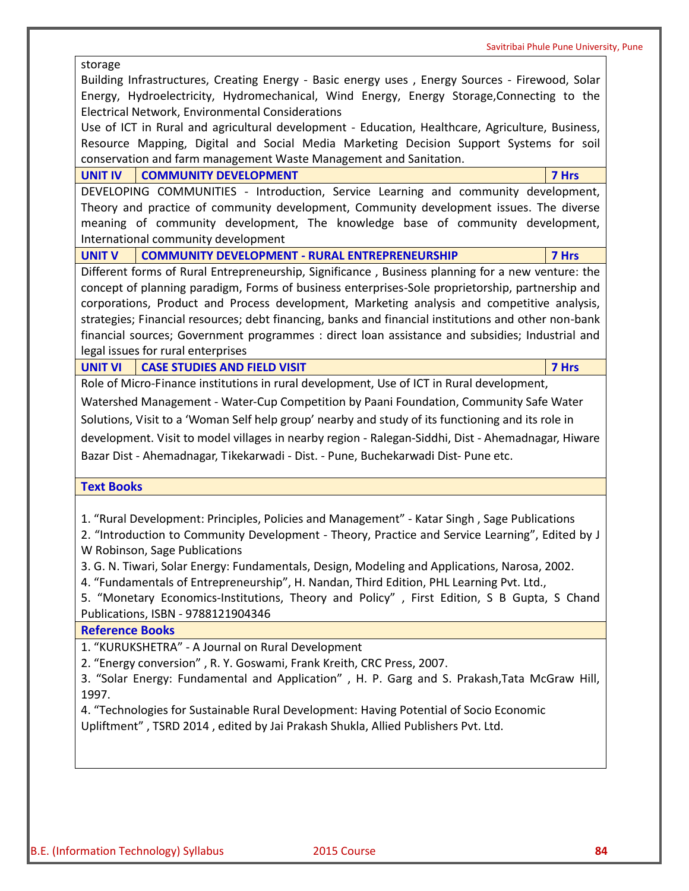storage Building Infrastructures, Creating Energy - Basic energy uses , Energy Sources - Firewood, Solar Energy, Hydroelectricity, Hydromechanical, Wind Energy, Energy Storage,Connecting to the Electrical Network, Environmental Considerations Use of ICT in Rural and agricultural development - Education, Healthcare, Agriculture, Business, Resource Mapping, Digital and Social Media Marketing Decision Support Systems for soil conservation and farm management Waste Management and Sanitation. **UNIT IV COMMUNITY DEVELOPMENT 7 Hrs** DEVELOPING COMMUNITIES - Introduction, Service Learning and community development, Theory and practice of community development, Community development issues. The diverse meaning of community development, The knowledge base of community development, International community development **UNIT V COMMUNITY DEVELOPMENT - RURAL ENTREPRENEURSHIP 7 Hrs** Different forms of Rural Entrepreneurship, Significance , Business planning for a new venture: the concept of planning paradigm, Forms of business enterprises-Sole proprietorship, partnership and corporations, Product and Process development, Marketing analysis and competitive analysis, strategies; Financial resources; debt financing, banks and financial institutions and other non-bank financial sources; Government programmes : direct loan assistance and subsidies; Industrial and legal issues for rural enterprises **UNIT VI CASE STUDIES AND FIELD VISIT 7 Hrs** Role of Micro-Finance institutions in rural development, Use of ICT in Rural development, Watershed Management - Water-Cup Competition by Paani Foundation, Community Safe Water Solutions, Visit to a 'Woman Self help group' nearby and study of its functioning and its role in development. Visit to model villages in nearby region - Ralegan-Siddhi, Dist - Ahemadnagar, Hiware Bazar Dist - Ahemadnagar, Tikekarwadi - Dist. - Pune, Buchekarwadi Dist- Pune etc. **Text Books** 1. "Rural Development: Principles, Policies and Management" - Katar Singh , Sage Publications 2. "Introduction to Community Development - Theory, Practice and Service Learning", Edited by J W Robinson, Sage Publications 3. G. N. Tiwari, Solar Energy: Fundamentals, Design, Modeling and Applications, Narosa, 2002. 4. "Fundamentals of Entrepreneurship", H. Nandan, Third Edition, PHL Learning Pvt. Ltd., 5. "Monetary Economics-Institutions, Theory and Policy" , First Edition, S B Gupta, S Chand Publications, ISBN - 9788121904346 **Reference Books** 1. "KURUKSHETRA" - A Journal on Rural Development 2. "Energy conversion" , R. Y. Goswami, Frank Kreith, CRC Press, 2007. 3. "Solar Energy: Fundamental and Application" , H. P. Garg and S. Prakash,Tata McGraw Hill, 1997. 4. "Technologies for Sustainable Rural Development: Having Potential of Socio Economic Upliftment" , TSRD 2014 , edited by Jai Prakash Shukla, Allied Publishers Pvt. Ltd.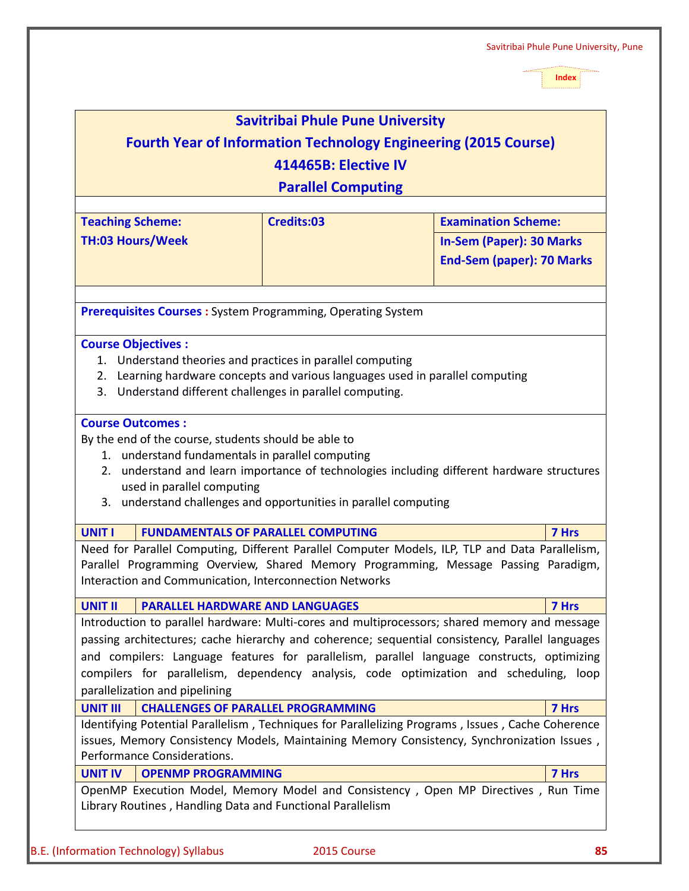| <b>Savitribai Phule Pune University</b><br><b>Fourth Year of Information Technology Engineering (2015 Course)</b><br>414465B: Elective IV<br><b>Parallel Computing</b>                                                                                                                                                                                                                                                      |                                                                                                                                        |                                                              |  |  |
|-----------------------------------------------------------------------------------------------------------------------------------------------------------------------------------------------------------------------------------------------------------------------------------------------------------------------------------------------------------------------------------------------------------------------------|----------------------------------------------------------------------------------------------------------------------------------------|--------------------------------------------------------------|--|--|
| Credits:03<br><b>Examination Scheme:</b><br><b>Teaching Scheme:</b>                                                                                                                                                                                                                                                                                                                                                         |                                                                                                                                        |                                                              |  |  |
| <b>TH:03 Hours/Week</b>                                                                                                                                                                                                                                                                                                                                                                                                     |                                                                                                                                        | In-Sem (Paper): 30 Marks<br><b>End-Sem (paper): 70 Marks</b> |  |  |
| <b>Prerequisites Courses: System Programming, Operating System</b>                                                                                                                                                                                                                                                                                                                                                          |                                                                                                                                        |                                                              |  |  |
| <b>Course Objectives:</b><br>1.<br>2.<br>Understand different challenges in parallel computing.<br>3.<br><b>Course Outcomes:</b><br>By the end of the course, students should be able to                                                                                                                                                                                                                                    | Understand theories and practices in parallel computing<br>Learning hardware concepts and various languages used in parallel computing |                                                              |  |  |
| 1. understand fundamentals in parallel computing<br>understand and learn importance of technologies including different hardware structures<br>2.<br>used in parallel computing<br>understand challenges and opportunities in parallel computing<br>3.                                                                                                                                                                      |                                                                                                                                        |                                                              |  |  |
| <b>FUNDAMENTALS OF PARALLEL COMPUTING</b><br><b>UNIT I</b><br>7 Hrs                                                                                                                                                                                                                                                                                                                                                         |                                                                                                                                        |                                                              |  |  |
| Need for Parallel Computing, Different Parallel Computer Models, ILP, TLP and Data Parallelism,<br>Parallel Programming Overview, Shared Memory Programming, Message Passing Paradigm,<br>Interaction and Communication, Interconnection Networks                                                                                                                                                                           |                                                                                                                                        |                                                              |  |  |
| <b>UNIT II</b>                                                                                                                                                                                                                                                                                                                                                                                                              | <b>PARALLEL HARDWARE AND LANGUAGES</b>                                                                                                 | 7 Hrs                                                        |  |  |
| Introduction to parallel hardware: Multi-cores and multiprocessors; shared memory and message<br>passing architectures; cache hierarchy and coherence; sequential consistency, Parallel languages<br>and compilers: Language features for parallelism, parallel language constructs, optimizing<br>compilers for parallelism, dependency analysis, code optimization and scheduling, loop<br>parallelization and pipelining |                                                                                                                                        |                                                              |  |  |
| <b>UNIT III</b><br><b>CHALLENGES OF PARALLEL PROGRAMMING</b>                                                                                                                                                                                                                                                                                                                                                                |                                                                                                                                        | 7 Hrs                                                        |  |  |
| Identifying Potential Parallelism, Techniques for Parallelizing Programs, Issues, Cache Coherence<br>issues, Memory Consistency Models, Maintaining Memory Consistency, Synchronization Issues,<br>Performance Considerations.                                                                                                                                                                                              |                                                                                                                                        |                                                              |  |  |
| <b>UNIT IV</b><br><b>OPENMP PROGRAMMING</b>                                                                                                                                                                                                                                                                                                                                                                                 |                                                                                                                                        | 7 Hrs                                                        |  |  |
| OpenMP Execution Model, Memory Model and Consistency, Open MP Directives, Run Time<br>Library Routines, Handling Data and Functional Parallelism                                                                                                                                                                                                                                                                            |                                                                                                                                        |                                                              |  |  |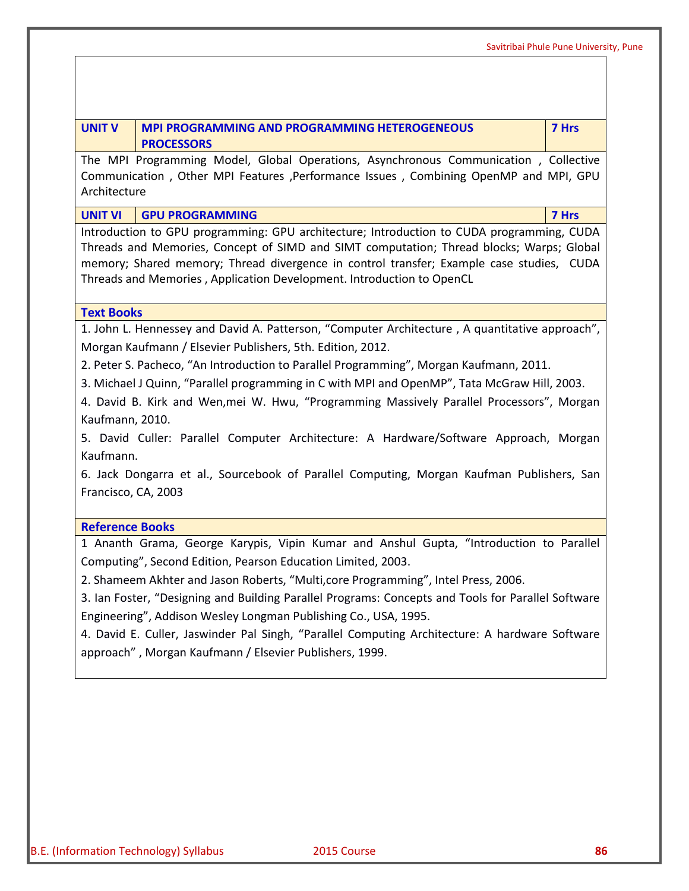#### **UNIT V MPI PROGRAMMING AND PROGRAMMING HETEROGENEOUS PROCESSORS**

**7 Hrs**

The MPI Programming Model, Global Operations, Asynchronous Communication , Collective Communication , Other MPI Features ,Performance Issues , Combining OpenMP and MPI, GPU Architecture

#### **UNIT VI GPU PROGRAMMING 7 Hrs**

Introduction to GPU programming: GPU architecture; Introduction to CUDA programming, CUDA Threads and Memories, Concept of SIMD and SIMT computation; Thread blocks; Warps; Global memory; Shared memory; Thread divergence in control transfer; Example case studies, CUDA Threads and Memories , Application Development. Introduction to OpenCL

#### **Text Books**

1. John L. Hennessey and David A. Patterson, "Computer Architecture , A quantitative approach", Morgan Kaufmann / Elsevier Publishers, 5th. Edition, 2012.

2. Peter S. Pacheco, "An Introduction to Parallel Programming", Morgan Kaufmann, 2011.

3. Michael J Quinn, "Parallel programming in C with MPI and OpenMP", Tata McGraw Hill, 2003.

4. David B. Kirk and Wen,mei W. Hwu, "Programming Massively Parallel Processors", Morgan Kaufmann, 2010.

5. David Culler: Parallel Computer Architecture: A Hardware/Software Approach, Morgan Kaufmann.

6. Jack Dongarra et al., Sourcebook of Parallel Computing, Morgan Kaufman Publishers, San Francisco, CA, 2003

#### **Reference Books**

1 Ananth Grama, George Karypis, Vipin Kumar and Anshul Gupta, "Introduction to Parallel Computing", Second Edition, Pearson Education Limited, 2003.

2. Shameem Akhter and Jason Roberts, "Multi,core Programming", Intel Press, 2006.

3. Ian Foster, "Designing and Building Parallel Programs: Concepts and Tools for Parallel Software Engineering", Addison Wesley Longman Publishing Co., USA, 1995.

4. David E. Culler, Jaswinder Pal Singh, "Parallel Computing Architecture: A hardware Software approach" , Morgan Kaufmann / Elsevier Publishers, 1999.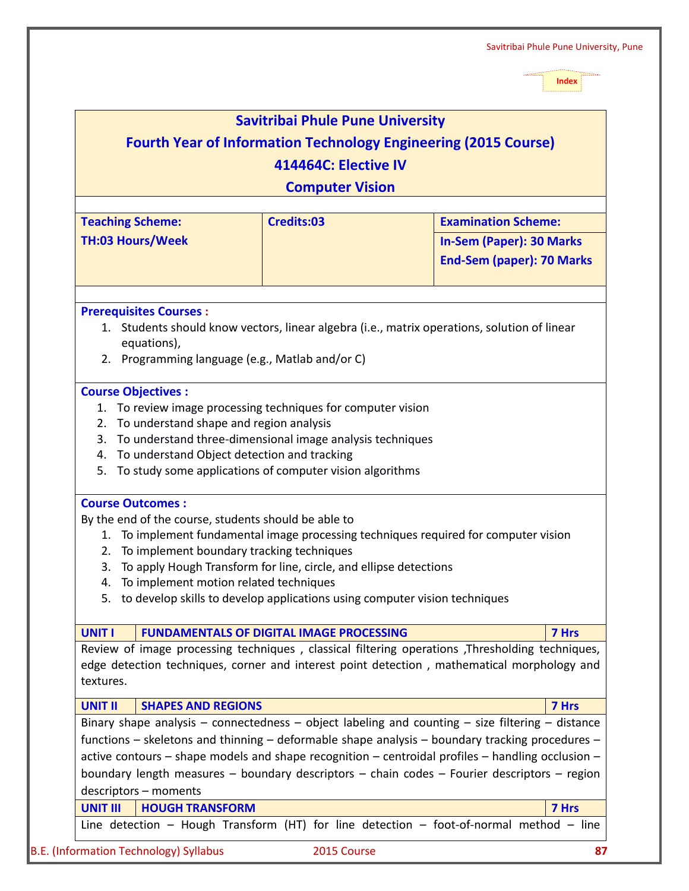|                                                                                                                                                                                    | <b>Computer Vision</b>                                                                                                                                                                      |                                                                                                                                                                                                                                                                                                                                                                                                          |
|------------------------------------------------------------------------------------------------------------------------------------------------------------------------------------|---------------------------------------------------------------------------------------------------------------------------------------------------------------------------------------------|----------------------------------------------------------------------------------------------------------------------------------------------------------------------------------------------------------------------------------------------------------------------------------------------------------------------------------------------------------------------------------------------------------|
| <b>Teaching Scheme:</b><br><b>TH:03 Hours/Week</b>                                                                                                                                 | Credits:03                                                                                                                                                                                  | <b>Examination Scheme:</b><br><b>In-Sem (Paper): 30 Marks</b><br><b>End-Sem (paper): 70 Marks</b>                                                                                                                                                                                                                                                                                                        |
| <b>Prerequisites Courses:</b><br>equations),<br>2. Programming language (e.g., Matlab and/or C)                                                                                    |                                                                                                                                                                                             | 1. Students should know vectors, linear algebra (i.e., matrix operations, solution of linear                                                                                                                                                                                                                                                                                                             |
| 2. To understand shape and region analysis<br>4. To understand Object detection and tracking                                                                                       | 1. To review image processing techniques for computer vision<br>3. To understand three-dimensional image analysis techniques<br>5. To study some applications of computer vision algorithms |                                                                                                                                                                                                                                                                                                                                                                                                          |
| <b>Course Outcomes:</b><br>By the end of the course, students should be able to<br>2. To implement boundary tracking techniques<br>3.<br>4. To implement motion related techniques | To apply Hough Transform for line, circle, and ellipse detections<br>5. to develop skills to develop applications using computer vision techniques                                          | 1. To implement fundamental image processing techniques required for computer vision                                                                                                                                                                                                                                                                                                                     |
| <b>UNIT I</b><br>textures.                                                                                                                                                         | <b>FUNDAMENTALS OF DIGITAL IMAGE PROCESSING</b>                                                                                                                                             | 7 Hrs<br>Review of image processing techniques, classical filtering operations, Thresholding techniques,<br>edge detection techniques, corner and interest point detection, mathematical morphology and                                                                                                                                                                                                  |
| <b>UNIT II</b><br><b>SHAPES AND REGIONS</b>                                                                                                                                        |                                                                                                                                                                                             | 7 Hrs                                                                                                                                                                                                                                                                                                                                                                                                    |
| descriptors - moments                                                                                                                                                              |                                                                                                                                                                                             | Binary shape analysis – connectedness – object labeling and counting – size filtering – distance<br>functions - skeletons and thinning - deformable shape analysis - boundary tracking procedures -<br>active contours - shape models and shape recognition - centroidal profiles - handling occlusion -<br>boundary length measures - boundary descriptors - chain codes - Fourier descriptors - region |
| <b>UNIT III</b><br><b>HOUGH TRANSFORM</b>                                                                                                                                          |                                                                                                                                                                                             | 7 Hrs                                                                                                                                                                                                                                                                                                                                                                                                    |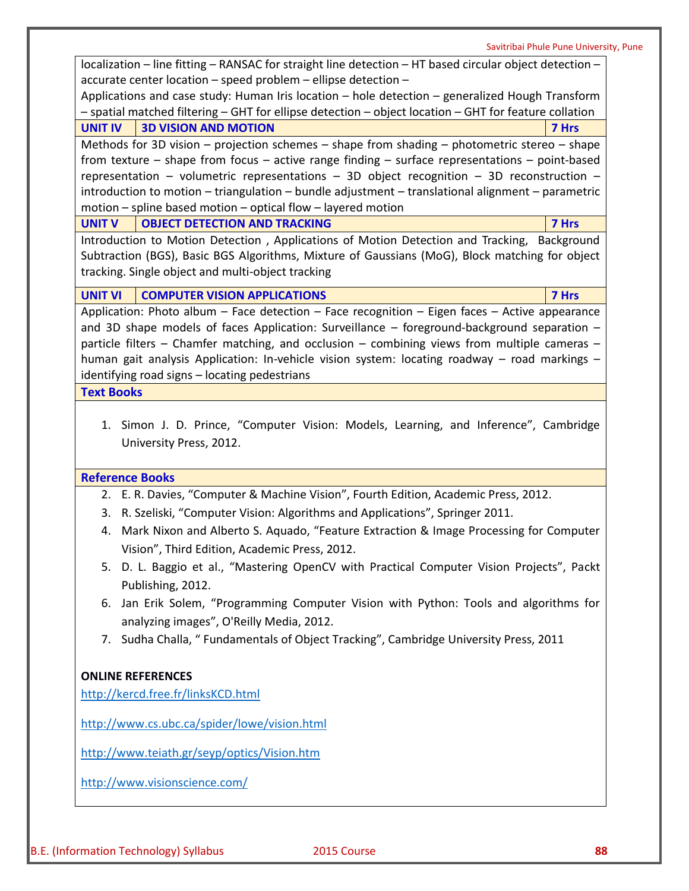localization – line fitting – RANSAC for straight line detection – HT based circular object detection – accurate center location – speed problem – ellipse detection – Applications and case study: Human Iris location – hole detection – generalized Hough Transform – spatial matched filtering – GHT for ellipse detection – object location – GHT for feature collation **UNIT IV 3D VISION AND MOTION 7 Hrs** Methods for 3D vision – projection schemes – shape from shading – photometric stereo – shape from texture – shape from focus – active range finding – surface representations – point-based representation – volumetric representations – 3D object recognition – 3D reconstruction – introduction to motion – triangulation – bundle adjustment – translational alignment – parametric motion – spline based motion – optical flow – layered motion **UNIT V OBJECT DETECTION AND TRACKING 7 Hrs** Introduction to Motion Detection , Applications of Motion Detection and Tracking, Background Subtraction (BGS), Basic BGS Algorithms, Mixture of Gaussians (MoG), Block matching for object tracking. Single object and multi-object tracking **UNIT VI COMPUTER VISION APPLICATIONS 7 Hrs** Application: Photo album – Face detection – Face recognition – Eigen faces – Active appearance and 3D shape models of faces Application: Surveillance – foreground-background separation – particle filters – Chamfer matching, and occlusion – combining views from multiple cameras – human gait analysis Application: In-vehicle vision system: locating roadway – road markings – identifying road signs – locating pedestrians

**Text Books**

1. Simon J. D. Prince, "Computer Vision: Models, Learning, and Inference", Cambridge University Press, 2012.

#### **Reference Books**

- 2. E. R. Davies, "Computer & Machine Vision", Fourth Edition, Academic Press, 2012.
- 3. R. Szeliski, "Computer Vision: Algorithms and Applications", Springer 2011.
- 4. Mark Nixon and Alberto S. Aquado, "Feature Extraction & Image Processing for Computer Vision", Third Edition, Academic Press, 2012.
- 5. D. L. Baggio et al., "Mastering OpenCV with Practical Computer Vision Projects", Packt Publishing, 2012.
- 6. Jan Erik Solem, "Programming Computer Vision with Python: Tools and algorithms for analyzing images", O'Reilly Media, 2012.
- 7. Sudha Challa, " Fundamentals of Object Tracking", Cambridge University Press, 2011

#### **ONLINE REFERENCES**

<http://kercd.free.fr/linksKCD.html>

<http://www.cs.ubc.ca/spider/lowe/vision.html>

<http://www.teiath.gr/seyp/optics/Vision.htm>

<http://www.visionscience.com/>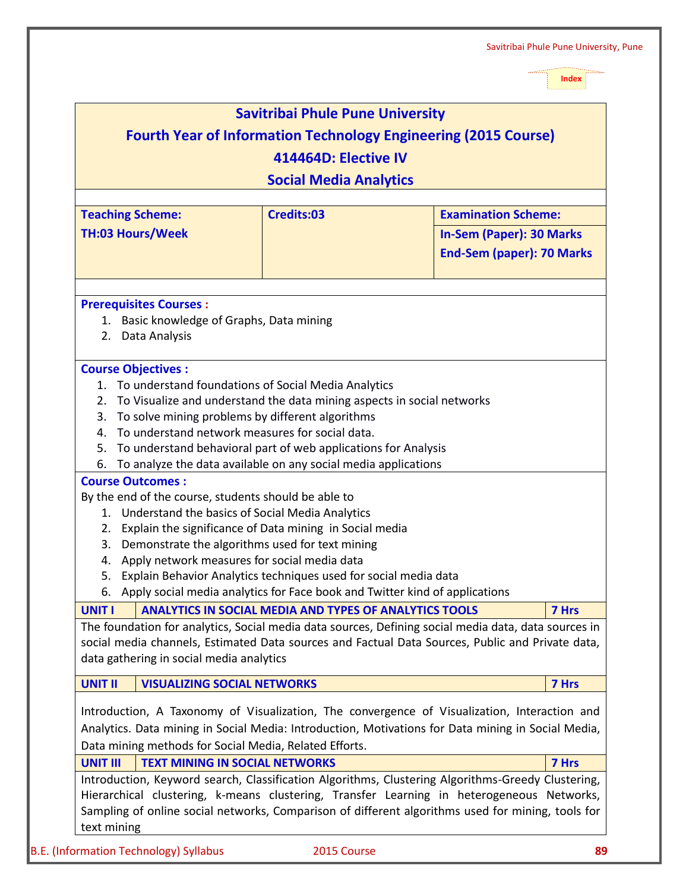J.

|                                                               | <b>Savitribai Phule Pune University</b>                                        |                                                                                                                                                                                                          |
|---------------------------------------------------------------|--------------------------------------------------------------------------------|----------------------------------------------------------------------------------------------------------------------------------------------------------------------------------------------------------|
|                                                               |                                                                                | <b>Fourth Year of Information Technology Engineering (2015 Course)</b>                                                                                                                                   |
|                                                               | 414464D: Elective IV                                                           |                                                                                                                                                                                                          |
|                                                               | <b>Social Media Analytics</b>                                                  |                                                                                                                                                                                                          |
|                                                               |                                                                                |                                                                                                                                                                                                          |
| <b>Teaching Scheme:</b>                                       | Credits:03                                                                     | <b>Examination Scheme:</b>                                                                                                                                                                               |
| <b>TH:03 Hours/Week</b>                                       |                                                                                | In-Sem (Paper): 30 Marks<br><b>End-Sem (paper): 70 Marks</b>                                                                                                                                             |
| <b>Prerequisites Courses:</b>                                 |                                                                                |                                                                                                                                                                                                          |
| 1. Basic knowledge of Graphs, Data mining<br>2. Data Analysis |                                                                                |                                                                                                                                                                                                          |
| <b>Course Objectives:</b>                                     |                                                                                |                                                                                                                                                                                                          |
|                                                               | 1. To understand foundations of Social Media Analytics                         |                                                                                                                                                                                                          |
|                                                               | 2. To Visualize and understand the data mining aspects in social networks      |                                                                                                                                                                                                          |
| 3. To solve mining problems by different algorithms           |                                                                                |                                                                                                                                                                                                          |
| 4. To understand network measures for social data.            |                                                                                |                                                                                                                                                                                                          |
|                                                               | 5. To understand behavioral part of web applications for Analysis              |                                                                                                                                                                                                          |
|                                                               | 6. To analyze the data available on any social media applications              |                                                                                                                                                                                                          |
| <b>Course Outcomes:</b>                                       |                                                                                |                                                                                                                                                                                                          |
| By the end of the course, students should be able to          |                                                                                |                                                                                                                                                                                                          |
| 1. Understand the basics of Social Media Analytics            |                                                                                |                                                                                                                                                                                                          |
|                                                               | 2. Explain the significance of Data mining in Social media                     |                                                                                                                                                                                                          |
|                                                               | 3. Demonstrate the algorithms used for text mining                             |                                                                                                                                                                                                          |
| 4. Apply network measures for social media data               | 5. Explain Behavior Analytics techniques used for social media data            |                                                                                                                                                                                                          |
|                                                               | 6. Apply social media analytics for Face book and Twitter kind of applications |                                                                                                                                                                                                          |
|                                                               |                                                                                |                                                                                                                                                                                                          |
| <b>UNIT I</b>                                                 | <b>ANALYTICS IN SOCIAL MEDIA AND TYPES OF ANALYTICS TOOLS</b>                  | 7 Hrs                                                                                                                                                                                                    |
| data gathering in social media analytics                      |                                                                                | The foundation for analytics, Social media data sources, Defining social media data, data sources in<br>social media channels, Estimated Data sources and Factual Data Sources, Public and Private data, |
| <b>UNIT II</b><br><b>VISUALIZING SOCIAL NETWORKS</b>          |                                                                                | 7 Hrs                                                                                                                                                                                                    |
| Data mining methods for Social Media, Related Efforts.        |                                                                                | Introduction, A Taxonomy of Visualization, The convergence of Visualization, Interaction and<br>Analytics. Data mining in Social Media: Introduction, Motivations for Data mining in Social Media,       |
| <b>UNIT III</b>                                               | <b>TEXT MINING IN SOCIAL NETWORKS</b>                                          | 7 Hrs                                                                                                                                                                                                    |
|                                                               |                                                                                | Introduction, Keyword search, Classification Algorithms, Clustering Algorithms-Greedy Clustering,<br>Hierarchical clustering, k-means clustering, Transfer Learning in heterogeneous Networks,           |
| text mining                                                   |                                                                                | Sampling of online social networks, Comparison of different algorithms used for mining, tools for                                                                                                        |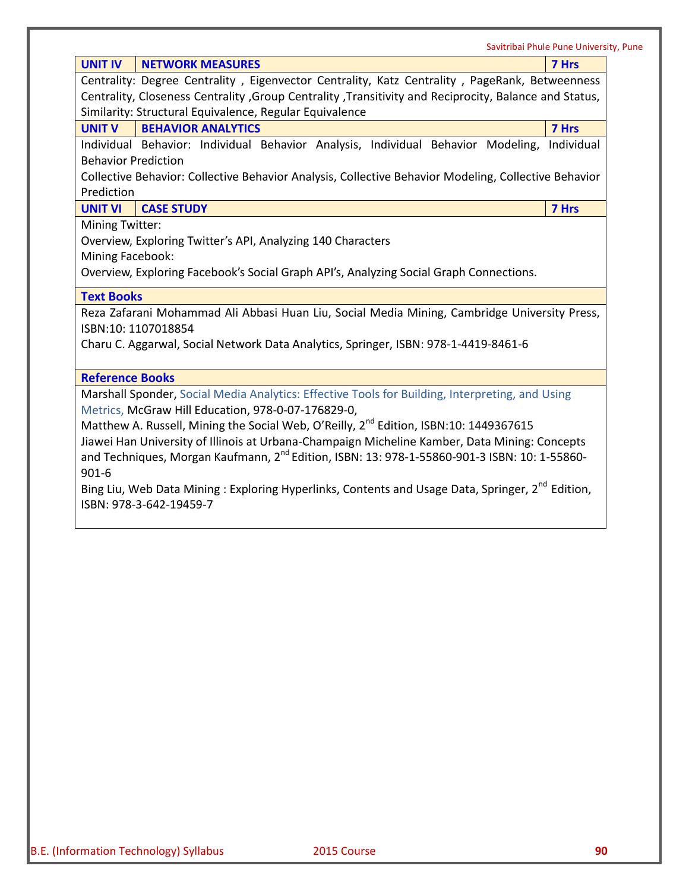|                            |                                                                                                              | Savitribai Phule Pune University, Pune |
|----------------------------|--------------------------------------------------------------------------------------------------------------|----------------------------------------|
| <b>UNIT IV</b>             | <b>NETWORK MEASURES</b>                                                                                      | 7 Hrs                                  |
|                            | Centrality: Degree Centrality, Eigenvector Centrality, Katz Centrality, PageRank, Betweenness                |                                        |
|                            | Centrality, Closeness Centrality, Group Centrality, Transitivity and Reciprocity, Balance and Status,        |                                        |
|                            | Similarity: Structural Equivalence, Regular Equivalence                                                      |                                        |
| <b>UNIT V</b>              | <b>BEHAVIOR ANALYTICS</b>                                                                                    | 7 Hrs                                  |
|                            | Individual Behavior: Individual Behavior Analysis, Individual Behavior Modeling,                             | Individual                             |
| <b>Behavior Prediction</b> |                                                                                                              |                                        |
|                            | Collective Behavior: Collective Behavior Analysis, Collective Behavior Modeling, Collective Behavior         |                                        |
| Prediction                 |                                                                                                              |                                        |
| <b>UNIT VI</b>             | <b>CASE STUDY</b>                                                                                            | 7 Hrs                                  |
| Mining Twitter:            |                                                                                                              |                                        |
|                            | Overview, Exploring Twitter's API, Analyzing 140 Characters                                                  |                                        |
| Mining Facebook:           |                                                                                                              |                                        |
|                            | Overview, Exploring Facebook's Social Graph API's, Analyzing Social Graph Connections.                       |                                        |
| <b>Text Books</b>          |                                                                                                              |                                        |
|                            |                                                                                                              |                                        |
|                            | Reza Zafarani Mohammad Ali Abbasi Huan Liu, Social Media Mining, Cambridge University Press,                 |                                        |
|                            | ISBN:10: 1107018854                                                                                          |                                        |
|                            | Charu C. Aggarwal, Social Network Data Analytics, Springer, ISBN: 978-1-4419-8461-6                          |                                        |
|                            |                                                                                                              |                                        |
| <b>Reference Books</b>     |                                                                                                              |                                        |
|                            | Marshall Sponder, Social Media Analytics: Effective Tools for Building, Interpreting, and Using              |                                        |
|                            | Metrics, McGraw Hill Education, 978-0-07-176829-0,                                                           |                                        |
|                            | Matthew A. Russell, Mining the Social Web, O'Reilly, 2 <sup>nd</sup> Edition, ISBN:10: 1449367615            |                                        |
|                            | Jiawei Han University of Illinois at Urbana-Champaign Micheline Kamber, Data Mining: Concepts                |                                        |
|                            | and Techniques, Morgan Kaufmann, 2 <sup>nd</sup> Edition, ISBN: 13: 978-1-55860-901-3 ISBN: 10: 1-55860-     |                                        |
| $901 - 6$                  |                                                                                                              |                                        |
|                            | Bing Liu, Web Data Mining: Exploring Hyperlinks, Contents and Usage Data, Springer, 2 <sup>nd</sup> Edition, |                                        |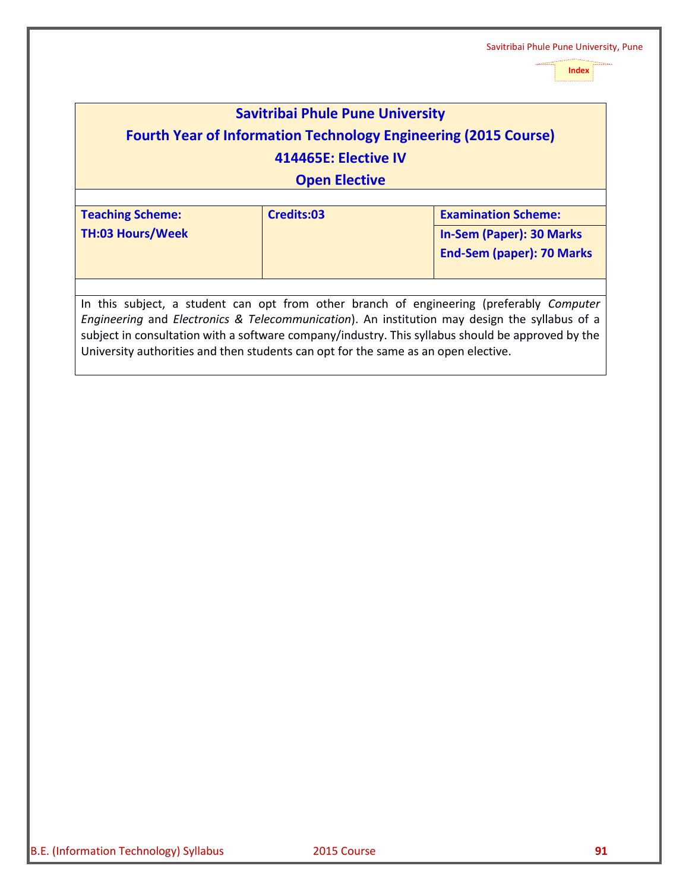| <b>Savitribai Phule Pune University</b><br><b>Fourth Year of Information Technology Engineering (2015 Course)</b><br>414465E: Elective IV<br><b>Open Elective</b>                                                                                                                                                                                                                    |            |                                                                                                   |  |
|--------------------------------------------------------------------------------------------------------------------------------------------------------------------------------------------------------------------------------------------------------------------------------------------------------------------------------------------------------------------------------------|------------|---------------------------------------------------------------------------------------------------|--|
| <b>Teaching Scheme:</b><br><b>TH:03 Hours/Week</b>                                                                                                                                                                                                                                                                                                                                   | Credits:03 | <b>Examination Scheme:</b><br><b>In-Sem (Paper): 30 Marks</b><br><b>End-Sem (paper): 70 Marks</b> |  |
| In this subject, a student can opt from other branch of engineering (preferably Computer<br>Engineering and Electronics & Telecommunication). An institution may design the syllabus of a<br>subject in consultation with a software company/industry. This syllabus should be approved by the<br>University authorities and then students can opt for the same as an open elective. |            |                                                                                                   |  |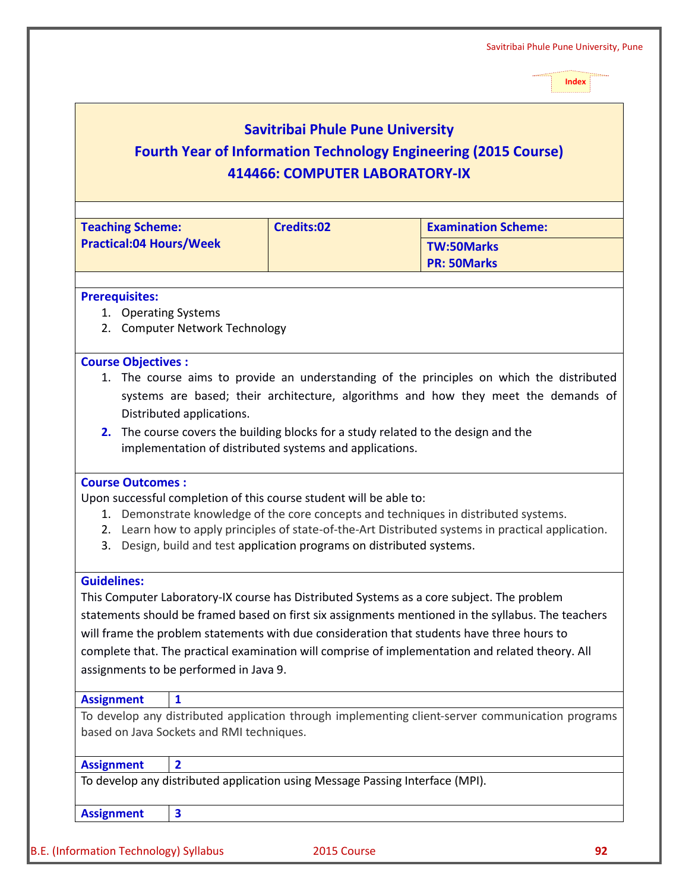# **Savitribai Phule Pune University**

# **Fourth Year of Information Technology Engineering (2015 Course) 414466: COMPUTER LABORATORY-IX**

| <b>Teaching Scheme:</b>                                                                                                                                                                                                                                                                                                                                                            | Credits:02                                                                                 | <b>Examination Scheme:</b>                                                                         |  |  |
|------------------------------------------------------------------------------------------------------------------------------------------------------------------------------------------------------------------------------------------------------------------------------------------------------------------------------------------------------------------------------------|--------------------------------------------------------------------------------------------|----------------------------------------------------------------------------------------------------|--|--|
| <b>Practical:04 Hours/Week</b>                                                                                                                                                                                                                                                                                                                                                     |                                                                                            | <b>TW:50Marks</b>                                                                                  |  |  |
|                                                                                                                                                                                                                                                                                                                                                                                    |                                                                                            | <b>PR: 50Marks</b>                                                                                 |  |  |
|                                                                                                                                                                                                                                                                                                                                                                                    |                                                                                            |                                                                                                    |  |  |
| <b>Prerequisites:</b>                                                                                                                                                                                                                                                                                                                                                              |                                                                                            |                                                                                                    |  |  |
| 1. Operating Systems                                                                                                                                                                                                                                                                                                                                                               |                                                                                            |                                                                                                    |  |  |
| 2. Computer Network Technology                                                                                                                                                                                                                                                                                                                                                     |                                                                                            |                                                                                                    |  |  |
| <b>Course Objectives:</b>                                                                                                                                                                                                                                                                                                                                                          |                                                                                            |                                                                                                    |  |  |
|                                                                                                                                                                                                                                                                                                                                                                                    |                                                                                            | 1. The course aims to provide an understanding of the principles on which the distributed          |  |  |
|                                                                                                                                                                                                                                                                                                                                                                                    |                                                                                            | systems are based; their architecture, algorithms and how they meet the demands of                 |  |  |
| Distributed applications.                                                                                                                                                                                                                                                                                                                                                          |                                                                                            |                                                                                                    |  |  |
| 2. The course covers the building blocks for a study related to the design and the                                                                                                                                                                                                                                                                                                 |                                                                                            |                                                                                                    |  |  |
|                                                                                                                                                                                                                                                                                                                                                                                    | implementation of distributed systems and applications.                                    |                                                                                                    |  |  |
| <b>Course Outcomes:</b><br>Upon successful completion of this course student will be able to:<br>1. Demonstrate knowledge of the core concepts and techniques in distributed systems.<br>3. Design, build and test application programs on distributed systems.<br><b>Guidelines:</b><br>This Computer Laboratory-IX course has Distributed Systems as a core subject. The problem |                                                                                            | 2. Learn how to apply principles of state-of-the-Art Distributed systems in practical application. |  |  |
| statements should be framed based on first six assignments mentioned in the syllabus. The teachers                                                                                                                                                                                                                                                                                 |                                                                                            |                                                                                                    |  |  |
|                                                                                                                                                                                                                                                                                                                                                                                    | will frame the problem statements with due consideration that students have three hours to |                                                                                                    |  |  |
| complete that. The practical examination will comprise of implementation and related theory. All                                                                                                                                                                                                                                                                                   |                                                                                            |                                                                                                    |  |  |
| assignments to be performed in Java 9.                                                                                                                                                                                                                                                                                                                                             |                                                                                            |                                                                                                    |  |  |
| <b>Assignment</b><br>$\mathbf{1}$                                                                                                                                                                                                                                                                                                                                                  |                                                                                            |                                                                                                    |  |  |
| To develop any distributed application through implementing client-server communication programs                                                                                                                                                                                                                                                                                   |                                                                                            |                                                                                                    |  |  |
| based on Java Sockets and RMI techniques.                                                                                                                                                                                                                                                                                                                                          |                                                                                            |                                                                                                    |  |  |
| $\overline{2}$<br><b>Assignment</b>                                                                                                                                                                                                                                                                                                                                                |                                                                                            |                                                                                                    |  |  |
| To develop any distributed application using Message Passing Interface (MPI).                                                                                                                                                                                                                                                                                                      |                                                                                            |                                                                                                    |  |  |
| <b>Assignment</b><br>$\overline{\mathbf{3}}$                                                                                                                                                                                                                                                                                                                                       |                                                                                            |                                                                                                    |  |  |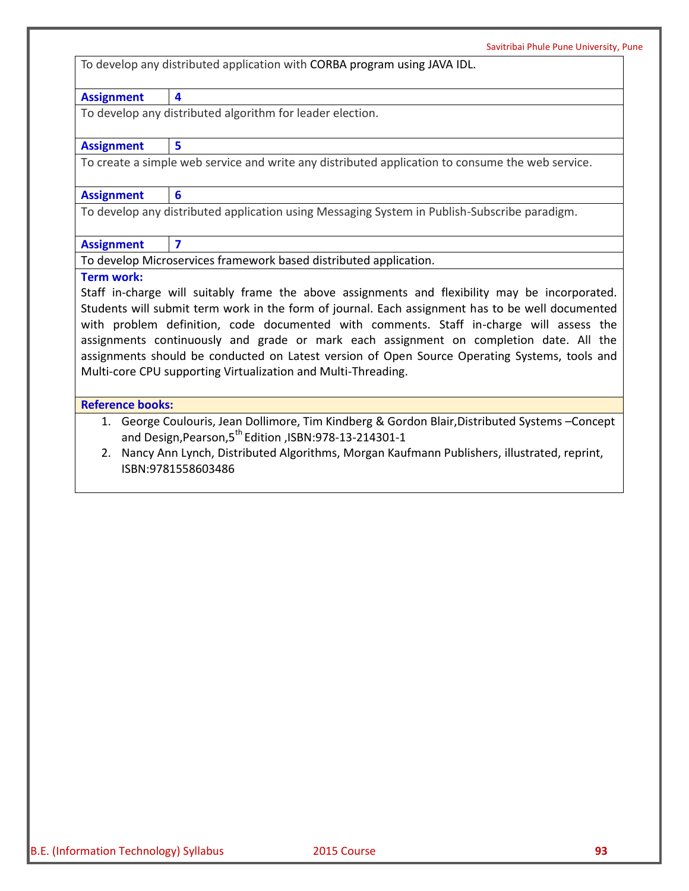To develop any distributed application with CORBA program using JAVA IDL.

| <b>Assignment</b>       | 4                                                                                                |
|-------------------------|--------------------------------------------------------------------------------------------------|
|                         | To develop any distributed algorithm for leader election.                                        |
|                         |                                                                                                  |
| <b>Assignment</b>       | 5                                                                                                |
|                         | To create a simple web service and write any distributed application to consume the web service. |
|                         |                                                                                                  |
| <b>Assignment</b>       | 6                                                                                                |
|                         | To develop any distributed application using Messaging System in Publish-Subscribe paradigm.     |
|                         |                                                                                                  |
| <b>Assignment</b>       | $\overline{\mathbf{z}}$                                                                          |
|                         | To develop Microservices framework based distributed application.                                |
| <b>Term work:</b>       |                                                                                                  |
|                         | Staff in-charge will suitably frame the above assignments and flexibility may be incorporated.   |
|                         | Students will submit term work in the form of journal. Each assignment has to be well documented |
|                         | with problem definition, code documented with comments. Staff in-charge will assess the          |
|                         | assignments continuously and grade or mark each assignment on completion date. All the           |
|                         | assignments should be conducted on Latest version of Open Source Operating Systems, tools and    |
|                         | Multi-core CPU supporting Virtualization and Multi-Threading.                                    |
|                         |                                                                                                  |
| <b>Reference books:</b> |                                                                                                  |
| 1.                      | George Coulouris, Jean Dollimore, Tim Kindberg & Gordon Blair, Distributed Systems - Concept     |
|                         | and Design, Pearson, 5 <sup>th</sup> Edition, ISBN: 978-13-214301-1                              |
| 2.                      | Nancy Ann Lynch, Distributed Algorithms, Morgan Kaufmann Publishers, illustrated, reprint,       |
|                         | ISBN:9781558603486                                                                               |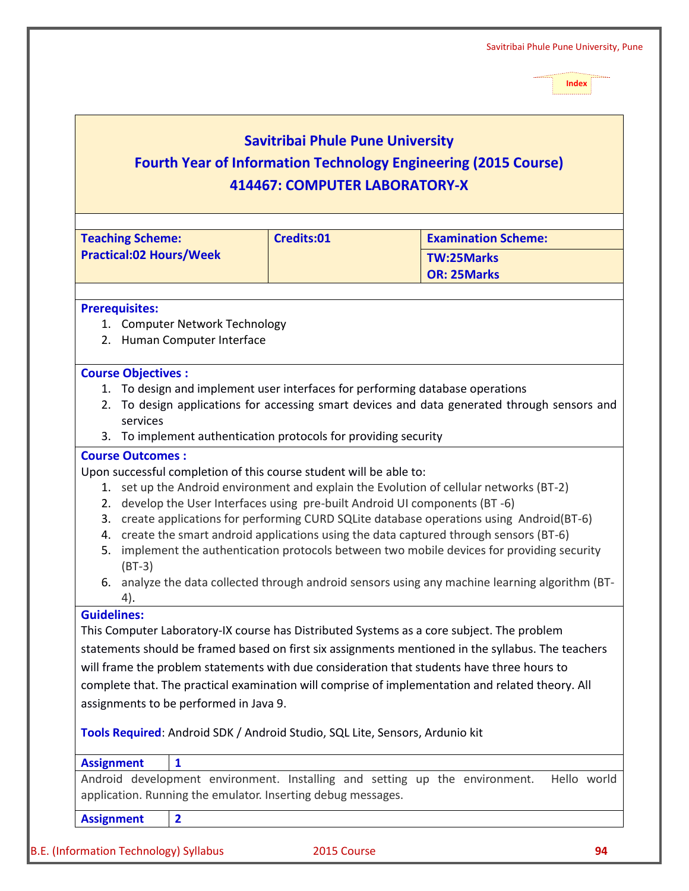# **Savitribai Phule Pune University**

# **Fourth Year of Information Technology Engineering (2015 Course) 414467: COMPUTER LABORATORY-X**

| <b>Practical:02 Hours/Week</b><br><b>TW:25Marks</b><br><b>OR: 25Marks</b><br>1. Computer Network Technology<br>2. Human Computer Interface<br><b>Course Objectives:</b><br>To design and implement user interfaces for performing database operations<br>1.<br>To design applications for accessing smart devices and data generated through sensors and<br>2.<br>services<br>To implement authentication protocols for providing security<br>3.<br><b>Course Outcomes:</b><br>Upon successful completion of this course student will be able to:<br>1. set up the Android environment and explain the Evolution of cellular networks (BT-2)<br>2. develop the User Interfaces using pre-built Android UI components (BT-6)<br>3. create applications for performing CURD SQLite database operations using Android(BT-6)<br>4. create the smart android applications using the data captured through sensors (BT-6)<br>implement the authentication protocols between two mobile devices for providing security<br>5.<br>$(BT-3)$<br>6. analyze the data collected through android sensors using any machine learning algorithm (BT-<br>4).<br><b>Guidelines:</b><br>This Computer Laboratory-IX course has Distributed Systems as a core subject. The problem<br>statements should be framed based on first six assignments mentioned in the syllabus. The teachers<br>will frame the problem statements with due consideration that students have three hours to<br>complete that. The practical examination will comprise of implementation and related theory. All |             |
|------------------------------------------------------------------------------------------------------------------------------------------------------------------------------------------------------------------------------------------------------------------------------------------------------------------------------------------------------------------------------------------------------------------------------------------------------------------------------------------------------------------------------------------------------------------------------------------------------------------------------------------------------------------------------------------------------------------------------------------------------------------------------------------------------------------------------------------------------------------------------------------------------------------------------------------------------------------------------------------------------------------------------------------------------------------------------------------------------------------------------------------------------------------------------------------------------------------------------------------------------------------------------------------------------------------------------------------------------------------------------------------------------------------------------------------------------------------------------------------------------------------------------------------------------------------------|-------------|
| <b>Prerequisites:</b>                                                                                                                                                                                                                                                                                                                                                                                                                                                                                                                                                                                                                                                                                                                                                                                                                                                                                                                                                                                                                                                                                                                                                                                                                                                                                                                                                                                                                                                                                                                                                  |             |
|                                                                                                                                                                                                                                                                                                                                                                                                                                                                                                                                                                                                                                                                                                                                                                                                                                                                                                                                                                                                                                                                                                                                                                                                                                                                                                                                                                                                                                                                                                                                                                        |             |
|                                                                                                                                                                                                                                                                                                                                                                                                                                                                                                                                                                                                                                                                                                                                                                                                                                                                                                                                                                                                                                                                                                                                                                                                                                                                                                                                                                                                                                                                                                                                                                        |             |
|                                                                                                                                                                                                                                                                                                                                                                                                                                                                                                                                                                                                                                                                                                                                                                                                                                                                                                                                                                                                                                                                                                                                                                                                                                                                                                                                                                                                                                                                                                                                                                        |             |
|                                                                                                                                                                                                                                                                                                                                                                                                                                                                                                                                                                                                                                                                                                                                                                                                                                                                                                                                                                                                                                                                                                                                                                                                                                                                                                                                                                                                                                                                                                                                                                        |             |
|                                                                                                                                                                                                                                                                                                                                                                                                                                                                                                                                                                                                                                                                                                                                                                                                                                                                                                                                                                                                                                                                                                                                                                                                                                                                                                                                                                                                                                                                                                                                                                        |             |
|                                                                                                                                                                                                                                                                                                                                                                                                                                                                                                                                                                                                                                                                                                                                                                                                                                                                                                                                                                                                                                                                                                                                                                                                                                                                                                                                                                                                                                                                                                                                                                        |             |
|                                                                                                                                                                                                                                                                                                                                                                                                                                                                                                                                                                                                                                                                                                                                                                                                                                                                                                                                                                                                                                                                                                                                                                                                                                                                                                                                                                                                                                                                                                                                                                        |             |
|                                                                                                                                                                                                                                                                                                                                                                                                                                                                                                                                                                                                                                                                                                                                                                                                                                                                                                                                                                                                                                                                                                                                                                                                                                                                                                                                                                                                                                                                                                                                                                        |             |
|                                                                                                                                                                                                                                                                                                                                                                                                                                                                                                                                                                                                                                                                                                                                                                                                                                                                                                                                                                                                                                                                                                                                                                                                                                                                                                                                                                                                                                                                                                                                                                        |             |
|                                                                                                                                                                                                                                                                                                                                                                                                                                                                                                                                                                                                                                                                                                                                                                                                                                                                                                                                                                                                                                                                                                                                                                                                                                                                                                                                                                                                                                                                                                                                                                        |             |
|                                                                                                                                                                                                                                                                                                                                                                                                                                                                                                                                                                                                                                                                                                                                                                                                                                                                                                                                                                                                                                                                                                                                                                                                                                                                                                                                                                                                                                                                                                                                                                        |             |
|                                                                                                                                                                                                                                                                                                                                                                                                                                                                                                                                                                                                                                                                                                                                                                                                                                                                                                                                                                                                                                                                                                                                                                                                                                                                                                                                                                                                                                                                                                                                                                        |             |
|                                                                                                                                                                                                                                                                                                                                                                                                                                                                                                                                                                                                                                                                                                                                                                                                                                                                                                                                                                                                                                                                                                                                                                                                                                                                                                                                                                                                                                                                                                                                                                        |             |
|                                                                                                                                                                                                                                                                                                                                                                                                                                                                                                                                                                                                                                                                                                                                                                                                                                                                                                                                                                                                                                                                                                                                                                                                                                                                                                                                                                                                                                                                                                                                                                        |             |
|                                                                                                                                                                                                                                                                                                                                                                                                                                                                                                                                                                                                                                                                                                                                                                                                                                                                                                                                                                                                                                                                                                                                                                                                                                                                                                                                                                                                                                                                                                                                                                        |             |
|                                                                                                                                                                                                                                                                                                                                                                                                                                                                                                                                                                                                                                                                                                                                                                                                                                                                                                                                                                                                                                                                                                                                                                                                                                                                                                                                                                                                                                                                                                                                                                        |             |
|                                                                                                                                                                                                                                                                                                                                                                                                                                                                                                                                                                                                                                                                                                                                                                                                                                                                                                                                                                                                                                                                                                                                                                                                                                                                                                                                                                                                                                                                                                                                                                        |             |
|                                                                                                                                                                                                                                                                                                                                                                                                                                                                                                                                                                                                                                                                                                                                                                                                                                                                                                                                                                                                                                                                                                                                                                                                                                                                                                                                                                                                                                                                                                                                                                        |             |
|                                                                                                                                                                                                                                                                                                                                                                                                                                                                                                                                                                                                                                                                                                                                                                                                                                                                                                                                                                                                                                                                                                                                                                                                                                                                                                                                                                                                                                                                                                                                                                        |             |
|                                                                                                                                                                                                                                                                                                                                                                                                                                                                                                                                                                                                                                                                                                                                                                                                                                                                                                                                                                                                                                                                                                                                                                                                                                                                                                                                                                                                                                                                                                                                                                        |             |
|                                                                                                                                                                                                                                                                                                                                                                                                                                                                                                                                                                                                                                                                                                                                                                                                                                                                                                                                                                                                                                                                                                                                                                                                                                                                                                                                                                                                                                                                                                                                                                        |             |
|                                                                                                                                                                                                                                                                                                                                                                                                                                                                                                                                                                                                                                                                                                                                                                                                                                                                                                                                                                                                                                                                                                                                                                                                                                                                                                                                                                                                                                                                                                                                                                        |             |
|                                                                                                                                                                                                                                                                                                                                                                                                                                                                                                                                                                                                                                                                                                                                                                                                                                                                                                                                                                                                                                                                                                                                                                                                                                                                                                                                                                                                                                                                                                                                                                        |             |
|                                                                                                                                                                                                                                                                                                                                                                                                                                                                                                                                                                                                                                                                                                                                                                                                                                                                                                                                                                                                                                                                                                                                                                                                                                                                                                                                                                                                                                                                                                                                                                        |             |
|                                                                                                                                                                                                                                                                                                                                                                                                                                                                                                                                                                                                                                                                                                                                                                                                                                                                                                                                                                                                                                                                                                                                                                                                                                                                                                                                                                                                                                                                                                                                                                        |             |
| assignments to be performed in Java 9.                                                                                                                                                                                                                                                                                                                                                                                                                                                                                                                                                                                                                                                                                                                                                                                                                                                                                                                                                                                                                                                                                                                                                                                                                                                                                                                                                                                                                                                                                                                                 |             |
| Tools Required: Android SDK / Android Studio, SQL Lite, Sensors, Ardunio kit                                                                                                                                                                                                                                                                                                                                                                                                                                                                                                                                                                                                                                                                                                                                                                                                                                                                                                                                                                                                                                                                                                                                                                                                                                                                                                                                                                                                                                                                                           |             |
| $\mathbf{1}$<br><b>Assignment</b>                                                                                                                                                                                                                                                                                                                                                                                                                                                                                                                                                                                                                                                                                                                                                                                                                                                                                                                                                                                                                                                                                                                                                                                                                                                                                                                                                                                                                                                                                                                                      |             |
| Android development environment. Installing and setting up the environment.                                                                                                                                                                                                                                                                                                                                                                                                                                                                                                                                                                                                                                                                                                                                                                                                                                                                                                                                                                                                                                                                                                                                                                                                                                                                                                                                                                                                                                                                                            |             |
| application. Running the emulator. Inserting debug messages.                                                                                                                                                                                                                                                                                                                                                                                                                                                                                                                                                                                                                                                                                                                                                                                                                                                                                                                                                                                                                                                                                                                                                                                                                                                                                                                                                                                                                                                                                                           | Hello world |
| $\overline{2}$<br><b>Assignment</b>                                                                                                                                                                                                                                                                                                                                                                                                                                                                                                                                                                                                                                                                                                                                                                                                                                                                                                                                                                                                                                                                                                                                                                                                                                                                                                                                                                                                                                                                                                                                    |             |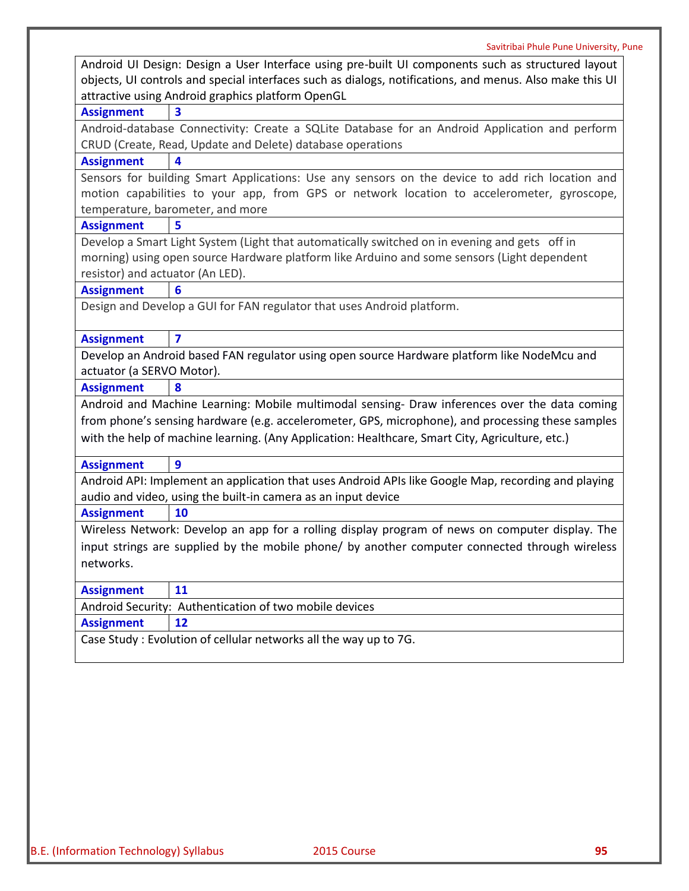|                                  | Savitribal Phule Pune University, Pt                                                                     |
|----------------------------------|----------------------------------------------------------------------------------------------------------|
|                                  | Android UI Design: Design a User Interface using pre-built UI components such as structured layout       |
|                                  | objects, UI controls and special interfaces such as dialogs, notifications, and menus. Also make this UI |
|                                  | attractive using Android graphics platform OpenGL                                                        |
| <b>Assignment</b>                | 3                                                                                                        |
|                                  | Android-database Connectivity: Create a SQLite Database for an Android Application and perform           |
|                                  | CRUD (Create, Read, Update and Delete) database operations                                               |
| <b>Assignment</b>                |                                                                                                          |
|                                  | Sensors for building Smart Applications: Use any sensors on the device to add rich location and          |
|                                  | motion capabilities to your app, from GPS or network location to accelerometer, gyroscope,               |
|                                  | temperature, barometer, and more                                                                         |
| <b>Assignment</b>                | 5                                                                                                        |
|                                  | Develop a Smart Light System (Light that automatically switched on in evening and gets off in            |
|                                  | morning) using open source Hardware platform like Arduino and some sensors (Light dependent              |
| resistor) and actuator (An LED). |                                                                                                          |
| <b>Assignment</b>                | 6                                                                                                        |
|                                  | Design and Develop a GUI for FAN regulator that uses Android platform.                                   |
|                                  |                                                                                                          |
| <b>Assignment</b>                | $\overline{\mathbf{z}}$                                                                                  |
|                                  | Develop an Android based FAN regulator using open source Hardware platform like NodeMcu and              |
| actuator (a SERVO Motor).        |                                                                                                          |
| <b>Assignment</b>                | 8                                                                                                        |
|                                  | Android and Machine Learning: Mobile multimodal sensing- Draw inferences over the data coming            |
|                                  | from phone's sensing hardware (e.g. accelerometer, GPS, microphone), and processing these samples        |
|                                  | with the help of machine learning. (Any Application: Healthcare, Smart City, Agriculture, etc.)          |
|                                  |                                                                                                          |
| <b>Assignment</b>                | 9                                                                                                        |
|                                  | Android API: Implement an application that uses Android APIs like Google Map, recording and playing      |
|                                  | audio and video, using the built-in camera as an input device                                            |
| <b>Assignment</b>                | <b>10</b>                                                                                                |
|                                  | Wireless Network: Develop an app for a rolling display program of news on computer display. The          |
|                                  | input strings are supplied by the mobile phone/ by another computer connected through wireless           |
| networks.                        |                                                                                                          |
| <b>Assignment</b>                | 11                                                                                                       |
|                                  | Android Security: Authentication of two mobile devices                                                   |
| <b>Assignment</b>                | 12                                                                                                       |
|                                  | Case Study : Evolution of cellular networks all the way up to 7G.                                        |
|                                  |                                                                                                          |
|                                  |                                                                                                          |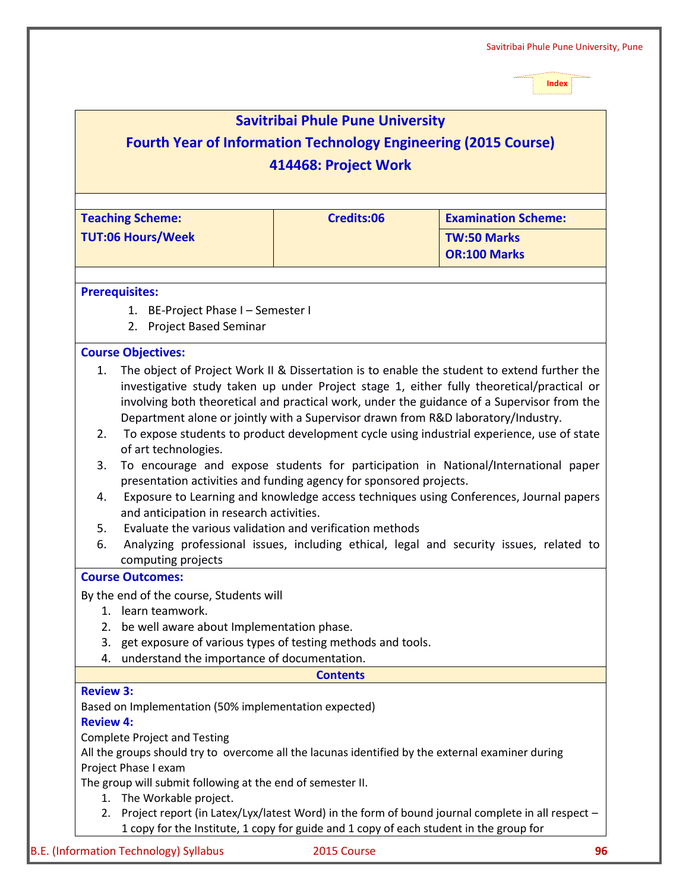|                                                                                                                          |                                                                                                        | <b>Savitribai Phule Pune University</b>                                                                                                                                                 |                            |
|--------------------------------------------------------------------------------------------------------------------------|--------------------------------------------------------------------------------------------------------|-----------------------------------------------------------------------------------------------------------------------------------------------------------------------------------------|----------------------------|
|                                                                                                                          |                                                                                                        | <b>Fourth Year of Information Technology Engineering (2015 Course)</b>                                                                                                                  |                            |
|                                                                                                                          |                                                                                                        | 414468: Project Work                                                                                                                                                                    |                            |
|                                                                                                                          |                                                                                                        |                                                                                                                                                                                         |                            |
|                                                                                                                          |                                                                                                        |                                                                                                                                                                                         |                            |
|                                                                                                                          | <b>Teaching Scheme:</b>                                                                                | Credits:06                                                                                                                                                                              | <b>Examination Scheme:</b> |
|                                                                                                                          | <b>TUT:06 Hours/Week</b>                                                                               |                                                                                                                                                                                         | <b>TW:50 Marks</b>         |
|                                                                                                                          |                                                                                                        |                                                                                                                                                                                         | <b>OR:100 Marks</b>        |
|                                                                                                                          |                                                                                                        |                                                                                                                                                                                         |                            |
|                                                                                                                          | <b>Prerequisites:</b>                                                                                  |                                                                                                                                                                                         |                            |
|                                                                                                                          | 1. BE-Project Phase I - Semester I                                                                     |                                                                                                                                                                                         |                            |
|                                                                                                                          | 2. Project Based Seminar                                                                               |                                                                                                                                                                                         |                            |
|                                                                                                                          |                                                                                                        |                                                                                                                                                                                         |                            |
|                                                                                                                          | <b>Course Objectives:</b>                                                                              |                                                                                                                                                                                         |                            |
| 1.                                                                                                                       |                                                                                                        | The object of Project Work II & Dissertation is to enable the student to extend further the                                                                                             |                            |
|                                                                                                                          |                                                                                                        | investigative study taken up under Project stage 1, either fully theoretical/practical or<br>involving both theoretical and practical work, under the guidance of a Supervisor from the |                            |
|                                                                                                                          |                                                                                                        | Department alone or jointly with a Supervisor drawn from R&D laboratory/Industry.                                                                                                       |                            |
| 2.                                                                                                                       |                                                                                                        | To expose students to product development cycle using industrial experience, use of state                                                                                               |                            |
|                                                                                                                          | of art technologies.                                                                                   |                                                                                                                                                                                         |                            |
| 3.                                                                                                                       |                                                                                                        | To encourage and expose students for participation in National/International paper                                                                                                      |                            |
| presentation activities and funding agency for sponsored projects.                                                       |                                                                                                        |                                                                                                                                                                                         |                            |
| 4.                                                                                                                       |                                                                                                        | Exposure to Learning and knowledge access techniques using Conferences, Journal papers                                                                                                  |                            |
|                                                                                                                          | and anticipation in research activities.                                                               |                                                                                                                                                                                         |                            |
| 5.                                                                                                                       | Evaluate the various validation and verification methods                                               |                                                                                                                                                                                         |                            |
| 6.                                                                                                                       | computing projects                                                                                     | Analyzing professional issues, including ethical, legal and security issues, related to                                                                                                 |                            |
|                                                                                                                          | <b>Course Outcomes:</b>                                                                                |                                                                                                                                                                                         |                            |
|                                                                                                                          |                                                                                                        |                                                                                                                                                                                         |                            |
| 1.                                                                                                                       | By the end of the course, Students will<br>learn teamwork.                                             |                                                                                                                                                                                         |                            |
| 2.                                                                                                                       | be well aware about Implementation phase.                                                              |                                                                                                                                                                                         |                            |
|                                                                                                                          | get exposure of various types of testing methods and tools.<br>3.                                      |                                                                                                                                                                                         |                            |
| 4.                                                                                                                       | understand the importance of documentation.                                                            |                                                                                                                                                                                         |                            |
|                                                                                                                          |                                                                                                        | <b>Contents</b>                                                                                                                                                                         |                            |
| <b>Review 3:</b>                                                                                                         |                                                                                                        |                                                                                                                                                                                         |                            |
|                                                                                                                          | Based on Implementation (50% implementation expected)                                                  |                                                                                                                                                                                         |                            |
| <b>Review 4:</b>                                                                                                         |                                                                                                        |                                                                                                                                                                                         |                            |
| <b>Complete Project and Testing</b>                                                                                      |                                                                                                        |                                                                                                                                                                                         |                            |
| All the groups should try to overcome all the lacunas identified by the external examiner during<br>Project Phase I exam |                                                                                                        |                                                                                                                                                                                         |                            |
| The group will submit following at the end of semester II.                                                               |                                                                                                        |                                                                                                                                                                                         |                            |
|                                                                                                                          | 1. The Workable project.                                                                               |                                                                                                                                                                                         |                            |
|                                                                                                                          | Project report (in Latex/Lyx/latest Word) in the form of bound journal complete in all respect -<br>2. |                                                                                                                                                                                         |                            |
|                                                                                                                          | 1 copy for the Institute, 1 copy for guide and 1 copy of each student in the group for                 |                                                                                                                                                                                         |                            |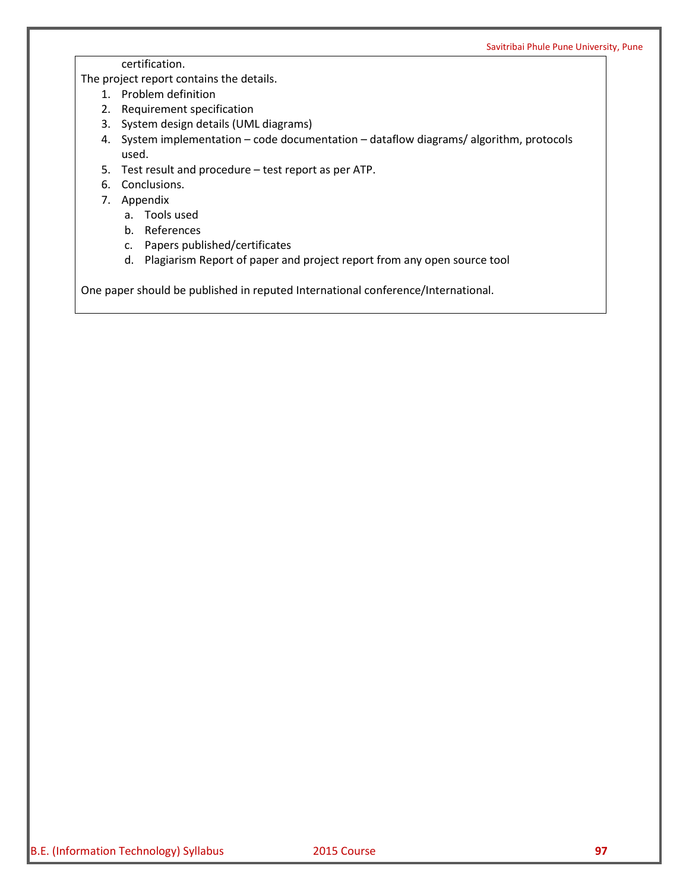certification.

The project report contains the details.

- 1. Problem definition
- 2. Requirement specification
- 3. System design details (UML diagrams)
- 4. System implementation code documentation dataflow diagrams/ algorithm, protocols used.
- 5. Test result and procedure test report as per ATP.
- 6. Conclusions.
- 7. Appendix
	- a. Tools used
	- b. References
	- c. Papers published/certificates
	- d. Plagiarism Report of paper and project report from any open source tool

One paper should be published in reputed International conference/International.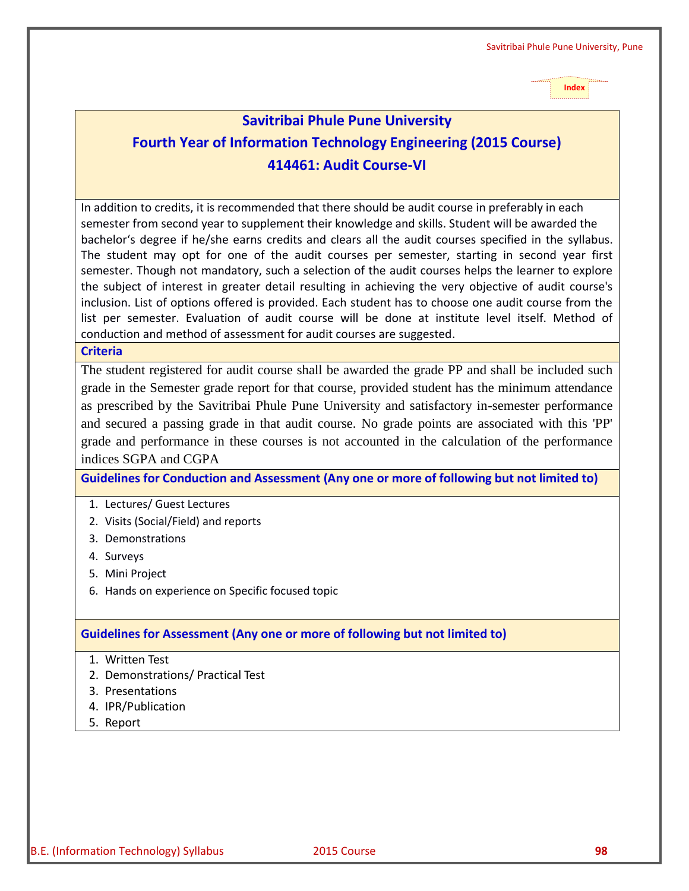# **Savitribai Phule Pune University Fourth Year of Information Technology Engineering (2015 Course) 414461: Audit Course-VI**

In addition to credits, it is recommended that there should be audit course in preferably in each semester from second year to supplement their knowledge and skills. Student will be awarded the bachelor's degree if he/she earns credits and clears all the audit courses specified in the syllabus. The student may opt for one of the audit courses per semester, starting in second year first semester. Though not mandatory, such a selection of the audit courses helps the learner to explore the subject of interest in greater detail resulting in achieving the very objective of audit course's inclusion. List of options offered is provided. Each student has to choose one audit course from the list per semester. Evaluation of audit course will be done at institute level itself. Method of conduction and method of assessment for audit courses are suggested.

#### **Criteria**

The student registered for audit course shall be awarded the grade PP and shall be included such grade in the Semester grade report for that course, provided student has the minimum attendance as prescribed by the Savitribai Phule Pune University and satisfactory in-semester performance and secured a passing grade in that audit course. No grade points are associated with this 'PP' grade and performance in these courses is not accounted in the calculation of the performance indices SGPA and CGPA

#### **Guidelines for Conduction and Assessment (Any one or more of following but not limited to)**

1. Lectures/ Guest Lectures

- 2. Visits (Social/Field) and reports
- 3. Demonstrations
- 4. Surveys
- 5. Mini Project
- 6. Hands on experience on Specific focused topic

### **Guidelines for Assessment (Any one or more of following but not limited to)**

- 1. Written Test
- 2. Demonstrations/ Practical Test
- 3. Presentations
- 4. IPR/Publication
- 5. Report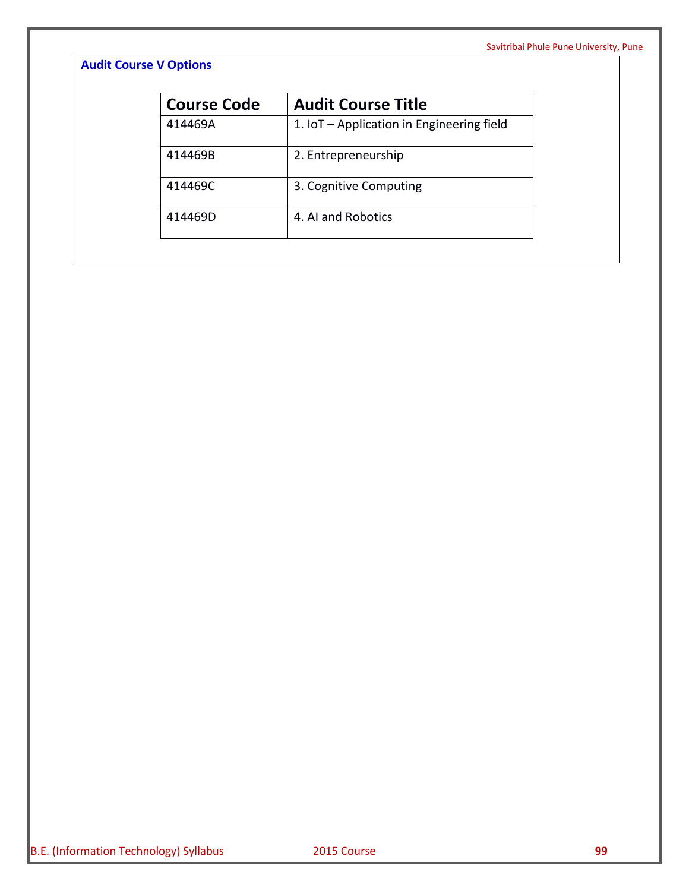# **Audit Course V Options**

| <b>Course Code</b> | <b>Audit Course Title</b>                 |
|--------------------|-------------------------------------------|
| 414469A            | 1. IoT - Application in Engineering field |
| 414469B            | 2. Entrepreneurship                       |
| 414469C            | 3. Cognitive Computing                    |
| 414469D            | 4. AI and Robotics                        |
|                    |                                           |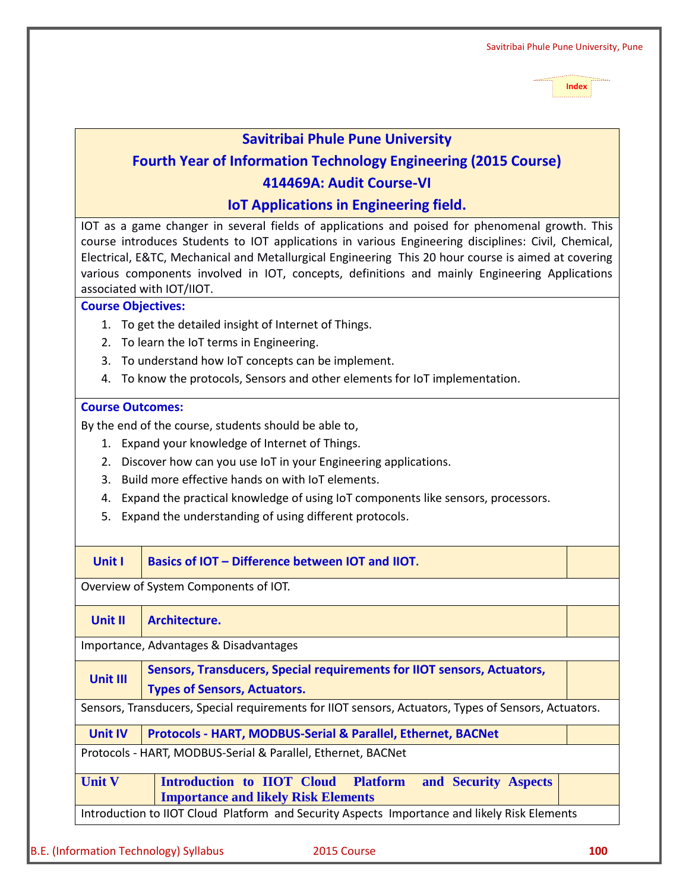## **Savitribai Phule Pune University**

# **Fourth Year of Information Technology Engineering (2015 Course)**

# **414469A: Audit Course-VI**

**IoT Applications in Engineering field.**

IOT as a game changer in several fields of applications and poised for phenomenal growth. This course introduces Students to IOT applications in various Engineering disciplines: Civil, Chemical, Electrical, E&TC, Mechanical and Metallurgical Engineering This 20 hour course is aimed at covering various components involved in IOT, concepts, definitions and mainly Engineering Applications associated with IOT/IIOT.

#### **Course Objectives:**

- 1. To get the detailed insight of Internet of Things.
- 2. To learn the IoT terms in Engineering.
- 3. To understand how IoT concepts can be implement.
- 4. To know the protocols, Sensors and other elements for IoT implementation.

#### **Course Outcomes:**

By the end of the course, students should be able to,

- 1. Expand your knowledge of Internet of Things.
- 2. Discover how can you use IoT in your Engineering applications.
- 3. Build more effective hands on with IoT elements.
- 4. Expand the practical knowledge of using IoT components like sensors, processors.
- 5. Expand the understanding of using different protocols.

| Unit I                                                                                                                            | Basics of IOT – Difference between IOT and IIOT.                                                          |  |
|-----------------------------------------------------------------------------------------------------------------------------------|-----------------------------------------------------------------------------------------------------------|--|
| Overview of System Components of IOT.                                                                                             |                                                                                                           |  |
| <b>Unit II</b>                                                                                                                    | Architecture.                                                                                             |  |
|                                                                                                                                   | Importance, Advantages & Disadvantages                                                                    |  |
| Sensors, Transducers, Special requirements for IIOT sensors, Actuators,<br><b>Unit III</b><br><b>Types of Sensors, Actuators.</b> |                                                                                                           |  |
| Sensors, Transducers, Special requirements for IIOT sensors, Actuators, Types of Sensors, Actuators.                              |                                                                                                           |  |
| <b>Unit IV</b>                                                                                                                    | <b>Protocols - HART, MODBUS-Serial &amp; Parallel, Ethernet, BACNet</b>                                   |  |
|                                                                                                                                   | Protocols - HART, MODBUS-Serial & Parallel, Ethernet, BACNet                                              |  |
| <b>Unit V</b>                                                                                                                     | Introduction to IIOT Cloud Platform<br>and Security Aspects<br><b>Importance and likely Risk Elements</b> |  |
|                                                                                                                                   | Introduction to IIOT Cloud Platform and Security Aspects Importance and likely Risk Elements              |  |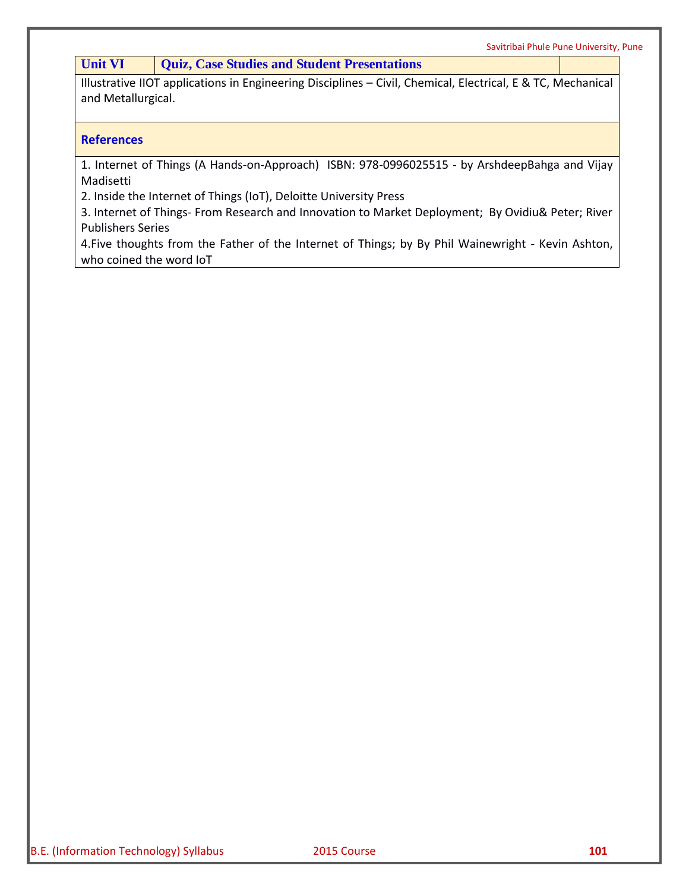#### **Unit VI Quiz, Case Studies and Student Presentations**

Illustrative IIOT applications in Engineering Disciplines – Civil, Chemical, Electrical, E & TC, Mechanical and Metallurgical.

#### **References**

1. Internet of Things (A Hands-on-Approach) ISBN: 978-0996025515 - by ArshdeepBahga and Vijay Madisetti

2. Inside the Internet of Things (IoT), Deloitte University Press

3. Internet of Things- From Research and Innovation to Market Deployment; By Ovidiu& Peter; River Publishers Series

4.Five thoughts from the Father of the Internet of Things; by By Phil Wainewright - Kevin Ashton, who coined the word IoT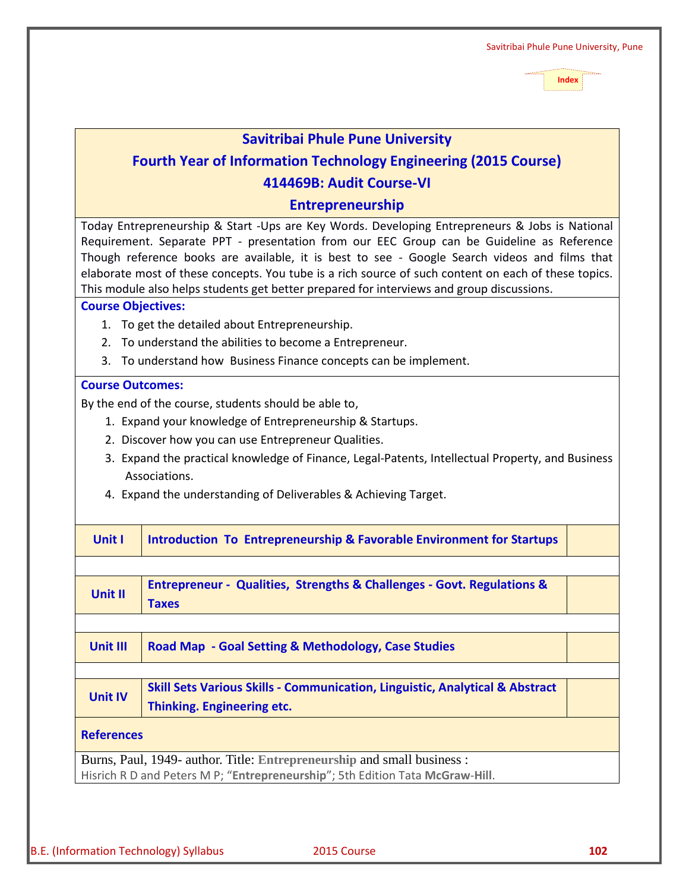## **Savitribai Phule Pune University**

# **Fourth Year of Information Technology Engineering (2015 Course) 414469B: Audit Course-VI**

### **Entrepreneurship**

Today Entrepreneurship & Start -Ups are Key Words. Developing Entrepreneurs & Jobs is National Requirement. Separate PPT - presentation from our EEC Group can be Guideline as Reference Though reference books are available, it is best to see - Google Search videos and films that elaborate most of these concepts. You tube is a rich source of such content on each of these topics. This module also helps students get better prepared for interviews and group discussions.

#### **Course Objectives:**

- 1. To get the detailed about Entrepreneurship.
- 2. To understand the abilities to become a Entrepreneur.
- 3. To understand how Business Finance concepts can be implement.

#### **Course Outcomes:**

By the end of the course, students should be able to,

- 1. Expand your knowledge of Entrepreneurship & Startups.
- 2. Discover how you can use Entrepreneur Qualities.
- 3. Expand the practical knowledge of Finance, Legal-Patents, Intellectual Property, and Business Associations.
- 4. Expand the understanding of Deliverables & Achieving Target.

| Unit I                                                                                | Introduction To Entrepreneurship & Favorable Environment for Startups                   |
|---------------------------------------------------------------------------------------|-----------------------------------------------------------------------------------------|
|                                                                                       |                                                                                         |
| <b>Entrepreneur - Qualities, Strengths &amp; Challenges - Govt. Regulations &amp;</b> |                                                                                         |
| <b>Unit II</b>                                                                        | <b>Taxes</b>                                                                            |
|                                                                                       |                                                                                         |
| <b>Unit III</b>                                                                       | Road Map - Goal Setting & Methodology, Case Studies                                     |
|                                                                                       |                                                                                         |
|                                                                                       |                                                                                         |
| <b>Unit IV</b>                                                                        | <b>Skill Sets Various Skills - Communication, Linguistic, Analytical &amp; Abstract</b> |
|                                                                                       | Thinking. Engineering etc.                                                              |
| <b>References</b>                                                                     |                                                                                         |
|                                                                                       | Burns, Paul, 1949- author. Title: Entrepreneurship and small business :                 |
|                                                                                       | Hisrich R D and Peters M P; "Entrepreneurship"; 5th Edition Tata McGraw-Hill.           |
|                                                                                       |                                                                                         |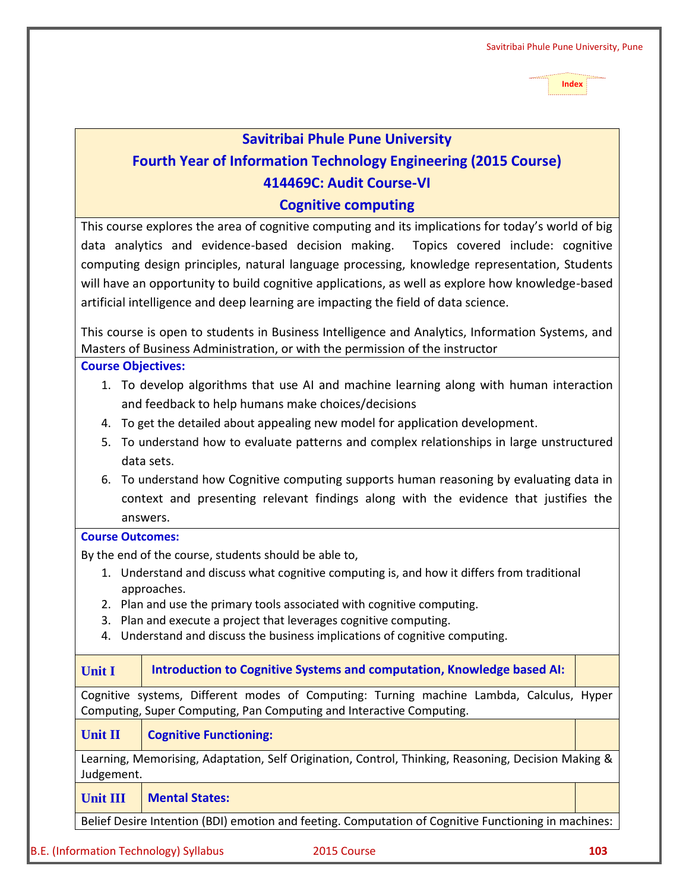# **Savitribai Phule Pune University Fourth Year of Information Technology Engineering (2015 Course) 414469C: Audit Course-VI**

# **Cognitive computing**

This course explores the area of cognitive computing and its implications for today's world of big data analytics and evidence-based decision making. Topics covered include: cognitive computing design principles, natural language processing, knowledge representation, Students will have an opportunity to build cognitive applications, as well as explore how knowledge-based artificial intelligence and deep learning are impacting the field of data science.

This course is open to students in Business Intelligence and Analytics, Information Systems, and Masters of Business Administration, or with the permission of the instructor

# **Course Objectives:**

- 1. To develop algorithms that use AI and machine learning along with human interaction and feedback to help humans make choices/decisions
- 4. To get the detailed about appealing new model for application development.
- 5. To understand how to evaluate patterns and complex relationships in large unstructured data sets.
- 6. To understand how Cognitive computing supports human reasoning by evaluating data in context and presenting relevant findings along with the evidence that justifies the answers.

# **Course Outcomes:**

By the end of the course, students should be able to,

- 1. Understand and discuss what cognitive computing is, and how it differs from traditional approaches.
- 2. Plan and use the primary tools associated with cognitive computing.
- 3. Plan and execute a project that leverages cognitive computing.
- 4. Understand and discuss the business implications of cognitive computing.

| <b>Unit I</b>                                                                                       | Introduction to Cognitive Systems and computation, Knowledge based AI: |  |
|-----------------------------------------------------------------------------------------------------|------------------------------------------------------------------------|--|
| Cognitive systems, Different modes of Computing: Turning machine Lambda, Calculus, Hyper            |                                                                        |  |
| Computing, Super Computing, Pan Computing and Interactive Computing.                                |                                                                        |  |
| <b>Unit II</b>                                                                                      | <b>Cognitive Functioning:</b>                                          |  |
| Learning, Memorising, Adaptation, Self Origination, Control, Thinking, Reasoning, Decision Making & |                                                                        |  |
| Judgement.                                                                                          |                                                                        |  |
|                                                                                                     |                                                                        |  |

# **Unit III Mental States:**

Belief Desire Intention (BDI) emotion and feeting. Computation of Cognitive Functioning in machines: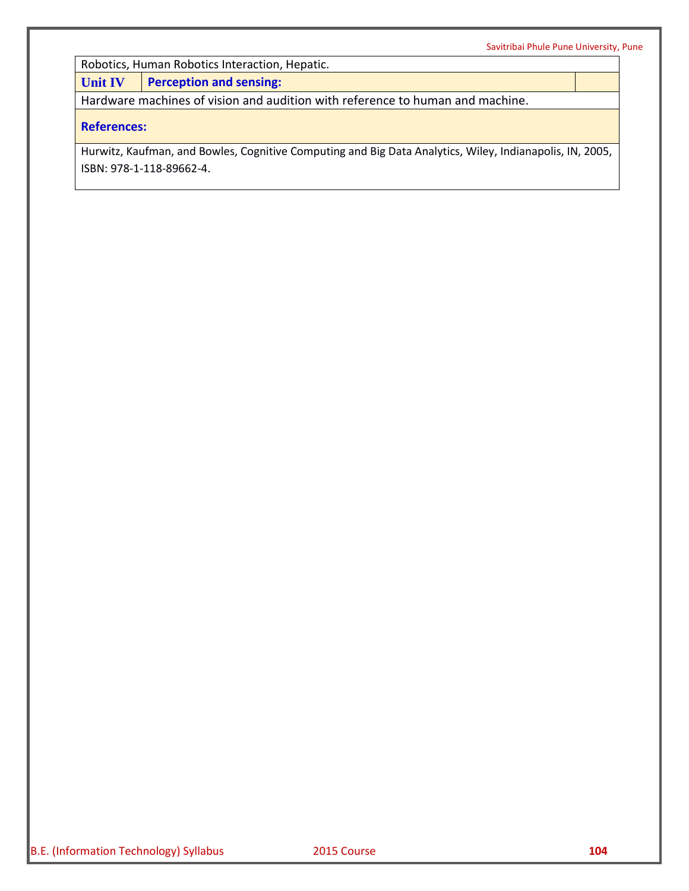Robotics, Human Robotics Interaction, Hepatic.

**Unit IV Perception and sensing:**

Hardware machines of vision and audition with reference to human and machine.

#### **References:**

Hurwitz, Kaufman, and Bowles, Cognitive Computing and Big Data Analytics, Wiley, Indianapolis, IN, 2005, ISBN: 978-1-118-89662-4.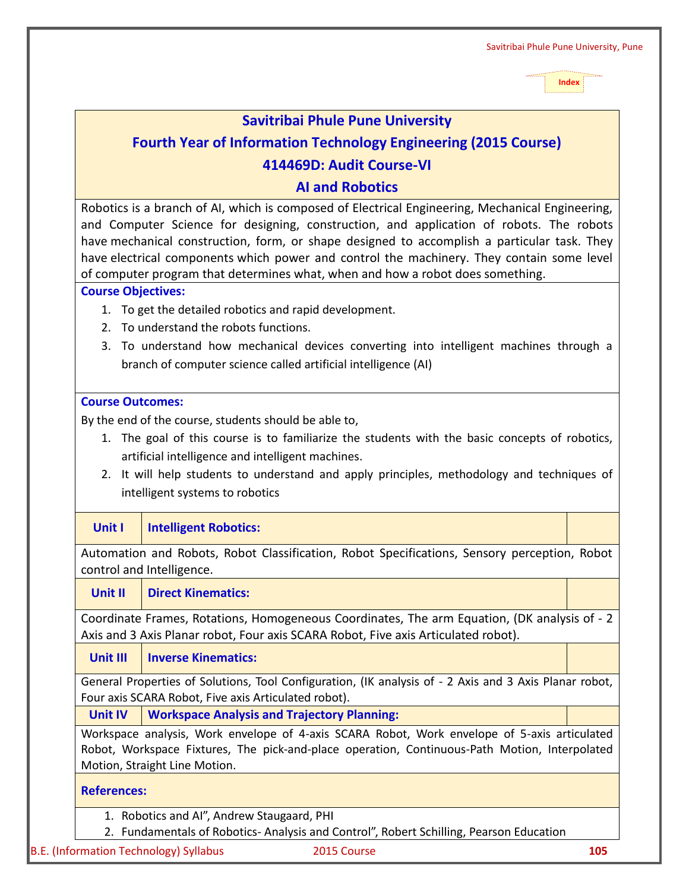### **Savitribai Phule Pune University**

# **Fourth Year of Information Technology Engineering (2015 Course)**

### **414469D: Audit Course-VI**

### **AI and Robotics**

Robotics is a branch of AI, which is composed of Electrical Engineering, Mechanical Engineering, and Computer Science for designing, construction, and application of robots. The robots have mechanical construction, form, or shape designed to accomplish a particular task. They have electrical components which power and control the machinery. They contain some level of computer program that determines what, when and how a robot does something.

#### **Course Objectives:**

- 1. To get the detailed robotics and rapid development.
- 2. To understand the robots functions.
- 3. To understand how mechanical devices converting into intelligent machines through a branch of computer science called artificial intelligence (AI)

#### **Course Outcomes:**

By the end of the course, students should be able to,

- 1. The goal of this course is to familiarize the students with the basic concepts of robotics, artificial intelligence and intelligent machines.
- 2. It will help students to understand and apply principles, methodology and techniques of intelligent systems to robotics

#### **Unit I Intelligent Robotics:**

Automation and Robots, Robot Classification, Robot Specifications, Sensory perception, Robot control and Intelligence.

#### **Unit II Direct Kinematics:**

Coordinate Frames, Rotations, Homogeneous Coordinates, The arm Equation, (DK analysis of - 2 Axis and 3 Axis Planar robot, Four axis SCARA Robot, Five axis Articulated robot).

### **Unit III Inverse Kinematics:**

General Properties of Solutions, Tool Configuration, (IK analysis of - 2 Axis and 3 Axis Planar robot, Four axis SCARA Robot, Five axis Articulated robot).

#### **Unit IV Workspace Analysis and Trajectory Planning:**

Workspace analysis, Work envelope of 4-axis SCARA Robot, Work envelope of 5-axis articulated Robot, Workspace Fixtures, The pick-and-place operation, Continuous-Path Motion, Interpolated Motion, Straight Line Motion.

### **References:**

1. Robotics and AI", Andrew Staugaard, PHI

2. Fundamentals of Robotics- Analysis and Control", Robert Schilling, Pearson Education

B.E. (Information Technology) Syllabus 2015 Course **105**